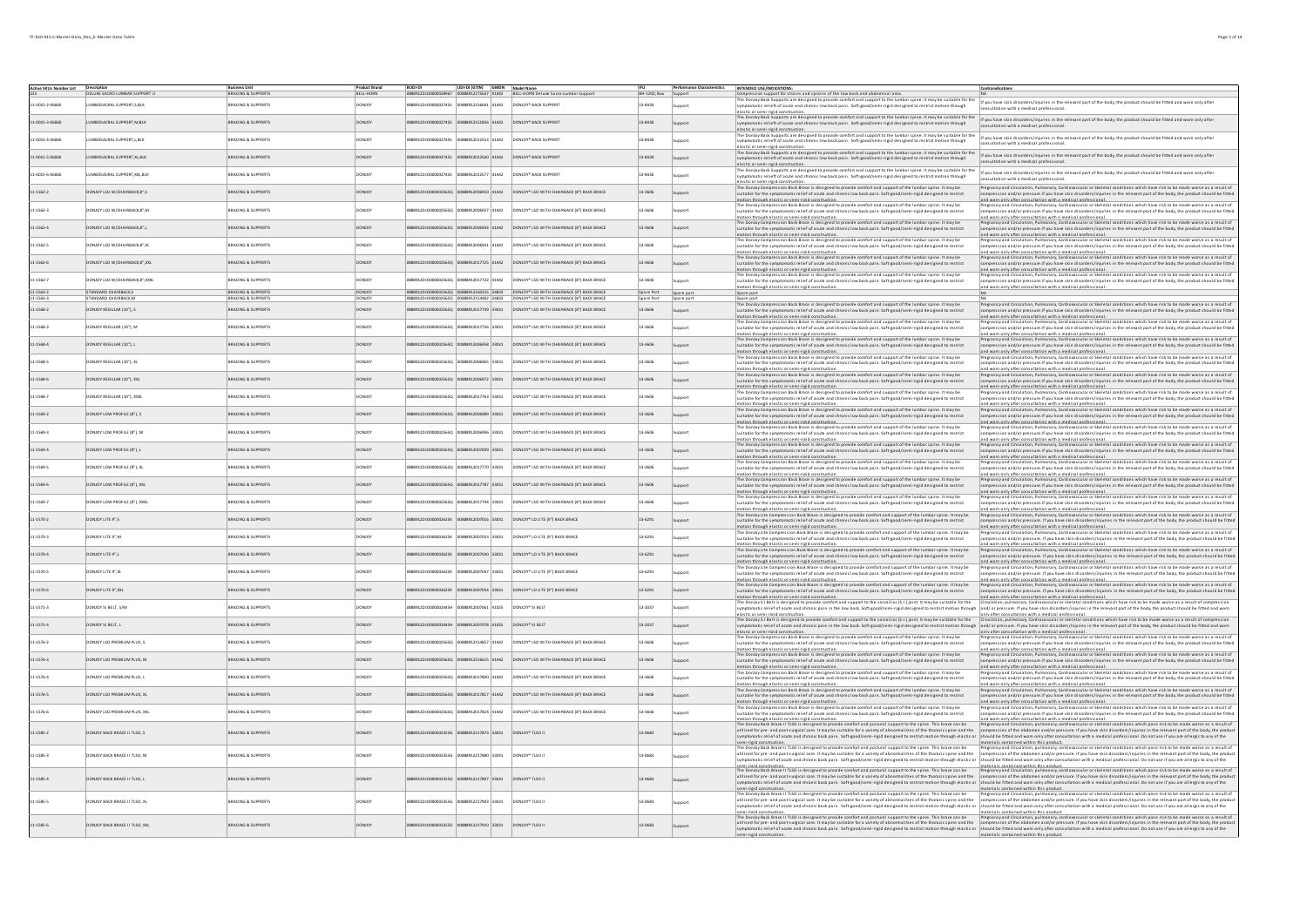|                 | Active SKUs Number List Description<br>225 DELUXE SACRO-LUMBAR SUPPORT L |                               |                  |                     |                                           | .<br>1001-DI<br>888912DJO0000028967 00888912275637 41442 BELL-HORN Deluxe Sacro-Lumbar Support |              | <b>Performance Characteristics</b> | INTENDED USE/INDICATIONS:                                                                                                                                                                                                                                                                                                                                 | Contraindications                                                                                                                                                                                                                                                                                                                                                                                         |
|-----------------|--------------------------------------------------------------------------|-------------------------------|------------------|---------------------|-------------------------------------------|------------------------------------------------------------------------------------------------|--------------|------------------------------------|-----------------------------------------------------------------------------------------------------------------------------------------------------------------------------------------------------------------------------------------------------------------------------------------------------------------------------------------------------------|-----------------------------------------------------------------------------------------------------------------------------------------------------------------------------------------------------------------------------------------------------------------------------------------------------------------------------------------------------------------------------------------------------------|
|                 |                                                                          | Business Unit                 | <b>BELL-HORN</b> |                     |                                           |                                                                                                | BH-1202; Box |                                    | Compressive support for strains and sprains of the low back and abdominal area.                                                                                                                                                                                                                                                                           |                                                                                                                                                                                                                                                                                                                                                                                                           |
| 1-0015-2-06060  | IMBOSACRAL SUPPORT, S, BLI                                               | <b>BRACING &amp; SUPPORTS</b> | ONO              |                     | 88912DJO000002745S 00888912156691 41442   | DONJOY <sup>*</sup> BACK SUPPORT                                                               | 13-8430      | upport                             | The Donloy Back Supports are designed to provide comfort and support to the larmar spine. It may be suitable for the 1f you have skin disorders/injuries in the relevant part of the body, the product should be fitted and wo                                                                                                                            | nsultation with a medical professional                                                                                                                                                                                                                                                                                                                                                                    |
|                 |                                                                          |                               |                  |                     |                                           |                                                                                                |              |                                    | stic or semi-rigid construct<br>The Densign and Security and designed to provide comfort and support to the lumbar spine. It may be suitable for the strained for the state discriptiones in the nelevant part of the body, the product should be fitted and w                                                                                            |                                                                                                                                                                                                                                                                                                                                                                                                           |
| 11-0015-3-05060 | IMBOSACRAL SUPPORT, M, BLK                                               | BRACING & SUPPORTS            |                  | 912010000027455     | 0388912151856 41442                       | DONJOY <sup>*</sup> BACK SUPPORT                                                               | $13 - 8430$  | Support                            | symptomatic relieft of acute and chronic low back pain. Soft-good/semi-rigid designed to restrict motion through                                                                                                                                                                                                                                          | onsultation with a medical professional.                                                                                                                                                                                                                                                                                                                                                                  |
| 11-0015-4-06060 | IMBOSACRAL SUPPORT L.BLK                                                 |                               | DONJOY           | 9120100000027455    | 88912012553 41442                         | DONJOY* BACK SUPPORT                                                                           | 13-8430      |                                    | lastic or semi-rigid construction.<br>he Donloy Back Supports are designed to provide comfort and support to the lumbar spine. It may be suitable for the                                                                                                                                                                                                 | If you have skin disorders/injuries in the relevant part of the body, the product should be fitted and worn only after                                                                                                                                                                                                                                                                                    |
|                 |                                                                          | <b>BRACING &amp; SUPPORTS</b> |                  |                     |                                           |                                                                                                |              | upport                             | symptomatic relieft of acute and chronic low back pain. Soft-good/semi-rigid designed to restrict motion through                                                                                                                                                                                                                                          | insultation with a medical professional.                                                                                                                                                                                                                                                                                                                                                                  |
| 11-0015-5-05050 | UMROSACRAL SUPPORT XLBUK                                                 | <b>BRACING &amp; SUPPORTS</b> | <b>DONICY</b>    | 22577000000027455   | 00888912012560 41442                      | DONIOY® BACK SUPPORT                                                                           | 13,8430      | Support                            | The Donloy Back Supports are designed to provide comfort and support to the lumbar spine. It may be suitable for the<br>symptomatic relieft of acute and chronic low back pain. Soft-good/semi-rigid designed to restrict motion through                                                                                                                  | If you have skin disorders/injuries in the relevant part of the body, the product should be fitted and worn only after                                                                                                                                                                                                                                                                                    |
|                 |                                                                          |                               |                  |                     |                                           |                                                                                                |              |                                    | elastic or semi-rigid construction                                                                                                                                                                                                                                                                                                                        | ultation with a medical professional                                                                                                                                                                                                                                                                                                                                                                      |
| 11-0015-6-06060 | <b>IMBOSACRAL SUPPORT XXLBLK</b>                                         | <b>BRACING &amp; SUPPORTS</b> | DONJOY           | 89120100000027455   | 888912012577 41442                        | DONJOY <sup>*</sup> BACK SUPPORT                                                               | 13-8430      | upport                             | Back Supports are designed to provide comfort and support to the lumbar spine. It may be suitable for th<br>symptomatic relieft of acute and chronic low back pain. Soft-good/semi-rigid designed to restrict motion through                                                                                                                              | If you have skin disorders/injuries in the relevant part of the body, the product should be fitted and worn only after                                                                                                                                                                                                                                                                                    |
|                 |                                                                          |                               |                  |                     |                                           |                                                                                                |              |                                    | lastic or semi-rigid construction<br>sion Back Brace is designed to provide comfort and support of the lumbar spine. It may be                                                                                                                                                                                                                            | ultation with a medical professional.<br>Pregnancy and Groulation. Pulmonary, Cardiovascular or Skeletal conditions which have risk to be made worse as a result of                                                                                                                                                                                                                                       |
| 11-1562-2       | DONIOY ISO W/CHAIRRACK R* S                                              | <b>BRACING &amp; SUPPORTS</b> | <b>DONICY</b>    |                     | \$4120 00900025650 00888912006910         | DONIOY* ISO WITH CHAIRRACK (8") RACK BRACE                                                     | 13-3606      |                                    | suitable for the symptomatic relief of acute and chronic low back pain. Soft-good/semi-rigid designed to restrict                                                                                                                                                                                                                                         | pression and/or pressure.If you have skin disorders/injuries in the relevant part of the body, the product should be fitted                                                                                                                                                                                                                                                                               |
|                 |                                                                          |                               |                  |                     |                                           |                                                                                                |              |                                    | totion through elastic or semi-rigid construction.<br>insussin unissain surassa. Si ratum mais santanassa.<br>The Donloy Compression Back Brace is designed to provide comfort and support of the lumbar spine. It may be<br>suitable for the symptomatic relief of acute and chronic low                                                                 | and worn only after consultation with a medical professional.<br>use monumerations community in the material constants of the constants.<br>Yegnancy and Circulation, Pulmonary, Cardiovascular or Skeletal conditions which have risk to be made worse as a result of<br>ompression and/or pressure.                                                                                                     |
| 11-1562-3       | DONJOY LSO W/CHAIRBACK.8".M                                              | <b>BRACING &amp; SUPPORTS</b> | <b>DONJOY</b>    |                     | 8912DJ0000002565Q 00888912006927 41442    | DONJOY* LSO WITH CHAIRBACK (8") BACK BRACE                                                     | 13-3606      |                                    | notion through elastic or semi-rigid construction.                                                                                                                                                                                                                                                                                                        | and worn only after consultation with a medical professional.                                                                                                                                                                                                                                                                                                                                             |
| 11-1562-4       | DONJOY LSO W/CHAIRBACK.8".L                                              | <b>BRACING &amp; SUPPORTS</b> | <b>DONJOY</b>    |                     | \$912DJ0000025650 00888912006934 41442    | DONJOY* LSO WITH CHAIRBACK (8") BACK BRACE                                                     | 13-3606      |                                    | The Donloy Compression Back Brace is designed to provide comfort and support of the lumbar spine. It may be<br>suitable for the symptomatic relief of acute and chronic low back pain. Soft-good/semi-rigid designed to restrict                                                                                                                          | Pregnancy and Grculation, Pulmonary, Cardiovascular or Skeletal conditions which have risk to be made worse as a result of                                                                                                                                                                                                                                                                                |
|                 |                                                                          |                               |                  |                     |                                           |                                                                                                |              |                                    | motion through elastic or semi-rigid construction.                                                                                                                                                                                                                                                                                                        | npression and/or pressure.If you have skin disorders/injuries in the relevant part of the body, the product should be fitted<br>and worn only after consultation with a medical professional.                                                                                                                                                                                                             |
| 11-1562-5       | DONJOY LSO W/CHAIRBACK,8",XL                                             | <b>BRACING &amp; SUPPORTS</b> | DONJOY           |                     | 88912DJO000002565Q 00888912006941 41442   | DONJOY* LSO WITH CHAIRBACK (8") BACK BRACE                                                     | 13-3606      | support                            | The Donloy Compression Back Brace is designed to provide comfort and support of the lumbar spine. It may be<br>uitable for the symptomatic relief of acute and chronic low back pain. Soft-good/semi-rigid designed to restrict                                                                                                                           | .<br>Pregnancy and Groulation, Pulmonary, Cardiovascular or Skeletal conditions which have risk to be made worse as a result of<br>.<br>Islon and/or pressure.If you have skin disorders/injuries in the relevant part of the body, the product should be fitted                                                                                                                                          |
|                 |                                                                          |                               |                  |                     |                                           |                                                                                                |              |                                    | tion through elastic or semi-rigid construction.                                                                                                                                                                                                                                                                                                          | and worn only after consultation with a medical professional.                                                                                                                                                                                                                                                                                                                                             |
| 11-1562-6       | DONJOY LSO W/CHAIRBACK.8",XXL                                            | <b>BRACING &amp; SUPPORTS</b> | <b>DONJOY</b>    |                     | 88912DJO000002565Q 00888912017725 41442   | DONJOY* LSO WITH CHAIRBACK (8") BACK BRACE                                                     | 13-3606      | Gunnort                            | The Donloy Compression Back Brace is designed to provide comfort and support of the lumbar spine. It may be<br>suitable for the symptomatic relief of acute and chronic low back pain. Soft-good/semi-rigid designed to restrict                                                                                                                          | Pregnancy and Groulation, Pulmonary, Cardiovascular or Skeletal conditions which have risk to be made worse as a result of<br>sion and/or pressure.If you have skin disorders/injuries in the relevant part of the body, the product should be fitted                                                                                                                                                     |
|                 |                                                                          |                               |                  |                     |                                           |                                                                                                |              |                                    | otion through elastic or semi-rigid construction.<br>The Donloy Compression Back Brace is designed to provide comfort and support of the lumbar spine. It may be                                                                                                                                                                                          | and worn only after consultation with a medical professional.<br>Pregnancy and Grculation, Pulmonary, Cardiovascular or Skeletal conditions which have risk to be made worse as a result of                                                                                                                                                                                                               |
| 11-1562-7       | DONJOY LSO W/CHAIRBACK.8".XXXL                                           | BRACING & SUPPORTS            | DONJOY           |                     | 8912DJO000002565Q 00888912017732 41442    | DONJOY® LSO WITH CHAIRBACK (8") BACK BRACE                                                     | 13-3606      | <b>Sunnort</b>                     | suitable for the symptomatic relief of acute and chronic low back pain. Soft-good/semi-rigid designed to restrict                                                                                                                                                                                                                                         | pression and/or pressure.If you have skin disorders/injuries in the relevant part of the body, the product should be fitted                                                                                                                                                                                                                                                                               |
| $1 - 1563 - 2$  | ANDARD CHAIRBACK,S                                                       |                               |                  |                     |                                           | Y <sup>*</sup> LSO WITH CHAIRBACK (8") BACK BRACE                                              | Spare Part   | Spare part                         | tion through elastic or semi-rigid construction.<br>Spare part                                                                                                                                                                                                                                                                                            | and worn only after consultation with a medical professional.                                                                                                                                                                                                                                                                                                                                             |
| $1.1563 -$      | ANDARD CHAIRBACK M                                                       | <b>BRACING &amp; SUPPORT</b>  |                  |                     |                                           | WITH CHAIRBACK (8") BACK BRAC                                                                  | are Part     | ipare part                         | Spare part<br>The Donloy Compression Back Brace is designed to provide comfort and support of the lumbar spine. It may be                                                                                                                                                                                                                                 | Pregnancy and Greulation, Pulmonary, Cardiovascular or Skeletal conditions which have risk to be made worse as a result of                                                                                                                                                                                                                                                                                |
| $1 - 1568 - 2$  | ONJOY REGULAR (10"), S                                                   | <b>BRACING &amp; SUPPORTS</b> | DONJOY           |                     | 0888912017749 33031                       | DONJOY® LSO WITH CHAIRBACK (8") BACK BRACE                                                     | 13-3606      | upport                             | suitable for the symptomatic relief of acute and chronic low back pain. Soft-good/semi-rigid designed to restrict                                                                                                                                                                                                                                         | mpression and/or pressure.If you have skin disorders/injuries in the relevant part of the body, the product should be fitted                                                                                                                                                                                                                                                                              |
|                 |                                                                          |                               |                  |                     |                                           |                                                                                                |              |                                    | totion through elastic or semi-rigid construction.<br>The Donloy Compression Back Brace is designed to provide comfort and support of the lumbar spine. It may be                                                                                                                                                                                         | and wom only after consultation with a medical professional.<br>The grandy and Croulation, Pulmonary, Cardionas cular or Skeletal conditions which have risk to be made worse as a result of<br>The grandy and Croulation, Pulmonary                                                                                                                                                                      |
| 11-1568-3       | DONJOY REGULAR (10"), M                                                  | <b>BRACING &amp; SUPPORTS</b> | DONJOY           |                     | 0888912017756 33031                       | DONJOY* LSO WITH CHAIRBACK (8") BACK BRACE                                                     | 13-3606      | upport                             | suitable for the symptomatic relief of acute and chronic low back pain. Soft-good/semi-rigid designed to restrict<br>otion through elastic or semi-rigid construction.                                                                                                                                                                                    | nd worn only after consultation with a medical professional.                                                                                                                                                                                                                                                                                                                                              |
| 11-1568-4       | DONICY REGULAR (10TL)                                                    | <b>BRACING &amp; SUPPORTS</b> |                  |                     |                                           | DONIOY* ISO WITH CHAIRRACK (8") RACK BRACE                                                     |              |                                    | mpression Back Brace is designed to provide comfort and support of the lumbar spine. It may be                                                                                                                                                                                                                                                            | Pregnancy and Groulation, Pulm<br>nonary, Cardiovascular or Skeletal conditions which have risk to be made worse as a result of                                                                                                                                                                                                                                                                           |
|                 |                                                                          |                               | <b>DONICY</b>    |                     | 15065 32630051688891 02325000000000000    |                                                                                                | 13-3606      |                                    | suitable for the symptomatic relief of acute and chronic low back pain. Soft-good/semi-rigid designed to restrict<br>otion through elastic or semi-rigid construction.                                                                                                                                                                                    | pression and/or pressure.If you have skin disorders/injuries in the relevant part of the body, the product should be fitted<br>and worn only after consultation with a medical professional.                                                                                                                                                                                                              |
| 11-1568-5       | DONJOY REGULAR (10"), XL                                                 | <b>BRACING &amp; SUPPORTS</b> | <b>DONJOY</b>    | 912010000025650     | 0888912006965 33031                       | DONJOY <sup>*</sup> LSO WITH CHAIRBACK (8") BACK BRACE                                         | 13-3606      |                                    | incours incompression Back Brace is designed to provide comfort and support of the lumbar spine. It may be<br>suitable for the symptomatic relief of acute and chronic low back pain. Soft-good/semi-rigid designed to restrict                                                                                                                           | m www.ruirsens.com.com/windows.com/windows-constances.com/windows-which have risk to be made worse as a result of<br>egnancy and Groulation, Pulmonary, Cardiovascular or Skeletal conditions which have risk to be made worse as<br>regnancy and Groulation, Pulm                                                                                                                                        |
|                 |                                                                          |                               |                  |                     |                                           |                                                                                                |              | upport                             | otion through elastic or semi-rigid construction.                                                                                                                                                                                                                                                                                                         | and worn only after consultation with a medical professional.                                                                                                                                                                                                                                                                                                                                             |
| 11-1568-6       | DONJOY REGULAR (10"), XXL                                                | <b>BRACING &amp; SUPPORTS</b> | <b>DONJOY</b>    |                     | 88912DJO000002565Q 00888912006972 33031   | DONJOY* LSO WITH CHAIRBACK (8") BACK BRACE                                                     | 13-3606      |                                    | <br>The Donloy Compression Back Brace is designed to provide comfort and support of the lumbar spine. It may be<br>suitable for the symptomatic relief of acute and chronic low back pain. Soft-good/semi-rigid designed to restr                                                                                                                         | <b>Tegnancy and Groulation, Pulmonary, Cardiov</b><br>cular or Skeletal conditions which have risk to be made worse as a result of<br>pression and/or pressure.If you have skin disorders/injuries in the relevant part of the body, the product should be fitted                                                                                                                                         |
|                 |                                                                          |                               |                  |                     |                                           |                                                                                                |              |                                    | notion through elastic or semi-rigid construction.<br>The Donloy Compression Back Brace is designed to provide comfort and support of the lumbar spine. It may be                                                                                                                                                                                         | and worn only after consultation with a medical professional.<br>.<br>Pregnancy and Groulation, Pulmonary, Cardiovascular or Skeletal conditions which have risk to be made worse as a result of                                                                                                                                                                                                          |
| 11-1568-7       | DONJOY REGULAR (10"), XXXL                                               | <b>BRACING &amp; SUPPORTS</b> | DONJOY           |                     | 88912DJ0000002565Q 00888912017763 33031   | DONJOY* LSO WITH CHAIRBACK (8") BACK BRACE                                                     | 13-3606      |                                    | suitable for the symptomatic relief of acute and chronic low back pain. Soft-good/semi-rigid designed to restrict                                                                                                                                                                                                                                         | ssion and/or pressure.If you have skin disorders/injuries in the relevant part of the body, the product should be fitted                                                                                                                                                                                                                                                                                  |
|                 |                                                                          |                               |                  |                     |                                           |                                                                                                |              |                                    | tion through elastic or semi-rigid construction<br>The Donloy Compression Back Brace is designed to provide comfort and support of the lumbar spine. It may be                                                                                                                                                                                            | sultation with a medical nrofessional<br>nd worn only after con-<br>Pregnancy and Groulation, Pulmonary, Cardiovascular or Skeletal conditions which have risk to be made worse as a result of                                                                                                                                                                                                            |
| 11-1569-2       | DONJOY LOW PROFILE (8"). S                                               | <b>BRACING &amp; SUPPORTS</b> | <b>DONJOY</b>    |                     | 88912DJO000002565Q 00888912006989 33031   | DONJOY* LSO WITH CHAIRBACK (8") BACK BRACE                                                     | 13-3606      |                                    | suitable for the sympto<br>matic relief of acute and chronic low back pain. Soft-good/semi-rigid designed to restrict                                                                                                                                                                                                                                     | sion and/or pressure. If you have skin disorders/injuries in the relevant part of the body, the product should be fitted                                                                                                                                                                                                                                                                                  |
|                 |                                                                          |                               |                  |                     |                                           |                                                                                                |              |                                    | totion through elastic or semi-rigid construction.<br>The Donloy Compression Back Brace is designed to provide comfort and support of the lumbar spine. It may be                                                                                                                                                                                         | and worn only after consultation with a medical professional.<br>Pregnancy and Grculation, Pulmonary, Cardiovascular or Skeletal conditions which have risk to be made worse as a result of                                                                                                                                                                                                               |
| 11-1569-3       | DONJOY LOW PROFILE (8"), M                                               | <b>BRACING &amp; SUPPORTS</b> | <b>DONJOY</b>    |                     | 88912DJO000002565Q 00888912006996 33031   | DONJOY* LSO WITH CHAIRBACK (8") BACK BRACE                                                     | 13-3606      |                                    | suitable for the symptomatic relief of acute and chronic low back pain. Soft-good/semi-rigid designed to restrict<br>otion through elastic or semi-rigid construction.                                                                                                                                                                                    | ression and/or pressure.If you have skin disorders/injuries in the relevant part of the body, the product should be fitted<br>and worn only after consultation with a medical professional.                                                                                                                                                                                                               |
| 11-1569-4       | DONJOY LOW PROFILE (8"), L                                               | <b>BRACING &amp; SUPPORTS</b> | <b>DONJOY</b>    |                     | 88912DJO000002565Q 00888912007009 33031   | DONJOY <sup>*</sup> LSO WITH CHAIRBACK (8") BACK BRACE                                         | 13-3606      | Sunnort                            | The Donloy Compression Back Brace is designed to provide comfort and support of the lumbar spine. It may be                                                                                                                                                                                                                                               | Pregnancy and Grculation, Pulmonary, Cardiovascular or Skeletal conditions which have risk to be made worse as a result of<br>ession and/or pressure.If you have skin disorders/injuries in the relevant part of the body, the product should be fitted                                                                                                                                                   |
|                 |                                                                          |                               |                  |                     |                                           |                                                                                                |              |                                    | suitable for the symptomatic relief of acute and chronic low back pain. Soft-good/semi-rigid designed to restrict<br>otion through elastic or semi-rigid construction.                                                                                                                                                                                    | and wom only after consultation with a medical professional.                                                                                                                                                                                                                                                                                                                                              |
| 11-1569-5       | DONJOY LOW PROFILE (8"), XL                                              | <b>BRACING &amp; SUPPORTS</b> | DONJOY           |                     | 888912017770 33031                        | DONJOY® LSO WITH CHAIRBACK (8") BACK BRACE                                                     | 13-3606      | Sunnort                            | The Donloy Compression Back Brace is designed to provide comfort and support of the lumbar spine. It may be<br>suitable for the symptomatic relief of acute and chronic low back pain. Soft-good/semi-rigid designed to restrict                                                                                                                          | Pregnancy and Grculation, Pulmonary, Cardiovascular or Skeletal conditions which have risk to be made worse as a result of<br>ession and/or pressure.If you have skin disorders/injuries in the relevant part of the body, the product should be fitted                                                                                                                                                   |
|                 |                                                                          |                               |                  |                     |                                           |                                                                                                |              |                                    | tion through elastic or semi-rigid construction.<br>The Donloy Compression Back Brace is designed to provide comfort and support of the lumbar spine. It may be                                                                                                                                                                                           | and worn only after consultation with a medical professional.<br>Pregnancy and Grculation, Pulmonary, Cardiovascular or Skeletal conditions which have risk to be made worse as a result of                                                                                                                                                                                                               |
| 11-1569-6       | DONJOY LOW PROFILE (8"), XXL                                             | <b>BRACING &amp; SUPPORTS</b> | DONJOY           |                     | 8912DJ0000002565Q 00888912017787 33031    | DONJOY <sup>*</sup> LSO WITH CHAIRBACK (8") BACK BRACE                                         | 13-3606      | Support                            | suitable for the symptomatic relief of acute and chronic low back pain. Soft-good/semi-rigid designed to restrict                                                                                                                                                                                                                                         | ression and/or pressure.If you have skin disorders/injuries in the relevant part of the body, the product should be fitted                                                                                                                                                                                                                                                                                |
|                 |                                                                          |                               |                  |                     |                                           |                                                                                                |              |                                    | tion through elastic or semi-rigid construction<br>The Donloy Compression Back Brace is designed to provide comfort and support of the lumbar spine. It may be                                                                                                                                                                                            | nd worn only after consultation with a medical professional.<br>Pregnancy and Circulation, Pulmonary, Cardiovascular or Skeletal conditions which have risk to be made worse as a result of                                                                                                                                                                                                               |
| 1-1569-7        | ONJOY LOW PROFILE (8"), XXXL                                             | RACING & SUPPORTS             | ONIO             |                     | 888912017794 33031                        | ONJOY <sup>*</sup> LSO WITH CHAIRBACK (8") BACK BRACE                                          | 13-3606      | upport                             | suitable for the symptomatic relief of acute and chronic low back pain. Soft-good/semi-rigid designed to restrict                                                                                                                                                                                                                                         | noression and/or pressure.If you have skin disorders/injuries in the relevant part of the body, the product should be fitted                                                                                                                                                                                                                                                                              |
| 11-1570-2       | DONJOY LITE 9",S                                                         | BRACING & SUPPORTS            | DONJOY           | 88912DJ0000002625K  | 88912007016 33031                         | DONJOY* LO LITE (9") BACK BRACE                                                                | 13-6291      |                                    | motion through elastic or semi-rigid construction.<br>The Donloy Lite Compression Back Brace is designed to provide comfort and support of the lumbar spine. It may be                                                                                                                                                                                    | and worn only after consultation with a medical professional.<br>Pregnancy and Circulation, Pulmonary, Cardiovascular or Skeletal conditions which have risk to be made worse as a result of                                                                                                                                                                                                              |
|                 |                                                                          |                               |                  |                     |                                           |                                                                                                |              | Support                            | suitable for the symptomatic relief of acute and chronic low back pain. Soft-good/semi-rigid designed to restrict<br>notion through elastic or semi-rigid construction.<br>The Donloy Lite Compression Back Brace is designed to provide comfort and support of the lumbar spine. It may be<br>The Donloy Lite Compression Back Brace is designed to prov | npression and/or pressure. If you have skin disorders/injuries in the relevant part of the body, the product should be fitted<br>and worn only after consultation with a medical professional.                                                                                                                                                                                                            |
| 11-1570-3       | M."P 3TIJ YOUNDO                                                         | <b>BRACING &amp; SUPPORTS</b> | <b>ONIOY</b>     | 8912010000002625K   | 0888912007023 33031                       | DONJOY* LO LITE (9") BACK BRACE                                                                | 13-6291      | upport                             | suitable for the symptomatic relief of acute and chronic low back pain. Soft-good/semi-rigid designed to restrict                                                                                                                                                                                                                                         | Pregnancy and Groulation, Pu<br>monary, Cardiovascular or Skeletal conditions which have risk to be made worse as a result of<br>npression and/or pressure. If you have skin disorders/injuries in the relevant part of the body, the product should be fitted                                                                                                                                            |
|                 |                                                                          |                               |                  |                     |                                           |                                                                                                |              |                                    | otion through elastic or semi-rigid construction.                                                                                                                                                                                                                                                                                                         | nd worn only after consultation with a medical professional                                                                                                                                                                                                                                                                                                                                               |
| 11-1570-4       | DONJOY LITE 9".L                                                         | <b>BRACING &amp; SUPPORTS</b> | <b>DONJOY</b>    |                     | 1505912010000002525K 00888912007030 33031 | DONIOY* LO LITE (9") RACK BRACE                                                                | 13-6291      | support                            | The Donloy Lite Compression Back Brace is designed to provide comfort and support of the lumbar spine. It may be<br>suitable for the symptomatic relief of acute and chronic low back pain. Soft-good/semi-rigid designed to rest                                                                                                                         | wour ourselected and our work.<br>Inancy and Orculation, Pulmonary, Cardiovascular or Skeletal conditions which have risk to be made worse as a result of<br>Ipression and/or pressure. If you have skin disorders/injuries in the r                                                                                                                                                                      |
|                 |                                                                          |                               |                  |                     |                                           |                                                                                                |              |                                    | otion through elastic or semi-rigid construction                                                                                                                                                                                                                                                                                                          | ind worn only after consultation with a medical professional<br>regnancy and Groulation, Pulm<br>cular or Skeletal conditions which have risk to be made worse as a result of                                                                                                                                                                                                                             |
| 11-1570-5       | DONJOY LITE 9".XL                                                        | <b>BRACING &amp; SUPPORTS</b> | <b>DONJOY</b>    | 88912D1000002625K   | 00888912007047 33031                      | DONJOY* LO LITE (9") BACK BRACE                                                                | 13-6291      |                                    | The Donioy Lite Compression Back Brace is designed to provide comfort and support of the lumbar spine. It may be<br>suitable for the symptomatic relief of acute and chronic low back pain. Soft-good/semi-rigid designed to rest                                                                                                                         | mpression and/or pressure. If you have skin disorders/injuries in the relevant part of the body, the product should be fitted<br>d worn only after consultation with a medical nrofessions                                                                                                                                                                                                                |
|                 |                                                                          |                               |                  |                     |                                           |                                                                                                |              |                                    | tion through elactic or cemi-rigid construction<br>The Donloy Lite Compression Back Brace is designed to provide comfort and support of the lumbar spine. It may be                                                                                                                                                                                       | ancy and Groulation. Pulmonary, Cardiovascular or Skeletal conditions which have risk to be made worse as a result of                                                                                                                                                                                                                                                                                     |
| 11-1570-6       | DONJOY LITE 9".XXL                                                       | <b>BRACING &amp; SUPPORTS</b> | <b>DONJOY</b>    | 888912DJ0000002625K | 00888912002054 33031                      | DONIOY* LO LITE (9") RACK BRACE                                                                | 13-6291      | upport                             | uitable for the symptomatic relief of acute and chronic low back pain. Soft-good/semi-rigid designed to restrict<br>otion through elastic or semi-rigid construction.                                                                                                                                                                                     | mpression and/or pressure. If you have skin disorders/injuries in the relevant part of the body, the product should be fitted<br>and worn only after consultation with a medical professional.                                                                                                                                                                                                            |
| 11-1571-3       | DONJOY SI BELT, S/M                                                      | <b>BRACING &amp; SUPPORTS</b> | <b>DONJOY</b>    | 8912D1000002445     | 0888912007061 41025                       | DONJOY* SI BELT                                                                                | 13-2037      |                                    | The Donloy S.I Belt is designed to provide comfort and support to the sacroiliac (S.I.) joint. It may be suitable for the                                                                                                                                                                                                                                 | Groulation, pulmonary, Cardiovascular or skeletal conditions which have risk to be made worse as a result of compression<br>symptomatic relief of a cute and chronic pain in the low back. Soft-good/semi-rigid designed to restrict motion through and/or pressure. If you have skin disorders/injuries in the relevant part of the body, the product sho                                                |
|                 |                                                                          |                               |                  |                     |                                           |                                                                                                |              |                                    | elastic or semi-rigid construction.                                                                                                                                                                                                                                                                                                                       | only after consultation with a medical professional.                                                                                                                                                                                                                                                                                                                                                      |
| 11-1571-4       | DONJOY SI BELT. L                                                        | <b>BRACING &amp; SUPPORTS</b> | <b>DONJOY</b>    | 88912DJ0000002445H  | 00888912007078 41025                      | DONJOY* SI BELT                                                                                | 13-2037      | Support                            | The Donloy S.I Belt is designed to provide comfort and support to the sacroiliac (S.I.) joint. It may be suitable for the                                                                                                                                                                                                                                 | Grculation, pulmonary, Cardiovascular or skeletal conditions which have risk to be made worse as a result of compression<br>symptomatic relief of acute and chronic pain in the low back. Soft-good/semi-rigid designed to restrict motion through and/or pressure. If you have skin disorders/injuries in the relevant part of the body, the product shou                                                |
|                 |                                                                          |                               |                  |                     |                                           |                                                                                                |              |                                    | elastic or semi-rigid construction.<br>The Donjoy Compression Back Brace is designed to provide comfort and support of the lumbar spine. It may be                                                                                                                                                                                                        | only after consultation with a medical professional.<br>Pregnancy and Groulation. Pulmonary, Cardiovascular or Skeletal conditions which have risk to be made worse as a result of                                                                                                                                                                                                                        |
| 11-1576-2       | DONJOY LSO PREMI UM PLUS, S                                              | <b>BRACING &amp; SUPPORTS</b> | DONJOY           | 88912DJ0000002565Q  | 00888912154857 41442                      | DONJOY* LSO WITH CHAIRBACK (8") BACK BRACE                                                     | 13-3606      | upport                             | matic relief of acute and chronic low back pain. Soft-good/semi-rigid designed to restrict<br>uitable for the sympt                                                                                                                                                                                                                                       | ssion and/or pressure.If you have skin disorders/injuries in the relevant part of the body, the product should be fitted                                                                                                                                                                                                                                                                                  |
|                 |                                                                          |                               |                  |                     |                                           |                                                                                                |              |                                    | otion through elastic or semi-rigid construction.<br>The Donjoy Compression Back Brace is designed to provide comfort and support of the lumbar spine. It may be                                                                                                                                                                                          | and worn only after consultation with a medical professional.<br>Pregnancy and Groulation, Pulmonary, Cardiovascular or Skeletal conditions which have risk to be made worse as a result of                                                                                                                                                                                                               |
| 11-1576-3       | DONJOY LSO PREMI UM PLUS, M                                              | <b>BRACING &amp; SUPPORTS</b> | DONJOY           |                     | 888912DJO000002565Q 00888912156615 41442  | DONJOY* LSO WITH CHAIRBACK (8") BACK BRACE                                                     | 13-3606      | Support                            | suitable for the symptomatic relief of acute and chronic low back pain. Soft-good/semi-rigid designed to restrict<br>motion through lastic or semi-rigid construction.                                                                                                                                                                                    | compression and/or pressure. If you have skin disorders/injuries in the relevant part of the body, the product should be fitted<br>and worn only after consultation with a medical orders/injuries in the relevant part of the bo                                                                                                                                                                         |
| 11-1576-4       | ONJOY LSO PREMI UM PLUS. L                                               | <b>BRACING &amp; SUPPORTS</b> | <b>ONIOY</b>     |                     | 00888912017800 41442                      | DONJOY* LSO WITH CHAIRBACK (8") BACK BRACE                                                     | 13-3606      | unnort                             | The Donloy Compression Back Brace is designed to provide comfort and support of the lumbar spine. It may be                                                                                                                                                                                                                                               | Pregnancy and Grculation, Pulmonary, Cardiovascular or Skeletal conditions which have risk to be made worse as a result of                                                                                                                                                                                                                                                                                |
|                 |                                                                          |                               |                  |                     |                                           |                                                                                                |              |                                    | suitable for the symptomatic relief of acute and chronic low back pain. Soft-good/semi-rigid designed to restrict<br>tion through elastic or semi-rigid construction.                                                                                                                                                                                     | pression and/or pressure.If you have skin disorders/injuries in the relevant part of the body, the product should be fitted<br>and worn only after consultation with a medical professional.                                                                                                                                                                                                              |
| 11-1576-5       | DONJOY LSO PREMI UM PLUS, XL                                             | BRACING & SUPPORTS            | DONJOY           |                     | 912DJO000002565Q 00888912017817 41442     | DONJOY* LSO WITH CHAIRBACK (8") BACK BRACE                                                     | 13-3606      | Support                            | The Donloy Compression Back Brace is designed to provide comfort and support of the lumbar spine. It may be<br>suitable for the symptomatic relief of acute and chronic low back pain. Soft-good/semi-rigid designed to restrict                                                                                                                          | Pregnancy and Grculation, Pulmonary, Cardiovascular or Skeletal conditions which have risk to be made worse as a result of<br>noression and/or pressure.If you have skin disorders/injuries in the relevant part of the body, the product should be fitted                                                                                                                                                |
|                 |                                                                          |                               |                  |                     |                                           |                                                                                                |              |                                    | ion through elastic or semi-rigid construction                                                                                                                                                                                                                                                                                                            | and worn only after consultation with a medical professional.                                                                                                                                                                                                                                                                                                                                             |
| $1 - 1576 - 6$  | JONJOY LSO PREMI UM PLUS, XXI                                            | BRACING & SUPPORTS            | ONO              |                     | 8912017824 41442                          | DONJOY <sup>*</sup> LSO WITH CHAIRBACK (8") BACK BRACE                                         | 13-3606      | unnort                             | The Donloy Compression Back Brace is designed to provide comfort and support of the lumbar spine. It may be<br>suitable for the symptomatic relief of acute and chronic low back pain. Soft-good/semi-rigid designed to restrict                                                                                                                          | Pregnancy and Grculation, Pulmonary, Cardiovascular or Skeletal conditions which have risk to be made worse as a result of<br>ompression and/or pressure.If you have skin disorders/injuries in the relevant part of the body, the product should be fitted                                                                                                                                               |
|                 |                                                                          |                               |                  |                     |                                           |                                                                                                |              |                                    | imilion elastic or semilionin construction.<br>by Back Brace II TLSO is designed to provide comfort and postural support to the spine. This brace can be                                                                                                                                                                                                  | nd worn only after consultation with a medical orofessional.<br>regnancy and Groulation, pulmonary, cardiovascular or skeletal conditions which pose risk to be made worse as a result of                                                                                                                                                                                                                 |
| 11-1585-2       | <b>JONJOY BACK BRACE II TLSO. S</b>                                      | <b>BRACING &amp; SUPPORTS</b> | DONJOY           |                     | 0888912217873 33031                       | DONJOY* TLSO II                                                                                | 13-0683      |                                    | utilised for pre- and post-surgical care. It may be suitable for a variety of abnormalities of the thoracic spine and the                                                                                                                                                                                                                                 | ompression of the abdomen and/or pressure. If you have skin disorders/injuries in the relevant part of the body, the produc                                                                                                                                                                                                                                                                               |
|                 |                                                                          |                               |                  |                     |                                           |                                                                                                |              |                                    | remi-maid construction.<br>he Donloy Back Brace II TLSO is designed to provide comfort and postural support to the spine. This brace can be                                                                                                                                                                                                               | symptomatic relief of a cute and chronic back pain. Soft good/semi-rigid designed to restrict motion through elastic or should be fitted and wom only after consultation with a medical professional. Do not use if you are al<br>materials contained within this product.<br>Pregnancy and Circulation, pulmonary, cardiovascular or skeletal conditions which pose risk to be made worse as a result of |
|                 |                                                                          |                               |                  |                     |                                           |                                                                                                |              |                                    |                                                                                                                                                                                                                                                                                                                                                           | utilised for pre- and post-surgical care. It may be suitable for a variety of abnormalities of the thoracic spine and the compression of the abdomen and/or pressure. If you have skin disorders/injuries in the relevant part                                                                                                                                                                            |
| 11-1585-3       | <b>JONJOY BACK BRACE II TLSO. M</b>                                      | <b>BRACING &amp; SUPPORTS</b> | DONJOY           |                     | 88912217880 33031                         | ONJOY <sup>*</sup> TLSO II                                                                     | 13-0683      |                                    |                                                                                                                                                                                                                                                                                                                                                           | mptomatic relief of acute and chronic back pain. Soft-good/semi-rigid designed to restrict motion through elastic or should be fitted and wom only after consultation with a medical professional. Do not use if you are aller                                                                                                                                                                            |
|                 |                                                                          |                               |                  |                     |                                           |                                                                                                |              |                                    | semi-rieid construction.<br>The Donloy Back Brace II TLSO is designed to provide comfort and postural support to the spine. This brace can be                                                                                                                                                                                                             | materials contained within this product.<br>Pregnancy and Grculation, pulmonary, cardiovascular or skeletal conditions which pose risk to be made worse as a result o                                                                                                                                                                                                                                     |
| 11-1585-4       | DONJOY BACK BRACE II TLSO, L                                             | <b>BRACING &amp; SUPPORTS</b> | <b>DONICY</b>    |                     | 88912217897 33031                         | DONIOY <sup>*</sup> TISO III                                                                   | 13-0683      |                                    | utilised for pre- and post-surgical care. It may be suitable for a variety of abnormalities of the thoracic spine and the                                                                                                                                                                                                                                 | iression of the abdomen and/or pressure. If you have skin disorders/injuries in the relevant part of the body, the produc<br>symptomatic relief of acute and chronic back pain. Soft good/semi-rigid designed to restrict motion through elastic or should be fitted and wom only after consultation with a medical professional. Do not use if you are all                                               |
|                 |                                                                          |                               |                  |                     |                                           |                                                                                                |              |                                    | mi rioid co                                                                                                                                                                                                                                                                                                                                               | thumon aidt nidtiw henistnos alsh                                                                                                                                                                                                                                                                                                                                                                         |
| 11-1585-5       | DONJOY BACK BRACE II TLSO, XL                                            | <b>BRACING &amp; SUPPORTS</b> | DONJOY           |                     | 88912217903 33031                         | II O2JT *YOLWOO                                                                                | 13-0683      |                                    | The Donloy Back Brace II TLSO is designed to provide comfort and postural support to the spine. This brace can be                                                                                                                                                                                                                                         | Pregnancy and Grculation, pulmonary, cardiovascular or skeletal conditions which pose risk to be made worse as a result of<br>utilised for pre- and post-surgical care. It may be suitable for a variety of a bnomalities of the thoracissime and the compression of the abdomen and/or pressure. If you have skin disorders/injuries in the relevant part o                                              |
|                 |                                                                          |                               |                  |                     |                                           |                                                                                                |              |                                    | emi-rigid construction                                                                                                                                                                                                                                                                                                                                    | materials contained within this product.                                                                                                                                                                                                                                                                                                                                                                  |
|                 |                                                                          |                               |                  |                     |                                           |                                                                                                |              |                                    |                                                                                                                                                                                                                                                                                                                                                           | The Donloy Back Brace II TLSO is designed to provide comfort and postural support to the spine. This brace can be Pregnancy and Croulation, pulmonary, cardiovascular or skeletal conditions which pose risk to be made worse                                                                                                                                                                             |
| 11-1585-6       | DONJOY BACK BRACE II TLSO, XXL                                           | <b>BRACING &amp; SUPPORTS</b> | DONICO           |                     | 00888912217910 33031                      | DONJOY* TLSO II                                                                                | 13-0683      |                                    |                                                                                                                                                                                                                                                                                                                                                           | utilised for pre-and post-surgical care. It may be suitable for a variety of aboomalities of the thoracissine and the compression of the abdomen and/or pressure. If you have skin disorders/injuries in the relevant part of                                                                                                                                                                             |
|                 |                                                                          |                               |                  |                     |                                           |                                                                                                |              |                                    | semi-rigid construction                                                                                                                                                                                                                                                                                                                                   | materials contained within this product.                                                                                                                                                                                                                                                                                                                                                                  |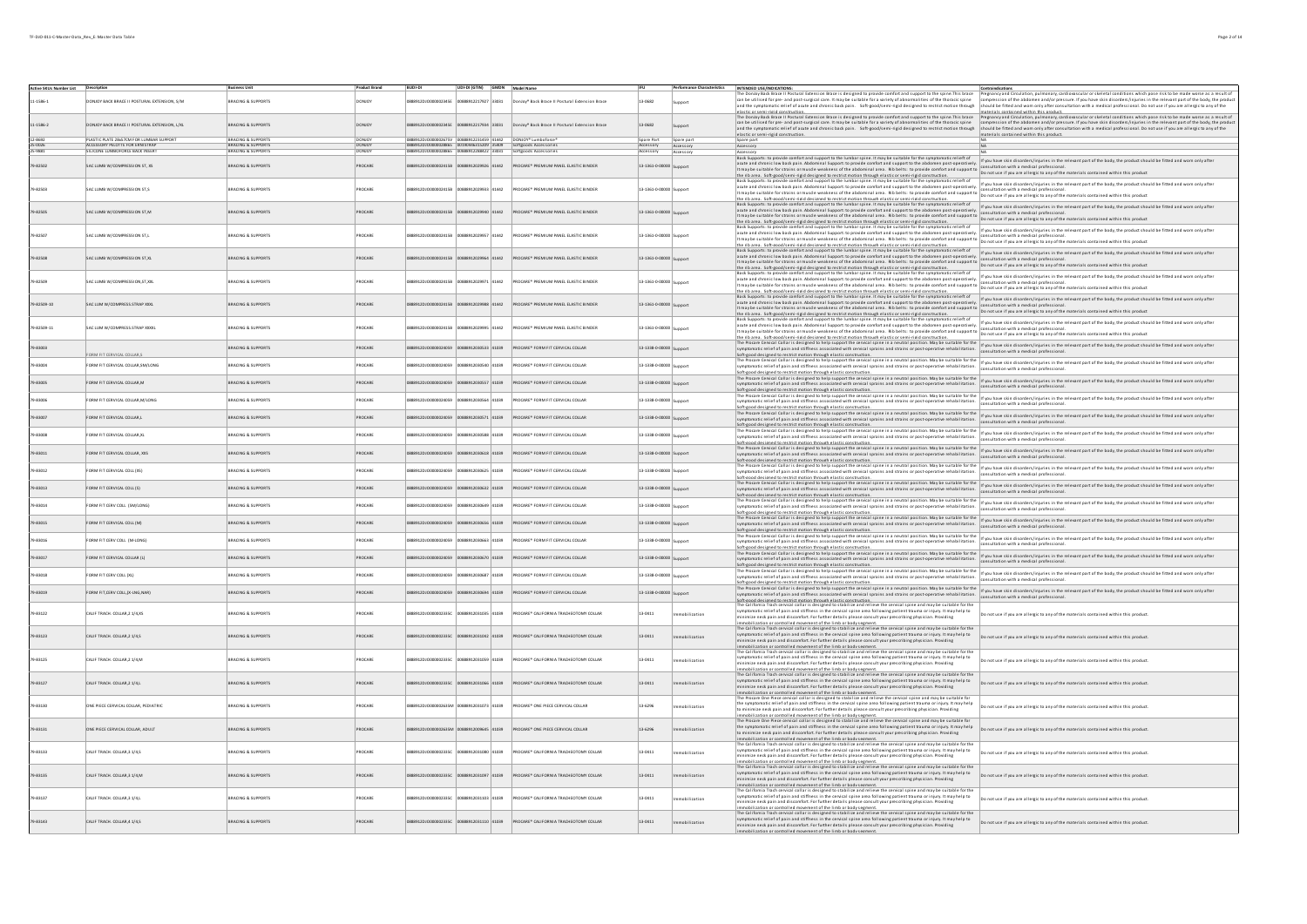| Active SKUs Number List Descriptio |                                                                            | <b>Russingss Linit</b>                                       | <b>Product Brand</b> | <b>RUDLDL</b>            | UDI-DI (GTIN) GMDN Model Name            |                                                                            |                         |                        | INTENDED USE/INDICATIONS:                                                                                                                                                                                                                                                                                                                                                                                                                                                                                                                                                                   |                                                                                                                                                                                                                                                                                                                                                                                                                                                                                             |
|------------------------------------|----------------------------------------------------------------------------|--------------------------------------------------------------|----------------------|--------------------------|------------------------------------------|----------------------------------------------------------------------------|-------------------------|------------------------|---------------------------------------------------------------------------------------------------------------------------------------------------------------------------------------------------------------------------------------------------------------------------------------------------------------------------------------------------------------------------------------------------------------------------------------------------------------------------------------------------------------------------------------------------------------------------------------------|---------------------------------------------------------------------------------------------------------------------------------------------------------------------------------------------------------------------------------------------------------------------------------------------------------------------------------------------------------------------------------------------------------------------------------------------------------------------------------------------|
| $11 - 1586 - 1$                    | ONJOY BACK BRACE II POSTURAL EXTENSION, S/M                                | BRACING & SUPPORTS                                           | <b>ONIOY</b>         | 8912D10000002345F        | 00888912217927 33031                     | DonJoy <sup>®</sup> Back Brace II Postural Extension Brace                 | 13-0682                 |                        | The Donloy Back Brace II Postural Extension Brace is designed to provide comfort and support to the spine.This brace<br>can be utilised for pre- and post-surgical care. It may be suitable for a variety of abnormalities of the thoracic spine                                                                                                                                                                                                                                                                                                                                            | Pregnancy and Grculation, pulmonary, cardiovascular or skeletal conditions which pose risk to be made worse as a result c<br>compression of the abdomen and/or pressure. If you have skin disorders/injuries in the relevant part of the body, the produc<br>nd the symptomatic relief of acute and chronic back pain. Soft good/semi-rigid designed to restrict motion through should be fitted and wom only after consultation with a medical professional. Do not use if you are allergi |
|                                    |                                                                            |                                                              |                      |                          |                                          |                                                                            |                         |                        | elastic or semi-rigid construction.                                                                                                                                                                                                                                                                                                                                                                                                                                                                                                                                                         | materials contained within this product.<br>The Donloy Back Brace II Postural Extension Brace is designed to provide comfort and support to the spine. This brace Pregnancy and Groulation, pulmonary, cardioyascular or skeletal conditions which pose risk to be made wo                                                                                                                                                                                                                  |
| $1 - 1586 - 2$                     | DONJOY BACK BRACE II POSTURAL EXTENSION, L/XL                              | <b>BRACING &amp; SUPPORTS</b>                                | DONJOY               |                          | 2012217024 23021                         | onJoy <sup>®</sup> Back Brace II Postural Extension Brace                  | 13-0682                 |                        | elastic or semi-rigid construction.                                                                                                                                                                                                                                                                                                                                                                                                                                                                                                                                                         | and the symptomatic religions in marker suitable for a widely of abidimalities of the thoracissine computer increased the the abidimality pure and the pressure. If you have shall displete in the relevant part of the body,<br>materials contained within this product.                                                                                                                                                                                                                   |
| $5-0026$                           | LASTIC PLATE 28x57CM FOR LUMBAR SUPPORT<br>ACCESSORY PELOTTE FOR FRNISTRAP | <b>BRACING &amp; SUPPOR</b><br><b>BRACING &amp; SUPPORTS</b> | <b>DONICY</b>        | 0888912D100000028865     | 231459 41442<br>00190446315209 35409     | Softgoods Accessories                                                      | Spare Part              | Spare part             |                                                                                                                                                                                                                                                                                                                                                                                                                                                                                                                                                                                             |                                                                                                                                                                                                                                                                                                                                                                                                                                                                                             |
|                                    | CONE LUMBOFORCE BACK INSER                                                 | RACING & SUPPORT                                             |                      |                          |                                          |                                                                            | Accessory               | Accessory<br>Accessory | Accessory                                                                                                                                                                                                                                                                                                                                                                                                                                                                                                                                                                                   |                                                                                                                                                                                                                                                                                                                                                                                                                                                                                             |
| 9-82502                            | SAC LUMB W/COMPRESSION ST. XS                                              | <b>BRACING &amp; SUPPORTS</b>                                | PROCARE              |                          | 5412029926 41442                         | PROCARE* PREMIUM PANEL ELASTIC BINDER                                      | 13-1361-0-00000         |                        | ncession<br>Back Supports: to provide comfort and support to the lumbar spine. It may be suitable for the symptomatic relieft of<br>Example in the state of the state of the abdominal area. Rib belts: to provide comfort and support to a computer in the state provider and support to the materials contained within this product in the product of the abdomi                                                                                                                                                                                                                          | a cutter in control of the statement way require to move that your cutter of supports the symptomatic relief of<br>It may had cutter in the statement of the statement of supports the abdomen post-operatively investing a water                                                                                                                                                                                                                                                           |
| 79-82503                           | SAC LUMB W/COMPRESSION ST.S                                                | BRACING & SUPPORTS                                           | ROCARE               |                          | 41442                                    | ROCARE <sup>*</sup> PREMIUM PANEL ELASTIC BINDER                           | 13-1361-0-00000 Suppor  |                        | the rib area. Softwared formed decisioned to restrict motion thousan electric enterprise in the motion in the product in your assume that in the product contained within this product.<br>Bat Supports to provide contribution t                                                                                                                                                                                                                                                                                                                                                           |                                                                                                                                                                                                                                                                                                                                                                                                                                                                                             |
|                                    |                                                                            |                                                              |                      |                          |                                          |                                                                            |                         |                        | acute and unrollic we were performancements appears to provide summation to provide comfort and support to consumerous wind a medical providence in the state is considered within this product.<br>It may be suitable for strain<br>the rib area. Softwand/Leeni deid deciened to restrict motion through elastic or cemi-deid construction.<br>Back Supports: to provide comfort and support to the lumbar spine. It may be suitable for the symptomatic relieft of                                                                                                                       | If you have skin disorders/injuries in the relevant part of the body, the product should be fitted and worn only after                                                                                                                                                                                                                                                                                                                                                                      |
| 9-82505                            | SAC LUMB W/COMPRESSION ST,M                                                | <b>BRACING &amp; SUPPORTS</b>                                | PROCARE              |                          | 41442                                    | PROCARE* PREMIUM PANEL ELASTIC BINDER                                      | 13-1361-0-00000 Support |                        | acute and chronic low back pain. Abdominal Support: to provide comfort and support to the abdomen post-operatively.<br>acute and chronic low back pain. Abdominal Support: to provide comfort and support to the abdomen post-operatively. Consultation with a medical professional.<br>It may be suitable for strains or muscle weakness of the abdomin<br>it in the second of the second of the second of the second intervals were the second of the second second intervals and the second of the second of the second of the second of the second of the second of the second of the   |                                                                                                                                                                                                                                                                                                                                                                                                                                                                                             |
|                                    |                                                                            |                                                              |                      |                          |                                          |                                                                            |                         |                        |                                                                                                                                                                                                                                                                                                                                                                                                                                                                                                                                                                                             | If you have skin disorders/injuries in the relevant part of the body, the product should be fitted and worn only after                                                                                                                                                                                                                                                                                                                                                                      |
| 9-82507                            | AC LUMB W/COMPRESSION ST,L                                                 | BRACING & SUPPORTS                                           | ROCARE               |                          | 41442                                    | ROCARE* PREMIUM PANEL ELASTIC BINDER                                       | 13-1361-0-00000         |                        | it may be suitable for trains of muscle weakers of the abdominal area. Risp better to provide contact and population with a medical professional.<br>It may be suitable for trains of muscle weakers of the abdominal area. Ris b                                                                                                                                                                                                                                                                                                                                                           |                                                                                                                                                                                                                                                                                                                                                                                                                                                                                             |
| 9-82508                            | SAC LUMB W/COMPRESSION ST,XL                                               | <b>BRACING &amp; SUPPORTS</b>                                | PROCARE              | 912DJ0000002415B         | 64 41442                                 | PROCARE* PREMIUM PANEL ELASTIC BINDER                                      | 13-1361-0-00000 Suppor  |                        | Back Supports: to provide comfort and support to the lumbar spine. It may be suitable for the symptomatic relieft of<br>acute and chronic low back pain. Abdominal Support: to provide comfort and support to the abdomen post-operatively.<br>alle and chrome use paint, mouthums support to provide commission to provide comfort and support to ansurtation with a methor provide comfort and support to a methor and support to provide confort and support to provide su<br>the rib area. Soft-good/semi-rigid designed to restrict motion through elastic or semi-rigid construction. | If you have skin disorders/injuries in the relevant part of the body, the product should be fitted and worn only after<br>onsultation with a medical profession:                                                                                                                                                                                                                                                                                                                            |
| 79-82509                           | SAC LUMB W/COMPRESSION.ST.XXL                                              | BRACING & SUPPORTS                                           | PROCARE              | 8912D10000002415F        | 912029971 41442                          | <b>PROCARE* PREMIUM PANEL ELASTIC BINDER</b>                               | 13-1361-0-00000 <       |                        | Back Supports: to provide comfort and support to the lumbar spine. It may be suitable for the symptomatic relieft of<br>acute and chronic low back pain. Abdominal Support: to provide comfort and support to the abdomen post-operatively.<br>cute and chronic low back pain. Abdominal Support: to provide comfort and support to the abdomen post-operatively. [[not will be more with a medical professional.]<br>It may be suitable for starting or with distance and the s                                                                                                            | If you have skin disorders/injuries in the relevant part of the body, the product should be fitted and worn only after                                                                                                                                                                                                                                                                                                                                                                      |
|                                    |                                                                            |                                                              |                      |                          |                                          |                                                                            |                         |                        | the rib area. Soft-rood/semi-rigid designed to restrict motion through elastic or semi-rigid construction.<br>Back Supports: to provide comfort and support to the lumbar spine. It may be suitable for the symptomatic relieft o                                                                                                                                                                                                                                                                                                                                                           |                                                                                                                                                                                                                                                                                                                                                                                                                                                                                             |
| 9-82509-10                         | SACTUM W/COMPRESS STRAP XXXI                                               | <b>BRACING &amp; SUPPORTS</b>                                | PROCARE              |                          | 41442                                    | PROCARE® PREMIUM PANEL ELASTIC RINDER                                      | 13-1361-0-00000         |                        | the rib area. Soft-good/semi-rigid designed to restrict motion through elastic or semi-rigid construction.                                                                                                                                                                                                                                                                                                                                                                                                                                                                                  | assissponts to provide combit and support to the limit are streated to the the proponation itself of the network of the meter finance in the meter of the state of the product should be fitted and wom only after<br>It may be s                                                                                                                                                                                                                                                           |
| 79-82509-11                        | <b>INVESTED PARTY PRINCIPLY IN U.S.A.</b>                                  | <b>BRACING &amp; SUPPORTS</b>                                | PROCARE              |                          | 41442                                    | PROCARE® PREMIUM PANEL FLASTIC RINDER                                      | 13-1361-0-0000          |                        | Back Supports: to provide comfort and support to the lumbar spine. It may be suitable for the symptomatic relieft of<br>www.windir.com/windirecom/windirecom/windirecom/windirecom/windirecom/windirecom/windirecom/windirecom/windirecom/windirecom/windirecom/windirecom/windirecom/windirecom/windirecom/windirecom/windirecom/windirecom/windireco                                                                                                                                                                                                                                      | acute and a procedure the support to the wind of spine it in the result of the Symptomatic relieft of the symptomatic relieft of the book in discussion for paid and wind only after and wind only after and wind only after t                                                                                                                                                                                                                                                              |
| 9-83003                            |                                                                            | <b>BRACING &amp; SUPPORTS</b>                                | PROCARE              | <b>88912D10000024059</b> | 00888912030533 41039                     | PROCARE* FORM FIT CERVICAL COLLAR                                          | 13-1338-0-00000 Support |                        | il may be suble at the of magnets about sources and may be a substitution to provide the area in the state of the matrix continent winn mis proud.<br>The state of the state of the state of the state of the state of the state                                                                                                                                                                                                                                                                                                                                                            |                                                                                                                                                                                                                                                                                                                                                                                                                                                                                             |
| 9.83004                            | ORM FIT CERVICAL COLLAR,S<br>FORM FIT CERVICAL COLLAR SM/LONG              | <b>RRACING &amp; SUPPORTS</b>                                | PROCARE              |                          | @2012 062050124059 0205591205560 02055   | <b>PROCARE® FORM FIT CERVICAL COLLAR</b>                                   |                         |                        | Selfaced descend control model in the meanumement.<br>The Pocare Carter is estimated theirs suspective context spine in a neutral position. May be suitable for the infusion with a medical purchases for the elevant part of the                                                                                                                                                                                                                                                                                                                                                           |                                                                                                                                                                                                                                                                                                                                                                                                                                                                                             |
|                                    |                                                                            |                                                              |                      |                          |                                          |                                                                            | 13-1338-0-00000 Support |                        |                                                                                                                                                                                                                                                                                                                                                                                                                                                                                                                                                                                             |                                                                                                                                                                                                                                                                                                                                                                                                                                                                                             |
| 9-83005                            | FORM FIT CERVICAL COLLAR M                                                 | BRACING & SUPPORTS                                           | PROCARE              |                          | 888912DJQ0000024059 00888912030557 41039 | PROCARE* FORM FIT CERVICAL COLLAR                                          | 13-1338-0-00000 Support |                        |                                                                                                                                                                                                                                                                                                                                                                                                                                                                                                                                                                                             | Selvessed existent of existential conservations and a second position. May be suitable for the infusion and a strategy pluring in the relation for the existent part of the body, the product should be fitted and wom only af                                                                                                                                                                                                                                                              |
| 9-83006                            | FORM FIT CERVICAL COLLAR M/LONG                                            | <b>BRACING &amp; SUPPORTS</b>                                | PROCARE              |                          | 88912DJO0000024059 00888912030564 41039  | PROCARE* FORM FIT CERVICAL COLLAR                                          | 13-1338-0-00000 Sunnor  |                        | The Proce Central Collar is designed to help support the central spine in a neutral position. May be suitable for the  <br>symptomatic relief of pain and stiffness associated with central spine in a smotral spine rehabilitati<br>Soft-good designed to restrict motion through elastic construction.                                                                                                                                                                                                                                                                                    | consultation with a medical professional                                                                                                                                                                                                                                                                                                                                                                                                                                                    |
| 79-83007                           | FORM FIT CERVICAL COLLAR,L                                                 | <b>BRACING &amp; SUPPORTS</b>                                | PROCARE              |                          |                                          | 888912DJO0000024059 00888912030571 41039 PROCARE* FORM FIT CERVICAL COLLAR | 13-1338-0-00000 Support |                        |                                                                                                                                                                                                                                                                                                                                                                                                                                                                                                                                                                                             | School desimes a restrict Robin River are used to the second that the second position. May be suitable for the information in space and displaces in the existent part of the body, the product should be fitted and wom only                                                                                                                                                                                                                                                               |
| 9-83008                            | FORM FIT CERVICAL COLLAR,XL                                                | BRACING & SUPPORTS                                           | PROCARE              |                          | 88912DJO0000024059 00888912030588 41039  | PROCARE* FORM FIT CERVICAL COLLAR                                          | 13-1338-0-00000 Sunnort |                        | The Procare Central Collar is designed to help support the central spine in a neutral position. May be suitable for the inf you have skin disorders/injuries in the relevant part of the body, the product should be fitted an<br>inft-ennd designed to restrict motion through elastic con                                                                                                                                                                                                                                                                                                 | Itation with a medical profes                                                                                                                                                                                                                                                                                                                                                                                                                                                               |
| 9-83011                            | FORM FIT CERVICAL COLLAR, XXS                                              | <b>BRACING &amp; SUPPORTS</b>                                | PROCARE              |                          |                                          | 888912DJO0000024059 00888912030618 41039 PROCARE* FORM FIT CERVICAL COLLAR | 13-1338-0-00000 Support |                        | Soft-good designed to restrict motion through elastic construction.                                                                                                                                                                                                                                                                                                                                                                                                                                                                                                                         | ourselon and income in the state of the state of the state of the first of the first of the suitable for the i<br>The Proce Central Collaris designed to help support the central spine can be also income related for the law su                                                                                                                                                                                                                                                           |
| 9-83012                            | FORM FIT CERVICAL COLL (XS)                                                | <b>BRACING &amp; SUPPORTS</b>                                | PROCARE              |                          | 88912DJO0000024059 00888912030625 41039  | PROCARE* FORM FIT CERVICAL COLLAR                                          | 13-1338-0-00000 Support |                        | <b>NOTEROOD ORD ARRIVERS INTO A CONSULT ADMONDERATION CONSULTER</b><br>The Procare Cervical Collaris designed to help support the cervical spine in a neutral position. May be suitable for the if you have skin disorders/injuries in<br>symptomatic relief of pain and stiffness associated with cervical sprains and strains or post-operative rehabilitation.                                                                                                                                                                                                                           | sultation with a medical professional                                                                                                                                                                                                                                                                                                                                                                                                                                                       |
| 9-83013                            | FORM FIT CERVICAL COLL (S)                                                 | <b>BRACING &amp; SUPPORTS</b>                                | PROCARE              |                          | 888912DJO0000024059 00888912030632 41039 | PROCARE* FORM FIT CERVICAL COLLAR                                          | 13-1338-0-00000 Sunnort |                        | of the media of the state of the state of the state of the state of the state of the state of the state of the state of the state of the best and the boy, the posts include to the state of the state of the boy interior of                                                                                                                                                                                                                                                                                                                                                               | Saftesol designed to restitutation floods distillentions.<br>The Pocare Contail Considerable in the proport the contains place in a revolution for problem in the floods of the low-stin discovers in the releant part of the bod                                                                                                                                                                                                                                                           |
| -83014                             | FORM FIT CERV COLL (SM/LONG)                                               | BRACING & SUPPORTS                                           | PROCARE              |                          | 00888912030649 41039                     | PROCARE* FORM FIT CERVICAL COLLAR                                          | 13-1338-0-00000 Support |                        | symptomatic relief of pain and stiffness associated with cenical sprains and strains or post-operative rehabilitation. The memorary parameter of pain and stiffness associated with emical professional<br>Soft-good designed to restrict motion through elastic construction.                                                                                                                                                                                                                                                                                                              |                                                                                                                                                                                                                                                                                                                                                                                                                                                                                             |
| 83015                              | FORM FIT CERVICAL COLL (M)                                                 | BRACING & SUPPORTS                                           | ROCARE               |                          | 12030656 41039                           | PROCARE* FORM FIT CERVICAL COLLAR                                          | 13-1338-0-00000 Support |                        | Ject Model Collaris designed to help support the cervical spine in a neutral position. May be suitable for the propose sink discodent/nightes in the releast part of the body, the product should be fitted and wom only after<br>Soft-good designed to restrict motion through elastic construction.                                                                                                                                                                                                                                                                                       |                                                                                                                                                                                                                                                                                                                                                                                                                                                                                             |
| 83016                              | ORM FIT CERV COLL (M-LONG                                                  | BRACING & SUPPORT!                                           | PROCARE              |                          | 912030663 41039                          | PROCARE* FORM FIT CERVICAL COLLA                                           | 13-1338-0-00000 Suppor  |                        | Soft-8000 designed to the insurance company control of the service is spine in a neutral position. May be suitable for the inf you have skin disorders/injuries in the relevant part of the body, the product should be fitted<br>symptomatic relief of pain and stiffness associated with cervical sprains and strains or post-operative rehabilitation.                                                                                                                                                                                                                                   | consultation with a medical professional.                                                                                                                                                                                                                                                                                                                                                                                                                                                   |
| 9-83017                            | FORM FIT CERVICAL COLLAR (L)                                               | <b>BRACING &amp; SUPPORTS</b>                                | PROCARE              | 89120100000024059        | 3888912030670 41039                      | PROCARE* FORM FIT CERVICAL COLLAR                                          | 13-1338-0-00000 Support |                        | symposition to the symposition of the symposition.<br>Schedual designed to help support the continuation.<br>The Pocare Carvial Collaris designed to help support the conviction to your contractors in a particle of the base of in                                                                                                                                                                                                                                                                                                                                                        | proposable control and the statements are controlled to the statement of the statement of the controlled to the controlled to the controlled to the controlled to the proposition of the statement of the statement of the bod                                                                                                                                                                                                                                                              |
| 9-83018                            | FORM FIT CERV COLL (XL)                                                    | <b>BRACING &amp; SUPPORTS</b>                                | PROCARE              | 88912D100000024059       | 0888912030687 41039                      | PROCARE* FORM FIT CERVICAL COLLAR                                          | 13-1338-0-00000 Support |                        | symptomatic relief of pain and stiffness associated with cervical sprains and strains or post-operative rehabilitation. [consultation with a medical professional.<br>Soft-good designed to restrict motion through elastic construction.                                                                                                                                                                                                                                                                                                                                                   |                                                                                                                                                                                                                                                                                                                                                                                                                                                                                             |
| 9-83019                            | FORM FIT.CERV COLL/X-LNG.NAR)                                              | BRACING & SUPPORTS                                           | PROCARE              |                          | 88912DJO0000024059 00888912030694 41039  | PROCARE* FORM FIT CERVICAL COLLAR                                          | 13-1338-0-00000         | support                | Suppose the contract of the contract of the contract spine in a neutral position. May be suitable for the lift pu have skin disorders/injuries in the relevant part of the body, the product should be fitted and wom only aft<br>Soft-good designed to restrict motion through elastic construction.<br>The California Trach cervical collar is designed to stabilize and relieve the cervical spine and may be suitable for the                                                                                                                                                           | consultation with a medical professional.                                                                                                                                                                                                                                                                                                                                                                                                                                                   |
| 9-83122                            | CALIF TRACH. COLLAR, 2 1/4, XS                                             | BRACING & SUPPORTS                                           | ROCARE               | 8120100000022250         | 8912031035 41039                         | ROCARE* CALIFORNIA TRACHEOTOMY COLLAR                                      | 13-0411                 | obilization            | symptomatic relief of pain and stiffness in the cervical spine area following patient trauma or injury. It may help to<br>minimize neck pain and discomfort. For further details please consult your prescribing physician. Providing                                                                                                                                                                                                                                                                                                                                                       | Do not use if you are allergic to any of the materials contained within this product.                                                                                                                                                                                                                                                                                                                                                                                                       |
| 9-83123                            | CALIF TRACH. COLLAR, 2 1/4,5                                               | <b>BRACING &amp; SUPPORTS</b>                                | PROCARE              |                          |                                          | PROCARE <sup>*</sup> CALIFORNIA TRACHEOTOMY COLLAR                         | $13 - 0411$             | obilization            | Immobilization or controlled movement of the limb or body seement.<br>The California Trach cervical collar is designed to stabilite and relieve the cervical spine and may be suitable for the<br>Expresentation in the substitution<br>minimize neck pain and discomfort. For further details please consult your prescribing physician. Providing                                                                                                                                                                                                                                         | Do not use if you are allergic to any of the materials contained within this product.                                                                                                                                                                                                                                                                                                                                                                                                       |
| 9-83125                            | CALIF TRACH. COLLAR, 2 1/4, N                                              | <b>RACING &amp; SUPPORT!</b>                                 | ROCARE               |                          | 41039                                    | ROCARE <sup>*</sup> CALIFORNIA TRACHEOTOMY COLLAR                          | 13-0411                 | obilization            | imministration or controlled movement of the limb or bedscapement.<br>Imministration or controlled movement of the limb or bedscapement.<br>The California Trach cervical collar is designed to stabilize and relieve the cervical s<br>minimize neck pain and discomfort. For further details please consult your prescribing physician. Providing                                                                                                                                                                                                                                         | Do not use if you are allergic to any of the materials contained within this product.                                                                                                                                                                                                                                                                                                                                                                                                       |
| 9-83127                            | CALIF TRACH. COLLAR, 2 1/4, L                                              | <b>BRACING &amp; SUPPORTS</b>                                | PROCARE              | 912DJ00000023350         |                                          | PROCARE* CALIFORNIA TRACHEOTOMY COLLAR                                     | 13-0411                 | obilization            | ilization or controlled movement of the limb or body segment.<br>The California Trach cervical collar is designed to stabilize and relieve the cervical spine and may be suitable for the<br>symptomatic relief of pain and stiffness in the cervical spine area following patient trauma or injury. It may help to<br>mize neck pain and discomfort. For further details please consult your prescribing physician. Providing                                                                                                                                                              | Do not use if you are allergic to any of the materials contained within this product.                                                                                                                                                                                                                                                                                                                                                                                                       |
| 79-83130                           | ONE PIECE CERVICAL COLLAR, PEDIATRIC                                       | <b>BRACING &amp; SUPPORTS</b>                                | PROCARE              | 88912DJ0000002635M       | 00888912031073 41039                     | PROCARE* ONE PIECE CERVICAL COLLAR                                         | 13-6296                 | hilization             | immobilization or controlled movement of the limb or body seament.<br>The Procare One Piece cervical collar is designed to stabilize and relieve the cervical spine and may be suitable fo<br>the symptomatic relief of pain and stiffness in the cervical spine area following patient trauma or injury. It may help                                                                                                                                                                                                                                                                       | Do not use if you are allergic to any of the materials contained within this product.                                                                                                                                                                                                                                                                                                                                                                                                       |
| 79-83131                           | ONE PIECE CERVICAL COLLAR, ADULT                                           | <b>BRACING &amp; SUPPORTS</b>                                | PROCARE              |                          | PERILA 24200012635M 00888912009645       | PROCARE* ONE PIECE CERVICAL COLLAR                                         | 13-6296                 | bilization             | the approximation control of its confort. For further details please consult your prescribing physician. Providing<br>Its minimize neck pain and discomfort. For further details please consult your prescribing physician. Provi<br>The Procare One Piece cervical collar is designed to stabilize and relieve the cervical spine and may be suitable fo<br>the symptomatic relief of pain and stiffness in the cervical spine area following patient trauma or injury. It may help                                                                                                        | Do not use if you are allergic to any of the materials contained within this product.                                                                                                                                                                                                                                                                                                                                                                                                       |
|                                    |                                                                            |                                                              |                      |                          |                                          |                                                                            |                         |                        | to minimize neck pain and discomfort. For further details please consult your prescribing physician. Providing<br>mmobilization or controlled movement of the limb or body segment.<br>The California Trach cervical collar is designed to stabilize and relieve the cervical spine and may be suitable for the<br> symptomatic relief of pain and stiffness in the cervical spine area following patient trauma or inju                                                                                                                                                                    |                                                                                                                                                                                                                                                                                                                                                                                                                                                                                             |
| 79.83133                           | CALIF TRACH, COLLAR 3 1/4 S                                                | <b>BRACING &amp; SUPPORTS</b>                                | PROCARE              | 9912010000002225         | asors constants                          | ROCARE® CALIFORNIA TRACHEOTOMY COLLAR                                      | 13-0411                 |                        | niled movement of the limb or hody cesment<br>The California Trach cervical collar is designed to stabilize and relieve the cervical spine and may be suitable for the                                                                                                                                                                                                                                                                                                                                                                                                                      | not use if you are allergic to any of the materials contained within this product.                                                                                                                                                                                                                                                                                                                                                                                                          |
| 9-83135                            | CALIF TRACH. COLLAR, 3 1/4, M                                              | <b>BRACING &amp; SUPPORTS</b>                                | PROCARE              |                          |                                          | PROCARE* CALIFORNIA TRACHEOTOMY COLLAR                                     | 13-0411                 | bilization             | symptomatic relief of pain and stiffness in the cervical spine area following patient trauma or injury. It may help to<br>minimize neck pain and discomfort. For further details please consult your prescribing physician. Providing<br>Immobilization or controlled movement of the limb or body seement.<br>The California Trach cervical collar is designed to stabilite and relieve the cervical spine and may be suitable for the<br>Expresentation of pain and stiffne                                                                                                               | Do not use if you are allergic to any of the materials contained within this product.                                                                                                                                                                                                                                                                                                                                                                                                       |
| 9-83137                            | CALIF TRACH. COLLAR, 3 1/4, L                                              | BRACING & SUPPORTS                                           | ROCARE               |                          | PEOLA FOLLEDCIPER                        | ROCARE* CALIFORNIA TRACHEOTOMY COLLAR                                      | 3-0411                  | obilization            | minimize neck pain and discomfort. For further details please consult your prescribing physician. Providing                                                                                                                                                                                                                                                                                                                                                                                                                                                                                 | Do not use if you are allergic to any of the materials contained within this product.                                                                                                                                                                                                                                                                                                                                                                                                       |
| 9-83143                            | CALIF TRACH. COLLAR,4 1/4,5                                                | BRACING & SUPPORTS                                           | ROCARE               |                          | 00888912031110 41039                     | PROCARE <sup>*</sup> CALIFORNIA TRACHEOTOMY COLLAR                         |                         | lization               | imministration or controlled movement of the Limb or body seament.<br>Immibilitation or controlled movement of the Limb or body seament.<br>The California Trach central collar is designed to stabilitie and relieve the central sp<br>minimize neck pain and discomfort. For further details please consult your prescribing physician. Providing<br>ization or controlled movement of the limb or body segment.                                                                                                                                                                          | Do not use if you are allergic to any of the materials contained within this product.                                                                                                                                                                                                                                                                                                                                                                                                       |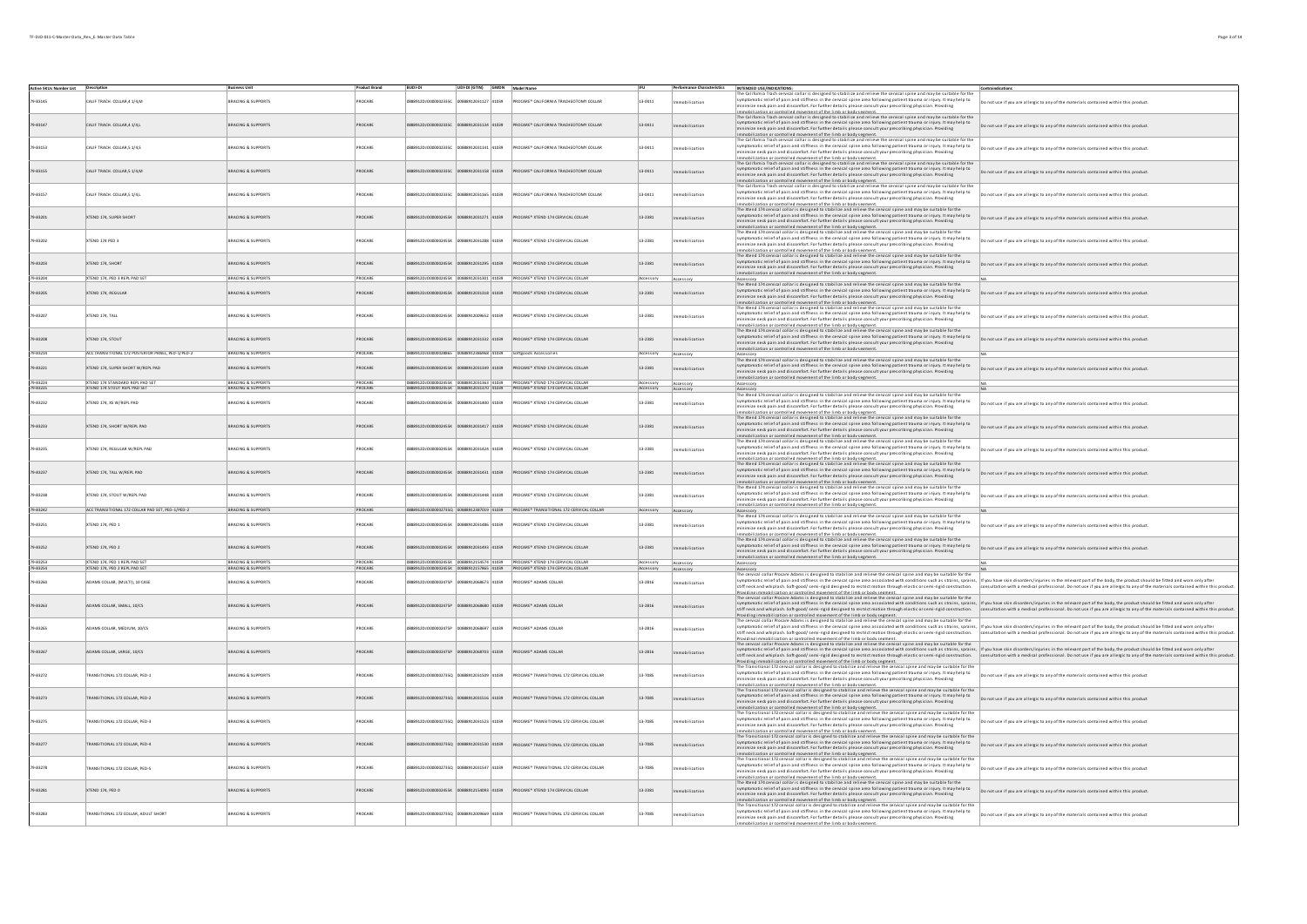|                                     |                                                                 |                                          | <b>Product Brand</b> | BUDI-DI                                   | UDI-DI (GTIN) GMDN Model Name |                 |                                                                                    | <b>IFU</b>             |                        | Performance Characteristics   INTENDED USE/INDICATIONS:                                                                                                                                                                                                                                                                                                                                                                                                                                                                                                                                                      |                                                                                                                                                                                                                                                                                                                                                                  |
|-------------------------------------|-----------------------------------------------------------------|------------------------------------------|----------------------|-------------------------------------------|-------------------------------|-----------------|------------------------------------------------------------------------------------|------------------------|------------------------|--------------------------------------------------------------------------------------------------------------------------------------------------------------------------------------------------------------------------------------------------------------------------------------------------------------------------------------------------------------------------------------------------------------------------------------------------------------------------------------------------------------------------------------------------------------------------------------------------------------|------------------------------------------------------------------------------------------------------------------------------------------------------------------------------------------------------------------------------------------------------------------------------------------------------------------------------------------------------------------|
| Active SKUs Number List Description |                                                                 |                                          |                      |                                           |                               |                 |                                                                                    |                        |                        | collar is designed to stabilize and relieve the cervical spine and may be suitable for the                                                                                                                                                                                                                                                                                                                                                                                                                                                                                                                   | Contraindication                                                                                                                                                                                                                                                                                                                                                 |
| 9-83145                             | CALIF TRACH. COLLAR,4 1/4,M                                     | BRACING & SUPPORTS                       | ROCARE               | 912010000023350                           | 88912031127 41039             |                 | ROCARE <sup>*</sup> CALIFORNIA TRACHEOTOMY COLLAR                                  | 13-0411                |                        | symptomatic relief of pain and stiffness in the cervical spine area following patient trauma or injury. It may help to<br>minimize neck pain and discomfort. For further details please consult your prescribing physician. Provi                                                                                                                                                                                                                                                                                                                                                                            | to not use if you are allergic to any of the materials contained within this product.                                                                                                                                                                                                                                                                            |
| 9-8314                              | CALIF TRACH. COLLAR,4 1/4,L                                     | BRACING & SUPPORTS                       | ROCARE               |                                           |                               | 34 41039        | PROCARE <sup>*</sup> CALIFORNIA TRACHEOTOMY COLLAR                                 | 13-0411                | bilization             | . Immobilization or controlled movement of the limb or body seement.<br>The California Trach cervical collar is designed to stabilite and relieve the cervical spine and may be suitable for the<br>Exmptomatic relief of pain and s<br>minimize neck pain and discomfort. For further details please consult your prescribing physician. Providing<br>immimes incorporation of controlled movement of the limb or body seement.<br>Immobilization or controlled movement of the limb or body seement.<br>The California Trach cervical collar is designed to stabilize and relieve the cer                  | Do not use if you are allergic to any of the materials contained within this product.                                                                                                                                                                                                                                                                            |
| 9-83153                             | CALIF TRACH. COLLAR, 5 1/4, S                                   | <b>BRACING &amp; SUPPORTS</b>            | PROCARE              | 88912DJ0000002335C                        | 00888912031141 41039          |                 | PROCARE <sup>*</sup> CALIFORNIA TRACHEOTOMY COLLAR                                 | 13-0411                | mobilization           | symptomatic relief of pain and stiffness in the cervical spine area following patient trauma or injury. It may help to<br>mize neck pain and discomfort. For further details please consult your prescribing physician. Providing<br>immobilization or controlled movement of the limb or body seement.<br>Immobilization or controlled movement of the limb or body seement.<br>The California Trach cervical collar is designed to stabilize and relieve the cervical s                                                                                                                                    | Do not use if you are allergic to any of the materials contained within this product.                                                                                                                                                                                                                                                                            |
| 9-83155                             | CALIF TRACH, COLLAR 5 1/4.M                                     | <b>BRACING &amp; SUPPORTS</b>            | PROCARE              | 88912D1000002335C                         | 88912031158 41039             |                 | PROCARE* CALIFORNIA TRACHEOTOMY COLLAR                                             | 13-0411                | bilization             | symptomatic relief of pain and stiffness in the cervical spine area following patient trauma or injury. It may help to<br>minimize neck pain and discomfort. For further details please consult your prescribing physician. Providing<br>mmobilization or controlled movement of the limb or body segment.                                                                                                                                                                                                                                                                                                   | Do not use if you are allergic to any of the materials contained within this product.                                                                                                                                                                                                                                                                            |
| 79.83157                            | CALIF TRACH, COLLAR 5 1/4.L                                     | <b>PRACING &amp; SUPPORTS</b>            | PROCARE              | 889120100000023350                        | 00888912031165 41039          |                 | PROCARE® CALIFORNIA TRACHEOTOMY COLLAR                                             | 13-0411                | obilization            | The California Trach cervical collar is designed to stabilize and relieve the cervical spine and may be suitable for the<br>nue connomie i neur certain conservative acceleration and the matter of the matter of the matter of the southern<br>symptomatic relief of pain and stiffness in the cervical spine area following patient trauma or injury. It ma<br>ilization or controlled movement of the limb or body cegment                                                                                                                                                                                | Do not use if you are allergic to any of the materials contained within this product.                                                                                                                                                                                                                                                                            |
| $3 - 83201$                         | XTEND 174, SUPER SHORT                                          | RACING & SUPPORTS                        | ROCARE               |                                           |                               |                 | PROCARE* XTEND 174 CERVICAL COLLAR                                                 | 13-2381                | obilization            | The Xtend 174 cervical collar is designed to stabilize and relieve the cervical spine and may be suitable for the<br>symptomatic relief of pain and stiffness in the cervical spine area following patient trauma or injury. It m<br>minimize neck pain and discomfort. For further details please consult your prescribing physician. Providing<br>immobilization or controlled movement of the limb or body segment.<br>The Xtend 174 cervical collar is designed to stabilize and relieve the cervical spine and may be suitable for the                                                                  | Do not use if you are allergic to any of the materials contained within this product.                                                                                                                                                                                                                                                                            |
| 9-83202                             | XTEND 174 PED 3                                                 | RACING & SUPPORTS                        | ROCARE               |                                           | 00888912031288 41039          |                 | PROCARE* XTEND 174 CERVICAL COLLAR                                                 | 13-2381                | nobilization           | symptomatic relief of pain and stiffness in the cervical spine area following patient trauma or injury. It may help to<br>minimize neck pain and discomfort. For further details please consult your prescribing physician. Providing<br>immobilization or controlled movement of the limb or body segment.<br>The Xtend 174 cervical collar is designed to stabilize and relieve the cervical spine and may be suitable for the                                                                                                                                                                             | Do not use if you are allergic to any of the materials contained within this product.                                                                                                                                                                                                                                                                            |
| 9-83203                             | XTEND 174, SHORT                                                | BRACING & SUPPORTS                       | PROCARE              | 88912DJO000002455K 00888912031295 41039   |                               |                 | PROCARE* XTEND 174 CERVICAL COLLAR                                                 | 13-2381                | mobilization           | symptomatic relief of pain and stiffness in the cervical spine area following patient trauma or injury. It may help to<br>minimize neck pain and discomfort. For further details please consult your prescribing physician. Providing<br>nmobilization or controlled movement of the limb or body segment.                                                                                                                                                                                                                                                                                                   | Do not use if you are allergic to any of the materials contained within this product.                                                                                                                                                                                                                                                                            |
| 9-83204                             | XTEND 174, PED 3 REPL PAD SET                                   | BRACING & SUPPORTS                       | PROCARE              | 88912DJO000002455K 00888912031301 41039   |                               |                 | PROCARE* XTEND 174 CERVICAL COLLAR                                                 | Accessory              | Accessory              | Accessory                                                                                                                                                                                                                                                                                                                                                                                                                                                                                                                                                                                                    |                                                                                                                                                                                                                                                                                                                                                                  |
| 9-83205                             | XTEND 174, REGULAR                                              | BRACING & SUPPORTS                       | PROCARE              |                                           |                               | 912031318 41039 | PROCARE* XTEND 174 CERVICAL COLLAR                                                 | 13-2381                | obilization            | The Xtend 174 cervical collar is designed to stabilize and relieve the cervical spine and may be suitable for the<br> symptomatic relief of pain and stiffness in the cervical spine area following patient trauma or injury. It                                                                                                                                                                                                                                                                                                                                                                             | Do not use if you are allergic to any of the materials contained within this product.                                                                                                                                                                                                                                                                            |
| 9-83207                             | XTEND 174, TALL                                                 | BRACING & SUPPORTS                       | PROCARE              |                                           | 00888912009652 41039          |                 | PROCARE* XTEND 174 CERVICAL COLLAR                                                 | 13-2381                | nobilization           | immobilization or controlled movement of the Limb or body segment.<br>The Xtend 174 convict collar is designed to stabilize and relieve the cavical spine and may be suitable for the<br>symptomatic relief of pain and stiffness in<br>minimize neck pain and discomfort. For further details please consult your prescribing physician. Providing<br>immobilization or controlled movement of the limb or body segment.<br>The Xtend 174 cervical collar is designed to stabilize and relieve the cervical spine and may be suitable for the                                                               | Do not use if you are allergic to any of the materials contained within this product.                                                                                                                                                                                                                                                                            |
| 9-83208                             | XTEND 174, STOUT                                                | BRACING & SUPPORTS                       | ROCARE               | 8912DJO000002455K 00888912031332 41039    |                               |                 | PROCARE* XTEND 174 CERVICAL COLLAR                                                 | 13-2381                | coitesilidor           | symptomatic relief of pain and stiffness in the cervical spine area following patient trauma or injury. It may help to<br>intermination and discomfort. For further details please consult your prescribing physician, Providing<br>Inimize neck pain and discomfort. For further details please consult your prescribing physician, Providing<br>Imobilizatio                                                                                                                                                                                                                                               | Do not use if you are allergic to any of the materials contained within this product.                                                                                                                                                                                                                                                                            |
| 9-83214                             | ACC TRANSITIONAL 172 POSTERIOR PANEL, PED-1/PED-2               | BRACING & SUPPORTS                       | ROCARE               |                                           |                               |                 | 888912DJO0000028865 00888912386968 41039 Softgoods Accessories                     | Accessory              | Accessory              |                                                                                                                                                                                                                                                                                                                                                                                                                                                                                                                                                                                                              |                                                                                                                                                                                                                                                                                                                                                                  |
| 9-83221                             | XTEND 174, SUPER SHORT W/REPL PAD                               | BRACING & SUPPORTS                       | PROCARE              |                                           |                               |                 | PROCARE* XTEND 174 CERVICAL COLLAR                                                 | 13-2381                | obilization            | Accessory<br>The Xtend 174 cervical collar is designed to stabilize and relieve the cervical spine and may be suitable for the<br>State of the Stendard Heavy halo<br>symptomatic relief of pain and stiffness in the cervical spine area following patient trauma or injury. It may help to<br>minimize neck pain and discomfort. For further details please consult your prescribing physician. Providing<br>mmobilization or controlled movement of the limb or body segment.                                                                                                                             | Do not use if you are allergic to any of the materials contained within this product.                                                                                                                                                                                                                                                                            |
| 9-83224                             | XTEND 174 STANDARD REPL PAD SET<br>XTEND 174 STOUT REPL PAD SET | BRACING & SUPPORTS<br>BRACING & SUPPORTS | <b>PROCARE</b>       |                                           |                               |                 |                                                                                    | Accessor               | Accessory              | Accessory                                                                                                                                                                                                                                                                                                                                                                                                                                                                                                                                                                                                    |                                                                                                                                                                                                                                                                                                                                                                  |
| 9-83225                             |                                                                 |                                          | PROCARE              |                                           |                               |                 |                                                                                    | Accessory              | Accessory              | Accessory                                                                                                                                                                                                                                                                                                                                                                                                                                                                                                                                                                                                    |                                                                                                                                                                                                                                                                                                                                                                  |
| 9-83232                             | XTEND 174, XS W/REPL PAD                                        | BRACING & SUPPORTS                       | ROCARE               |                                           |                               |                 | PROCARE* XTEND 174 CERVICAL COLLAR                                                 | 13-2381                | obilization            | .<br>The Xtend 174 cervical collar is designed to stabilize and relieve the cervical spine and may be suitable for the<br>symptomatic relief of pain and stiffness in the cervical spine area following patient trauma or injury. It<br>minimize neck pain and discomfort. For further details please consult your prescribing physician. Providing<br>immobilization or controlled movement of the limb or body seement.<br>The Xtend 174 cervical collar is designed to stabilize and relieve the cervical spine and may be suitable for the                                                               | .<br>Do not use if you are allergic to any of the materials contained within this product.                                                                                                                                                                                                                                                                       |
| 9-83233                             | XTEND 174, SHORT W/REPL PAD                                     | RACING & SUPPORTS                        | ROCARE               |                                           |                               | 417 41039       | PROCARE* XTEND 174 CERVICAL COLLAR                                                 | 13-2381                | obilization            | symptomatic relief of pain and stiffness in the cervical spine area following patient trauma or injury. It may help to<br>minimize neck pain and discomfort. For further details please consult your prescribing physician. Providing<br>immobilization or controlled movement of the limb or body segment.<br>Immobilization or controlled movement of the limb or body segment.<br>The Xtend 174 cervical collar is designed to stabilize and relieve the cervical spine an                                                                                                                                | Do not use if you are allergic to any of the materials contained within this product.                                                                                                                                                                                                                                                                            |
| 9-83235                             | XTEND 174. REGULAR W/REPL PAD                                   | BRACING & SUPPORTS                       | PROCARE              | 888912DJO000002455K 00888912031424 41039  |                               |                 | PROCARE* XTEND 174 CERVICAL COLLAR                                                 | 13-2381                | nobilization           | symptomatic relief of pain and stiffness in the cervical spine area following patient trauma or injury. It may help to<br>imize neck pain and discomfort. For further details please consult your prescribing physician. Providing<br>bilization or controlled movement of the limb or body segment.<br>The Xtend 174 cervical collar is designed to stabilize and relieve the cervical spine and may be suitable for the                                                                                                                                                                                    | Do not use if you are allergic to any of the materials contained within this product.                                                                                                                                                                                                                                                                            |
| 79-83237                            | XTEND 174, TALL W/REPL PAD                                      | <b>BRACING &amp; SUPPORTS</b>            | PROCARE              | 8912D10000002455K                         | 00888912031431 41039          |                 | PROCARE* XTEND 174 CERVICAL COLLAR                                                 | 13-2381                | lization               | symptomatic relief of pain and stiffness in the cervical spine area following patient trauma or injury. It may help to<br>minimize neck pain and discomfort. For further details please consult your prescribing physician. Provi<br>mobilization or controlled movement of the limb or body segment.                                                                                                                                                                                                                                                                                                        | Do not use if you are allergic to any of the materials contained within this product.                                                                                                                                                                                                                                                                            |
| 79-83238                            | XTEND 174, STOUT W/REPL PAD                                     | BRACING & SUPPORTS                       | PROCARE              | 88912DJO000002455K 00888912031448 41039   |                               |                 | PROCARE* XTEND 174 CERVICAL COLLAR                                                 | 13.2381                |                        | The Xtend 174 cervical collar is designed to stabilize and relieve the cervical spine and may be suitable for the<br>symptomatic relief of pain and stiffness in the cervical spine area following patient trauma or injury. It may help to<br>minimize neck pain and discomfort. For further details please consult your prescribing physician. Provi<br>mmobilization or controlled movement of the limb or body segment.                                                                                                                                                                                  | .<br>Oo not use if you are allergic to any of the materials contained within this product.                                                                                                                                                                                                                                                                       |
| 79-83242                            | ACC TRANSITIONAL 172 COLLAR PAD SET, PED-1/PED-2                | BRACING & SUPPORTS                       | PROCARE              |                                           |                               |                 |                                                                                    | Accessory              | Accessory              |                                                                                                                                                                                                                                                                                                                                                                                                                                                                                                                                                                                                              |                                                                                                                                                                                                                                                                                                                                                                  |
| 9-83251                             | <b>XTEND 174, PED 1</b>                                         | BRACING & SUPPORTS                       | ROCARE               | 888912DJO000002455K 00888912031486 41039  |                               |                 | PROCARE* XTEND 174 CERVICAL COLLAR                                                 | 13-2381                | mobilization           | нссезього<br>The Xtend 174 cervical collar is designed to stabilize and relieve the cervical spine and may be suitable for the<br>symptomatic relief of pain and stiffness in the cervical spine area following patient trauma or injury. It may help to<br>imize neck pain and discomfort. For further details please consult your prescribing physician. Providing<br>immobilization or controlled movement of the limb or body segment.<br>Immobilization or controlled movement of the limb or body segment.<br>The Xtend 174 cervical collar is designed to stabilize and relieve the cervical spine an | Do not use if you are allergic to any of the materials contained within this product.                                                                                                                                                                                                                                                                            |
| 79-83252                            | <b>XTEND 174, PED 2</b>                                         | <b>BRACING &amp; SUPPORTS</b>            | PROCARE              | 88912DJO000002455K 00888912031493 41039   |                               |                 | PROCARE* XTEND 174 CERVICAL COLLAR                                                 | 13-2381                | bilization             | symptomatic relief of pain and stiffness in the cervical spine area following patient trauma or injury. It may help to<br>minimize neck pain and discomfort. For further details please consult your prescribing physician. Providing<br>immobilization or controlled movement of the limb or body segment.                                                                                                                                                                                                                                                                                                  | Do not use if you are allergic to any of the materials contained within this product.                                                                                                                                                                                                                                                                            |
| 9-8325<br>79-83254                  | XTEND 174, PED 1 REPL PAD SE<br>XTEND 174, PED 2 REPL PAD SET   | BRACING & SUPPORTS                       | PROCARE              |                                           |                               |                 |                                                                                    | Accessory<br>Accessory | Accessory<br>Accessory | Accessory                                                                                                                                                                                                                                                                                                                                                                                                                                                                                                                                                                                                    |                                                                                                                                                                                                                                                                                                                                                                  |
|                                     |                                                                 |                                          |                      |                                           |                               |                 |                                                                                    |                        |                        | Accessorv<br>The cervical collar Procare Adams is designed to stabilize and relieve the cervical spine and may be suitable for the                                                                                                                                                                                                                                                                                                                                                                                                                                                                           |                                                                                                                                                                                                                                                                                                                                                                  |
| 79-83260                            | ADAMS COLLAR, (MULTI), 10 CASE                                  | BRACING & SUPPORTS                       | PROCARE              | 888912DJO000002475P 00888912068673 41039  |                               |                 | PROCARE <sup>*</sup> ADAMS COLLAR                                                  | 13-2816                | obilization            | symptomatic relief of pain and stiffness in the cervical spine area associated with conditions such as strains, sprains. If you have skin disorders/injuries in the relevant part of the body, the product should be fitted an                                                                                                                                                                                                                                                                                                                                                                               | consultation with a medical professional. Do not use if you are allergic to any of the materials contained within this produ                                                                                                                                                                                                                                     |
| 79-83263                            | ADAMS COLLAR, SMALL, 10/CS                                      | BRACING & SUPPORTS                       | PROCARE              | 888912DJO000002475P 00888912068680 41039  |                               |                 | PROCARE <sup>*</sup> ADAMS COLLAR                                                  | 13-2816                | bilization             | stiff neck and whiplash. Soft-good/ semi-rigid designed to restrict motion through elastic or semi-rigid construction.<br>Providing immobilization or controlled movement of the limb or body segment.<br>The cervical collar Procare Adams is designed to stabilize and relieve the cervical spine and may be suitable for the<br>stiff neck and whiplash. Soft-good/semi-rigid designed to restrict motion through elastic or semi-rigid construction.                                                                                                                                                     | symptomatic relief of pain and stiffness in the cervical spine area associated with conditions such as strains, sprains, lif you have skin disorders/injuries in the relevant part of the body, the product should be fitted a<br>consultation with a medical professional. Do not use if you are allergic to any of the materials contained within this product |
| 9-83265                             | ADAMS COLLAR, MEDIUM, 10/CS                                     | BRACING & SUPPORTS                       | ROCARE               | 8912010000002475P                         |                               | 912068697 41039 | PROCARE <sup>*</sup> ADAMS COLLAR                                                  | 13-2816                | obilization            | Providing immediation or controlled movement of the limb or body seement.<br>The concasi control assess the suggestion state when we have the concess states for the suitable for the surface and may be suitable for the substit                                                                                                                                                                                                                                                                                                                                                                            |                                                                                                                                                                                                                                                                                                                                                                  |
|                                     |                                                                 |                                          |                      |                                           |                               |                 |                                                                                    |                        |                        | stiff neck and whiplash. Soft-good/semi-rigid designed to restrict motion through elastic or semi-rigid construction.                                                                                                                                                                                                                                                                                                                                                                                                                                                                                        | consultation with a medical professional. Do not use if you are allergic to any of the materials contained within this produc                                                                                                                                                                                                                                    |
| 9-83267                             | ADAMS COLLAR, LARGE, 10/CS                                      | BRACING & SUPPORTS                       | PROCARE              |                                           | 8912068703 41039              |                 | PROCARE <sup>*</sup> ADAMS COLLAR                                                  | 13-2816                | obilization            | Providing immediation or controlled movement of the limb or body ceannest.<br>The cervical collar Procare Adams is designed to stabilize and relieve the cervical spine and may be suitable for the<br>symptomatic relief of pain and stiffness in the cervical spine area associated with conditions such as strains, sprains, lif you have skin disorders/injuries in the relevant part of the body, the product should be fitted a<br>stiff neck and whiplash. Soft-good/ semi-rigid designed to restrict motion through elastic or semi-rigid construction.                                              | consultation with a medical professional. Do not use if you are allergic to any of the materials contained within this product                                                                                                                                                                                                                                   |
| 9-83272                             | TRANSITIONAL 172 COLLAR, PED-1                                  | BRACING & SUPPORTS                       | PROCARE              | 88912DJ0000002735Q 00888912031509 41039   |                               |                 | PROCARE* TRANSITIONAL 172 CERVICAL COLLAR                                          | 13-7085                | nobilization           | Providine law enapse an - control del movement of the limb or body segment.<br>  The Transitional 172 central collar is designed to stabilize and relieve the crewin is experimented in the s<br>  The Transitional 172 central co<br>nimize neck pain and discomfort. For further details please consult your prescribing physician. Providing                                                                                                                                                                                                                                                              | Do not use if you are allergic to any of the materials contained within this product                                                                                                                                                                                                                                                                             |
| 9-83273                             | TRANSITIONAL 172 COLLAR, PED-2                                  | <b>BRACING &amp; SUPPORTS</b>            | PROCARE              | 888912DJO000002735Q 00888912031516 41039  |                               |                 | PROCARE* TRANSITIONAL 172 CERVICAL COLLAR                                          | 13-7085                | bilization             | immobilization or controlled movement of the limb or body seament.<br>The Transitional 172 cervical collar is designed to stabilize and relieve the cervical spine and may be suitable for the<br>symptomatic relief of pain and stiffness in the cervical spine area following patient trauma or injury. It may help to<br>nimize neck pain and discomfort. For further details please consult your prescribing physician. Providing<br>ilization or controlled movement of the limb or body cerment                                                                                                        | Do not use if you are allergic to any of the materials contained within this product                                                                                                                                                                                                                                                                             |
| 79.83775                            | TRANSITIONAL 172 COLLAR PED-3                                   | <b>PRACING &amp; SUPPORTS</b>            | PROCARE              | #1039120100000022350 00888912031523 41039 |                               |                 | PROCARE® TRANSITIONAL 172 CERVICAL COLLAR                                          | 13.7085                | bilization             | The Transitional 172 cervical collar is designed to stabilize and relieve the cervical spine and may be suitable for the<br>me manusum as a conservation of the comparation of the conservation of the comparation of the state of the book<br>symptomatic relief of pain and stiffness in the cervical spine area following patient trauma or injury. It may                                                                                                                                                                                                                                                | Do not use if you are allergic to any of the materials contained within this product                                                                                                                                                                                                                                                                             |
| 9-83277                             | TRANSITIONAL 172 COLLAR, PED-4                                  | BRACING & SUPPORTS                       | PROCARE              | 888912DJO000002735Q 00888912031530 41039  |                               |                 | PROCARE* TRANSITIONAL 172 CERVICAL COLLAR                                          | 13-7085                | obilization            | i inmobilization or controlled movement of the limb or body seement.<br>The Transitional 172 conformaticaliar is designed to stabilize and relieve the confort spine and may be suitable for the<br>Exmptomatic relief of pain and s<br>minimize neck pain and discomfort. For further details please consult your prescribing physician. Providing                                                                                                                                                                                                                                                          | Do not use if you are allergic to any of the materials contained within this product                                                                                                                                                                                                                                                                             |
| 9-83278                             | TRANSITIONAL 172 COLLAR, PED-5                                  | <b>BRACING &amp; SUPPORTS</b>            | ROCARE               |                                           |                               | 41039           | <b>ROCARE* TRANSITIONAL 172 CERVICAL COLLAR</b>                                    | 13-7085                | obilization            | Immobilization or controlled movement of the limb or body seement.<br>The Transitional 172 corvical collar is designed to stabilize and relieve the corvical spine and may be suitable for the<br>Expresionalist relief of pain and<br>minimize neck pain and discomfort. For further details please consult your prescribing physician. Providing                                                                                                                                                                                                                                                           | Do not use if you are allergic to any of the materials contained within this product                                                                                                                                                                                                                                                                             |
| 9-83281                             | XTEND 174, PED 0                                                | BRACING & SUPPORTS                       | PROCARE              | 888912DJO000002455K 00888912154093 41039  |                               |                 | PROCARE* XTEND 174 CERVICAL COLLAR                                                 | 13-2381                | obilization            | immobilization or controlled movement of the limb or body seement.<br>Immobilization or controlled movement of the limb or body seement.<br>The Xtend 174 cervical collar is designed to stabilize and relieve the cervical spine an<br>symptomatic relief of pain and stiffness in the cervical spine area following patient trauma or injury. It may help to<br>imize neck pain and discomfort. For further details please consult your prescribing physician. Providing<br>nobilization or controlled movement of the limb or body segment.                                                               | Do not use if you are allergic to any of the materials contained within this product.                                                                                                                                                                                                                                                                            |
| 79-83283                            | TRANSITIONAL 172 COLLAR, ADULT SHORT                            | BRACING & SUPPORTS                       | PROCARE              |                                           |                               |                 | 888912DJ00000027350 00888912009669 41039 PROCARE* TRANSITIONAL 172 CERVICAL COLLAR | 13-7085                |                        | The Transitional 172 cervical collar is designed to stabilize and relieve the cervical spine and may be suitable for th<br>symptomatic relief of pain and stiffness in the cervical spine area following patient trauma or injury. It may help to<br>minimize neck pain and discomfort. For further details please consult your prescribing physician. Provi<br>immobilization or controlled movement of the limb or body segment.                                                                                                                                                                           | Do not use if you are allergic to any of the materials contained within this product                                                                                                                                                                                                                                                                             |
|                                     |                                                                 |                                          |                      |                                           |                               |                 |                                                                                    |                        |                        |                                                                                                                                                                                                                                                                                                                                                                                                                                                                                                                                                                                                              |                                                                                                                                                                                                                                                                                                                                                                  |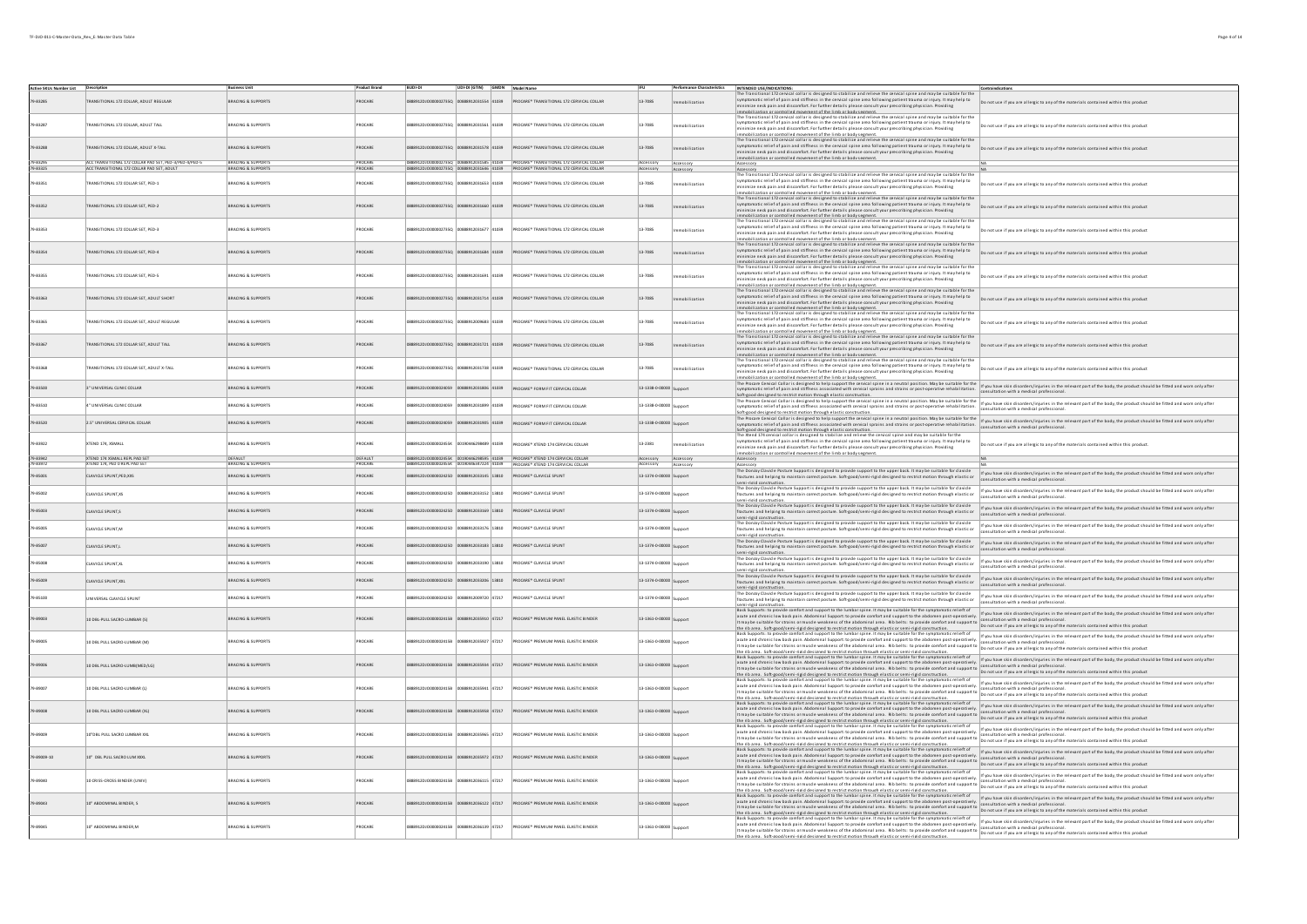| Active SKUs Number List Description |                                                                                                     | <b>Business Unit</b>                            | <b>Product Brand</b> | <b>BUDI-DI</b>     | UDI-DI (GTIN) GMDN Model Name             |                                                                                                                                                  |                                      |             | Performance Characteristics   INTENDED USE/INDICATIONS:                                                                                                                                                                                                                                                                                                                                                                                                                                                                                                                                       |                                                                                                                                                                     |
|-------------------------------------|-----------------------------------------------------------------------------------------------------|-------------------------------------------------|----------------------|--------------------|-------------------------------------------|--------------------------------------------------------------------------------------------------------------------------------------------------|--------------------------------------|-------------|-----------------------------------------------------------------------------------------------------------------------------------------------------------------------------------------------------------------------------------------------------------------------------------------------------------------------------------------------------------------------------------------------------------------------------------------------------------------------------------------------------------------------------------------------------------------------------------------------|---------------------------------------------------------------------------------------------------------------------------------------------------------------------|
| 79-8328                             | RANSITIONAL 172 COLLAR, ADULT REGULAR                                                               | <b>BRACING &amp; SUPPORTS</b>                   | ROCARE               |                    | 00000002735Q 00888912031554 41039         | PROCARE* TRANSITIONAL 172 CERVICAL COLLAR                                                                                                        | 13-7085                              | obilization | The Transitional 172 cervical collar is designed to stabilize and relieve the cervical spine and may be suitable for the<br>symptomatic relief of pain and stiffness in the cervical spine area following patient trauma or injur<br>minimize neck pain and discomfort. For further details please consult your prescribing physician. Providing                                                                                                                                                                                                                                              | Do not use if you are allergic to any of the materials contained within this product                                                                                |
| 79-83287                            | RANSITIONAL 172 COLLAR, ADULT TALL                                                                  | RACING & SUPPORTS                               | ROCARE               |                    | 888912031561 41039                        | ROCARE* TRANSITIONAL 172 CERVICAL COLLAR                                                                                                         | 13-7085                              | obilization | immobilization or controlled movement of the Limb or body segment.<br>The Transitional 172 convict collar is designed to stabilize and relieve the convict spine and may be suitable for the<br>symptomatic relief of pain and stiff<br>minimize neck pain and discomfort. For further details please consult your prescribing physician. Providing<br>Immobilization or controlled movement of the limb or body seement.<br>The Transitional 172 central collar is designed to stabilize and relieve the central spine and maybe suitable for the                                            | Do not use if you are allergic to any of the materials contained within this product                                                                                |
| 79-83288                            | RANSITIONAL 172 COLLAR, ADULT X-TALL                                                                | BRACING & SUPPORTS                              | <b>PROCARE</b>       |                    | 912DJ0000002735Q 00888912031578 41039     | PROCARE* TRANSITIONAL 172 CERVICAL COLLAR                                                                                                        | 13-7085                              | obilization | symptomatic relief of pain and stiffness in the cervical spine area following patient trauma or injury. It may help to<br>minimize neck pain and discomfort. For further details please consult your prescribing physician. Providing<br>immobilization or controlled movement of the limb or body segment.                                                                                                                                                                                                                                                                                   | Do not use if you are allergic to any of the materials contained within this product                                                                                |
| 1.8379<br>79-83325                  | CC TRANSITIONAL 172 COLLAR PAD SET, PED-3/PED-4/PED-5<br>ACC TRANSITIONAL 172 COLLAR PAD SET, ADULT | <b>PACING &amp; CHOOND</b><br>BRACING & SUPPORT |                      |                    | 06012031585 41039                         | PROCARE® TRANSITIONAL 172 CERVICAL COLLAL                                                                                                        |                                      | Accessory   | Accessory                                                                                                                                                                                                                                                                                                                                                                                                                                                                                                                                                                                     |                                                                                                                                                                     |
|                                     |                                                                                                     |                                                 |                      |                    |                                           |                                                                                                                                                  | Accessory                            | viozzag     | Accessory<br>The Transitional 172 cervical collar is designed to stabilize and relieve the cervical spine and may be suitable for the                                                                                                                                                                                                                                                                                                                                                                                                                                                         |                                                                                                                                                                     |
| 79-83351                            | TRANSITIONAL 172 COLLAR SET PED-1                                                                   | <b>BRACING &amp; SUPPORTS</b>                   | PROCARE              |                    | #1014 5231501932350 02535012033534 5029   | PROCARE® TRANSITIONAL 172 CERVICAL COLLAR                                                                                                        | 13-7085                              | obilization | symptomatic relief of pain and stiffness in the cervical spine area following patient trauma or injury. It may help to<br>minimize neck pain and discomfort. For further details please consult your prescribing physician. Provi<br>immobilization or controlled movement of the limb or body sesment.<br>The Transitional 172 cervical collar is designed to stabilize and relieve the cervical spine and may be suitable for the                                                                                                                                                           | not use if you are allergic to any of the materials contained within this product                                                                                   |
| 79-83352                            | TRANSITIONAL 172 COLLAR SET. PED-2                                                                  | BRACING & SUPPORTS                              | ROCARE               |                    | 8912DJ0000002735Q 00888912031660 41039    | PROCARE* TRANSITIONAL 172 CERVICAL COLLAR                                                                                                        | 13-7085                              | bilization  | symptomatic relief of pain and stiffness in the cervical spine area following patient trauma or injury. It may help to<br>minimize neck pain and discomfort. For further details please consult your prescribing physician. Provi<br>mobilization or controlled movement of the limb or body segment.                                                                                                                                                                                                                                                                                         | Do not use if you are allergic to any of the materials contained within this product                                                                                |
| 79-83353                            | TRANSITIONAL 172 COLLAR SET. PED-3                                                                  | <b>BRACING &amp; SUPPORTS</b>                   | ROCARE               | 5557700000027350   | 0888912031677 41039                       | PROCARE* TRANSITIONAL 172 CERVICAL COLLAR                                                                                                        | 13-7085                              | obilization | The Transitional 372 central collar is designed to stabilize and relieve the central spine and may be suitable for the<br>Symptomatic relief of pain and stiffness in the central spine and following patient trauma or injury. I<br>mobilization or controlled movement of the limb or body segment.                                                                                                                                                                                                                                                                                         | not use if you are allergic to any of the materials contained within this product                                                                                   |
| 79.83354                            | TRANSITIONAL 172 COLLAR SET PED-4                                                                   | <b>RRACING &amp; SUPPORTS</b>                   | PROCARE              |                    | PERIA ARAIERSERRARIO O 25 CODODO 1039     | PROCARE® TRANSITIONAL 172 CERVICAL COLLAR                                                                                                        | 13.7085                              | obilization | , innosancassants issuarentes interestes in a statute and a filling the central spine and may be suitable for the<br>Interface in the state of pain and stiffness in the central spine and stileve the central spine and may be s<br>immobilization or controlled movement of the limb or horiv ceement.<br>The Transitional 172 cervical collar is designed to stabilize and relieve the cervical spine and may be suitable for the                                                                                                                                                          | Do not use if you are allergic to any of the materials contained within this product                                                                                |
| 79-83355                            | TRANSITIONAL 172 COLLAR SET. PED-5                                                                  | BRACING & SUPPORTS                              | ROCARE               |                    | 41039                                     | ROCARE* TRANSITIONAL 172 CERVICAL COLLAR                                                                                                         | 13-7085                              | obilization | symptomatic relief of pain and stiffness in the cervical spine area following patient trauma or injury. It may help to<br>minimize neck pain and discomfort. For further details please consult your prescribing physician. Providing<br>immobilization or controlled movement of the limb or body sesment.<br>The Transitional 172 cervical collar is designed to stabilize and relieve the cervical spine and may be suitable for the                                                                                                                                                       | Do not use if you are allergic to any of the materials contained within this product                                                                                |
| 79.83363                            | TRANSITIONAL 172 COLLAR SET, ADULT SHORT                                                            | <b>RRACING &amp; SUPPORTS</b>                   | ROCARE               |                    | 8912010000022350 00888912031214 41039     | PROCARE® TRANSITIONAL 172 CERVICAL COLLAR                                                                                                        | 13.7085                              | obilization | symptomatic relief of pain and stiffness in the cervical spine area following patient trauma or injury. It may help to<br>minimize neck pain and discomfort. For further details please consult your prescribing physician. Providing                                                                                                                                                                                                                                                                                                                                                         | Do not use if you are allergic to any of the materials contained within this product                                                                                |
| 79-83365                            | <b>TRANSITIONAL 172 COLLAR SET. ADULT REGULAR</b>                                                   | BRACING & SUPPORTS                              | <b>PROCARE</b>       | 89120100000027350  | 888912009683 41039                        | PROCARE® TRANSITIONAL 172 CERVICAL COLLAR                                                                                                        | 13-7085                              | bilization  | immunity and controlled movement of the limb or body seament.<br>The Transitional 1722 central conditions are allowed to tability and or lower and a pine a mort may be suitable for the<br>symptomatic relief of pain and stiffness<br>alled movement of the limb or hody cerment                                                                                                                                                                                                                                                                                                            | not use if you are allergic to any of the materials contained within this product                                                                                   |
| 79-83367                            | TRANSITIONAL 172 COLLAR SET. ADULT TALL                                                             | BRACING & SUPPORTS                              | ROCARE               |                    | 88912031721 41039                         | PROCARE* TRANSITIONAL 172 CERVICAL COLLAR                                                                                                        | 13-7085                              | obilization | The Transitional 172 cervical collar is designed to stabilize and relieve the cervical spine and may be suitable for the<br>symptomatic relief of pain and stiffness in the cervical spine area following patient trauma or injur<br>minimize neck pain and discomfort. For further details please consult your prescribing physician. Providing                                                                                                                                                                                                                                              | Do not use if you are allergic to any of the materials contained within this product                                                                                |
| 79-83368                            | TRANSITIONAL 172 COLLAR SET. ADULT X-TALL                                                           | BRACING & SUPPORTS                              | ROCARE               | 9912010000022350   | 00888912031738 41039                      | PROCARE* TRANSITIONAL 172 CERVICAL COLLAR                                                                                                        | 13-7085                              | obilization | Immobilization or controlled movement of the limb or body seement.<br>The Transitional 172 cervical collar is designed to stabilize and relieve the concici spine and may be suitable for the<br>cymptomatic relief of pain and stif<br>minimize neck pain and discomfort. For further details please consult your prescribing physician. Providing                                                                                                                                                                                                                                           | Do not use if you are allergic to any of the materials contained within this product                                                                                |
| 79-83500                            | 3" UNIVERSAL CUNIC COLLAR                                                                           | <b>BRACING &amp; SUPPORTS</b>                   | PROCARE              |                    | 0888912DJO0000024059 00888912031806 41039 | PROCARE* FORM FIT CERVICAL COLLAR                                                                                                                | 13-1338-0-00000 Support              |             | immobilization or controlled movement of the limb or body seement.<br>The Precare Centralian's essigned to kell in the controlled product may be suitable for the information in the production in the relevant point of the body<br>Soft-good designed to restrict motion through elastic construction.                                                                                                                                                                                                                                                                                      | .<br>nsultation with a medical profession:                                                                                                                          |
| 79-83510                            | 4" UNIVERSAL CLINIC COLLAR                                                                          | BRACING & SUPPORTS                              | PROCARE              |                    | 88912DJO0000024059 00888912031899 41039   | <b>PROCARE® FORM FIT CERVICAL COLLAR</b>                                                                                                         | 13-1338-0-00000 Sunnort              |             | Selfaced descend control model in the meanumement.<br>The Proces Certain Collaris designed to help support the certain sphe in a neutral position. May be suitable for the infusion what ain discrete inquiries in the relevant p                                                                                                                                                                                                                                                                                                                                                             |                                                                                                                                                                     |
| 79-83520                            | 2.5" UNIVERSAL CERVICAL COLLAR                                                                      | <b>BRACING &amp; SUPPORTS</b>                   | PROCARE              |                    |                                           | 888912DJO0000024059 00888912031905 41039 PROCARE* FORM FIT CERVICAL COLLAR                                                                       | 13-1338-0-00000 Support              |             | Soft-8000 Obstance to restrict motion is room was the security control spine in a neutral position. May be suitable for the life you have skin disorders/injuines in the relevant part of the body, the product should be fitt<br>ine visual scatted rooted and stiffness associated with centeral spirals and strains or post-operative rehabilitation.<br>Settleand desired to restrict motion through elisatic construction.<br>Settleand desired to restrict motio                                                                                                                        | sultation with a medical professiona                                                                                                                                |
| 79-83922<br>79.83942                | XTEND 174, XSMALL<br><b>XTEND 174 XSMALL REPL PAD SET</b>                                           | <b>BRACING &amp; SUPPORTS</b><br>CCALIFT        | PROCARE<br>SEALUT    | 88912D10000002455K | 00190446298489 41039                      | <b>PROCARE® XTEND 174 CERVICAL COLLAR</b>                                                                                                        | 13-2381                              | philization | symptomatic relief of pain and stiffness in the cervical spine area following patient trauma or injury. It may help to<br>imize neck pain and discomfort. For further details please consult your prescribing physician. Providing<br>imobilization or controlled movement of the limb or body segment.                                                                                                                                                                                                                                                                                       | not use if you are allergic to any of the materials contained within this product.                                                                                  |
| 79-83972                            | XTEND 174, PED O REPL PAD SET                                                                       | <b>BRACING &amp; SUPPORTS</b>                   | PROCARE              |                    |                                           | 88912DJO000002455K 00190446298595 41039 PROCARE* XTEND 174 CERVICAL COLLAR                                                                       | Accessory Accessory                  |             | Accessory                                                                                                                                                                                                                                                                                                                                                                                                                                                                                                                                                                                     |                                                                                                                                                                     |
| 9-85001                             | CLAVICLE SPLINT, PED, XXS                                                                           | BRACING & SUPPORTS                              | PROCARE              |                    |                                           | 0888912DJO000002455K 00190446347224 41039 PROCARE* XTEND 174 CERVICAL COLLAR<br>88912DJO000002425D 00888912033145 13810 PROCARE* CLAVICLE SPLINT | Accessory<br>13-1374-0-00000 Support | Accessory   | Accessory<br>The Donloy Clavicle Posture Support is designed to provide support to the upper back. It may be suitable for clavicle<br>Late in the second provide the substitute of the contract of the second to restrict motion thr<br>fractures and helping to maintain correct posture. Soft-good/semi-rigid designed to restrict motion through elastic or                                                                                                                                                                                                                                | If you have skin disorders/injuries in the relevant part of the body, the product should be fitted and worn only after<br>onsultation with a medical professional   |
| 79-85002                            | CLAVICLE SPLINT,XS                                                                                  | BRACING & SUPPORTS                              | PROCARE              |                    | 88912DJ0000002425D 00888912033152 13810   | PROCARE* CLAVICLE SPLINT                                                                                                                         | 13-1374-0-00000 Support              |             | semi-risid construction.<br>The Donloy Clavicle Posture Support is designed to provide support to the upper back. It may be suitable for clavicle<br>fractures and helping to maintain correct posture. Soft-good/semi-rigid designed to restrict motion through elastic or<br>semi-rigid construction                                                                                                                                                                                                                                                                                        | If you have skin disorders/injuries in the relevant part of the body, the product should be fitted and worn only after<br>nsultation with a medical professiona     |
| 79-85003                            | CLAVICLE SPLINT,S                                                                                   | BRACING & SUPPORTS                              | PROCARE              |                    |                                           | 888912DJO000002425D 00888912033169 13810 PROCARE* CLAVICLE SPLINT                                                                                | 13-1374-0-00000 Support              |             | The Donloy Clavicle Posture Support is designed to provide support to the upper back. It may be suitable for clavicle<br>fractures and helping to maintain correct posture. Soft-good/semi-rigid designed to restrict motion through elastic or<br>semi-rigid construction.                                                                                                                                                                                                                                                                                                                   | If you have skin disorders/injuries in the relevant part of the body, the product should be fitted and worn only after<br>ultation with a medical profession        |
| 9-85005                             | <b>CLAVICLE SPLINT M</b>                                                                            | BRACING & SUPPORTS                              | PROCARE              |                    | 88912DJO000002425D 00888912033176 13810   | PROCARE* CLAVICLE SPLINT                                                                                                                         | 13-1374-0-00000 Sunnort              |             | The Donloy Clavide Posture Support is designed to provide support to the upper back. It may be suitable for clavicle<br>fractures and helping to maintain correct posture. Soft-good/semi-rigid designed to restrict motion throu<br>semi-rigid construction                                                                                                                                                                                                                                                                                                                                  | If you have skin disorders/injuries in the relevant part of the body, the product should be fitted and worn only after<br>Itation with a medical professional       |
| 79-85007                            | CLAVICLE SPLINT.L                                                                                   | <b>BRACING &amp; SUPPORTS</b>                   | PROCARE              |                    |                                           |                                                                                                                                                  | 13-1374-0-00000 Support              |             | The Donloy Clavicle Posture Support is designed to provide support to the upper back. It may be suitable for clavicle<br>fractures and helping to maintain correct posture. Soft-good/semi-rigid designed to restrict motion through elastic or<br>semi-rigid construction.                                                                                                                                                                                                                                                                                                                   | If you have skin disorders/injuries in the relevant part of the body, the product should be fitted and worn only after<br>ultation with a medical professional      |
| 9-85008                             | CLAVICLE SPLINT,XL                                                                                  | BRACING & SUPPORTS                              | ROCARE               |                    | 88912DJ0000002425D 00888912033190 13810   | PROCARE <sup>*</sup> CLAVICLE SPLINT                                                                                                             | 13-1374-0-00000 Support              |             | The Donloy Clavicle Posture Support is designed to provide support to the upper back. It may be suitable for clavicle<br>fractures and helping to maintain correct posture. Soft-good/semi-rigid designed to restrict motion through elastic or                                                                                                                                                                                                                                                                                                                                               | If you have skin disorders/injuries in the relevant part of the body, the product should be fitted and worn only after<br>ultation with a medical professional      |
| 79-85009                            | CLAVICLE SPLINT, XXL                                                                                | BRACING & SUPPORTS                              | ROCARE               |                    | 8912DJO000002425D 00888912033206 13810    | PROCARE* CLAVICLE SPLINT                                                                                                                         | 13-1374-0-00000 Support              |             | The Donloy Clavicle Posture Support is designed to provide support to the upper back. It may be suitable for clavicle<br>fractures and helping to maintain correct posture. Soft-good/semi-rigid designed to restrict motion through elastic or<br>semi-riald construction.<br>The Donloy Clavicle Posture Support is designed to provide support to the upper back. It may be suitable for clavicle<br>Mean and designed to provide the state of the state of the state of the state o                                                                                                       | If you have skin disorders/injuries in the relevant part of the body, the product should be fitted and worn only after<br>consultation with a medical professional. |
| 9-85100                             | <b>NIVERSAL CLAVICLE SPLINT</b>                                                                     | <b>BRACING &amp; SUPPORTS</b>                   | ROCARE               |                    | 88912DJO000002425D 00888912009720 47217   | PROCARE* CLAVICLE SPLINT                                                                                                                         | 13-1374-0-00000 Support              |             | fractures and helping to maintain correct posture. Soft-good/semi-rigid designed to restrict motion through elastic or<br>emi-rigid construction<br>summing the contract of the comfort and support to the lumbar spine. It may be suitable for the symptomatic relieft of                                                                                                                                                                                                                                                                                                                    | If you have skin disorders/injuries in the relevant part of the body, the product should be fitted and worn only after<br>consultation with a medical professional  |
| 9-89003                             | 10 DBL-PULL SACRO-LUMBAR (S)                                                                        | <b>BRACING &amp; SUPPORTS</b>                   | ROCARE               |                    | 8912035910 47217                          | PROCARE* PREMIUM PANEL ELASTIC BINDER                                                                                                            | 13-1361-0-00000 Support              |             | acute and chronic low back pain. Abdominal Support: to provide comfort and support to the abdomen post-operatively.<br>acute and unions for the Marini August to the School School of the School School Comfort and support to Consumeron with a methia- provessions.<br>It may be suitable for strains or muscle weakness of the abdominal area. Rib be<br>the rib area. Soft-cood/semi-rigid designed to restrict motion through elastic or semi-rigid construction.<br>Back Supports: to provide comfort and support to the lumbar spine. It may be suitable for the symptomatic relief of | If you have skin disorders/injuries in the relevant part of the body, the product should be fitted and worn only after                                              |
| 79-89005                            | 10 DBL PULL SACRO-LUMBAR (M)                                                                        | <b>BRACING &amp; SUPPORTS</b>                   | <b>PROCARE</b>       |                    | 8912DJ0000002415B 00888912035927 47217    | PROCARE* PREMIUM PANEL ELASTIC BINDER                                                                                                            | 13-1361-0-00000 Support              |             | it may be suitable for stains or muscle weakness of the addominal area. Rib belts: to provide comfort and support to power-year-to-power than this modical professional. It may be suitable for stains or muscle weakness of t                                                                                                                                                                                                                                                                                                                                                                | If you have skin disorders/injuries in the relevant part of the body, the product should be fitted and worn only after                                              |
| 9-89006                             | 10 DBL PULL SACRO-LUMB(MED/LG)                                                                      | <b>BRACING &amp; SUPPORTS</b>                   | ROCARE               |                    | 47217                                     | PROCARE* PREMIUM PANEL ELASTIC BINDER                                                                                                            | 13-1361-0-00000 Support              |             | It may be suitable for stands en existence of the absommal area. Readers, moreover than the speed of you are allergic to any of the materials contained must consider the stands of the material consideration of the materia                                                                                                                                                                                                                                                                                                                                                                 | If you have skin disorders/injuries in the relevant part of the body, the product should be fitted and worn only after                                              |
| 9-89007                             | 10 DBL PULL SACRO-LUMBAR (L)                                                                        | RACING & SUPPORTS                               | ROCARE               |                    | 47217                                     | ROCARE* PREMIUM PANEL ELASTIC BINDER                                                                                                             | 13-1361-0-00000 Suppor               |             | in a hose formed formed and a superior the lumbs region. It may be subject for the proposition of the formed in<br>Let be point to provide contribution to the behavior of the proposition of the proposition of the state and t                                                                                                                                                                                                                                                                                                                                                              | If you have skin disorders/injuries in the relevant part of the body, the product should be fitted and worn only after                                              |
| 9-89008                             | 10 DBL PULL SACRO-LUMBAR (XL)                                                                       | BRACING & SUPPORTS                              | <b>PROCARE</b>       | 89120100000024158  | 358 47217                                 | PROCARE* PREMIUM PANEL ELASTIC BINDER                                                                                                            | 13-1361-0-00000 Support              |             | the rib area. Softwood/semi-riald decisiond to restrict motion finance instant construction. Conditional finance attaching area allergists any of the materials contained within this product.<br>Back support to provide complex<br>acute and chronic low back pain. Abdominal Support: to provide comfort and support to the abdomen post-operatively.<br>It may be suitable for strains or muscle weakness of the abdominal area. Rib belts: to provide comfort and                                                                                                                        |                                                                                                                                                                     |
| 9-89009                             | 10"DBL PULL SACRO LUMBAR XXL                                                                        | RACING & SUPPORTS                               | ROCARE               |                    | 47217                                     | ROCARE <sup>*</sup> PREMIUM PANEL ELASTIC BINDER                                                                                                 | 13-1361-0-00000 Suppor               |             | the rib area. Soft-cood/semi-rigid designed to restrict motion through elastic or semi-rigid construction.<br>Back Supports: to provide comfort and support to the lumbar spine. It may be suitable for the symptomatic exlief of<br>acute and unumuruw were permi-were murdle weakness of the abdominal area. Nobelts: to provide comfort and support to a support to a murdle provider communication to a murdle product the account of the abdominal area in the                                                                                                                           | If you have skin disorders/injuries in the relevant part of the body, the product should be fitted and worn only after                                              |
| 9-89009-10                          | 10" DBL PULL SACRO LUM XXX                                                                          | BRACING & SUPPORTS                              | ROCARE               |                    | 47217                                     | PROCARE <sup>*</sup> PREMIUM PANEL ELASTIC BINDER                                                                                                | 13-1361-0-00000 Support              |             | ith and a statement of the control of the community of the control of the control of the state of you are allegicts any of the matrials contained within this product.<br>But Dayton: to proved comfor and support to the interve<br>sources the state for states in the experiment support the photocolumn of the best of the state of the state of the media in the media interest in the state of the information of the media interest of the media interest of                                                                                                                           |                                                                                                                                                                     |
| 9-89040                             | 10 CRISS-CROSS BINDER (UNIV)                                                                        | <b>BRACING &amp; SUPPORTS</b>                   | ROCARE               |                    | 888912036115 47217                        | ROCARE <sup>*</sup> PREMIUM PANEL ELASTIC BINDER                                                                                                 | 13-1361-0-00000 Support              |             | the rib area. Soft-cood/semi-rield designed to restrict motion through elastic or semi-rigid construction.<br>Back Supports: to provide comfort and support to the lumbar spine. It may be suitable for the symptomatic relief of<br>acute and chronic low back pain. Abdominal Support: to provide comfort and support to the abdomen post-operatively.<br>It may be suitable for strains or muscle weakness of the abdominal area. Rib belts: to provide comfort and                                                                                                                        | If you have skin disorders/injuries in the relevant part of the body, the product should be fitted and worn only after                                              |
| 89043                               | 10" ABDOMINAL BINDER, S                                                                             | BRACING & SUPPORTS                              | ROCARE               |                    | 8912036122 47217                          | PROCARE <sup>*</sup> PREMIUM PANEL ELASTIC BINDER                                                                                                | 13-1361-0-00000 Sunnort              |             | ith and a statement of the statement of the statement of the statement of the statement of the state of you are slegiclo any of the materials contained within this product.<br>Back supports provide contained decisions in the<br>acute and chronic row back park. Abdominal support: to provide commons and support to the abdomen post-operatively.<br>It may be suitable for strains or muscle weakness of the abdominal area, Rib belts: to provide comfort and                                                                                                                         |                                                                                                                                                                     |
|                                     | 10" ABDOMINAL BINDER,N                                                                              | RACING & SUPPORTS                               | ROCARE               |                    | 8912DJ0000002415B 00888912036139 47217    | PROCARE* PREMIUM PANEL ELASTIC BINDER                                                                                                            | 13-1361-0-00000 Support              |             | it may be subble for stain of much exchasis of the abbrinial are. Its batter, to provide commutance that are subpleted any of the materials contained withit his product material and the state of the state of the state of t                                                                                                                                                                                                                                                                                                                                                                |                                                                                                                                                                     |
|                                     |                                                                                                     |                                                 |                      |                    |                                           |                                                                                                                                                  |                                      |             |                                                                                                                                                                                                                                                                                                                                                                                                                                                                                                                                                                                               |                                                                                                                                                                     |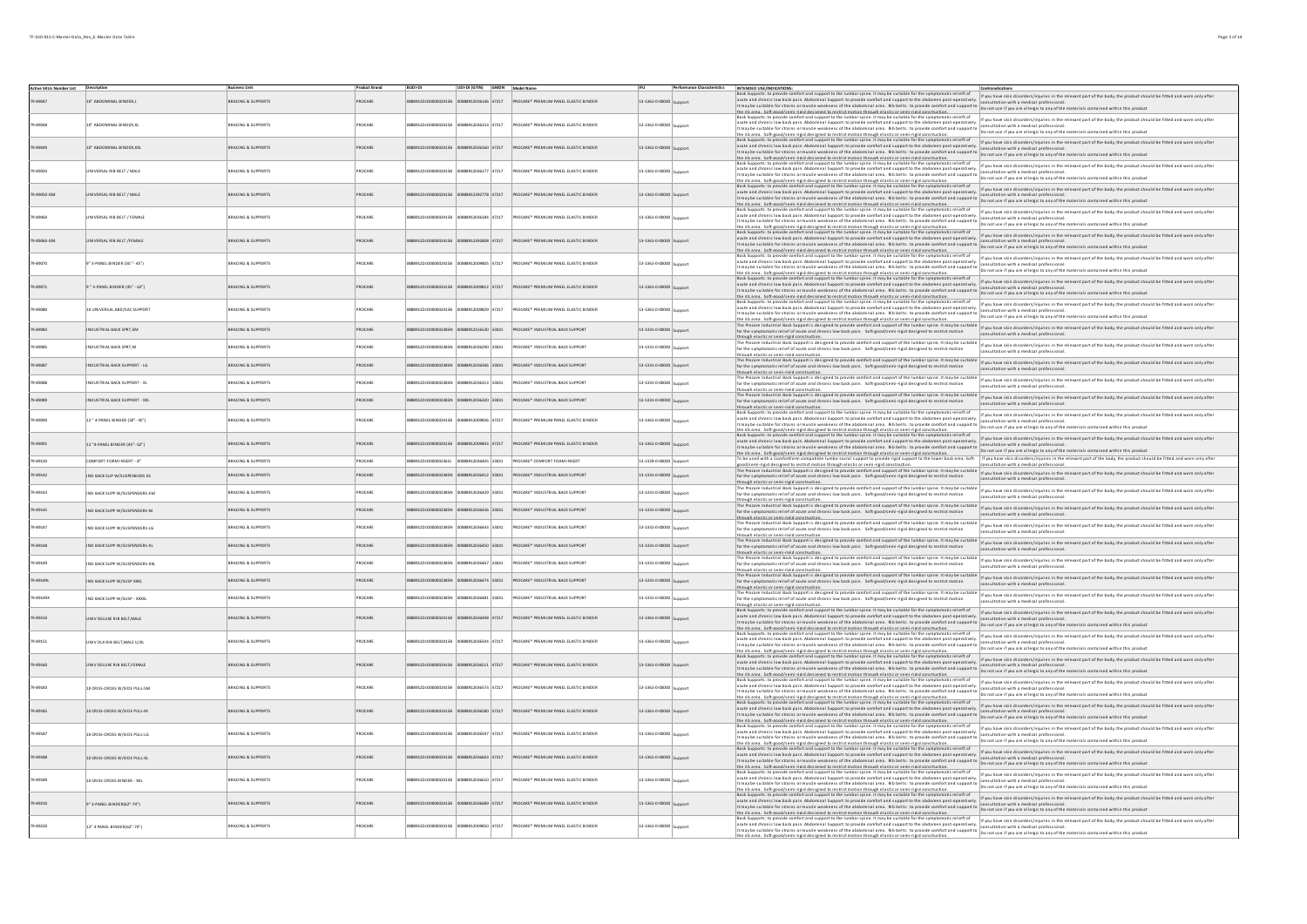$\perp$ 

| Active SKUs Number List Description |                               |                               | <b>Product Brand</b> | <b>BUDI-DI</b>                            |                               |                | UDI-DI (GTIN) GMDN Model Name                                              | IFU                     | <b>Performance Characteristics</b> | INTENDED USE/INDICATIONS:<br>Contraindications<br>Back Supports: to provide comfort and support to the lumbar spine. It may be suitable for the symptomatic relieft of                                                                                                                                                                                                                                                                                                                     |
|-------------------------------------|-------------------------------|-------------------------------|----------------------|-------------------------------------------|-------------------------------|----------------|----------------------------------------------------------------------------|-------------------------|------------------------------------|--------------------------------------------------------------------------------------------------------------------------------------------------------------------------------------------------------------------------------------------------------------------------------------------------------------------------------------------------------------------------------------------------------------------------------------------------------------------------------------------|
| 9.89047                             | 10" ABDOMINAL BINDER.L        | BRACING & SUPPORTS            | PROCARE              | 888912DJ0000002415B 00888912036146 47217  |                               |                | PROCARE* PREMIUM PANEL ELASTIC BINDER                                      | 13-1361-0-00000 Sunnor  |                                    | Baskspoors to provide combrised supports the lumbar space is used to the the proportional cells of the material individuals in the material provide the product should be fitted and wom only after<br> transple suitable for ta                                                                                                                                                                                                                                                           |
|                                     |                               |                               |                      |                                           |                               |                |                                                                            |                         |                                    | the rib area. Soft-good/semi-rigid designed to restrict motion through elastic or semi-rigid construction.                                                                                                                                                                                                                                                                                                                                                                                 |
|                                     |                               |                               |                      |                                           |                               |                |                                                                            |                         |                                    | Back Supports: to provide comfort and support to the lumbar spine. It may be suitable for the symptomatic relieft of<br>If you have skin disorders/injuries in the relevant part of the body, the product should be fitted and worn only after                                                                                                                                                                                                                                             |
| 9.89048                             | 0" ARDOMINAL RINDER XI        | BRACING & SUPPORTS            | ROCARE               | 00120100000024150                         | 88912036153 47217             |                | PROCARE® PREMIUM PANEL FLASTIC RINDER                                      | 13-1361-0-00000         |                                    | ast supports powde compt and supports the lithest pure. In myres waver we represent the state of the state state and in district in the state in the authority in the state of the state in the state of the state of the stat                                                                                                                                                                                                                                                             |
|                                     |                               |                               |                      |                                           |                               |                |                                                                            |                         |                                    |                                                                                                                                                                                                                                                                                                                                                                                                                                                                                            |
|                                     | 10" ABDOMI NAL BINDER XXL     | <b>BRACING &amp; SUPPORTS</b> | PROCARE              | 920120100000024159                        | 00888912036160 47217          |                | PROCARE* PREMIUM PANEL ELASTIC BINDER                                      | 13-1361-0-00000         |                                    | orts: to provide comfort and support to the lumbar spine. It may be suitable for the symptomatic relieft of<br><b>Back Sun</b><br>If you have skin disorders/injuries in the relevant part of the body, the product should be fitted and worn only after<br>Bats Suppone to prove common max support to move for the support to the addomen post-operatively. If you are sun ossores nymes in the western you will be well as the support of the state of the state of the state of the st |
| 3-89049                             |                               |                               |                      |                                           |                               |                |                                                                            |                         |                                    |                                                                                                                                                                                                                                                                                                                                                                                                                                                                                            |
|                                     |                               |                               |                      |                                           |                               |                |                                                                            |                         |                                    | the rib area. Soft-cood/semi-ricid designed to restrict motion through elastic or semi-ricid construction.<br>Back Supports: to provide comfort and support to the lumbar spine. It may be suitable for the symptomatic relieft o                                                                                                                                                                                                                                                          |
| 9-89050                             | NIVERSAL RIB BELT / MALE      | BRACING & SUPPORTS            | ROCARE               |                                           |                               | 1036177 47717  | ROCARE* PREMIUM PANEL ELASTIC BINDER                                       | 13-1361-0-00000         |                                    | If you have skin disorders/injuries in the relevant part of the body, the product should be fitted and worn only after<br>acute and chronic low back pain. Abdominal Support: to provide comfort and support to the abdomen post-operatively.                                                                                                                                                                                                                                              |
|                                     |                               |                               |                      |                                           |                               |                |                                                                            |                         |                                    | it may be suitable for strains or muscle weakness of the abdominal area. Rib belts: to provide comfort and support to possessively consistent in a medical professional. It may be suitable for strains or muscle weakness of                                                                                                                                                                                                                                                              |
|                                     |                               |                               |                      |                                           |                               |                |                                                                            |                         |                                    | the rib area. Soft-spod/semi-ricid designed to restrict motion through elastic or semi-ricid construction.<br>Back Supports: to provide comfort and support to the lumbar spine. It may be suitable for the symptomatic relief of<br>If you have skin disorders/injuries in the relevant part of the body, the product should be fitted and worn only after                                                                                                                                |
| 89050-004                           | VERSAL RIB BELT / MALE        | <b>RACING &amp; SUPPORTS</b>  |                      |                                           |                               | 778 47217      | ROCARE <sup>*</sup> PREMIUM PANEL ELASTIC BINDER                           | 3-1361-0-00000          |                                    | onsultation with a medical professio                                                                                                                                                                                                                                                                                                                                                                                                                                                       |
|                                     |                               |                               |                      |                                           |                               |                |                                                                            |                         |                                    | It may be suitable for strains or muscle weakness of the abdominal area. Rib belts: to provide comfort and support to wina wina wind with research in the methods contained within this product is product in the materials co                                                                                                                                                                                                                                                             |
|                                     | IVERSAL RIB BELT / FEMALE     | <b>RACING &amp; SUPPORTS</b>  |                      |                                           |                               |                |                                                                            |                         |                                    | If you have skin disorders/injuries in the relevant part of the body, the product should be fitted and worn only after                                                                                                                                                                                                                                                                                                                                                                     |
|                                     |                               |                               | ROCARE               |                                           |                               | 47217          | ROCARE <sup>*</sup> PREMIUM PANEL ELASTIC BINDER                           | 13-1361-0-00000         |                                    | exering in the back pain. Abdominal Support to provide comfort and support to the abdomen post-operatively consultation with a medical professional.<br>It may be suitable for strains or musde weakness of the abdominal area. R                                                                                                                                                                                                                                                          |
|                                     |                               |                               |                      |                                           |                               |                |                                                                            |                         |                                    | es you auteure for a semi-main term and the extrict motion through elastic or semi-maid construction.<br>In the real Soft-eood/semi-maid designed to restrict motion through elastic or semi-maid construction.<br>It Supports: to p                                                                                                                                                                                                                                                       |
| 8-89060-004                         | VERSAL RIB BELT / FEMALE      | RACING & SUPPORTS             | ROCARI               |                                           |                               | 2808 47217     | OCARE* PREMIUM PANEL ELASTIC BINDER                                        | 13-1361-0-00000 Sunnort |                                    | If you have skin disorders/injuries in the relevant part of the body, the product should be fitted and worn only after<br>acute and chronic low back pain. Abdominal Support: to provide comfort and support to the abdomen post-operatively.                                                                                                                                                                                                                                              |
|                                     |                               |                               |                      |                                           |                               |                |                                                                            |                         |                                    | acute and chronic low back pain. Abdominat support: to provene communisme symptoms were security to a provide contained by the abdomination with a metric contained within this product.<br>It may be suitable for strains or mus                                                                                                                                                                                                                                                          |
|                                     |                               |                               |                      |                                           |                               |                |                                                                            |                         |                                    | is the above that we realist the substitution in the above that is the contract of the substitution.<br>Back Supports: to provide comfort and support to the lumbar spine. It may be suitable for the symptomatic relieft of<br>Bac<br>If you have skin disorders/injuries in the relevant part of the body, the product should be fitted and worn only after                                                                                                                              |
| 9-89070                             | " 3-PANEL BINDER (30"-45")    | <b>RACING &amp; SUPPORTS</b>  | ROCARE               |                                           |                               | 805 47217      | <b>PROCARE* PREMIUM PANEL ELASTIC BINDER</b>                               | 13-1361-0-00000 Support |                                    | acute and chronic low back pain. Abdominal Support: to provide comfort and support to the abdomen post-operatively.<br>acute and chronic low back pain. Abdominal Support: to provide comfort and support to the abdomen post-operatively.<br>It may be suitable for strains or muscle weakness of the abdominal area. No belist: to provide comfort and                                                                                                                                   |
|                                     |                               |                               |                      |                                           |                               |                |                                                                            |                         |                                    | the rib area. Soft-rood/semi-rigid designed to restrict motion through elastic or semi-rigid construction.<br>Back Supports: to provide comfort and support to the lumbar spine. It may be suitable for the symptomatic relieft o                                                                                                                                                                                                                                                          |
| 9-89071                             | " 3-PANEL BINDER (45" - 62")  | BRACING & SUPPORTS            | PROCARE              |                                           |                               | 009812 47217   | PROCARE* PREMIUM PANEL ELASTIC BINDER                                      | 13-1361-0-00000 Support |                                    | If you have skin disorders/injuries in the relevant part of the body, the product should be fitted and worn only after<br>acute and chronic low back pain. Abdominal Support: to provide comfort and support to the abdomen post-operatively.                                                                                                                                                                                                                                              |
|                                     |                               |                               |                      |                                           |                               |                |                                                                            |                         |                                    | acute and chronic low back pain. Abdominat support: to prever communisme support with a manuform and support to consistation with a meusus preversions.<br>It may be suitable for strains or muscle weakness of the abdominal whe                                                                                                                                                                                                                                                          |
|                                     |                               |                               |                      |                                           |                               |                |                                                                            |                         |                                    | is marked and the contract of the contract of the contract of the contract of the contract of the contraction.<br>Back Supports : to provide comfort and support to the lumbar spine. It may be suitable for the symptomatic reli<br>If you have skin disorders/injuries in the relevant part of the body, the product should be fitted and worn only after                                                                                                                                |
| 3-89080                             | 0 UNIVERSAL ABD/SAC SUPPORT   | BRACING & SUPPORTS            | ROCARE               |                                           | 00888912009829 47217          |                | <b>PROCARE* PREMIUM PANEL ELASTIC BINDER</b>                               | 13-1361-0-00000 Support |                                    | acute and chronic low back pain. Abdominal Support: to provide comfort and support to the abdomen post-operatively.                                                                                                                                                                                                                                                                                                                                                                        |
|                                     |                               |                               |                      |                                           |                               |                |                                                                            |                         |                                    | cute and chronic low back pain. Aeuermine: support, w powers servers we serve your conservation in construction with a medicar provessional.<br>Imay be suitable for strains or muscle weakness of the abdominios were reamine<br>the rib area. Soft-cood/semi-ricid designed to restrict motion through elastic or semi-ricid construction.                                                                                                                                               |
| 3-89083                             | NDUSTRIAL BACK SPRT, SM       | <b>BRACING &amp; SUPPORTS</b> | PROCARE              | 0888912DJO000002385N 00888912156530 33031 |                               |                | PROCARE* INDUSTRIAL BACK SUPPORT                                           | 13-1331-0-00000 Support |                                    | the Parties of the State of the State of the State of the State of the State of the Lumbarspine. It may be suitable $\frac{1}{2}$ you have skin disorders/njuries in the relevant part of the body, the product should be fitted a<br>for the symptomatic relief of acute and chronic low back pain. Soft-good/semi-rigid designed to restrict motion                                                                                                                                      |
|                                     |                               |                               |                      |                                           |                               |                |                                                                            |                         |                                    | consultation with a medical professional<br>rough elastic or semi-rigid construction.                                                                                                                                                                                                                                                                                                                                                                                                      |
| 8908                                | DUSTRIAL BACK SPRT, M         | <b>RACING &amp; SUPPORTS</b>  | ROCARI               |                                           | 00888912036290 33031          |                | ROCARE <sup>*</sup> INDUSTRIAL BACK SUPPORT                                | 13-1331-0-00000 Sunnert |                                    | The Procare Industrial Back Support is designed to provide comfort and support of the lumbar spin term be suitable if you have skin disorders/injuries in the relevant part of the body, the product should be fitted and wom<br>for the symptomatic relief of acute and chronic low back pain. Soft-good/semi-rigid designed to restrict motion                                                                                                                                           |
|                                     |                               |                               |                      |                                           |                               |                |                                                                            |                         |                                    | consultation with a medical professional.<br>uch elastic or semi-ricid construction                                                                                                                                                                                                                                                                                                                                                                                                        |
| 3-89087                             | NDUSTRIAL BACK SUPPORT - LG   | <b>BRACING &amp; SUPPORTS</b> | PROCARE              | 888912DJO000002385N                       | 00888912036306 33031          |                | PROCARE <sup>*</sup> INDUSTRIAL BACK SUPPORT                               | 13-1331-0-00000 Support |                                    | on the Protocol Assume that the substantial of the lambar spine. It may be suitable<br>The Protare Industrial Back Support is designed to provide comfort and support of the Lumbar spine. It may be suitable if you have skin di<br>for the symptomatic relief of acute and chronic low back pain. Soft-good/semi-rigid designed to restrict motion                                                                                                                                       |
|                                     |                               |                               |                      |                                           |                               |                |                                                                            |                         |                                    | consultation with a medical professional                                                                                                                                                                                                                                                                                                                                                                                                                                                   |
| 9-89088                             | NOUSTRIAL RACK SUPPORT - XI   | <b>BRACING &amp; SUPPORTS</b> | PROCARE              | 888912DJO00002385N 00888912036313 33031   |                               |                | PROCARE* INDUSTRIAL BACK SUPPORT                                           | 13-1331-0-00000         |                                    | hterwitten and construction of the state of the state of the comparation of the lumbarspine. It may be suitable if you have skin disorders/injuries in the relevant part of the body, the product should be fitted and wom onl<br>for the symptomatic relief of acute and chronic low back pain. Soft-good/semi-rigid designed to restrict motion                                                                                                                                          |
|                                     |                               |                               |                      |                                           |                               |                |                                                                            |                         |                                    | consultation with a medical professional                                                                                                                                                                                                                                                                                                                                                                                                                                                   |
| 3-89089                             | NDUSTRIAL BACK SUPPORT - XXL  | <b>BRACING &amp; SUPPORTS</b> | PROCARE              | 888912DJO000002385N 00888912036320 33031  |                               |                | PROCARE <sup>*</sup> INDUSTRIAL BACK SUPPORT                               | 13-1331-0-00000 Support |                                    | htmumb electric ream-analysismant.com<br>The Procare industrial Back Support is designed to provide comfort and support of the lumbar spine. It may be suitable $\ t\ $ you have skin disorders/injuries in the elevant part of t<br>for the symptomatic relief of acute and chronic low back pain. Soft good/semi-rigid designed to restrict motion                                                                                                                                       |
|                                     |                               |                               |                      |                                           |                               |                |                                                                            |                         |                                    | consultation with a medical professiona<br>through elastic or semi-rigid construction.                                                                                                                                                                                                                                                                                                                                                                                                     |
|                                     |                               |                               |                      |                                           |                               |                |                                                                            |                         |                                    | Back Supports: to provide comfort and support to the lumbar spine. It may be suitable for the symptomatic relieft of<br>If you have skin disorders/injuries in the relevant part of the body, the product should be fitted and worn only after                                                                                                                                                                                                                                             |
| 3-89090                             | 2 " 4-PANEL BINDER (30"-45")  | RACING & SUPPORTS             | ROCARE               |                                           |                               | 47217          | OCARE <sup>*</sup> PREMIUM PANEL ELASTIC BINDER                            | 3-1361-0-0000           |                                    | Bats Supports provide confort and supports the lumbar stress of the universal method of the state of the base is in district projects in the release part of the objects in the release of the provide conformation of the sta                                                                                                                                                                                                                                                             |
|                                     |                               |                               |                      |                                           |                               |                |                                                                            |                         |                                    | the rib area. Soft-cood/semi-ricid desicned to restrict motion throuch elastic or semi-ricid construction.<br>Back Supports: to provide comfort and support to the lumbar spine. It may be suitable for the symptomatic relieft o<br><b>Back Sun</b>                                                                                                                                                                                                                                       |
| 3-8909                              | 12 "4-PANEL BINDER (45"- 62") | BRACING & SUPPORTS            | ROCARE               |                                           |                               | 47217          | OCARE <sup>*</sup> PREMIUM PANEL ELASTIC BINDER                            | 13-1361-0-00000 Support |                                    | If you have skin disorders/injuries in the relevant part of the body, the product should be fitted and worn only after<br>acute and chronic low back pain. Abdominal Support: to provide comfort and support to the abdomen post-operatively.                                                                                                                                                                                                                                              |
|                                     |                               |                               |                      |                                           |                               |                |                                                                            |                         |                                    | https://example.org/animatory/environment/systems.com/example.com/example.com/example.com/example.com/example.com/example.com/example.com/example.com/example.com/example.com/example.com/example.com/example.com/example.com/                                                                                                                                                                                                                                                             |
| 79-89120                            | COMFORT-FORM INSERT - 8"      | <b>BRACING &amp; SUPPORTS</b> | PROCARE              | 0888912DJO000002365J 00888912036405 33031 |                               |                | PROCARE* COMFORT FOAM INSERT                                               | 13-1329-0-00000 Sunnort |                                    | the rib area. Softeood/semi-ried designed to restrict motion through elastic or semi-ried construction.<br>The rib area, Softeood/semi-ried designed to restrict motion through elastic or semi-ried construction.<br>To be used wit                                                                                                                                                                                                                                                       |
|                                     |                               |                               |                      |                                           |                               |                |                                                                            |                         |                                    | good/semi-rigid designed to restrict motion through elastic or semi-rigid construction.<br>consultation with a medical professional.                                                                                                                                                                                                                                                                                                                                                       |
| 9-89142                             | IND BACK SUP W/SUSPENDERS XS  | <b>BRACING &amp; SUPPORTS</b> | PROCARE              |                                           |                               |                | 0888912DJC000002385N 00888912036412 33031 PROCARE* INDUSTRIAL BACK SUPPORT | 13-1331-0-00000 Support |                                    | RODATARTHERING SECURE SECURE IN A SURFORM OF POWER COMPOSITION OF THE UNITED FRAME IS TO A SURFORM IN THE PRODUCT AND IN STATE OF THE PROGRET AND IN STATE IN THE PRODUCT AND AN AN OUTDOOK AND ARREST AND A SURFORM OF THE PA<br>for the symptomatic relief of acute and chronic low back pain. Soft-good/semi-rigid designed to restrict motion<br>through elastic or semi-rigid construction.<br>consultation with a medical professional                                               |
|                                     |                               |                               |                      |                                           |                               |                |                                                                            |                         |                                    |                                                                                                                                                                                                                                                                                                                                                                                                                                                                                            |
| 3-89143                             | IND BACK SUPP W/SUSPENDERS-SM | BRACING & SUPPORTS            | ROCARE               | 88912DJO000002385N 00888912036429 33031   |                               |                | PROCARE* INDUSTRIAL BACK SUPPORT                                           | 13-1331-0-00000 Support |                                    | imputer experiment to the substantial state in the substantial state of the lumbar spine. It may be suitable if you have skin disorders/najuries in the relevant part of the body, the product should be fitted and wom only a<br>for the symptomatic relief of acute and chronic low back pain. Soft-good/semi-rigid designed to restrict motion<br>consultation with a medical professional.                                                                                             |
|                                     |                               |                               |                      |                                           |                               |                |                                                                            |                         |                                    | ough elastic or semi-rigid construction                                                                                                                                                                                                                                                                                                                                                                                                                                                    |
| $-8914$                             | IND BACK SUPP W/SUSPENDERS-M  | BRACING & SUPPORTS            | ROCARE               | 888912DJO000002385N 00888912036436 33031  |                               |                | PROCARE* INDUSTRIAL BACK SUPPORT                                           | 13-1331-0-00000 Support |                                    | The Procare industrial Back Support is designed to provide comfort and support of the lumbar spine. It may be suitable it you have skin disorders/injuries in the relevant part of the body, the product should be fitted and<br>for the symptomatic relief of acute and chronic low back pain. Soft-good/semi-rigid designed to restrict motion<br>consultation with a medical professional                                                                                               |
|                                     |                               |                               |                      |                                           |                               |                |                                                                            |                         |                                    | in the physical contraction.<br>The Postal elastic premiering into the signed to provide confort and support of the lumbar spine. It may be suitable substant universement the melves are also and the policy into product should                                                                                                                                                                                                                                                          |
| 3-89147                             | ND BACK SUPP W/SUSPENDERS-LG  | BRACING & SUPPORTS            | PROCARE              |                                           | 00888912036443 33031          |                | PROCARE* INDUSTRIAL BACK SUPPORT                                           | 13-1331-0-00000 Support |                                    | for the symptomatic relief of acute and chronic low back pain. Soft-good/semi-rigid designed to restrict motion<br>consultation with a medical professional                                                                                                                                                                                                                                                                                                                                |
|                                     |                               |                               |                      |                                           |                               |                |                                                                            |                         |                                    | hrough elastic or semi-rigid construction<br>melastic of semi-rivia usin.usin.usin.com/or and support of the lumbar spine. It may be suitable<br>para industrial Back Support is designed to provide comfort and support of the lumbar spine. It may be suitable<br>https://www.c                                                                                                                                                                                                          |
| 9-89148                             | IND BACK SUPP W/SUSPENDERS-XL | <b>BRACING &amp; SUPPORTS</b> | PROCARE              |                                           |                               |                | PROCARE® INDUSTRIAL RACK SUPPORT                                           | 13-1331-0-0000          |                                    | for the symptomatic relief of acute and chronic low back pain. Soft-good/semi-rigid designed to restrict motion<br>consultation with a medical professiona                                                                                                                                                                                                                                                                                                                                 |
|                                     |                               |                               |                      |                                           |                               |                |                                                                            |                         |                                    | much elastic or semi-rigid construction                                                                                                                                                                                                                                                                                                                                                                                                                                                    |
| 9-89149                             | ND BACK SUPP W/SUSPENDERS-XXL | <b>BRACING &amp; SUPPORTS</b> | PROCARE              | 888912DJO000002385N 00888912036467 33031  |                               |                | PROCARE* INDUSTRIAL BACK SUPPORT                                           | 13-1331-0-00000 Support |                                    | The Procare industrial Back Support is designed to provide comfort and support of the lumbar spine. It may be suitable if you have skin disorders/injuries in the relevant part of the body, the product should be fitted and<br>consultation with a medical professional                                                                                                                                                                                                                  |
|                                     |                               |                               |                      |                                           |                               |                |                                                                            |                         |                                    | much elactic or cemi rigid construction                                                                                                                                                                                                                                                                                                                                                                                                                                                    |
| 79-89149L                           | ND BACK SUPP W/SUSP XXX       | <b>BRACING &amp; SUPPORTS</b> | PROCARE              | 0888912DJO000002385N 00888912036474 33031 |                               |                | PROCARE* INDUSTRIAL BACK SUPPORT                                           | 13-1331-0-00000 Support |                                    | The Procare industrial Back Support is designed to provide comfort and support of the lumbar spine. It may be suitable the back stin discribers in the relevant part of the body, the product should be fitted and wom only af<br>consultation with a medical professiona                                                                                                                                                                                                                  |
|                                     |                               |                               |                      |                                           |                               |                |                                                                            |                         |                                    | through elastic or semi-rigid construction.<br><u>l Industrial and Constant in a Constant union.</u><br>The Procare industrial Back Support is designed to provide comfort and support of the lumbar spine. It may be suitable in the axis ndisorders/injuries in the relevant part                                                                                                                                                                                                        |
| 9-89149X                            | ND RACK SUPP W/SUSP - XXXII   | <b>BRACING &amp; SUPPORTS</b> | PROCARE              | 888912DJO000002385N 00888912036481 33031  |                               |                | PROCARE* INDUSTRIAL BACK SUPPORT                                           | 13-1331-0-00000 Sunnort |                                    | for the symptomatic relief of acute and chronic low back pain. Soft-good/semi-rigid designed to restrict motion<br>ultation with a medical profession:                                                                                                                                                                                                                                                                                                                                     |
|                                     |                               |                               |                      |                                           |                               |                |                                                                            |                         |                                    | through elastic or semi-rigid construction.<br>Back Supports: to provide comfort and support to the lumbar spine. It may be suitable for the symptomatic relieft of<br>If you have skin disorders/injuries in the relevant part of the body, the product should be fitted and worn only after                                                                                                                                                                                              |
| 79-89150                            | UNIV DELUXE RIB BELT.MALE     | <b>BRACING &amp; SUPPORTS</b> | PROCARE              | 88912DJ0000002415B                        |                               | 2036498 47217  | PROCARE* PREMIUM PANEL ELASTIC BINDER                                      | 13-1361-0-00000 Sur     |                                    | acute and chronic low back pain. Abdominal Support: to provide comfort and support to the abdomen post-operatively<br>ltation with a medical profess<br>acute and chronic low back pain. Abdominer support to provide women with security to the account pain of support to constitution with a medical protessional.<br>It may be suitable for strains or muscle weakness of the abdomin                                                                                                  |
|                                     |                               |                               |                      |                                           |                               |                |                                                                            |                         |                                    | the rib area. Soft-enod/cemi-rield designed to restrict motion through elastic or semi-rigid construction                                                                                                                                                                                                                                                                                                                                                                                  |
|                                     |                               |                               |                      |                                           |                               |                |                                                                            |                         |                                    | Back Supports: to provide comfort and support to the Jumbar spine. It may be suitable for the symptomatic relieft of<br>If you have skin disorders/injuries in the relevant part of the body, the product should be fitted and worn only after                                                                                                                                                                                                                                             |
| 79-89151                            | NIV DLX RIB BELT, MALE U/XL   | BRACING & SUPPORTS            | ROCARE               | 88912DJO000002415B 00888912036504 47217   |                               |                | PROCARE* PREMIUM PANEL ELASTIC BINDER                                      | 13-1361-0-00000 Suppo   |                                    | Bats Support to provide common that support we runned symbol to the absolute process constant in the absolution in the memory of the memory and the memory and the memory of the memory of the memory of the memory of the mem                                                                                                                                                                                                                                                             |
|                                     |                               |                               |                      |                                           |                               |                |                                                                            |                         |                                    | the rib area. Soft-good/semi-rigid designed to restrict motion through elastic or semi-rigid construction.<br>Back Supports: to provide comfort and support to the lumbar spine. It may be suitable for the symptomatic relieft of<br>If you have skin disorders/injuries in the relevant part of the body, the product should be fitted and worn only after                                                                                                                               |
| 9-89160                             | NIV DELUXE RIB BELT,FEMALI    | <b>BRACING &amp; SUPPORTS</b> | PROCARE              | 888912DJ0000002415B 008                   |                               | 12036511 47217 | PROCARE* PREMIUM PANEL ELASTIC BINDER                                      | 13-1361-0-00000         |                                    | Bats Suppone to prove common max support to me where the support to the addomen post-operatively. If you are sun assorts furgers in the witherman who are well associated to the state of the state of the addomination of a s                                                                                                                                                                                                                                                             |
|                                     |                               |                               |                      |                                           |                               |                |                                                                            |                         |                                    |                                                                                                                                                                                                                                                                                                                                                                                                                                                                                            |
|                                     |                               |                               |                      |                                           |                               |                |                                                                            |                         |                                    | Back Supports: to provide comfort and support to the lumbar spine. It may be suitable for the symptomatic relieft of                                                                                                                                                                                                                                                                                                                                                                       |
| 79.89183                            | 0 CRISS-CROSS W/SIDE PULL-SM  | RRACING & SUPPORTS            | ROCARE               | 912010000024159                           | 00888912036573 47217          |                | PROCARE® PREMIUM PANEL FLASTIC RINDER                                      | 13-1361-0-00000         |                                    | Baskspoors to provide combrised supports the lumbar space is used to the the proportional cells of the material individuals in the material provide the space of the space of the space of the space of the space of the spac                                                                                                                                                                                                                                                              |
|                                     |                               |                               |                      |                                           |                               |                |                                                                            |                         |                                    | $[ln\,n\,n\,k\,k\,with\,n\,k\,with\,n\,k\,with\,n\,k\,with\,n\,k\,with\,n\,k\,with\,n\,k\,with\,n\,k\,with\,n\,k\,with\,n\,k\,with\,n\,k\,with\,n\,k\,with\,n\,k\,with\,n\,k\,with\,n\,k\,with\,n\,k\,with\,n\,k\,with\,n\,k\,with\,n\,k\,with\,n\,k\,with\,n\,k\,with\,n\,k\,with\,n\,k\,with\,n\,$                                                                                                                                                                                       |
| 9-89185                             | 0 CRISS-CROSS W/SIDE PULL-M   | BRACING & SUPPORTS            | PROCARE              |                                           |                               | 6580 47217     | PROCARE* PREMIUM PANEL ELASTIC BINDER                                      | 13-1361-0-00000         |                                    | If you have skin disorders/injuries in the relevant part of the body, the product should be fitted and worn only after                                                                                                                                                                                                                                                                                                                                                                     |
|                                     |                               |                               |                      |                                           |                               |                |                                                                            |                         |                                    |                                                                                                                                                                                                                                                                                                                                                                                                                                                                                            |
|                                     |                               |                               |                      |                                           |                               |                |                                                                            |                         |                                    | the rib area. Soft epod/semi-rial designed to restrict motion theatic assessment in the construction. Do not use if you are allergic to any of the materials contained within this product.<br>Task support to powder combin and                                                                                                                                                                                                                                                           |
| $3 - 89187$                         | 10 CRISS-CROSS W/SIDE PULL-LG | RACING & SUPPORTS             | ROCARE               |                                           |                               | 97 47217       | ROCARE <sup>*</sup> PREMIUM PANEL ELASTIC BINDER                           | 3-1361-0-0000           |                                    | www.cutoble.forstwire.musulmini.rupport.to.photow.cutome.html beliefs to any idea method method in the media profile product in the subsequent in the subsequent in the subsequent in the subsequent in the product in the pro                                                                                                                                                                                                                                                             |
|                                     |                               |                               |                      |                                           |                               |                |                                                                            |                         |                                    |                                                                                                                                                                                                                                                                                                                                                                                                                                                                                            |
|                                     |                               |                               |                      |                                           |                               |                |                                                                            |                         |                                    | the rib area. Soft-cood/semi-rigid designed to restrict motion through elastic or semi-rigid construction.<br>Base Supports: to provide comfort and support to the lumbar spine. It may be suitable for the symptomatic relieft o<br>If you have skin disorders/injuries in the relevant part of the body, the product should be fitted and worn only after                                                                                                                                |
| 3-89188                             | 0 CRISS-CROSS W/SIDE PULL-XL  | BRACING & SUPPORTS            | PROCARE              |                                           |                               | 603 47217      | <b>PROCARE* PREMIUM PANEL ELASTIC BINDER</b>                               | 13-1361-0-00000         |                                    | acute and chronic low back pain, Adobimies augustic. May well as experience to provide comfort and support to without any members processive compare in the second of the materials contained within this product. It may be s                                                                                                                                                                                                                                                             |
|                                     |                               |                               |                      |                                           |                               |                |                                                                            |                         |                                    | it has you can be a filterated with a state of the model in the state over to produce the interest of the supports of the state of the state of the state of the state of the state of the state of the state of the state of                                                                                                                                                                                                                                                              |
| $3-8918$                            | 10 CRISS-CROSS BINDER - XXL   | <b>RACING &amp; SUPPORTS</b>  | ROCARE               |                                           |                               | 610 47217      | ROCARE <sup>*</sup> PREMIUM PANEL ELASTIC BINDER                           | 13-1361-0-00000 Support |                                    | If you have skin disorders/injuries in the relevant part of the body, the product should be fitted and worn only after                                                                                                                                                                                                                                                                                                                                                                     |
|                                     |                               |                               |                      |                                           |                               |                |                                                                            |                         |                                    | kwa wie unter twie wie wie mieste weaknes of the abdominal area. Rib belts: to provide combit and support to lose attaction with a medical professional. It was been the suitable for stains of the materials contained within                                                                                                                                                                                                                                                             |
|                                     |                               |                               |                      |                                           |                               |                |                                                                            |                         |                                    | the rib area. Soft-enod/cemi-rield deciened to restrict motion through elastic or semi-rield construction.<br>Back Supports: to provide comfort and support to the lumbar spine. It may be suitable for the symptomatic relieft o<br>If you have skin disorders/injuries in the relevant part of the body, the product should be fitted and worn only after                                                                                                                                |
| $3 - 89210$                         | 9" 3-PANEL BINDER(62"-74")    | BRACING & SUPPORTS            | PROCARE              |                                           |                               | 89 47217       | PROCARE* PREMIUM PANEL ELASTIC BINDER                                      | 13-1361-0-00000 Support |                                    | acute and chronic low back pain. Abdominal Support: to provide comfort and support to the abdomen post-operatively.<br>acute and chronic low back pain. Abdominal Support: to provide comfort and support to the abdomen post-operatively. Consultation with a medical professional.<br>It may be suitable for strains or muscle weakness of the abdomin                                                                                                                                   |
|                                     |                               |                               |                      |                                           |                               |                |                                                                            |                         |                                    | may be authorized to a summer or measure we assume that include the state of semi-rigid construction.<br>In the area , Soft-eood/semi-rigid designed to restrict motion through elastic or semi-rigid construction.<br>Ack Supports:                                                                                                                                                                                                                                                       |
| 9-89220                             | 12" 4 PANEL BINDER(62"-74")   | <b>RACING &amp; SUPPORTS</b>  | ROCARE               |                                           | 0002415B 00888912009850 47217 |                | PROCARE* PREMIUM PANEL ELASTIC BINDER                                      | 13-1361-0-00000 Sunnort |                                    | race experience wherever werever any support to une lumbar spine. It may be suitable for the symptomatic mileft of light have skin disorders/injuries in the mileant part of the body, the product should be fitted and wom on                                                                                                                                                                                                                                                             |
|                                     |                               |                               |                      |                                           |                               |                |                                                                            |                         |                                    | acute and chronic low back pain. Abdominal Support: to provide comfort and support to the abdomen post-operatively.<br>It may be suitable for strains or muscle weakness of the abdominal area. Rub better to provide comfort and<br>the rib area. Soft-good/semi-rigid designed to restrict motion through elastic or semi-rigid construction.                                                                                                                                            |
|                                     |                               |                               |                      |                                           |                               |                |                                                                            |                         |                                    |                                                                                                                                                                                                                                                                                                                                                                                                                                                                                            |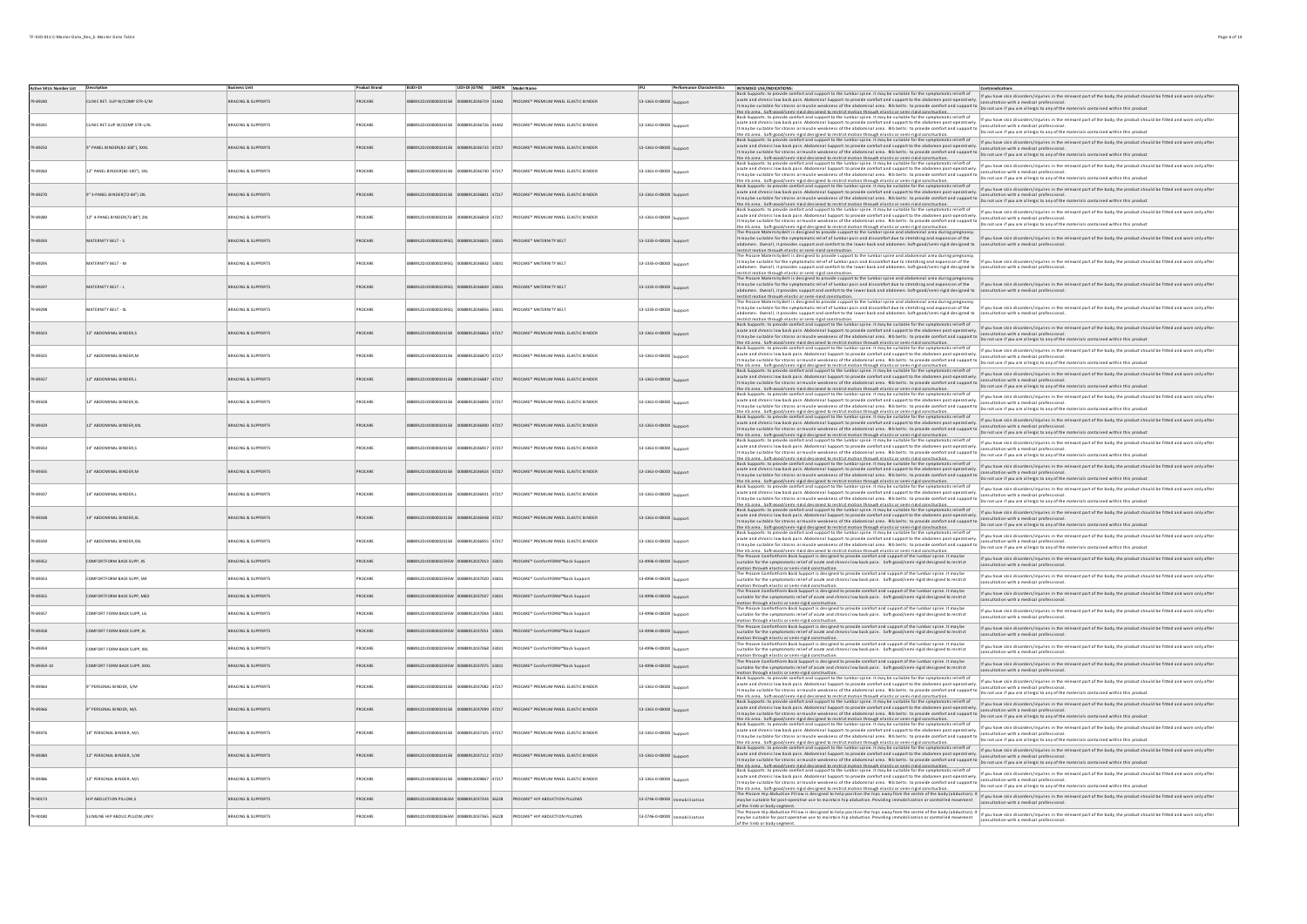| <b>Active SKUs Number List Description</b> |                                |                               | <b>Product Brand</b> | <b>BUDI-DI</b>             | UDI-DI (GTIN) GMDN Model Name             |                                                                             |                                  |                | Performance Characteristics INTENDED USE/INDICATIONS:<br>.<br>X Supports : to provide comfort and support to the lumbar spine. It may be suitable for the symptomatic relieft of<br>acute and chronic low back pain. Abdominal Support: to provide comfort and support to the abdomen post-operatively.                                                                                                                                                                                                                                                                                                                                                                                                     | Contraindications<br>If you have skin disorders/injuries in the relevant part of the body, the product should be fitted and worn only after                         |
|--------------------------------------------|--------------------------------|-------------------------------|----------------------|----------------------------|-------------------------------------------|-----------------------------------------------------------------------------|----------------------------------|----------------|-------------------------------------------------------------------------------------------------------------------------------------------------------------------------------------------------------------------------------------------------------------------------------------------------------------------------------------------------------------------------------------------------------------------------------------------------------------------------------------------------------------------------------------------------------------------------------------------------------------------------------------------------------------------------------------------------------------|---------------------------------------------------------------------------------------------------------------------------------------------------------------------|
| 9-89240                                    | CLINIC RET. SUP W/COMP STR-S/M | BRACING & SUPPORTS            | PROCARE              |                            | 88912DJO000002415B 00888912036719 41442   | <b>PROCARE* PREMIUM PANEL ELASTIC BINDER</b>                                | 13-1361-0-00000 Support          |                | acute and chronic low back pain. Abdominal Support: to provide comfort and support to the abdomen post-operatively.<br>It may be suitable for strains or muscle weakness of the abdominal area. Rib belts: to provide comfort and<br>the rib area. Soft-rood/semi-rigid designed to restrict motion through elastic or semi-rigid construction.                                                                                                                                                                                                                                                                                                                                                             |                                                                                                                                                                     |
| 79-89241                                   | CLINIC RET.SUP W/COMP STR-L/XL | <b>BRACING &amp; SUPPORTS</b> | PROCARE              | 888912DJ0000002415B        | 0888912036726 41442                       | PROCARE* PREMIUM PANEL ELASTIC BINDER                                       | 13-1361-0-00000 9                |                | Back Support: to provide comfort and support to the lumbar spine. It may be suitable for the symptomatic ellert of<br>  actio and chronic low back pain. Abdominal Support: to provide confort and support to the abdomen post-op<br>acute and chronic low back pain. Apoominal support to provide commentaire support to the word one process control consultation with a medical protessional.<br>It may be suitable for strains or muscle weakness of the aboomina                                                                                                                                                                                                                                       |                                                                                                                                                                     |
| 9-89250                                    | 9" PANEL BINDER(82-100"), XXXL | <b>BRACING &amp; SUPPORTS</b> | PROCARE              | 8912DJ0000002415R          | 3888912036733 47217                       | PROCARE* PREMIUM PANEL ELASTIC BINDER                                       | 13-1361-0-00000 c                |                | the rib area. Soft-cood/semi-ricid desicned to restrict motion throuch elastic or semi-ricid construction.<br>Back Supports: to provide comfort and support to the lumbar spine. It may be suitable for the symptomatic relieft o<br>assissport to provide combit and supports the lumbar pays in the year of the form that we are also the method in the method in the method of the product should be fitted and wom only after<br>  it and choral bestain or must b<br>the rib area. Soft-good/semi-rigid designed to restrict motion through elastic or semi-rigid construction.                                                                                                                        |                                                                                                                                                                     |
| 79-89260                                   | 12" PANEL BINDER(82-100"), 3XL | BRACING & SUPPORTS            | PROCARE              | 8912D1000002415F           | 740 47217                                 | <b>PROCARE® PREMIUM PANEL FLASTIC RINDER</b>                                | 13-1361-0-00000                  |                | It may be suitable for stains or muscle weakness of the abdominal area. Rib belts: to provide comfort and support to  ponellation with a medical professional. It may be suitable for stains or muscle weakness of the abdomin                                                                                                                                                                                                                                                                                                                                                                                                                                                                              |                                                                                                                                                                     |
| 9-89270                                    | 9" 3-PANEL BINDER(72-84") 2XL  | RACING & SUPPORTS             | ROCARE               |                            | 47217                                     | PROCARE <sup>*</sup> PREMIUM PANEL ELASTIC BINDE                            | 13-1361-0-00000 Suppor           |                | the rib area. Soft-eood/semi-rield designed to restrict motion through elastic or semi-rigid construction.<br>Back Supports: to provide comfort and support to the lumbar spine. It may be suitable for the symptomatic relief of<br>acute and chronic low back pain. Abdominal Support: to provide comfort and support to the abdomen post-operatively. Consultation with a medical professional.<br>It may be suitable for strains or muscle weakness of the abdomin                                                                                                                                                                                                                                      | If you have skin disorders/injuries in the relevant part of the body, the product should be fitted and worn only after                                              |
| 79-89280                                   | 12" 4-PANEL BINDER(72-84") 2XL | <b>BRACING &amp; SUPPORTS</b> | PROCARE              | 88912DJ0000002415B         | 00888912036818 47217                      | PROCARE* PREMIUM PANEL ELASTIC BINDER                                       | 13-1361-0-00000 Support          |                | he rib area. Soft-enod/cemi-rield declened to restrict motion through elastic or cemi-rield construction<br>acted to the contract of the contract of the contract and summer is summer to the symptomatic relieft of provides in the relief of the book of the book the product should be fitted and wom only after<br>It may be exitable for                                                                                                                                                                                                                                                                                                                                                               |                                                                                                                                                                     |
| 79-89293                                   | MATERNITY BELT - S             | <b>BRACING &amp; SUPPORTS</b> | PROCARE              | 02912010000023950          | 36825 33031                               | <b>PROCARE* MATERNITY BELT</b>                                              | 13-1335-0-00000 c                |                | ivas in unionic no ano paramonium response to photocomical subsettion of the statement of considerior installation with a medical professional.<br>The synes substant indication of the abdominations in the better to produce co                                                                                                                                                                                                                                                                                                                                                                                                                                                                           |                                                                                                                                                                     |
|                                            |                                |                               |                      |                            |                                           |                                                                             |                                  |                | It may be suitable for the symptomatic relief of lumbar pain and discomfort due to stretching and expansion of the the basis and stretching inter air the body. the relevant part of the body, the product should be fitted an<br>restrict motion through elastic or semi-rigid construction.<br>The Procare Maternity Belt is designed to provide support to the lumbar spine and abdominal area during pregnancy                                                                                                                                                                                                                                                                                          |                                                                                                                                                                     |
| 79.89295                                   | MATERNITY REIT . M             | <b>BRACING &amp; SUPPORTS</b> | PROCARE              | 02912010000023950          | 10000013<br>LEUEE CERSE                   | PROCARE® MATERNITY REIT                                                     | 13-1335-0-00000                  |                | instructure in the interest of the complete the company of the company of the company of the interest of the sindicate interest injuries in the relevant part of the body, the product should be fitted and wom only after<br>abd                                                                                                                                                                                                                                                                                                                                                                                                                                                                           |                                                                                                                                                                     |
| 9-8929                                     | <b>IATERNITY BELT - I</b>      | <b>IRACING &amp; SUPPORTS</b> | ROCARE               |                            | 9 33031                                   | PROCARE <sup>*</sup> MATERNITY BELT                                         | 13-1335-0-00000 Support          |                | restrict motion through elastic or semi-rigid construction.<br>The Procare Maternity Belt is designed to provide support to the lumbar spine and abdominal area during pregnancy<br>It may be suitable for the symptomatic relief of<br>abdomen. Overall, it provides support and comfort to the lower back and abdomen. Soft-good/semi-rigid designed to consultation with a medical professional.<br>assuments , see and the district of the second control of the second and assume the second second second second<br>restrict motion through elastic or semi-rigid construction.<br>The Procare Maternity Belt is designed to provide                                                                  | If you have skin disorders/injuries in the relevant part of the body, the product should be fitted and worn only after                                              |
| 79-89298                                   | AATERNITY BELT - XL            | BRACING & SUPPORTS            | PROCARE              | 88912DJ0000002395Q         | 6856 33031                                | ROCARE <sup>*</sup> MATERNITY BELT                                          | 13-1335-0-00000 Sunnort          |                | It may be suitable for the symptomatic relief of lumbar pain and discomfort due to stretching and expansion of the<br>abdomen. Overall, it provides support and comfort to the lower back and abdomen. Soft-good/semi-rigid designed to<br>restrict motion through elastic or semi-rigid construction.                                                                                                                                                                                                                                                                                                                                                                                                      | If you have skin disorders/injuries in the relevant part of the body, the product should be fitted and worn only after<br>ultation with a medical professional      |
| 79-89323                                   | 12" ABDOMINAL BINDER.S         | <b>BRACING &amp; SUPPORTS</b> | PROCARE              | 888912DJ0000002415B        | 863 47217                                 | PROCARE* PREMIUM PANEL ELASTIC BINDER                                       | 13-1361-0-00000 Sunnor           |                | sack Supports: to provide comfort and support to the lumbar spine. It may be suitable for the symptomatic relieft of<br>a call Abdominal Support to provide comfort and support to the abdomen post-operatively. [If you have skin disorders/hyjeris in the relevant part of the body, the product should be fitted and wom only after<br>acute and Continuum wark permi-housement suppose to be abdominata are subjects: to provide comfort and support to <b>constructions of construction are inverse</b> provisions. The absolute the abdominata within this product<br>It m<br>the rib area. Soft-good/semi-rigid designed to restrict motion through elastic or semi-rigid construction.              |                                                                                                                                                                     |
| 79.89325                                   | 12" ABDOMINAL BINDER.M         | <b>BRACING &amp; SUPPORTS</b> | PROCARE              | 8912D10000002415F          | 870 47717                                 | <b>PROCARE® PREMIUM PANEL FLASTIC RINDER</b>                                | 3-1361-0-00000                   |                | ine thates. Safesodicesimal description and many requires an experiment and required to the many property in the many property in the second the state of the second state of the second state of the second state of the seco                                                                                                                                                                                                                                                                                                                                                                                                                                                                              |                                                                                                                                                                     |
| 9-8932                                     | 12" ABDOMINAL BINDER,          | BRACING & SUPPORT!            | ROCARE               |                            |                                           | ROCARE <sup>*</sup> PREMIUM PANEL ELASTIC BINDER                            | 13-1361-0-00000 Suppor           |                | and the product of the product and support to the lumbar spine. It may be suitable for the symptomatic relieft of<br>acute and chronic low back pain. Abdominal Support: to provide comfort and support to the abdomen post-opera<br>acure and chronic row back pain. Addonninal support to provide commercial support to the addonner pusc-operatively.<br>It may be suitable for strains or muscle weakiness of the abdominal area. Nib belts: to provide comfort an<br>the rib area. Softwood/semi-rigid designed to restrict motion through elastic or semi-rigid construction.<br>Back Supports: to provide comfort and support to the lumbar spine. It may be suitable for the symptomatic relieft of | If you have skin disorders/injuries in the relevant part of the body, the product should be fitted and worn only after                                              |
| 9-89328                                    | 12" ABDOMINAL BINDER,XL        | BRACING & SUPPORTS            | PROCARE              | 8912DJ0000002415B          | 47217                                     | PROCARE <sup>*</sup> PREMIUM PANEL ELASTIC BINDER                           | 13-1361-0-00000 Sunnort          |                | acute and chronic low back pain. Abdominal Support: to provide comfort and support to the abdomen post-operatively.<br>acute and chronic low back pain. Abdominal Support: to provide comfort and support to the abdomen post-operatively.<br>It may be suitable for strains or muscle weakness of the abdominal area. Rb below the constrained support<br>it may be a statement in the material distinction mount materials controllers. Do not use it you are allergive any our materials community materials and the statement of the statement of the statement of the statement of t                                                                                                                   | If you have skin disorders/injuries in the relevant part of the body, the product should be fitted and worn only after                                              |
| 9-89329                                    | 12" ABDOMINAL BINDER, XXL      | <b>BRACING &amp; SUPPORTS</b> | PROCARE              |                            | 00 47217                                  | PROCARE* PREMIUM PANEL ELASTIC BINDER                                       | 13-1361-0-00000 Su               |                | acute and chronic low back pain. Abdominal support: to provue cumuriams assume the measurement of consultation with a meture provessions.<br>It may be suitable for strains or muscle weakness of the abdominal area. Risbelets:                                                                                                                                                                                                                                                                                                                                                                                                                                                                            |                                                                                                                                                                     |
| 79.89333                                   | 14" ARDOMINAL RINDER S         | <b>RRACING &amp; SUPPORTS</b> | PROCARE              |                            | 88912DJO000002415R 00888912036917 47217   | PROCARE® PREMIUM PANEL FLASTIC RINDER                                       | 13-1361-0-00000 Support          |                | Back Supports: to provide comfort and support to the lumbar spine. It may be suitable for the symptomatic relieft of<br> BaxSupport:to powde combet and supports the lumbar spine. It may be strike to the pupports in the stimulation of the meteory in the meteory in the meteory and the end to the public studies that and wom only after and wom<br>the rib area. Soft-cood/semi-ricid desicned to restrict motion throuch elastic or semi-ricid construction.<br>Back Supports: to provide comfort and support to the lumbar spine. It may be suitable for the symptomatic relieft o                                                                                                                  |                                                                                                                                                                     |
| 9-89335                                    | 14" ABDOMINAL BINDER,M         | BRACING & SUPPORTS            | PROCARE              |                            |                                           | ROCARE <sup>*</sup> PREMIUM PANEL ELASTIC BINDER                            | 13-1361-0-00000 Support          |                | acute and chronic low back pain. Abdominal Support: to provide comfort and support to the abdomen post-operatively.<br>active and chronic low back pain. Addonnial support, to provide common and support to the addonner posseperatively.<br>It may be suitable for strains or muscle weakiness of the abdominal area. Nib befits: the provide confort<br>the ribares. Softwood/semi-rield decisined to restrict motion through elastic or semi-rield construction. Donot use if you are allergic to any of the materials contained within this product.<br>Bask sponts: to provide combina                                                                                                                | If you have skin disorders/injuries in the relevant part of the body, the product should be fitted and worn only after                                              |
| 9-89337                                    | 14" ABDOMINAL BINDER,          | <b>RACING &amp; SUPPORT!</b>  | ROCARE               |                            | 47217                                     | ROCARE <sup>*</sup> PREMIUM PANEL ELASTIC BINDE                             | 13-1361-0-00000                  |                | acute and chronic low back pain. Abdominal Support: to provide comfort and support to the abdomen post-operatively.<br>It may be suitable for strains or muscle weakness of the abdominal area. Rib belts: to provide comfort and<br>the rib area. Soft-rood/semi-rigid designed to restrict motion through elastic or semi-rigid construction.                                                                                                                                                                                                                                                                                                                                                             |                                                                                                                                                                     |
| 9-89338                                    | 14" ABDOMINAL BINDER,XL        | <b>BRACING &amp; SUPPORTS</b> | PROCARE              | 888912DJO000002415B 008889 | 848 47217                                 | PROCARE* PREMIUM PANEL ELASTIC BINDER                                       | 13-1361-0-00000 Suppor           |                | active and chonic low be downwith the separation was tunned assumed to the symptomatic relieft of<br>In the and chonic low based in a substitution of a substitution of a substitution of the and was a substitution with the sta<br>acute and cnronic low back pain. Awouming support, to juvenus summers were even to the product comfort and support to consultation with a medical provessional.<br>It may be suitable for strains or muscle weakiness of the abdo<br>the rib area. Soft-enod/cemi-rigid designed to restrict motion through elastic or semi-rigid construction.                                                                                                                        |                                                                                                                                                                     |
| 79.89339                                   | 14" ARDOMINAL RINDER XXI       | <b>RRACING &amp; SUPPORTS</b> | PROCARE              | 120120100000024155         | 47217                                     | PROCARE® PREMIUM PANEL FLASTIC RINDER                                       | 13-1361-0-00000                  |                | Back Supports: to provide comfort and support to the lumbar spine. It may be suitable for the symptomatic relieft of<br>Back support to provide comfortant support to provide confort and supports the abdome post-operatively. If you have slind disorder/injunes in the event and we overy the process more compared and a support of a support of a                                                                                                                                                                                                                                                                                                                                                      | If you have skin disorders/injuries in the relevant part of the body, the product should be fitted and worn only after                                              |
| 79-89352                                   | COMFORTFORM BACK SUPP. XS      | BRACING & SUPPORTS            | PROCARE              |                            |                                           | 0888912DJO000002595W 00888912037013 33031 PROCARE* ComfortFORM™Back Support | 13-4996-0-00000 Support          |                | The Procare ComfortForm Back Support is designed to provide comfort and support of the lumbar spine. It may be<br>suitable for the symptomatic relief of acute and chronic low back pain. Soft-good/semi-rigid designed to restri<br>motion through elastic or semi-rigid construction.                                                                                                                                                                                                                                                                                                                                                                                                                     | If you have skin disorders/injuries in the relevant part of the body, the product should be fitted and worn only after<br>nsultation with a medical professional    |
| 79-89353                                   | COMFORTFORM BACK SUPP. SM      | BRACING & SUPPORTS            | PROCARE              |                            | 888912DJO000002595W 00888912037020 33031  | PROCARE* ComfortFORM™Back Support                                           | 13-4996-0-00000 Support          |                | The Procare ComfortForm Back Support is designed to provide comfort and support of the lumbar spine. It may be<br>suitable for the symptomatic relief of acute and chronic low back pain. Soft-good/semi-rigid designed to restri<br>stion through elactic or cemi-rigid construction                                                                                                                                                                                                                                                                                                                                                                                                                       | If you have skin disorders/injuries in the relevant part of the body, the product should be fitted and worn only after<br>nsultation with a medical professional    |
| 79-89355                                   | COMFORTFORM BACK SUPP, MED     | BRACING & SUPPORTS            | PROCARE              |                            |                                           | 0888912DJO000002595W 00888912037037 33031 PROCARE* ComfortFORM™Back Support | 13-4996-0-00000 Support          |                | munity in minimum and the minimum community of the community of the lumbar spine. It may be<br>Suitable for the symptomatic relief of acute and chronic low back pain. Soft-good/semi-rigid designed to restrict<br>notion through elastic or semi-rigid construction                                                                                                                                                                                                                                                                                                                                                                                                                                       | If you have skin disorders/injuries in the relevant part of the body, the product should be fitted and worn only after<br>nsultation with a medical professional    |
| 79.89357                                   | COMFORT FORM RACK SUPP 16      | BRACING & SUPPORTS            | PROCARE              |                            | 888912DJO000002595W 00888912037044 33031  | PROCARE* ComfortFORM™Back Support                                           | 13-4996-0-00000 Support          |                | <br>The Procare ComfortForm Back Support is designed to provide comfort and support of the lumbar spine. It may be<br>suitable for the symptomatic relief of acute and chronic low back pain. Soft-good/semi-rigid designed to re<br>motion through elastic or semi-rigid construction.                                                                                                                                                                                                                                                                                                                                                                                                                     | If you have skin disorders/injuries in the relevant part of the body, the product should be fitted and worn only after<br>nsultation with a medical professional    |
| 79-89358                                   | COMFORT FORM BACK SUPP. XL     | BRACING & SUPPORTS            | PROCARE              |                            |                                           | 888912DJO000002595W 00888912037051 33031 PROCARE* ComfortFORM™Back Support  | 13-4996-0-00000 Support          |                | The Procare ComfortForm Back Support is designed to provide comfort and support of the lumbar spine. It may be<br>suitable for the symptomatic relief of acute and chronic low back pain. Soft-good/semi-rigid designed to restrict<br>motion through elastic or semi-rigid construction.                                                                                                                                                                                                                                                                                                                                                                                                                   | If you have skin disorders/injuries in the relevant part of the body, the product should be fitted and worn only after<br>ultation with a medical professiona       |
| 9,89359                                    | COMFORT FORM BACK SUPP, XXI    | <b>RRACING &amp; SUPPORTS</b> | PROCARE              |                            | 120012010000002595W 00888912032068        | PROCARE* ComfortFORM™Back Support                                           | 13-4996-0-00000 Support          |                | The Procare ComfortForm Back Support is designed to provide comfort and support of the lumbar spine. It may be<br>suitable for the symptomatic relief of acute and chronic low back pain. Soft-good/semi-rigid designed to restrict<br>motion through elastic or semi-rigid construction.                                                                                                                                                                                                                                                                                                                                                                                                                   | If you have skin disorders/injuries in the relevant part of the body, the product should be fitted and worn only after<br>sultation with a medical professiona      |
| 79-89359-10                                | COMEORT FORM BACK SUPP XXXI    | BRACING & SUPPORTS            | PROCARE              |                            | 0888912DJO000002595W 00888912037075 33031 | PROCARE* ComfortFORM™Back Support                                           | 13-4996-0-00000 Support          |                | measure comfort form Back Support is designed to provide comfort and support of the lumbar spine. It may be<br>suitable for the symptomatic relief of acute and chronic low back pain. Soft-good/semi-rigid designed to restrict<br>motion through elastic or semi-rigid construction.<br>Back Supports: to provide comfort and support to the lumbar spine. It may be suitable for the symptomatic relieft of                                                                                                                                                                                                                                                                                              | If you have skin disorders/injuries in the relevant part of the body, the product should be fitted and worn only after<br>onsultation with a medical professional   |
| 79-89364                                   | 9" PERSONAL BINDER, S/M        | <b>BRACING &amp; SUPPORTS</b> | PROCARE              | 8912DJ000002415R           | 0888912037082 47217                       | PROCARE* PREMIUM PANEL ELASTIC BINDER                                       | 13-1361-0-00000                  |                | acute and chronic low back pain. Abdominal Support: to provide comfort and support to the abdomen post-operatively.<br>its and you consider the main of the state of the state of the state over the posterior in the state of the state of the state of the state of the state of the state of the state of the state of the state of the state of t                                                                                                                                                                                                                                                                                                                                                       | If you have skin disorders/injuries in the relevant part of the body, the product should be fitted and worn only after<br>nsultation with a medical professi        |
| 79-89366                                   | 9" PERSONAL BINDER, M/L        | BRACING & SUPPORTS            | PROCARE              |                            | 37099 47217                               | PROCARE* PREMIUM PANEL ELASTIC BINDER                                       | 13-1361-0-00000 Support          |                | acute and chronic low back pain. Apoominal support to provide the window with the product content of support to consultation with a method puresal within this product if you are allergic to any of the materials contained w                                                                                                                                                                                                                                                                                                                                                                                                                                                                              | If you have skin disorders/injuries in the relevant part of the body, the product should be fitted and worn only after                                              |
| 79-89376                                   | 10" PERSONAL BINDER, M/L       | <b>BRACING &amp; SUPPORTS</b> | PROCARE              | 88912DJ000002415B          | 00888912037105 47217                      | PROCARE* PREMIUM PANEL ELASTIC BINDER                                       | 13-1361-0-00000 Sunnort          |                | active and chronic low back pain. Abdominal Support: in provide comfort and support to the abdomen post-operatively. If you have skin disorders/injuries in the relevant part of the body, the product should be fitted and wo<br>acute and chronic low back pain. Abdominal Support: to provide comfort and support to the abdomen post-operatively. Consultation with a medical professional.<br>It may be suitable for strains or muscle weakness of the abdomin<br>the ribares. Softwood/semi-riald desiened to restrict motion through elastic or semi-riald construction.<br>Bask support: in provide common and support to the Discussions of the common propriational control of the semi-rial d    |                                                                                                                                                                     |
| 79-89384                                   | 12" PERSONAL BINDER, S/M       | <b>BRACING &amp; SUPPORTS</b> | PROCARE              | 828912DJ0000002415B        | 3888912037112 47217                       | PROCARE* PREMIUM PANEL ELASTIC BINDER                                       | 13-1361-0-00000                  |                | It may be suitable for strains or muscle weakness of the abdominal area. Rib belts: to provide comfort and support to consultation with a medical professional.<br>The state of the constant of the most of the abdominal area. R<br>the rib area. Soft-good/semi-rigid designed to restrict motion through elastic or semi-rigid construction.                                                                                                                                                                                                                                                                                                                                                             | ultation with a medical profe                                                                                                                                       |
| 79-89386                                   | 12" PERSONAL BINDER, M/L       | <b>BRACING &amp; SUPPORTS</b> | PROCARE              | 8912DJ000002415R           | 888912009867 47217                        | PROCARE* PREMIUM PANEL ELASTIC BINDER                                       | 13-1361-0-00000                  |                | a cute to a conservative of the substant substant and the substant of the symptomatic relieft of the relief of<br>The and cute of the base of the substant substant and substant and we conserve the substant of the substant of<br><br>examplement of the back pain. Abdominal Support to provide comfort and support to the abdomen post-operatively [consultation with a medical professional.]<br> It may be suitable for strains or musde weakness of the abdominal                                                                                                                                                                                                                                    |                                                                                                                                                                     |
| 9-90173                                    | HIP ABDUCTION PILLOW,S         | BRACING & SUPPORTS            | PROCARE              |                            | 888912037334 36228                        | PROCARE* HIP ABDUCTION PILLOWS                                              | 13-2746-0-00000   Immobilization |                | Hip Abduction Pillow is designed to help position the hips away from the centre of the body (abduction). I<br>may be suitable for post-operative use to maintain hip abduction. Providing immobilization or controlled movement                                                                                                                                                                                                                                                                                                                                                                                                                                                                             | If you have skin disorders/injuries in the relevant part of the body, the product should be fitted and worn only after<br>consultation with a medical professional. |
| 9-90180                                    | LIMLINE HIP ABDUC PILLOW, UNIV | <b>BRACING &amp; SUPPORTS</b> | PROCARE              |                            |                                           | 88912DJO000002465M 00888912037365 36228 PROCARE* HIP ABDUCTION PILLOWS      | 13-2746-0-00000                  | Immobilization | nd the limb at bady sement.<br>Althe Limb at bady seament.<br>The Pocare Hip Abdution Pillow is designed to help position the Nips away from the centre of the bady plane seament of pour have sent disorders/injuries in the releva<br>may be suitable for post-operative use to maintain hip abduction. Providing immobilization or controlled movement                                                                                                                                                                                                                                                                                                                                                   | consultation with a medical professional                                                                                                                            |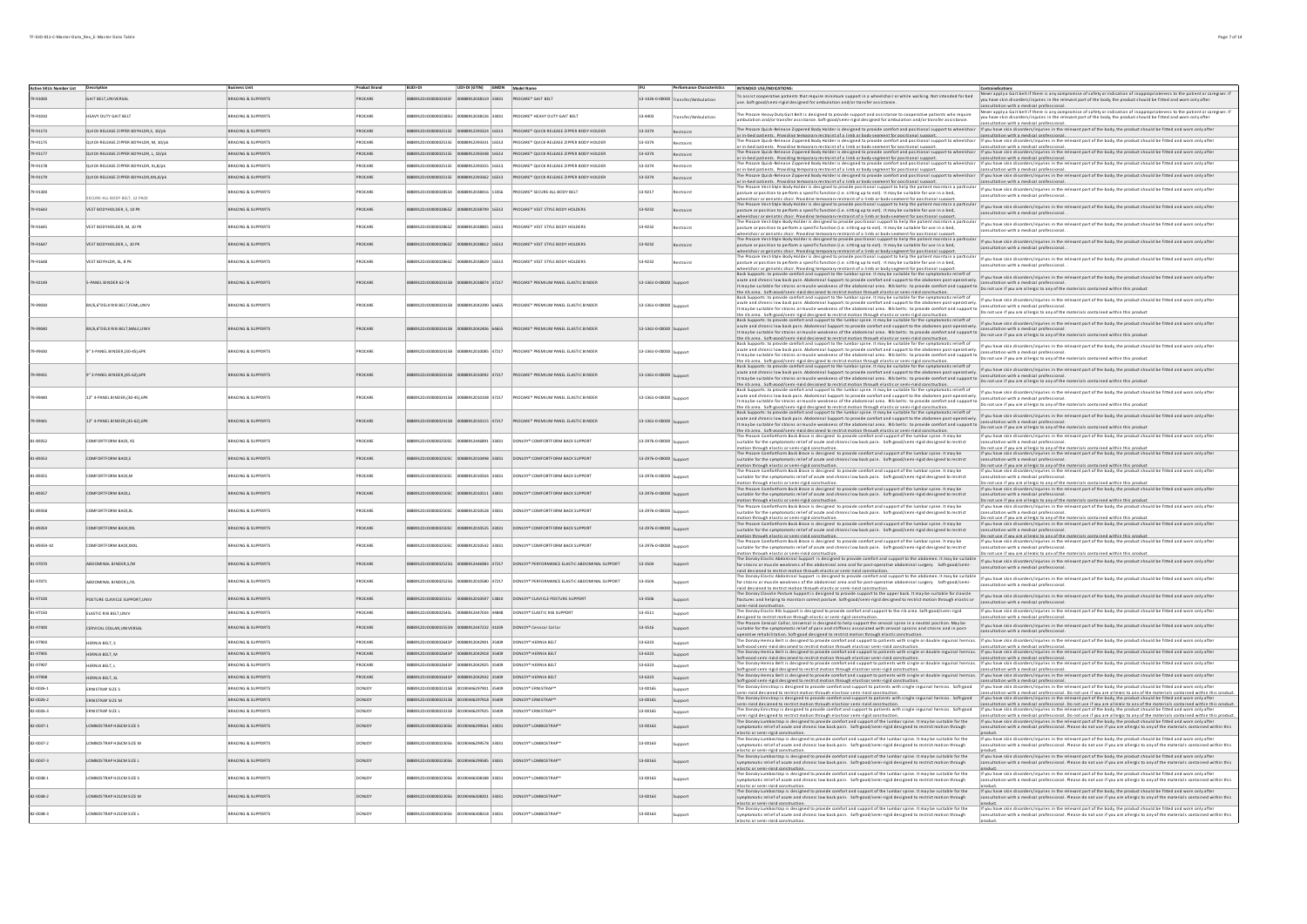| Active SKUs Number List Description |                                        | <b>Business Unit</b>          | <b>Product Brand</b> | <b>BUDI-DI</b>     | UDI-DI (GTIN) GMDN Model Name                                 |                                                  | <b>IFU</b>              |                                     | Performance Characteristics   INTENDED USE/INDICATIONS:<br>To assist cooperative patients that require minimum support in a wheelchair or while walking. Not intended for bed                                                                                                                                                                                                                                                                                         | Contraindications<br>.<br>Never apply a Gait belt if there is any compromise of safety or indication of inappropriateness to the patient or caregiver. If                                                                                                                                       |
|-------------------------------------|----------------------------------------|-------------------------------|----------------------|--------------------|---------------------------------------------------------------|--------------------------------------------------|-------------------------|-------------------------------------|-----------------------------------------------------------------------------------------------------------------------------------------------------------------------------------------------------------------------------------------------------------------------------------------------------------------------------------------------------------------------------------------------------------------------------------------------------------------------|-------------------------------------------------------------------------------------------------------------------------------------------------------------------------------------------------------------------------------------------------------------------------------------------------|
| 9.91000                             | <b>GAIT REIT UNIVERSAL</b>             | <b>BRACING &amp; SUPPORTS</b> | PROCARE              |                    | 1888912010000002435F 00888912038119 33031                     | PROCARE® GAIT BELT                               |                         | 13-1426-0-00000 Transfer/Ambulation | use. Soft-good/semi-rigid designed for ambulation and/or transfer assistance                                                                                                                                                                                                                                                                                                                                                                                          | you have skin disorders/injuries in the relevant part of the body, the product should be fitted and worn only after<br>nsultation with a medical professional.                                                                                                                                  |
| 79-91010                            | <b>JEAVY DUTY GAIT BELT</b>            | <b>BRACING &amp; SUPPORTS</b> | PROCARE              |                    | 88912DJO000002585U 00888912038126 33031                       | PROCARE* HEAVY DUTY GAIT BELT                    | 13-4403                 | ansfer/Ambulation                   | The Procare Heavy Duty Gait Belt is designed to provide support and assistance to cooperative patients who require<br>ambulation and/or transfer assistance. Soft-good/semi-rigid designed for ambulation and/or transfer assista                                                                                                                                                                                                                                     | Never apply a Galt belt if there is any compromise of safety or indication of inappropriateness to the patient or caregiver. If<br>you have skin disorders/injuries in the relevant part of the body, the product should be fitte                                                               |
|                                     |                                        |                               |                      |                    |                                                               |                                                  |                         |                                     | The Procare Quick-Release Zippered Body Holder is designed to provide comfort and positional support to wheelchair if you have skin diso                                                                                                                                                                                                                                                                                                                              | sultation with a medical professional<br>ries in the relevant part of the body, the product should be fitted and worn only after                                                                                                                                                                |
| 79-91173                            | QUICK-RELEASE ZIPPER BDYHLDR.S. 10/ok  | <b>BRACING &amp; SUPPORTS</b> | PROCARE              |                    |                                                               |                                                  | 13-3374                 | Restraint                           | or in-bed patients. Providing temporary restraint of a limb or body segment for positional support.<br>The Procare Quick-Release Zippered Body Holder is designed to provide comfort and positional support to wheelchair lif you have skin disorders/injuries in the relevant part of the body, the product should be fitted and wor                                                                                                                                 | onsultation with a medical professional.                                                                                                                                                                                                                                                        |
| 9-91175                             | QUICK-RELEASE ZIPPER BDYHLDR, M, 10/pk | <b>BRACING &amp; SUPPORTS</b> | PROCARE              |                    | 888912DJO000002515E 00888912393331 16513                      | PROCARE* QUICK-RELEASE ZIPPER BODY HOLDER        | 13-3374                 | Restraint                           | or the dealers . Postals kenogravestating at the book sement for positional supports where the website and a medical softed values in medical softed values in the medical softed values in the medical softed values in the m                                                                                                                                                                                                                                        |                                                                                                                                                                                                                                                                                                 |
| 79-91177                            | QUICK-RELEASE ZIPPER BDYHLDR. L. 10/ok | <b>BRACING &amp; SUPPORTS</b> | PROCARE              |                    | 888912010000002515F 00888912393348 16513                      | PROCARE® OUICK-RELEASE ZIPPER RODY HOLDER        | 13-3374                 |                                     | or in-bed patients. Providing temporary restraint of a limb or body segment for positional support.                                                                                                                                                                                                                                                                                                                                                                   | consultation with a medical professional.                                                                                                                                                                                                                                                       |
| 79-91178                            | QUICK-RELEASE ZIPPER BDYHLDR, XL.8/pk  | <b>BRACING &amp; SUPPORTS</b> | PROCARE              |                    |                                                               |                                                  | 13-3374                 | Restraint                           | The Procare Quick-Release Zippered Body Holder is designed to provide comfort and positional support to wheelchair if you have skin disorders/injuries in the relevant part of the body, the product should be fitted and worn<br>or in-bed patients. Providing temporary restraint of a limb or body segment for positional support.                                                                                                                                 |                                                                                                                                                                                                                                                                                                 |
| 79-91179                            | QUICK-RELEASE ZIPPER BDYHLDR,XXL,8/pk  | <b>BRACING &amp; SUPPORTS</b> | PROCARE              |                    |                                                               |                                                  | 13-3374                 | Restraint                           | or in the design of the state of the state of the state of the state of the state of the state of the state of<br>The Proce re Quick Release Zippered Body Holder is designed to provide comfort and positional support to wheelm<br>or in-bed patients. Providing temporary restraint of a limb or body segment for no                                                                                                                                               | Itation with a medical nenfecci                                                                                                                                                                                                                                                                 |
| 19.91300                            |                                        | <b>BRACING &amp; SUPPORTS</b> | PROCARE              |                    | 22551 2014/07/08:3351 223500010001001000100                   | <b>PROCARE® SECURE-AU RODY RELT</b>              | 13.9217                 | lestraint                           | in the Procare Vest-Style Body Holder is designed to provide positional support to help the patient maintain a particular<br>posture or position to perform a specific function (i.e. sitting up to eat). It may be suitable for                                                                                                                                                                                                                                      | If you have skin disorders/injuries in the relevant part of the body, the product should be fitted and worn only after                                                                                                                                                                          |
|                                     | ECURE-ALL BODY BELT, 12 PACK           |                               |                      |                    |                                                               |                                                  |                         |                                     | or earlatric chair. Providing to moorary restraint of a limb or body segment for nositin<br>wheel thair or eenance may remune we were reasonably experiments as a particular particular of the busin disorders/injuing in the relevant part of the body, the product should be fitted and wom only after the particular of                                                                                                                                            | onsultation with a medical professional                                                                                                                                                                                                                                                         |
| 9-91643                             | VEST BODYHOLDER, S, 10 PK              | <b>BRACING &amp; SUPPORTS</b> | PROCARE              | 88912DJO000002865Z | 00888912038799 16513                                          | PROCARE* VEST STYLE BODY HOLDERS                 | 13-9232                 | Restraint                           | posture or position to perform a specific function (i.e. sitting up to eat). It may be suitable for use in a bed,                                                                                                                                                                                                                                                                                                                                                     | sultation with a medical professional                                                                                                                                                                                                                                                           |
| 9-91645                             | VEST BODYHOLDER, M. 10 PK              | <b>BRACING &amp; SUPPORTS</b> | ROCARE               | 9912010000028557   | 0888912038805 16513                                           | PROCARE* VEST STYLE BODY HOLDERS                 | 13-9232                 | Restraint                           | wheelchair or renatric chair. Providing temporary restraint of a limb or body segment for positional support.<br>The Procare Vest-Style Body Holder is designed to provide positional support to help the patient maintain a part<br>posture or position to perform a specific function (i.e. sitting up to eat). It may be suitable for use in a bed,                                                                                                                | If you have skin disorders/injuries in the relevant part of the body, the product should be fitted and worn only after                                                                                                                                                                          |
|                                     |                                        |                               |                      |                    |                                                               |                                                  |                         |                                     | wheelchair or exclatific chair. Providing temporary restraint of a limb or body seement for positional support.<br>The Procare Vest-Style Body Holder is designed to provide positional support to help the patient maintain a pa                                                                                                                                                                                                                                     | insultation with a medical professional.                                                                                                                                                                                                                                                        |
| 9-91647                             | VEST BODYHOLDER, L, 10 PK              | <b>BRACING &amp; SUPPORTS</b> | PROCARE              | 8912DJ0000002865Z  | 00888912038812 16513                                          | PROCARE* VEST STYLE BODY HOLDERS                 | 13-9232                 | Restraint                           | posture or position to perform a specific function (i.e. sitting up to eat). It may be suitable for use in a bed,                                                                                                                                                                                                                                                                                                                                                     | If you have skin disorders/injuries in the relevant part of the body, the product should be fitted and worn only after<br>consultation with a medical professional                                                                                                                              |
| 9-91648                             | VEST BDYHLDR, XL, 8 PK                 | <b>BRACING &amp; SUPPORTS</b> | ROCARE               | 8912010000028552   | 888912038829 16513                                            | PROCARE* VEST STYLE BODY HOLDERS                 | 3-9232                  |                                     | postular and a postular and the set of the set of the set of the set of the set of the set of the set of the set of the set of the set of the set of the set of the set of the set of the set of the set of the set of the par                                                                                                                                                                                                                                        |                                                                                                                                                                                                                                                                                                 |
|                                     |                                        |                               |                      |                    |                                                               |                                                  |                         | Restraint                           | posture or position to perform a specific function (i.e. sitting up to eat). It may be suitable for use in a bed,<br>wheelchair or periatric chair. Providing temporary restraint of a limb or body segment for positional support.<br>Back Supports: to provide comfort and support to the lumbar spine. It may be suitable for the symptomatic relie                                                                                                                | insultation with a medical professional                                                                                                                                                                                                                                                         |
| 79-92149                            | -<br>PANEL BINDER 62-74                | BRACING & SUPPORT!            | ROCARE               |                    | 4 47217                                                       | ROCARE <sup>*</sup> PREMIUM PANEL ELASTIC BINDER | 13-1361-0-00000 Support |                                     | acute and chronic low back pain. Abdominal Support: to provide comfort and support to the abdomen post-operatively.                                                                                                                                                                                                                                                                                                                                                   | If you have skin disorders/injuries in the relevant part of the body, the product should be fitted and worn only after                                                                                                                                                                          |
|                                     |                                        |                               |                      |                    |                                                               |                                                  |                         |                                     | acute and chronic low Bau, puril, musulmiles, suppose the abdominal area. Rib belts: to provide comfort and support to any musulmiles if you are allergic to any of the materials contained within this product<br>the rib area. Soft-rood/semi-rigid designed to restrict motion through elastic or semi-rigid construction.                                                                                                                                         |                                                                                                                                                                                                                                                                                                 |
| 79-99030                            | BX/6,6"DELX RIB BELT,FEML,UNIV         | <b>BRACING &amp; SUPPORTS</b> | PROCARE              | 88912DJ0000002415R | 00888912042390 64655                                          | PROCARE* PREMIUM PANEL ELASTIC BINDER            | 13-1361-0-00000 Support |                                     | Back Supports: to provide comfort and support to the lumbar spine. It may be suitable for the symptomatic relieft of<br>acute and chronic low back pain. Abdominal Support: to provide comfort and support to the abdomen post-operatively.                                                                                                                                                                                                                           | If you have skin disorders/injuries in the relevant part of the body, the product should be fitted and worn only after<br>nsultation with a medical profession                                                                                                                                  |
|                                     |                                        |                               |                      |                    |                                                               |                                                  |                         |                                     | e and chronic ruw usus pum. Audumnas Juppers to preview Summary and Supperst to provide common and support to  <br>שואף suitable for strains or muscle weakness of the abdominal area. Rib belts: to provide comfort and support<br>the rib area. Soft-cood/semi-ricid designed to restrict motion through elastic or semi-ricid construction.<br>Back Supports: to provide comfort and support to the lumbar spine. It may be suitable for the symptomatic relieft o |                                                                                                                                                                                                                                                                                                 |
| 79-99040                            | BX/6 6"DELX RIB BELT MALE LINIV        | <b>BRACING &amp; SUPPORTS</b> | PROCARE              |                    | 64655                                                         | PROCARE® PREMIUM PANEL FLASTIC RINDER            | 13-1361-0-00000 Suppor  |                                     |                                                                                                                                                                                                                                                                                                                                                                                                                                                                       | If you have skin disorders/injuries in the relevant part of the body, the product should be fitted and worn only after                                                                                                                                                                          |
|                                     |                                        |                               |                      |                    |                                                               |                                                  |                         |                                     | Bast support to prove common un support we relate that support to the addomen post-operatively. If you have slind disorder/inquest in the retreats per or we sook we prove a movement of the state of the state of the state o                                                                                                                                                                                                                                        |                                                                                                                                                                                                                                                                                                 |
| 9-99430                             | 9" 3-PANEL BINDER.(30-45).6PK          |                               | <b>PROCARE</b>       |                    |                                                               | PROCARE* PREMIUM PANEL ELASTIC BINDER            |                         |                                     | ts: to provide comfort and support to the lumbar spine. It may be suitable for the symptomatic relieft of<br>acute and chronic low back pain. Abdominal Support: to provide comfort and support to the abdomen post-operatively.                                                                                                                                                                                                                                      | If you have skin disorders/injuries in the relevant part of the body, the product should be fitted and worn only after                                                                                                                                                                          |
|                                     |                                        | <b>BRACING &amp; SUPPORTS</b> |                      |                    | 888912010085 47217                                            |                                                  | 13-1361-0-00000 Support |                                     | ature and throms you was permission consumed a security of the abdominal area. Rib belts: to provide comfort and support to consultation with a memora provessional.<br>It may be suitable for strains commission that is product                                                                                                                                                                                                                                     |                                                                                                                                                                                                                                                                                                 |
|                                     |                                        |                               |                      |                    |                                                               |                                                  |                         |                                     | it in the annual contract the material designed to restrict motion through elastic or semi-rigid construction.<br>The rib area. Soft-pood/semi-rigid designed to restrict motion through elastic or semi-rigid construction.<br>Back<br>acute and chronic low back pain. Abdominal Support: to provide comfort and support to the abdomen post-operatively.                                                                                                           | If you have skin disorders/injuries in the relevant part of the body, the product should be fitted and worn only after                                                                                                                                                                          |
| 79-99431                            | 9" 3-PANEL BINDER, (45-62), 6PK        | <b>BRACING &amp; SUPPORTS</b> | ROCARE               |                    | 888912010092 47217                                            | PROCARE* PREMIUM PANEL ELASTIC BINDER            | 13-1361-0-00000 Support |                                     | acute and chronic low back pain. Abdomnat support: to provou common support to measurement to measurement of consultation wint a metrical provessions.<br>It may be suitable for stains or muscle weakness of the abdominal are s                                                                                                                                                                                                                                     |                                                                                                                                                                                                                                                                                                 |
|                                     |                                        |                               |                      |                    |                                                               |                                                  |                         |                                     | Back Supports: to provide comfort and support to the lumbar spine. It may be suitable for the symptomatic relieft of<br>acute and chronic low back pain. Abdominal Support: to provide comfort and support to the abdomen post-operatively.                                                                                                                                                                                                                           | If you have skin disorders/injuries in the relevant part of the body, the product should be fitted and worn only after                                                                                                                                                                          |
| 79-99440                            | 12" 4-PANEL BINDER (30-45) 6PK         | <b>BRACING &amp; SUPPORTS</b> | PROCARE              | 88912D1000002415R  | 88912010108 47217                                             | PROCARE* PREMIUM PANEL ELASTIC BINDER            | 13-1361-0-00000 Sunnor  |                                     | ite and childhic luw uaux paint, wuxuuminal supposes to the abdominal areas were seen to research from the dissupport to consultation with a medical professional.<br>The suitable for strains or muscle weakness of the abdomin                                                                                                                                                                                                                                      |                                                                                                                                                                                                                                                                                                 |
|                                     |                                        |                               |                      |                    |                                                               |                                                  |                         |                                     | the rib area. Soft-good/semi-rigid designed to restrict motion through elastic or semi-rigid construction.<br>orts: to provide comfort and support to the lumbar spine. It may be suitable for the symptomatic relieft of                                                                                                                                                                                                                                             | If you have skin disorders/injuries in the relevant part of the body, the product should be fitted and worn only after                                                                                                                                                                          |
| 79-99441                            | 12" 4-PANEL BINDER.(45-62).6PK         | <b>BRACING &amp; SUPPORTS</b> | PROCARE              | 88912DJ0000002415R | 00888912010115 47217                                          | PROCARE* PREMIUM PANEL ELASTIC BINDER            | 13-1361-0-00000         |                                     | sax suppose a proven unimental support to movide comfort and support to the abdomen post-operatively. If you have sen oil townstruments in our with summary were supported in a substitution of a substitution of the abdomina                                                                                                                                                                                                                                        |                                                                                                                                                                                                                                                                                                 |
| 81-89352                            | COMEORTEORM RACK XS                    |                               | PROCARE              |                    | 00888912446891 33031                                          | DONIOY® COMEORTEORM RACK SUPPORT                 |                         |                                     | fortForm Back Brace is designed to provide comfort and support of the lumba                                                                                                                                                                                                                                                                                                                                                                                           | If you have skin disorders/injuries in the relevant part of the body, the product should be fitted and worn only after                                                                                                                                                                          |
|                                     |                                        | <b>BRACING &amp; SUPPORTS</b> |                      | 38912D1000002505C  |                                                               |                                                  | 13-2976-0-00000 Support |                                     | suitable for the symptomatic relief of acute and chronic low back pain. Soft-good/semi-rigid designed to restrict<br>otion through elastic or semi-rigid construction.                                                                                                                                                                                                                                                                                                | insultation with a medical professional.<br>Oo not use if you are allergic to any of the materials contained within this product                                                                                                                                                                |
| 81-89353                            | COMFORTFORM BACK.S                     | <b>BRACING &amp; SUPPORTS</b> | PROCARE              | 32020100000025050  | 00888912010498 33031                                          | DONJOY® COME ORTEORM BACK SUPPORT                | 13-2976-0-00000 Support |                                     | The Procare ComfortForm Back Brace is designed to provide comfort and support of the lumbar spine. It may be<br>suitable for the symptomatic relief of acute and chronic low back pain. Soft-good/semi-rigid designed to restrict                                                                                                                                                                                                                                     | If you have skin disorders/injuries in the relevant part of the body, the product should be fitted and worn only after<br>sultation with a medical professio                                                                                                                                    |
| 22293.15                            | COMEORTEORM RACK M                     | <b>BRACING &amp; SUPPORTS</b> | PROCARE              | 333912D1000002505C | 00888912010504 33031                                          | DONIOY® COMEORTEORM RACK SUPPORT                 | 13-2976-0-00000 Suppor  |                                     | motion through elastic or semi-rigid construction.<br>The Procare ComfortForm Back Brace is designed to provide comfort and support of the lumbar spine. It may be                                                                                                                                                                                                                                                                                                    | Do not use if you are allergic to any of the materials contained within this product<br>njuries in the relevant part of the body, the product should be fitted and worn only afte                                                                                                               |
|                                     |                                        |                               |                      |                    |                                                               |                                                  |                         |                                     | suitable for the symptomatic relief of acute and chronic low back pain. Soft-good/semi-rigid designed to restrict<br>otion through elastic or semi-rigid construction.                                                                                                                                                                                                                                                                                                | sultation with a medical professional<br>o not use if you are allergic to any of the materials contained within this product                                                                                                                                                                    |
| 81-89357                            | COMFORTFORM BACK,L                     | <b>BRACING &amp; SUPPORTS</b> | PROCARE              |                    | 888912DJO000002505C 00888912010511 33031                      | DONJOY* COMEORTEORM BACK SUPPORT                 | 13-2976-0-00000 Support |                                     | The Procare ComfortForm Back Brace is designed to provide comfort and support of the lumbar spine. It may be<br>suitable for the symptomatic relief of acute and chronic low back pain. Soft-good/semi-rigid designed to restrict                                                                                                                                                                                                                                     | f you have skin disorders/injuries in the relevant part of the body, the product should be fitted and worn only after<br>sultation with a medical profession                                                                                                                                    |
| 81-89358                            | COMEORTEORM RACK XI                    | <b>BRACING &amp; SUPPORTS</b> | PROCARE              | 38912D1000002505C  | 00888912010528 33031                                          | DONIOY® COMEORTEORM RACK SUPPORT                 | 13-2976-0-00000 Support |                                     | motion through elastic or semi-rigid construction.<br>The Procare ComfortForm Back Brace is designed to provide comfort and support of the lumbar spine. It may be                                                                                                                                                                                                                                                                                                    | Do not use if you are allergic to any of the materials contained within this product<br>ies in the relevant part of the body, the product should be fitted and worn only after                                                                                                                  |
|                                     |                                        |                               |                      |                    |                                                               |                                                  |                         |                                     | suitable for the symptomatic relief of acute and chronic low back pain. Soft-good/semi-rigid designed to restrict<br>on through alactic or comi-daid c                                                                                                                                                                                                                                                                                                                | .<br>nsultation with a medical professional.<br>not use if you are allergic to any of the materials<br>ned within this need                                                                                                                                                                     |
| 81-89359                            | COMEORTEORM BACK XIII                  | <b>BRACING &amp; SUPPORTS</b> | PROCARE              |                    | 1888912010000002505C 00888912010535 33031                     | DONIOY* COMEORTEORM RACK SUPPORT                 | 13-2976-0-00000 Support |                                     | The Procare ComfortForm Back Brace is designed to provide comfort and support of the lumbar spine. It may be<br>suitable for the symptomatic relief of acute and chronic low back pain. Soft-good/semi-rigid designed to restrict                                                                                                                                                                                                                                     | If you have skin disorders/injuries in the relevant part of the body, the product should be fitted and worn only after<br>sultation with a medical profession                                                                                                                                   |
| 1-89359-10                          | OMFORTFORM BACK,XXXL                   | BRACING & SUPPORTS            | ROCARE               | 8912010000025050   | 888912010542 33031                                            | DONJOY* COMFORTFORM BACK SUPPORT                 | 13-2976-0-00000 Support |                                     | motion through elastic or semi-rigid construction.<br>The Procare ComfortForm Back Brace is designed to provide comfort and support of the lumbar spine. It may be                                                                                                                                                                                                                                                                                                    | .<br><u>Do not use if you are allereic to any of the materials contained within this oroduct.</u><br>If you have skin disorders/injuries in the relevant part of the body, the product should be fitted and worn only after                                                                     |
|                                     |                                        |                               |                      |                    |                                                               |                                                  |                         |                                     | suitable for the symptomatic relief of acute and chronic low back pain. Soft-good/semi-rigid designed to restrict<br>tion through elastic or semi-rigid construction                                                                                                                                                                                                                                                                                                  | insultation with a medical professional.<br>o not use if you are allergic to any of the materials contained within this product                                                                                                                                                                 |
| 1-97070                             | ABDOMINAL BINDER, S/M                  | <b>BRACING &amp; SUPPORTS</b> | PROCARE              | 88912DJ0000002525G | 00888912446983 47217                                          | DONJOY* PERFORMANCE ELASTIC ABDOMINAL SUPPORT    | 13-3504                 | Support                             | nloy Elastic Abc<br>lominal Support is designed to provide comfort and support to the abdomen. It may be suitable<br>for strains or muscle weakness of the abdominal area and for post-operative abdominal surgery. Soft-good/semi-                                                                                                                                                                                                                                   | If you have skin disorders/injuries in the relevant part of the body, the product should be fitted and worn only after<br>nsultation with a medical professional                                                                                                                                |
| 31-97071                            |                                        | <b>BRACING &amp; SUPPORTS</b> | PROCARE              | 3353500000000000   | 00888912010580 47217                                          | DONJOY* PERFORMANCE ELASTIC ABDOMINAL SUPPORT    | 13-3504                 |                                     | on the the state of the state of the content of the above the above the above the state of the state of the state of the state of the state of the state of the state of the state of the state of the state of the state of t                                                                                                                                                                                                                                        |                                                                                                                                                                                                                                                                                                 |
|                                     | BDOMINAL BINDER,L/XL                   |                               |                      |                    |                                                               |                                                  |                         | upport                              | for strains or muscle weakness of the abdominal area and for post-operative abdominal surgery. Soft-good/semi-<br>risid designed to restrict motion through elastic or semi-risid construction.<br>The Donloy Clavicle Posture Support is designed to provide support to the upper back. It may be suitable for clavicle                                                                                                                                              | insultation with a medical professional                                                                                                                                                                                                                                                         |
| 81-97100                            | POSTURE CLAVICLE SUPPORT, UNIV         | <b>BRACING &amp; SUPPORTS</b> | PROCARE              | 88912DJO000002535J | 0888912010597 13810                                           | DONJOY <sup>*</sup> CLAVICLE POSTURE SUPPORT     | 13-3506                 | Support                             | fractures and helping to maintain correct posture. Soft-good/semi-rigid designed to restrict motion through elastic or                                                                                                                                                                                                                                                                                                                                                | If you have skin disorders/injuries in the relevant part of the body, the product should be fitted and worn only after<br>sultation with a medical profession                                                                                                                                   |
| 81-97150                            | ELASTIC RIB BELT, UNIV                 | <b>BRACING &amp; SUPPORTS</b> | PROCARE              |                    | 0888912D100000025451 00888912442034 44848                     | DONIOY® FLASTIC RIR SUPPORT                      | 13.3511                 |                                     | semi-rigid const<br>The Donloy Elastic Rib Support is designed to provide comfort and support to the rib area. Soft-good/semi-rigid                                                                                                                                                                                                                                                                                                                                   | If you have skin disorders/injuries in the relevant part of the body, the product should be fitted and worn only after                                                                                                                                                                          |
| 81-97400                            | CERVICAL COLLAR UNIVERSAL              | <b>BRACING &amp; SUPPORTS</b> | PROCARE              |                    | 888912DJO000002555N 00888912447232 41039                      | DONJOY* Cervical Collar                          | 13-3516                 | Support                             | designed to restrict motion through elastic or semi-rigid construction.<br>The Procare Cervical Collar, Universal is designed to help support the cervical spine in a neutral position. May be<br>suitable for the symptomatic relief of pain and stiffness associated with cervical sprains and strains and                                                                                                                                                          | nsultation with a medical professional.<br>If you have skin disorders/injuries in the relevant part of the body, the product should be fitted and worn only after                                                                                                                               |
|                                     |                                        |                               |                      |                    |                                                               |                                                  |                         |                                     | operative rehabilitation. Soft-good designed to restrict motion through elastic construction.                                                                                                                                                                                                                                                                                                                                                                         | nsultation with a medical professional                                                                                                                                                                                                                                                          |
| 81-97903                            | HERNIA BELT. S                         | <b>BRACING &amp; SUPPORTS</b> | PROCARE              |                    | 0888912DJO000002645P 00888912042901 35409                     | DONJOY* HERNIA BELT                              | 13-6323                 | Support                             | Soft-good semi-rigid designed to restrict motion through elasticor semi-rigid construction.                                                                                                                                                                                                                                                                                                                                                                           | loy Hemia Belt is designed to provide comfort and support to patients with single or double inguinal hemias. If you have skin disorders/injuries in the relevant part of the body, the product should be fitted and wom only a<br>consultation with a medical professional.                     |
| 31-97905                            | HERNIA BELT. M                         | <b>BRACING &amp; SUPPORTS</b> | PROCARE              |                    | 8912DJO000002645P 00888912042918 35409                        |                                                  | 13-6323                 | Support                             | The Donloy Hernia Belt is designed to provide comfort and support to patients with single or double inguinal hernias. If you have skin disorders/injuries in the relevant part of the body, the product should be fitted and w<br>Soft-enod semi-rigid designed to restrict motion through elasticor semi-rigid construct                                                                                                                                             | mi-riald decision of the statute of the statute of the statute of the statute of the statute of the statute of the statute of the statute of the statute of the decisional.<br>Hemia Belt is designed to provide comfort and supp                                                               |
| 81-97907                            | HERNIA BELT, L                         | <b>BRACING &amp; SUPPORTS</b> | PROCARE              |                    | 0888912D10000002645P 00888912042925 35409 00NIOV* HFRNIA RFIT |                                                  | 13.6323                 | Support                             | Soft-good semi-rigid designed to restrict motion through elasticor semi-rigid construction.                                                                                                                                                                                                                                                                                                                                                                           | consultation with a medical professional.                                                                                                                                                                                                                                                       |
| 81-97908                            | HERNIA BELT, XL                        | <b>BRACING &amp; SUPPORTS</b> | PROCARE              |                    | 0888912DJO000002645P 00888912042932 35409 DONJOY* HERNIA BELT |                                                  | 13-6323                 | Support                             | The Donloy Hemia Belt is designed to provide comfort and support to patients with single or double inguinal hemias. If you have skin disorders/injuries in the relevant part of the body, the product should be fitted and wor                                                                                                                                                                                                                                        |                                                                                                                                                                                                                                                                                                 |
| 82-0026-1                           | ERNISTRAP SIZE S                       | <b>BRACING &amp; SUPPORTS</b> | <b>DONICY</b>        |                    | 0888912DJ00000023158 00190446297901 35409 DONJOY* ERNISTRAPY  |                                                  | 13-00165                | Support                             | The Donloy Emistrap is designed to provide comfort and support to patients with single inguinal hemias. Soft-good<br>semi-rigid designed to restrict motion through elasticor semi-rigid construction                                                                                                                                                                                                                                                                 | monitation with a medical nodescional<br>If you have skin disorders/injuries in the relevant part of the body, the product should be fitted and worn only after<br>nsultation with a medical professional. Do not use if you are allergic to any of the materials contained within this product |
| 82-0026-2                           | FRNISTRAP SIZE M                       | <b>BRACING &amp; SUPPORTS</b> | <b>DONIOY</b>        |                    | 0888912DJ00000023158 00190446297918 35409 DONJOY* ERNISTRAP™  |                                                  | 13-00165                | Support                             | The Donloy Emisteped to provide comfortand support to patients with single inquiral hemias. Soft-good off-pather at induced to pather at induced to produce in the relevant particle in the relevant particle in the relevant                                                                                                                                                                                                                                         | sultation with a medical professional. Do not use if you are allergic to any of the materials contained within this product.                                                                                                                                                                    |
| 82-0026-3                           | ERNISTRAP SIZE L                       | <b>BRACING &amp; SUPPORTS</b> | DONJOY               |                    | 88912DJO0000023158 00190446297925 35409                       | DONJOY <sup>*</sup> ERNISTRAP                    | 13-00165                | Support                             | The Donloy Emistrap is designed to provide comfort and support to patients with single inguinal hemias. Soft-good If you have skin disorders/injuries in the relevant part of the body, the product should be fitted and worn<br>semi-rigid designed to restrict motion through elasticor semi-rigid construction                                                                                                                                                     | Itation with a medical professional. Do not use if you are allergic to any of the materials contained within this product                                                                                                                                                                       |
| 32-0037-1                           | OMBOSTRAP H26CM SIZE S                 | <b>BRACING &amp; SUPPORTS</b> |                      |                    | 00190446299561 33031                                          | DONJOY* LOMBOSTRAP™                              | 13-00163                | Support                             | The Donloy Lumbostrap is designed to provide comfort and support of the lumbar spine. It may be suitable for the<br>symptomatic relief of acute and chronic low back pain. Soft-good/semi-rigid designed to restrict motion through                                                                                                                                                                                                                                   | If you have skin disorders/injuries in the relevant part of the body, the product should be fitted and worn only afte<br>nsultation with a medical professional. Please do not use if you are allergic to any of the materials contained within this                                            |
|                                     |                                        |                               |                      |                    |                                                               |                                                  |                         |                                     | elastic or semi-rigid construction<br>The Donloy Lumbostrap is designed to provide comfort and support of the lumbar spine. It may be suitable for the                                                                                                                                                                                                                                                                                                                | If you have skin disorders/injuries in the relevant part of the body, the product should be fitted and worn only afte                                                                                                                                                                           |
| $2.0037 - 2$                        | <b>DMBOSTRAP H26CM SIZE M</b>          | BRACING & SUPPORTS            | DONJOY               | 8912DJ00000023056  | 00190446299578 33031                                          | DONJOY* LOMBOSTRAP™                              | 13-00163                | upport                              | symptomatic relief of acute and chronic low back pain. Soft-good/semi-rigid designed to restrict motion through<br>elastic or semi-rigid constru                                                                                                                                                                                                                                                                                                                      | sultation with a medical professional. Please do not use if you are allergic to any of the materials contained within this                                                                                                                                                                      |
| 82-0037-3                           | OMBOSTRAP H26CM SIZE                   | <b>BRACING &amp; SUPPORTS</b> |                      |                    | 00190446299585 33031                                          | DONJOY* LOMBOSTRAP™                              | 13-00163                | Support                             | The Donloy Lumbostrap is designed to provide comfort and support of the lumbar spine. It may be suitable for the<br>symptomatic relief of acute and chronic low back pain. Soft-good/semi-rigid designed to restrict motion through                                                                                                                                                                                                                                   | If you have skin disorders/injuries in the relevant part of the body, the product should be fitted and worn only afte<br>sultation with a medical professional. Please do not use if you are allergicto any of the materials contained within this                                              |
|                                     |                                        |                               |                      |                    |                                                               |                                                  |                         |                                     | elastic or semi-rigid construction<br>strap is designed to provide comfort and support of the lumbar spine. It may be suitable for the<br>The Donloy Lu                                                                                                                                                                                                                                                                                                               | If you have skin disorders/injuries in the relevant part of the body, the product should be fitted and worn only afte                                                                                                                                                                           |
| $2.0038 - 1$                        | OMBOSTRAP H21CM SIZES                  | <b>BRACING &amp; SUPPORTS</b> | DONJOY               | 8912DJ00000023056  | 00190446308188 33031                                          | DONJOY* LOMBOSTRAP™                              | 13-00163                | upport                              | symptomatic relief of acute and chronic low back pain. Soft-good/semi-rigid designed to restrict motion through                                                                                                                                                                                                                                                                                                                                                       | nsultation with a medical professional. Please do not use if you are allergic to any of the materials contained within this                                                                                                                                                                     |
| 32-0038-2                           | OMBOSTRAP H21CM SIZE M                 | <b>BRACING &amp; SUPPORTS</b> |                      |                    | 190446308201 33031                                            | DONJOY* LOMBOSTRAP™                              | 13-00163                | Support                             | mbostrap is designed to provide comfort and support of the lumbar spine. It may be suitable for the<br>The DonJoy Lu<br>symptomatic relief of acute and chronic low back pain. Soft-good/semi-rigid designed to restrict motion through                                                                                                                                                                                                                               | If you have skin disorders/injuries in the relevant part of the body, the product should be fitted and worn only aft<br>onsultation with a medical professional. Please do not use if you are allergic to any of the materials contained within this                                            |
|                                     |                                        |                               |                      |                    |                                                               |                                                  |                         |                                     | The Donloy Lumbostrap is designed to provide comfort and support of the lumbar spine. It may be suitable for the                                                                                                                                                                                                                                                                                                                                                      | If you have skin disorders/injuries in the relevant part of the body, the product should be fitted and worn only afte                                                                                                                                                                           |
| 82-0038-3                           | <b>DMBOSTRAP H21CM SIZEL</b>           | <b>BRACING &amp; SUPPORTS</b> | DONJOY               |                    | 88912DJO0000023056 00190446308218 33031                       | DONJOY® LOMBOSTRAP®                              | 13-00163                | upport                              | symptomatic relief of acute and chronic low back pain. Soft-good/semi-rigid designed to restrict motion through<br>elastic or semi-rigid co<br>ion.                                                                                                                                                                                                                                                                                                                   | .<br>nsultation with a medical professional. Please do not use if you are allergic to any of the materials contained within this<br>duct.                                                                                                                                                       |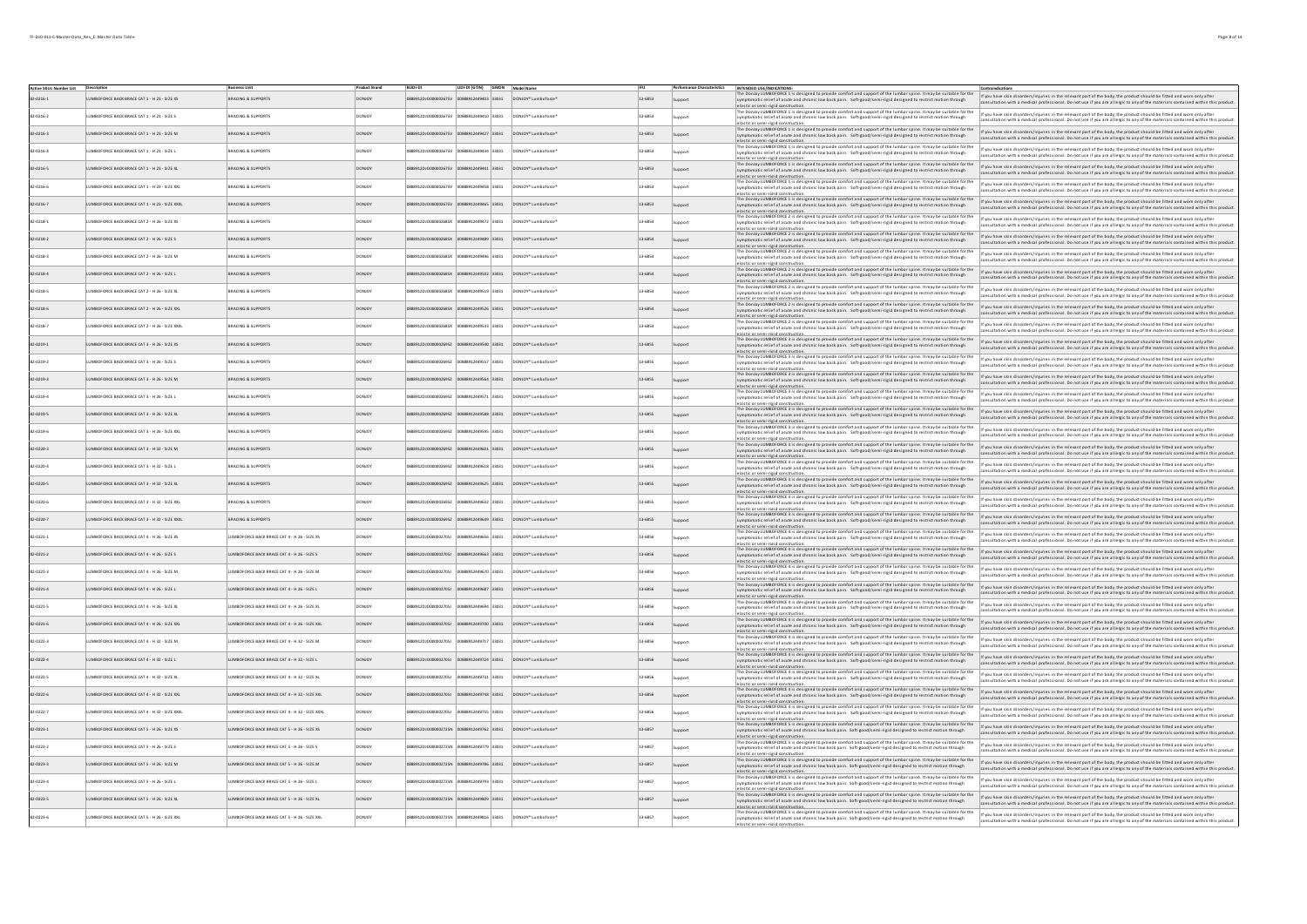| Active SKUs Number List Description |                                                |                                                     |               | UDI-DI (GTIN) GMDN Model Name                                |                                          |         |                | INTENDED USE/INDICATIONS                                                                                                                                                                                                                                                                                                                                                                    |                                                                                                                                                                                                                                                           |
|-------------------------------------|------------------------------------------------|-----------------------------------------------------|---------------|--------------------------------------------------------------|------------------------------------------|---------|----------------|---------------------------------------------------------------------------------------------------------------------------------------------------------------------------------------------------------------------------------------------------------------------------------------------------------------------------------------------------------------------------------------------|-----------------------------------------------------------------------------------------------------------------------------------------------------------------------------------------------------------------------------------------------------------|
| 82-0216-1                           | UMBOFORCE BACK BRACE CAT 1 - H 23 - SIZE XS    | <b>BRACING &amp; SUPPORTS</b>                       |               | 88912DJO000002675V 00888912449403 33031                      | DONJOY* Lumboforce*                      | 13-6853 | support        | The Donloy LUMBOFORCE 1 is designed to provide comfort and support of the lumbar spine. It may be suitable for the<br>symptomatic relief of acute and chronic low back pain. Soft-good/semi-rigid designed to restrict motion through<br>elastic or semi-rigid construction                                                                                                                 | If you have skin disorders/injuries in the relevant part of the body, the product should be fitted and worn only after<br>consultation with a medical professional. Do not use if you are allergic to any of the materials contained within this product. |
| 82-0216-2                           | UMBOFORCE BACK BRACE CAT 1 - H 23 - SIZE S     | BRACING & SUPPORTS                                  | DONICY        | 88912DJO000002675V 00888912449410 33031 DONJOY* Lumboforce*  |                                          | 13-6853 |                | masters with the body. Undergraded by provide comfort and support of the lumbar spine. It may be suitable for the $\frac{1}{2}$ you have skin disorders /njuries in the relevant part of the relevant part of the product should b<br>symptomatic relief of acute and chronic low back pain. Soft-good/semi-rigid designed to restrict motion through<br>elastic or semi-rigid construction | nsultation with a medical professional. Do not use if you are allergic to any of the materials contained within this product.                                                                                                                             |
| 82-0216-3                           | LUMBOFORCE BACK BRACE CAT 1 - H 23 - SIZE M    | <b>BRACING &amp; SUPPORTS</b>                       | <b>DONJOY</b> | 888912DJO000002675V<br>00888912449427 33031                  | DONJOY* Lumboforce*                      | 13-6853 | support        | The Denisy LUMBOD ORCE 11s designed to provide comfort and support of the lumbar spine. It may be ultable for the provide interviews in disorders/injuries in the relevant part of the body, the product should be fitted and<br>symptomatic relief of acute and chronic low back pain. Soft-good/semi-rigid designed to restrict motion through<br>elastic or semi-rigid construction.     | consultation with a medical professional. Do not use if you are allergic to any of the materials contained within this product.                                                                                                                           |
| 82-0216-4                           | UMBOFORCE BACK BRACE CAT 1 - H 23 - SIZE L     | BRACING & SUPPORTS                                  | DONJOY        | 88912DJ0000002675V<br>00888912449434 33031                   | DONJOY* Lumboforce*                      | 13-6853 | <b>J</b> pport | The Donloy LUMBOFORCE 1 is designed to provide comfort and support of the lumbar spine. It may be suitable for the<br>symptomatic relief of acute and chronic low back pain. Soft-good/semi-rigid designed to restrict motion through<br>lastic or semi-rigid constructio                                                                                                                   | If you have skin disorders/injuries in the relevant part of the body, the product should be fitted and worn only after<br>consultation with a medical professional. Do not use if you are allergic to any of the materials contained within this product. |
| 82-0216-5                           | LUMBOFORCE BACK BRACE CAT 1 - H 23 - SIZE XL   | BRACING & SUPPORTS                                  | DONJOY        | 888912DJO000002675V 00888912449441 33031                     | DONJOY <sup>*</sup> Lumboforce*          | 13-6853 | tioopus        | The Donloy LUMBOFORCE 1 is designed to provide comfort and support of the lumbar spine. It may be suitable for the<br>symptomatic relief of acute and chronic low back pain. Soft-good/semi-rigid designed to restrict motion through                                                                                                                                                       | If you have skin disorders/injuries in the relevant part of the body, the product should be fitted and worn only afte<br>consultation with a medical professional. Do not use if you are allergic to any of the materials contained within this product.  |
| 82-0216-6                           | UMBOFORCE BACK BRACE CAT 1 - H 23 - SIZE XXL   | <b>BRACING &amp; SUPPORTS</b>                       | DONJOY        | 88912DJO000002675V 00888912449458 33031                      | DONJOY* Lumboforce*                      | 13-6853 | pport          | The Donloy LUMBOFORCE 1 is designed to provide comfort and support of the lumbar spine. It may be suitable for the<br>symptomatic relief of acute and chronic low back pain. Soft-good/semi-rigid designed to restrict motion through                                                                                                                                                       | If you have skin disorders/injuries in the relevant part of the body, the product should be fitted and worn only after<br>insultation with a medical professional. Do not use if you are allergic to any of the materials contained within this product   |
| 82-0216-7                           | LUMBOFORCE BACK BRACE CAT 1 - H 23 - SIZE XXXL | BRACING & SUPPORTS                                  | <b>DONJOY</b> | 888912DJC000002675V 00888912449465 33031 DONJOY* Lumboforce1 |                                          | 13-6853 | support        | elastic or semi-rigid construction.<br>The Donloy LUMBOFORCE 1 is designed to provide comfort and support of the lumbar spine. It may be suitable for the<br>symptomatic relief of acute and chronic low back pain. Soft-good/semi-rigid designed to restrict motion through                                                                                                                | If you have skin disorders/injuries in the relevant part of the body, the product should be fitted and worn only after<br>consultation with a medical professional. Do not use if you are allergic to any of the materials contained within this product. |
| 82-0218-1                           | UMBOFORCE BACK BRACE CAT 2 - H 26 - SIZE XS    | BRACING & SUPPORTS                                  | DONJOY        | 888912449472 33031                                           | DONJOY* Lumboforce                       | 13-6854 | pport          | elastic or semi-rigid construction.<br>The Donloy LUMBOFORCE 2 is designed to provide comfort and support of the lumbar spine. It may be suitable for the<br>symptomatic relief of acute and chronic low back pain. Soft-good/semi-rigid designed to restrict motion through                                                                                                                | If you have skin disorders/injuries in the relevant part of the body, the product should be fitted and worn only after<br>consultation with a medical professional. Do not use if you are allergic to any of the materials contained within this product. |
| 82-0218-2                           | LUMBOFORCE BACK BRACE CAT 2 - H 26 - SIZE S    | <b>BRACING &amp; SUPPORTS</b>                       | <b>DONJOY</b> | 88912DJO000002685X 00888912449489 33031                      | DONJOY* Lumboforce*                      | 13.6854 | Support        | elastic or semi-rigid construction.<br>The Donloy LUMBOFORCE 2 is designed to provide comfort and support of the lumbar spine. It may be suitable for the<br>symptomatic relief of acute and chronic low back pain. Soft-good/semi-rigid designed to restrict motion through                                                                                                                | If you have skin disorders/injuries in the relevant part of the body, the product should be fitted and worn only afte<br>consultation with a medical professional. Do not use if you are allergic to any of the materials contained within this product.  |
| 82-0218-3                           | UMBOFORCE BACK BRACE CAT 2 - H 26 - SIZE M     | <b>RACING &amp; SUPPORTS</b>                        | DONJOY        | 00888912449496 33031                                         | DONJOY* Lumboforce                       | 13.6854 | goort          | The Donloy LUMBOFORCE 2 is designed to provide comfort and support of the lumbar spine. It may be suitable for the<br>symptomatic relief of acute and chronic low back pain. Soft-good/semi-rigid designed to restrict motion through<br>lastic or semi-rigid con                                                                                                                           | If you have skin disorders/injuries in the relevant part of the body, the product should be fitted and worn only after<br>consultation with a medical professional. Do not use if you are allergic to any of the materials contained within this product. |
| 82-0218-4                           | LUMBOFORCE BACK BRACE CAT 2 - H 26 - SIZE L    | <b>BRACING &amp; SUPPORTS</b>                       | DONJOY        | 888912DJO000002685X 00888912449502 33031                     | DONJOY* Lumboforce*                      | 13.6854 | Jupport        | The Donloy LUMBOFORCE 2 is designed to provide comfort and support of the lumbar spine. It may be suitable for the<br>symptomatic relief of acute and chronic low back pain. Soft-good/semi-rigid designed to restrict motion through<br>elastic or semi-rigid construction                                                                                                                 | If you have skin disorders/injuries in the relevant part of the body, the product should be fitted and worn only after<br>nsultation with a medical professional. Do not use if you are allergic to any of the materials contained within this product.   |
| 82-0218-5                           | UMBOFORCE BACK BRACE CAT 2 - H 26 - SIZE XL    | BRACING & SUPPORTS                                  | DONJOY        | 00888912449519 33031<br>88912DJO000002685X                   | DONJOY* Lumboforce                       | 13-6854 | <b>J</b> pport | The Donloy LUMBOFORCE 2 is designed to provide comfort and support of the lumbar spine. It may be suitable for the<br>symptomatic relief of acute and chronic low back pain. Soft-good/semi-rigid designed to restrict motion through<br>elastic or semi-rigid constru                                                                                                                      | If you have skin disorders/injuries in the relevant part of the body, the product should be fitted and worn only after<br>consultation with a medical professional. Do not use if you are allergic to any of the materials contained within this product. |
| 82-0218-6                           | LUMBOFORCE BACK BRACE CAT 2 - H 26 - SIZE XXL  | <b>BRACING &amp; SUPPORTS</b>                       | <b>DONJOY</b> | 888912DJO000002685X 00888912449526 33031                     | DONJOY* Lumboforce*                      | 13.6854 | Support        | The Donloy LUMBOFORCE 2 is designed to provide comfort and support of the lumbar spine. It may be suitable for the<br>symptomatic relief of acute and chronic low back pain. Soft-good/semi-rigid designed to restrict motion through<br>elastic or semi-rigid construction                                                                                                                 | If you have skin disorders/injuries in the relevant part of the body, the product should be fitted and worn only after<br>nsultation with a medical professional. Do not use if you are allergic to any of the materials contained within this product.   |
| 82-0218-7                           | UMBOFORCE BACK BRACE CAT 2 - H 26 - SIZE XXXI  | BRACING & SUPPORTS                                  | DONJOY        | 00888912449533 33031                                         | DONJOY* Lumboforce                       | 13-6854 | ipport         | The Donloy LUMBOFORCE 2 is designed to provide comfort and support of the lumbar spine. It may be suitable for the<br>symptomatic relief of acute and chronic low back pain. Soft-good/semi-rigid designed to restrict motion through<br>lastic or semi-rigid con                                                                                                                           | If you have skin disorders/injuries in the relevant part of the body, the product should be fitted and worn only after<br>insultation with a medical professional. Do not use if you are allergic to any of the materials contained within this product.  |
| 82-0219-1                           | LUMBOFORCE BACK BRACE CAT 3 - H 26 - SIZE XS   | <b>BRACING &amp; SUPPORTS</b>                       | DONJOY        | 888912DJO000002695Z 00888912449540 33031 DONJOY* Lumboforce1 |                                          | 13-6855 | <b>Sunnort</b> | The Donloy LUMBOFORCE 3 is designed to provide comfort and support of the lumbar spine. It may be suitable for the<br>symptomatic relief of acute and chronic low back pain. Soft-good/semi-rigid designed to restrict motion through<br>elastic or semi-rigid construction.                                                                                                                | If you have skin disorders/injuries in the relevant part of the body, the product should be fitted and worn only after<br>Itation with a medical professional. Do not use if you are allergic to any of the materials co<br>ad within this needuct        |
| 82-0219-2                           | LUMBOFORCE BACK BRACE CAT 3 - H 26 - SIZE S    | <b>BRACING &amp; SUPPORTS</b>                       | <b>DONJOY</b> | 888912DJO000002695Z 00888912449557 33031 DONJOY* Lumboforce* |                                          | 13-6855 | innort         | The Donloy LUMBOFORCE 3 is designed to provide comfort and support of the lumbar spine. It may be suitable for the<br>symptomatic relief of acute and chronic low back pain. Soft-good/semi-rigid designed to restrict motion through<br>elastic or semi-rigid construction.                                                                                                                | If you have skin disorders/injuries in the relevant part of the body, the product should be fitted and worn only after<br>consultation with a medical professional. Do not use if you are allergic to any of the materials contained within this product. |
| 82-0219-3                           | LUMBOFORCE BACK BRACE CAT 3 - H 26 - SIZE M    | <b>BRACING &amp; SUPPORTS</b>                       | <b>DONJOY</b> | 888912DJO000002695Z 00888912449564 33031 DONJOY* Lumboforce* |                                          | 13-6855 | Sunnort        | The Donloy LUMBOFORCE 3 is designed to provide comfort and support of the lumbar spine. It may be suitable for the<br>mptomatic relief of acute and chronic low back pain. Soft-good/semi-rigid designed to restrict motion through                                                                                                                                                         | If you have skin disorders/injuries in the relevant part of the body, the product should be fitted and worn only after<br>litation with a medical professional. Do not use if you are allergic to any of the materials contained within this product.     |
| 82-0219-4                           | LUMBOFORCE BACK BRACE CAT 3 - H 26 - SIZE L    | BRACING & SUPPORTS                                  | <b>DONJOY</b> | 888912DJO000002695Z 00888912449571 33031 DONJOY* Lumboforce* |                                          | 13-6855 | ipport         | elastic or semi-rigid construction.<br>The Donloy LUMBOFORCE 3 is designed to provide comfort and support of the lumbar spine. It may be suitable for the<br>symptomatic relief of acute and chronic low back pain. Soft-good/semi-rigid designed to restrict motion through                                                                                                                | If you have skin disorders/injuries in the relevant part of the body, the product should be fitted and worn only after<br>iltation with a medical professional. Do not use if you are allergic to any of the materials contained within this product.     |
| 82-0219-5                           | LUMBOFORCE BACK BRACE CAT 3 - H 26 - SIZE XL   | <b>BRACING &amp; SUPPORTS</b>                       | <b>DONJOY</b> | 888912DJO000002695Z 00888912449588 33031 DONJOY* Lumboforce* |                                          | 13-6855 | <b>Sunnort</b> | elastic or semi-rigid construction.<br>The Donjoy LUMBOFORCE 3 is designed to provide comfort and support of the lumbar spine. It may be suitable for the<br>mptomatic relief of acute and chronic low back pain. Soft-good/semi-rigid designed to restrict motion th                                                                                                                       | If you have skin disorders/injuries in the relevant part of the body, the product should be fitted and worn only after<br>tion with a medical professional. Do not use if you are allergic to any of the materials co<br>thin this product                |
| 82-0219-6                           | LUMBOFORCE BACK BRACE CAT 3 - H 26 - SIZE XXL  | <b>BRACING &amp; SUPPORTS</b>                       | <b>DONJOY</b> | 888912DJO000002695Z 00888912449595 33031 DONJOY* Lumboforce* |                                          | 13-6855 | ipport         | elastic or semi-rigid construction.<br>The Donjoy LUMBOFORCE 3 is designed to provide comfort and support of the lumbar spine. It may be suitable for the<br>mptomatic relief of acute and chronic low back pain. Soft-good/semi-rigid designed to restrict motion through                                                                                                                  | If you have skin disorders/injuries in the relevant part of the body, the product should be fitted and worn only after<br>nsultation with a medical professional. Do not use if you are allergic to any of the materials contained within this product.   |
| 82-0220-3                           | LUMBOFORCE BACK BRACE CAT 3 - H 32 - SIZE M    | <b>BRACING &amp; SUPPORTS</b>                       | <b>DONJOY</b> | 888912DJO000002695Z 00888912449601 33031 DONJOY* Lumboforce* |                                          | 13-6855 | <b>Sunnort</b> | elastic or semi-rigid construction.<br>The Donjoy LUMBOFORCE 3 is designed to provide comfort and support of the lumbar spine. It may be suitable for the<br>mptomatic relief of acute and chronic low back pain. Soft-good/semi-rigid designed to restrict motion ti<br>elastic or semi-rigid construction.                                                                                | If you have skin disorders/injuries in the relevant part of the body, the product should be fitted and worn only after<br>sultation with a medical professional. Do not use if you are allergic to any of the materials contained within this product.    |
| 82-0220-4                           | LUMBOFORCE BACK BRACE CAT 3 - H 32 - SIZE L    | <b>BRACING &amp; SUPPORTS</b>                       | <b>DONJOY</b> | 888912DJO000002695Z 00888912449618 33031 DONJOY* Lumboforce* |                                          | 13-6855 | goort          | The Donloy LUMBOFORCE 3 is designed to provide comfort and support of the lumbar spine. It may be suitable for the<br>symptomatic relief of acute and chronic low back pain. Soft-good/semi-rigid designed to restrict motio<br>elastic or semi-rigid construction.                                                                                                                         | If you have skin disorders/injuries in the relevant part of the body, the product should be fitted and worn only after<br>insultation with a medical professional. Do not use if you are allergic to any of the materials contained within this product.  |
| 82-0220-5                           | LUMBOFORCE BACK BRACE CAT 3 - H 32 - SIZE XL   | <b>BRACING &amp; SUPPORTS</b>                       | <b>DONJOY</b> | 888912DJO000002695Z 00888912449625 33031 DONJOY* Lumboforce* |                                          | 13-6855 |                | The Donjoy LUMBOFORCE 3 is designed to provide comfort and support of the lumbar spine. It may be suitable for the<br>ymptomatic relief of acute and chronic low back pain. Soft-good/semi-rigid designed to restrict motion th<br>elastic or semi-rigid construction.                                                                                                                      | If you have skin disorders/injuries in the relevant part of the body, the product should be fitted and worn only after<br>Itation with a medical professional. Do not use if you are allergic to any of the materials contained within this product.      |
| 82-0220-6                           | LUMBOFORCE BACK BRACE CAT 3 - H 32 - SIZE XXL  | <b>BRACING &amp; SUPPORTS</b>                       | <b>DONJOY</b> | 888912DJO000002695Z 00888912449632 33031 DONJOY* Lumboforce* |                                          | 13-6855 |                | The Donjoy LUMBOFORCE 3 is designed to provide comfort and support of the lumbar spine. It may be suitable for the<br>ymptomatic relief of acute and chronic low back pain. Soft-good/semi-rigid designed to restrict motion through<br>lastic or semi-rigid cons                                                                                                                           | If you have skin disorders/injuries in the relevant part of the body, the product should be fitted and worn only after<br>ultation with a medical professional. Do not use if you are allergic to any of the materials contained within this product.     |
| 82-0220-7                           | LUMBOFORCE BACK BRACE CAT 3 - H 32 - SIZE XXXL | <b>BRACING &amp; SUPPORTS</b>                       | <b>DONJOY</b> | 88912DJO000002695Z 00888912449649 33031 DONJOY* Lumboforce*  |                                          | 13-6855 |                | The Donjoy LUMBOFORCE 3 is designed to provide comfort and support of the lumbar spine, It may be suitable for the<br>ymptomatic relief of acute and chronic low back pain. Soft-good/semi-rigid designed to restrict motion t<br>elastic or semi-rigid construction.                                                                                                                       | If you have skin disorders/injuries in the relevant part of the body, the product should be fitted and worn only after<br>sultation with a medical professional. Do not use if you are allergic to any of the materials contained within this product.    |
| 82-0221-1                           | LUMBOFORCE BACK BRACE CAT 4 - H 26 - SIZE XS   | UMBOFORCE BACK BRACE CAT 4 - H 26 - SIZE XS         | <b>DONJOY</b> | 88912DJO000002705J 00888912449656 33031                      | DONJOY* Lumboforce*                      | 13-6856 |                | The Donioy LUMBOFORCE 4 is designed to provide comfort and support of the lumbar spine. It may be suitable for the<br>symptomatic relief of acute and chronic low back pain. Soft-good/semi-rigid designed to restrict motion through<br>elastic or semi-rigid construction.                                                                                                                | If you have skin disorders/injuries in the relevant part of the body, the product should be fitted and worn only after<br>nsultation with a medical professional. Do not use if you are allergic to any of the materials contained within this product.   |
| 82-0221-2                           | LUMBOFORCE BACK BRACE CAT 4 - H 26 - SIZE S    | UMBOFORCE BACK BRACE CAT 4 - H 26 - SIZE S          | <b>DONJOY</b> | 888912DJO000002705J 00888912449663 33031 DONJOY* Lumboforce* |                                          | 13-6856 |                | The Donjoy LUMBOFORCE 4 is designed to provide comfort and support of the lumbar spine. It may be suitable for the<br>symptomatic relief of acute and chronic low back pain. Soft-good/semi-rigid designed to restrict motion through<br>elastic or semi-rigid construction.                                                                                                                | If you have skin disorders/injuries in the relevant part of the body, the product should be fitted and worn only after<br>consultation with a medical professional. Do not use if you are allergic to any of the materials contai                         |
| 82-0221-3                           | LUMBOFORCE BACK BRACE CAT 4 - H 26 - SIZE M    | UMBOFORCE BACK BRACE CAT 4 - H 26 - SIZE M          | <b>DONJOY</b> | 888912DJO000002705J 00888912449670 33031                     | DONJOY* Lumboforce*                      | 13-6856 |                | is unany summaring services and the provide comfort and support of the lumbar spine. It may be suitable for the<br>The Donloy WMB0F0RCE 4 is designed to provide comfort and support of the lumbar spine. It may be suitable for<br>elastic or semi-rigid construction.                                                                                                                     | If you have skin disorders/injuries in the relevant part of the body, the product should be fitted and worn only after<br>consultation with a medical professional. Do not use if you are allergic to any of the materials contai                         |
| 82-0221-4                           | LUMBOFORCE BACK BRACE CAT 4 - H 26 - SIZE L    | UMBOFORCE BACK BRACE CAT 4 - H 26 - SIZE L          | <b>DONJOY</b> | 888912DJ0000002705J<br>00888912449687 33031                  | DONJOY* Lumboforce*                      | 13-6856 |                | The Donloy LUMBOFORCE 41s designed to provide comfort and support of the lumbar spine. It may be suitable for the<br>symptomatic relief of acute and chronic low back pain. Soft-good/semi-rigid designed to restrict motion thro<br>elastic or semi-rigid construction.                                                                                                                    | If you have skin disorders/injuries in the relevant part of the body, the product should be fitted and worn only after<br>sultation with a medical professional. Do not use if you are allergic to any of the materials contained within this product.    |
| 82-0221-5                           | LUMBOFORCE BACK BRACE CAT 4 - H 26 - SIZE XL   | UMBOFORCE BACK BRACE CAT 4 - H 26 - SIZE XL         | <b>DONJOY</b> | 888912DJO000002705J 00888912449694 33031 DONJOY* Lumboforce* |                                          | 13-6856 |                | The Donloy LUMBOFORCE 4 is designed to provide comfort and support of the lumbar spine. It may be suitable for the<br>symptomatic relief of acute and chronic low back pain. Soft-good/semi-rigid designed to restrict motion through<br>elastic or semi-rigid construction.                                                                                                                | If you have skin disorders/injuries in the relevant part of the body, the product should be fitted and worn only after<br>consultation with a medical professional. Do not use if you are allergic to any of the materials contai                         |
| 82-0221-6                           | LUMBOFORCE BACK BRACE CAT 4 - H 26 - SIZE XXL  | UMBOFORCE BACK BRACE CAT 4 - H 26 - SIZE XXL        | <b>DONJOY</b> | 888912DJO000002705J 00888912449700 33031 DONJOY* Lumboforce* |                                          | 13-6856 |                | enaview and manusculous community.<br>The Donloy LUMBOFORCE 41s designed to provide comfort and support of the lumbar spine. It may be suitable for the<br>symptomatic relief of acute and chronic low back pain. Soft-good/semi-rig<br>elastic or semi-rigid construction.                                                                                                                 | If you have skin disorders/injuries in the relevant part of the body, the product should be fitted and worn only after<br>onsultation with a medical professional. Do not use if you are allergic to any of the materials contained within this product.  |
| 82-0222-3                           | LUMBOFORCE BACK BRACE CAT 4 - H 32 - SIZE M    | UMBOFORCE BACK BRACE CAT 4 - H 32 - SIZE M          | <b>DONJOY</b> | 00888912449717 33031<br>888912DJ0000002705J                  | DONJOY* Lumboforce*                      | 13-6856 |                | waaaroor aware maaroor.<br>The Donloy WMBOFORCE 4 is designed to provide comfort and support of the lumbar spine. It may be suitable for the<br>symptomatic relief of acute and chronic low back pain.   Soft-good/semi-rigid design<br>elastic or semi-rigid construction.                                                                                                                 | If you have skin disorders/injuries in the relevant part of the body, the product should be fitted and worn only after<br>consultation with a medical professional. Do not use if you are allergic to any of the materials contained within this product. |
| 82-0222-4                           | LUMBOFORCE BACK BRACE CAT 4 - H 32 - SIZE L    | LUMBOFORCE BACK BRACE CAT 4 - H 32 - SIZE L         | <b>DONJOY</b> | 888912DJO000002705J                                          | 00888912449724 33031 DONJOY* Lumboforce* | 13-6856 |                | ensure to summarize consumers.<br>The Donloy LUMBOFORCE 4 is designed to provide comfort and support of the lumbar spine. It may be suitable for the<br>symptomatic relief of acute and chronic low back pain. Soft-good/semi-rigid<br>elastic or semi-rigid constru                                                                                                                        | If you have skin disorders/injuries in the relevant part of the body, the product should be fitted and worn only after<br>nsultation with a medical professional. Do not use if you are allergic to any of the materials contained within this product.   |
| 82-0222-5                           | LUMBOFORCE BACK BRACE CAT 4 - H 32 - SIZE XL   | UMBOFORCE BACK BRACE CAT 4 - H 32 - SIZE XL         | <b>DONJOY</b> | 00888912449731 33031<br>88912DJ0000002705J                   | DONJOY* Lumboforce*                      | 13-6856 |                | The Donloy LUMBOFORCE 4 is designed to provide comfort and support of the lumbar spine. It may be suitable for the<br>symptomatic relief of acute and chronic low back pain. Soft-good/semi-rigid designed to restrict motion through<br>elastic or semi-rigid construction                                                                                                                 | If you have skin disorders/injuries in the relevant part of the body, the product should be fitted and worn only afte<br>nsultation with a medical professional. Do not use if you are allergic to any of the materials contained within this product.    |
| 82-0222-6                           | UMBOFORCE BACK BRACE CAT 4 - H 32 - SIZE XXL   | <b>IMBOFORCE BACK BRACE CAT 4 - H 32 - SIZE XXL</b> |               | 88912449748 33031                                            | DONJOY <sup>*</sup> Lumboforce*          | 13-6856 | upport         | exastic at semi-state comsessions.<br>The Donloy LUMBOFORCE 41s designed to provide comfort and support of the lumbar spine. It may be suitable for the<br>symptomatic relief of acute and chronic low back pain. Soft-good/semi-rig<br>elastic or semi-rigid construction                                                                                                                  | If you have skin disorders/injuries in the relevant part of the body, the product should be fitted and worn only after<br>nsultation with a medical professional. Do not use if you are allergic to any of the materials contained within this product.   |
| 82-0222-7                           | UMBOFORCE BACK BRACE CAT 4 - H 32 - SIZE XXXI  | JMBOFORCE BACK BRACE CAT 4 - H 32 - SIZE XXXL       | DONJOY        | 888912449755 33031                                           | DONJOY* Lumboforce*                      | 13-6856 |                | LUMBOFORCE 4 is designed to provide comfort and support of the lumbar spine. It may be suitable for the<br>symptomatic relief of acute and chronic low back pain. Soft-good/semi-rigid designed to restrict motion through                                                                                                                                                                  | If you have skin disorders/injuries in the relevant part of the body, the product should be fitted and worn only after<br>nsultation with a medical professional. Do not use if you are allergic to any of the materials contained within this product.   |
| 82-0223-1                           | UMBOFORCE BACK BRACE CAT 5 - H 26 - SIZE XS    | UMBOFORCE BACK BRACE CAT 5 - H 26 - SIZE XS         |               | 888912449762 33031                                           | DONJOY* Lumboforce*                      | 13.6857 |                | elastic or semi-rigid construction<br>The DonJoy LUMBOFORCE 5 is des<br>LUMBOFORCE 5 is designed to provide comfort and support of the lumbar spine. It may be suitable for the<br>symptomatic relief of acute and chronic low back pain. Soft-good/semi-rigid designed to restrict motion through<br>elastic or semi-rigid construction                                                    | If you have skin disorders/injuries in the relevant part of the body, the product should be fitted and worn only after<br>nsultation with a medical professional. Do not use if you are allergic to any of the materials contained within this product.   |
| 2-0223-2                            | JMBOFORCE BACK BRACE CAT 5 - H 26 - SIZE S     | MBOFORCE BACK BRACE CAT S - H 26 - SIZE S           |               | 912DJ0000002725N<br>888912449779 33031                       | DONJOY* Lumboforce                       | 13-6857 |                | The Donloy LUMBOFORCE 5 is designed to provide comfort and support of the lumbar spine. It may be suitable for the<br>symptomatic relief of acute and chronic low back pain. Soft-good/semi-rigid designed to restrict motion through                                                                                                                                                       | If you have skin disorders/injuries in the relevant part of the body, the product should be fitted and worn only afte<br>onsultation with a medical professional. Do not use if you are allergic to any of the materials contained within this product.   |
| 82-0223-3                           | UMBOFORCE BACK BRACE CAT 5 - H 26 - SIZE M     | UMBOFORCE BACK BRACE CAT 5 - H 26 - SIZE M          |               | 88912DJO000002725N<br>888912449786 33031                     | DONJOY* Lumboforce*                      | 13.6857 | support        | lastic or semi-rigid construc<br>The Donloy WMBOFORCE S is designed to provide comfort and support of the lumbar spine. If may be suitable for the what a skin disorders/injuries in the relevant part of the body, the product should be fitted and wom only a<br>symptomatic relief of acute and chronic low back pain. Soft-good/semi-rigid designed to restrict motion through          | nsultation with a medical professional. Do not use if you are allergic to any of the materials contained within this product.                                                                                                                             |
| 82-0223-4                           | UMBOFORCE BACK BRACE CAT 5 - H 26 - SIZE L     | UMBOFORCE BACK BRACE CAT 5 - H 26 - SIZE L          | DONJOY        | 888912449793 33031                                           | DONJOY* Lumboforce*                      | 13.6857 |                | elastic or semi-rigid construction<br>The Donloy LUMBOFORCE 5 is designed to provide comfort and support of the lumbar spine. It may be suitable for the<br>symptomatic relief of acute and chronic low back pain. Soft-good/semi-rigid designed to restrict motion through                                                                                                                 | If you have skin disorders/injuries in the relevant part of the body, the product should be fitted and worn only after<br>onsultation with a medical professional. Do not use if you are allergic to any of the materials contained within this product.  |
| 82-0223-5                           | UMBOFORCE BACK BRACE CAT 5 - H 26 - SIZE XL    | UMBOFORCE BACK BRACE CAT 5 - H 26 - SIZE XL         |               | 88912449809 33031                                            | DONJOY* Lumboforce*                      | 13.6857 |                | elastic or semi-rigid construct<br>The Donloy LUMBOFORCE 5 is designed to provide comfort and support of the lumbar spine. It may be suitable for the<br>symptomatic relief of acute and chronic low back pain. Soft-good/semi-rigid designed to restrict motion through                                                                                                                    | If you have skin disorders/injuries in the relevant part of the body, the product should be fitted and worn only after<br>onsultation with a medical professional. Do not use if you are allergic to any of the materials contained within this product.  |
| 82-0223-6                           | JMBOFORCE BACK BRACE CAT 5 - H 26 - SIZE XXL   | MBOFORCE BACK BRACE CAT 5 - H 26 - SIZE XXL         |               | 88912DJC000002725N 00888912449816 33031                      | DONJOY* Lumboforce                       | 13-6857 |                | elastic or semi-rigid construction.<br>The Donloy LUMBOFORCE 5 is designed to provide comfort and support of the lumbar spine. It may be suitable for the<br>symptomatic relief of acute and chronic low back pain. Soft-good/semi-rigid designed to restrict motion through                                                                                                                | If you have skin disorders/injuries in the relevant part of the body, the product should be fitted and worn only after<br>onsultation with a medical professional. Do not use if you are allergic to any of the materials contained within this product.  |
|                                     |                                                |                                                     |               |                                                              |                                          |         |                |                                                                                                                                                                                                                                                                                                                                                                                             |                                                                                                                                                                                                                                                           |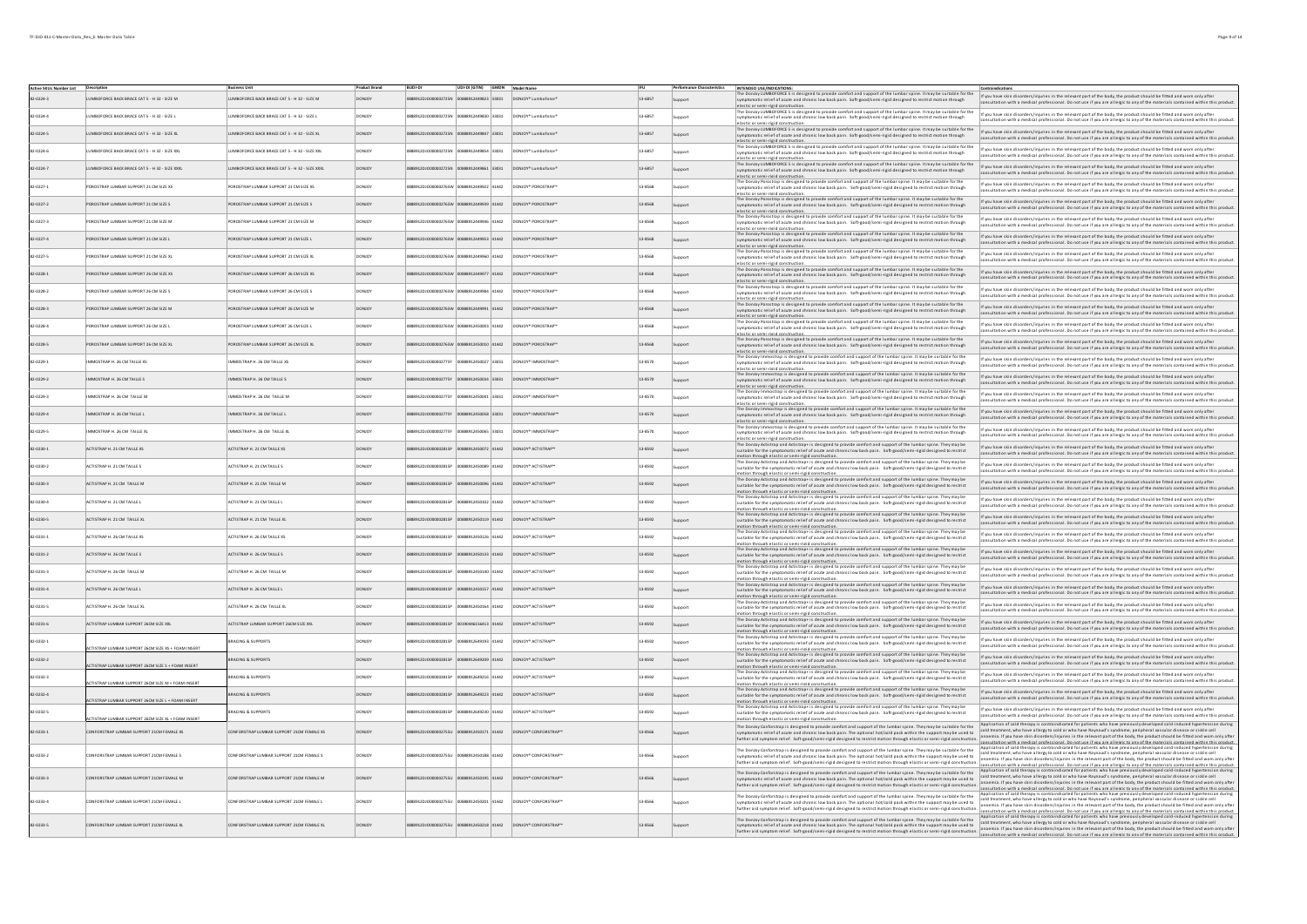| <b>Active SKUs Number List Description</b> |                                                            | <b>Business Unit</b>                           | <b>Product Brand</b> | <b>BUDI-DI</b>                           | UDI-DI (GTIN) GMDN Model Name       |               |                                             |             | <b>Performance Characteristics</b> | INTENDED USE/INDICATIONS:                                                                                                                                                                                                                                                                                                                                                                                   |                                                                                                                                                                                                                                                                                                                                                                                                                                                                                                                                                                                                           |
|--------------------------------------------|------------------------------------------------------------|------------------------------------------------|----------------------|------------------------------------------|-------------------------------------|---------------|---------------------------------------------|-------------|------------------------------------|-------------------------------------------------------------------------------------------------------------------------------------------------------------------------------------------------------------------------------------------------------------------------------------------------------------------------------------------------------------------------------------------------------------|-----------------------------------------------------------------------------------------------------------------------------------------------------------------------------------------------------------------------------------------------------------------------------------------------------------------------------------------------------------------------------------------------------------------------------------------------------------------------------------------------------------------------------------------------------------------------------------------------------------|
|                                            | JMBOFORCE BACK BRACE CAT 5 - H 32 - SIZE M                 | UMBOFORCE BACK BRACE CAT 5 - H 32 - SIZE M     |                      | 88912DJO000002725N 008                   | 8912449823 33031                    |               | DONJOY* Lumboforce                          | $13 - 6857$ | Support                            | microscopy and the body. Unless the set of the information of the lumbar spine. It may be suitable for the if you have skin disorders/injuries in the relevant part of the body, the poduct should be fitted and wom only afte<br>symptomatic relief of acute and chronic low back pain. Soft-good/semi-rigid designed to restrict motion through<br>elastic or semi-rigid construct                        | consultation with a medical professional. Do not use if you are allergic to any of the materials contained within this product.                                                                                                                                                                                                                                                                                                                                                                                                                                                                           |
| 2.0224-4                                   | UMBOFORCE BACK BRACE CAT S - H 32 - SIZE L                 | UMBOFORCE BACK BRACE CAT 5 - H 32 - SIZE L     | <b>ONIOY</b>         | 8912DJ0000002725N 00888912449830 33031   |                                     |               | DONJOY* Lumboforce*                         | 13.6857     |                                    | s designed to provide comfort and support of the lumbar spine. It may be suitable for the<br>symptomatic relief of acute and chronic low back pain. Soft-good/semi-rigid designed to restrict motion through                                                                                                                                                                                                | If you have skin disorders/injuries in the relevant part of the body, the product should be fitted and worn only after<br>sultation with a medical professional. Do not use if you are allergic to any of the materials contained within this product                                                                                                                                                                                                                                                                                                                                                     |
| 2-0224-5                                   | LUMBOFORCE BACK BRACE CAT S - H 32 - SIZE XL               | LUMBOFORCE BACK BRACE CAT 5 - H 32 - SIZE XL   | <b>DONJOY</b>        | 888912DJO000002725N 00888912449847 33031 |                                     |               | DONJOY* Lumboforce*                         | 13-6857     |                                    | elastic or semi-rigid construction<br>The Donloy LUMBOFORCE 5 is designed to provide comfort and support of the lumbar spine. It may be suitable fort<br>symptomatic relief of acute and chronic low back pain. Soft-good/semi-rigid designed to restrict motion throug                                                                                                                                     | FORCE 5 is designed to provide comfort and support of the lumbar spine. It may be suitable for the rit pou have skin disorders/injuries in the relevant part of the body, the product should be fitted and worn only after<br>consultation with a medical professional. Do not use if you are allergic to any of the materials contained within this product.                                                                                                                                                                                                                                             |
| $2-0224-6$                                 | UMBOFORCE BACK BRACE CAT 5 - H 32 - SIZE XXL               | LUMBOFORCE BACK BRACE CAT 5 - H 32 - SIZE XXL  | <b>DONICY</b>        | 8912DJO000002725N 00888912449854 33031   |                                     |               | DONJOY* Lumboforce*                         | 13-6857     |                                    | elastic or semi-rigid construction.<br>.<br>inloy LUMBOFORCE 5 is designed to provide comfort and support of the lumbar spine. It may be suitable for the<br>imatic relief of acute and chronic low back pain. Soft-good/semi-rigid designed to restrict motion through<br>The Doc                                                                                                                          | If you have skin disorders/injuries in the relevant part of the body, the product should be fitted and worn only after<br>sultation with a medical professional. Do not use if you are allergic to any of the materials contained within this product.                                                                                                                                                                                                                                                                                                                                                    |
| 2-0224-7                                   | LUMBOFORCE BACK BRACE CAT S - H 32 - SIZE XXXL             | LUMBOFORCE BACK BRACE CAT 5 - H 32 - SIZE XXXL | <b>DONJOY</b>        | 888912DJO000002725N 00888912449861 33031 |                                     |               | DONJOY* Lumboforce*                         | 13-6857     |                                    | elastic or semi-rigid construction.<br>The Donloy LUMBOFORCE 5 is designed to provide comfort and support of the lumbar spine. It may be suitable for the<br>symptomatic relief of acute and chronic low back pain. Soft-good/semi-rigid designed to restrict motion th                                                                                                                                     | If you have skin disorders/injuries in the relevant part of the body, the product should be fitted and worn only after<br>Itation with a medical professional. Do not use if you are allergic to any of the materials contained within this product.                                                                                                                                                                                                                                                                                                                                                      |
| $2-0227-1$                                 | POROSTRAP LUMBAR SUPPORT 21 OM SIZE XS                     | POROSTRAP LUMBAR SUPPORT 21 CM SIZE XS         | DONJOY               | 8912DJO000002765W 00888912449922 41442   |                                     |               | DONJOY* POROSTRAP*                          | 13-8568     |                                    | astic or semi-rigid constru<br>The Donjoy Porostrap is designed to provide comfort and support of the lumbar spine, It may be suitable for the<br>ymptomatic relief of acute and chronic low back pain. Soft-good/semi-rigid designed to restrict motion through                                                                                                                                            | If you have skin disorders/injuries in the relevant part of the body, the product should be fitted and worn only after                                                                                                                                                                                                                                                                                                                                                                                                                                                                                    |
| 2-0227-2                                   | POROSTRAP LUMBAR SUPPORT 21 CM SIZE S                      | POROSTRAP LUMBAR SUPPORT 21 CM SIZE S          | <b>DONJOY</b>        | 888912DJO000002765W 00888912449939 41442 |                                     |               | DONJOY* POROSTRAP™                          | 13-8568     | Support                            | elastic or semi-rigid construction.<br>The Donloy Porostrap is designed to provide comfort and support of the lumbar spine. It may be suitable for the                                                                                                                                                                                                                                                      | sional. Do not use if you are allergic to any of the materials con<br>If you have skin disorders/injuries in the relevant part of the body, the product should be fitted and worn only after                                                                                                                                                                                                                                                                                                                                                                                                              |
| $2 - 0227 - 3$                             | OROSTRAP LUMBAR SUPPORT 21 CM SIZE M                       | POROSTRAP LUMBAR SUPPORT 21 CM SIZE M          | DONJOY               | 8912DJO000002765W 00888912449946 41442   |                                     |               | DONJOY* POROSTRAP*                          | 13-8568     | Sunnort                            | wmptomatic relief of acute and chronic low back pain. Soft-good/semi-rigid designed to restrict motion through<br>elastic or semi-rigid construction.<br>The Donloy Porostrap is designed to provide comfort and support of the lumbar spine. It may be suitable for the                                                                                                                                    | litation with a medical professional. Do not use if you are allergic to any of the materials contained within this product.<br>If you have skin disorders/injuries in the relevant part of the body, the product should be fitted and worn only after                                                                                                                                                                                                                                                                                                                                                     |
|                                            |                                                            |                                                |                      |                                          |                                     |               |                                             |             |                                    | symptomatic relief of acute and chronic low back pain. Soft-good/semi-rigid designed to restrict motion through<br>elastic or semi-rigid construction.<br>The Donloy Porostrap is designed to provide comfort and support of the lumbar spine. It may be suitable for the                                                                                                                                   | ultation with a medical professional. Do not use if you are allergic to any of the materials contained within this product.<br>If you have skin disorders/injuries in the relevant part of the body, the product should be fitted and worn only after                                                                                                                                                                                                                                                                                                                                                     |
| $2.0227 - 4$                               | OROSTRAP LUMBAR SUPPORT 21 CM SIZE L                       | POROSTRAP LUMBAR SUPPORT 21 CM SIZE L          | <b>DONJOY</b>        | 912DJO000002765W 00888912449953 41442    |                                     |               | DONJOY* POROSTRAP                           | 13-8568     | Support                            | symptomatic relief of acute and chronic low back pain. Soft-good/semi-rigid designed to restrict motion through<br>tic or semi-rigid construs<br>The Donloy Porostrap is designed to provide comfort and support of the lumbar spine. It may be suitable for the                                                                                                                                            | iltation with a medical professional. Do not use if you are allergic to any of the materials contained within this product.<br>If you have skin disorders/injuries in the relevant part of the body, the product should be fitted and worn only after                                                                                                                                                                                                                                                                                                                                                     |
| $-0227 - 5$                                | OROSTRAP LUMBAR SUPPORT 21 CM SIZE XI                      | OROSTRAP LUMBAR SUPPORT 21 CM SIZE XL          | DONJO                |                                          |                                     | 960 41442     | DONJOY <sup>*</sup> POROSTRAP               | 13-8568     | upport                             | symptomatic relief of acute and chronic low back pain. Soft-good/semi-rigid designed to restrict motion through<br>elastic or semi-rigid construc<br>The Donloy Porostrap is designed to provide comfort and support of the lumbar spine. It may be suitable for the                                                                                                                                        | ultation with a medical professional. Do not use if you are allergic to any of the materials contained within this product.<br>If you have skin disorders/injuries in the relevant part of the body, the product should be fitted and worn only after                                                                                                                                                                                                                                                                                                                                                     |
| $2-0228-1$                                 | OROSTRAP LUMBAR SUPPORT 26 CM SIZE XS                      | POROSTRAP LUMBAR SUPPORT 26 CM SIZE XS         | DONJOY               |                                          | 2DJ0000002765W 00888912449977 41442 |               | DONJOY* POROSTRAP*                          | 13-8568     | Support                            | symptomatic relief of acute and chronic low back pain. Soft-good/semi-rigid designed to restrict motion through<br>elastic or semi-rigid construction.<br>.<br>The Donloy Porostrap is designed to provide comfort and support of the lumbar spine. It may be suitable for the                                                                                                                              | ultation with a medical professional. Do not use if you are allergic to any of the materials contained within this product.                                                                                                                                                                                                                                                                                                                                                                                                                                                                               |
| 2.0228-2                                   | POROSTRAP LUMBAR SUPPORT 26 OM SIZE S                      | POROSTRAP LUMBAR SUPPORT 26 CM SIZES           | DONIOV               | 5912D10000002765W 00888912449984 41442   |                                     |               | DONIOY* POROSTRAP*                          | 13-8568     |                                    | symptomatic relief of acute and chronic low back pain. Soft-good/semi-rigid designed to restrict motion through<br>elastic or semi-rigid construction.<br>is designed to provide comfort and support of the lumbar spine. It may be suitable for the                                                                                                                                                        | If you have skin disorders/injuries in the relevant part of the body, the product should be fitted and worn only after<br>onsultation with a medical professional. Do not use if you are allergic to any of the materials contained within this product.                                                                                                                                                                                                                                                                                                                                                  |
| 82-0228-3                                  | POROSTRAP LUMBAR SUPPORT 26 CM SIZE M                      | POROSTRAP LUMBAR SUPPORT 26 CM SIZE M          | DONJOY               | 88912DJO000002765W 00888912449991 41442  |                                     |               | DONJOY* POROSTRAP™                          | 13-8568     |                                    | symptomatic relief of acute and chronic low back pain. Soft-good/semi-rigid designed to restrict motion through<br>elastic or semi-rigid construction.                                                                                                                                                                                                                                                      | If you have skin disorders/injuries in the relevant part of the body, the product should be fitted and worn only after<br>sultation with a medical professional. Do not use if you are allergic to any of the materials contained within this product.                                                                                                                                                                                                                                                                                                                                                    |
| 2-0228-4                                   | POROSTRAP LUMBAR SUPPORT 26 OM SIZE L                      | POROSTRAP LUMBAR SUPPORT 26 CM SIZE L          | <b>DONJOY</b>        | 888912DJO000002765W 00888912450003 41442 |                                     |               | DONJOY* POROSTRAP™                          | 13-8568     |                                    | tran is designed to provide comfort and support of the lumbar soine. It may be suitable for the<br>omatic relief of acute and chronic low back pain. Soft-good/semi-rigid designed to restrict motion through<br>elastic or semi-rigid construction.                                                                                                                                                        | If you have skin disorders/injuries in the relevant part of the body, the product should be fitted and worn only after<br>sultation with a medical professional. Do not use if you are allergic to any of the materials contained within this product.                                                                                                                                                                                                                                                                                                                                                    |
| 2-0228-5                                   | POROSTRAP LUMBAR SUPPORT 26 OM SIZE XL                     | POROSTRAP LUMBAR SUPPORT 26 CM SIZE XL         | <b>DONIOY</b>        | 888912DJO000002765W 00888912450010 41442 |                                     |               | DONJOY* POROSTRAP™                          | 13-8568     |                                    | The Donloy Porostrap is designed to provide comfort and support of the lumbar spine. It may be suitable for the<br>omatic relief of acute and chronic low back pain. Soft-good/semi-rigid designed to restrict mo<br>elastic or semi-rigid construction.                                                                                                                                                    | If you have skin disorders/injuries in the relevant part of the body, the product should be fitted and worn only after<br>tion with a medical professional. Do not use if you are allergic to any of the materials contained within this product.                                                                                                                                                                                                                                                                                                                                                         |
| $2-0229-1$                                 | MMOSTRAP H. 26 CM TAILLE XS                                | MMOSTRAP H. 26 CM TAILLE XS                    | <b>ONIOY</b>         | 8912DJ0000002775Y 00888912450027 33031   |                                     |               | DONJOY* IMMOSTRAP*                          | 13-8570     |                                    | The Donloy immostrap is designed to provide comfort and support of the lumbar spine. It may be suitable for the<br>symptomatic relief of acute and chronic low back pain. Soft-good/semi-rigid designed to restrict mo<br>hrough<br>elastic or semi-rigid construction.                                                                                                                                     | If you have skin disorders/injuries in the relevant part of the body, the product should be fitted and worn only after<br>tation with a medical professional. Do not use if you are allergic to any of the materials contained within this product.                                                                                                                                                                                                                                                                                                                                                       |
| 2.0229.2                                   | IMMOSTRAP H. 26 CM TAILLE S                                | MMOSTRAP H. 26 CM TAILLE S                     | <b>DONJOY</b>        | 888912DJO000002775Y 00888912450034 33031 |                                     |               | DONJOY* IMMOSTRAP™                          | 13-8570     | innort                             | The Donloy Immostrap is designed to provide comfort and support of the lumbar spine. It may be suitable for the<br>mptomatic relief of acute and chronic low back pain. Soft-good/semi-rigid designed to restrict motion through                                                                                                                                                                            | If you have skin disorders/injuries in the relevant part of the body, the product should be fitted and worn only after<br>on with a medical professional. Do not use if you are allergic to any of the materials co<br>ed within this product                                                                                                                                                                                                                                                                                                                                                             |
| 2-0229-3                                   | MMOSTRAP H. 26 CM TAILLE M                                 | MMOSTRAP H. 26 CM TAILLE M                     | DONJOY               | 8912DJ0000002775Y                        | 00888912450041 33031                |               | DONJOY* IMMOSTRAP                           | 13-8570     | Sunnort                            | elastic or semi-rigid construction.<br>The Donloy Immostrap is designed to provide comfort and support of the lumbar spine. It may be suitable for the<br>symptomatic relief of acute and chronic low back pain. Soft-good/semi-rigid designed to restrict motion through                                                                                                                                   | If you have skin disorders/injuries in the relevant part of the body, the product should be fitted and worn only after<br>ultation with a medical professional. Do not use if you are allergic to any of the materials contained within this product.                                                                                                                                                                                                                                                                                                                                                     |
| 2.0229.4                                   | MMOSTRAP H. 26 CM TAILLE L                                 | MMOSTRAP H. 26 CM TAILLE L                     | <b>DONJOY</b>        | 88912DJ0000002775Y                       | 00888912450058 33031                |               | DONJOY* IMMOSTRAP                           | 13-8570     | Support                            | elastic or semi-rigid construction<br>The Donloy Immostrap is designed to provide comfort and support of the lumbar spine. It may be suitable for the<br>symptomatic relief of acute and chronic low back pain. Soft-good/semi-rigid designed to restrict motion through                                                                                                                                    | If you have skin disorders/injuries in the relevant part of the body, the product should be fitted and worn only afte<br>ultation with a medical professional. Do not use if you are allergic to any of the materials contained within this product.                                                                                                                                                                                                                                                                                                                                                      |
| $2-0229 - 5$                               | MMOSTRAP H. 26 CM TAILLE XL                                | MMOSTRAP H. 26 CM TAILLE XL                    | <b>ONIO</b>          |                                          | 8912450065 33031                    |               | DONJOY <sup>*</sup> IMMOSTRAP               | 13-8570     | upport                             | lastic or semi-rigid cons<br>The Donloy Immostrap is designed to provide comfort and support of the lumbar spine. It may be suitable for the<br>symptomatic relief of acute and chronic low back pain. Soft-good/semi-rigid designed to restrict motion through                                                                                                                                             | If you have skin disorders/injuries in the relevant part of the body, the product should be fitted and worn only after<br>nsultation with a medical professional. Do not use if you are allergic to any of the materials contained within this product.                                                                                                                                                                                                                                                                                                                                                   |
| $2.0230 - 1$                               | ACTISTRAP H. 21 CM TAILLE XS                               | ACTISTRAP H. 21 CM TAILLE XS                   | DONJOY               | 8912DJ0000002815P                        | 88912450072 41442                   |               | DONJOY* ACTISTRAP™                          | 13-8592     | Support                            | stic or semi-rigid construction<br>The Donloy Actistrap and Actistrap+ is designed to provide comfort and support of the lumbar spine. They may be<br>suitable for the symptomatic relief of acute and chronic low back pain. Soft-good/semi-rigid designed to restrict                                                                                                                                     | If you have skin disorders/injuries in the relevant part of the body, the product should be fitted and worn only after                                                                                                                                                                                                                                                                                                                                                                                                                                                                                    |
| 2-0230-2                                   | ACTISTRAP H 21 CM TAILLES                                  | ACTISTRARH 21 CM TAILLES                       | DONIOV               | 00120100000020150                        | 00888912450089 41442                |               | DONIOY® ACTISTRAP®                          | 13.8592     |                                    | totion through elastic or semi-rigid construction.<br>Actistrap and Actistrap+ is designed to provide comfort and support of the lumbar spine. They may be                                                                                                                                                                                                                                                  | sultation with a medical professional. Do not use if you are allergic to any of the materials contained within this product.<br>If you have skin disorders/injuries in the relevant part of the body, the product should be fitted and worn only after                                                                                                                                                                                                                                                                                                                                                    |
| 82-0230-3                                  | ACTISTRAP H. 21 CM TAILLE M                                | ACTISTRAP H. 21 CM TAILLE M                    | <b>DONJOY</b>        | 888912DJ0000002815P 00888912450096 41442 |                                     |               | DONJOY <sup>*</sup> ACTISTRAP <sup>**</sup> | 13-8592     |                                    | suitable for the symptomatic relief of acute and chronic low back pain. Soft-good/semi-rigid designed to restrict<br>otion through elastic or semi-rigid construction.<br>The Donloy Actistrap and Actistrap+ is designed to provide comfort and support of the lumbar spine. They may be<br>suitable for the symptomatic relief of acute and chronic low back pain. Soft-good/semi-rigid designed to restr | isultation with a medical professional. Do not use if you are allergic to any of the materials contained within this product.<br>If you have skin disorders/injuries in the relevant part of the body, the product should be fitted and worn only after                                                                                                                                                                                                                                                                                                                                                   |
|                                            |                                                            |                                                |                      |                                          |                                     |               |                                             |             | Support                            | motion through elastic or semi-rigid construction.<br>The Donloy Actistrap and Actistrap+ is designed to provide comfort and support of the Jumbar spine. They may be                                                                                                                                                                                                                                       | sultation with a medical professional. Do not use if you are allergic to any of the materials contained within this product.<br>If you have skin disorders/injuries in the relevant part of the body, the product should be fitted and worn only after                                                                                                                                                                                                                                                                                                                                                    |
| 2-0230-4                                   | ACTISTRAP H. 21 OM TAILLE L                                | ACTISTRAP H. 21 CM TAILLE L                    | <b>ONIOY</b>         | 8912D1000002815P                         | 00888912450102 41442                |               | DONJOY* ACTISTRAP™                          | 13-8592     |                                    | suitable for the symptomatic relief of acute and chronic low back pain. Soft-good/semi-rigid designed to restrict<br>tion through elactic or cemi-rigid construction<br>The Donloy Actistrap and Actistrap+ is designed to provide comfort and support of the lumbar spine. They may be                                                                                                                     | ultation with a medical professional. Do not use if you are allergic to any of the materials contained within this product.<br>If you have skin disorders/injuries in the relevant part of the hody the product should be fitted and worn only after                                                                                                                                                                                                                                                                                                                                                      |
| 82-0230-5                                  | ACTISTRAP H. 21 CM TAILLE XL                               | ACTISTRAP H. 21 CM TAILLE XL                   | <b>DONJOY</b>        | 888912DJO000002815P 00888912450119 41442 |                                     |               | DONJOY* ACTISTRAP™                          | 13-8592     |                                    | uitable for the symptomatic relief of acute and chronic low back pain. Soft-good/semi-rigid designed to restrict<br>otion through elastic or semi-rigid construction.<br>The Donloy Actistrap and Actistrap+ is designed to provide comfort and support of the lumbar spine. They may be                                                                                                                    | Itation with a medical professional. Do not use if you are allergic to any of the materials contained within this product.                                                                                                                                                                                                                                                                                                                                                                                                                                                                                |
| $2-0231-1$                                 | ACTISTRAP H. 26 CM TAILLE XS                               | ACTISTRAP H. 26 CM TAILLE XS                   | <b>ONIOY</b>         | 8912DJ000002815P                         | 00888912450126 41442                |               | DONJOY* ACTISTRAP™                          | 13-8592     |                                    | suitable for the symptomatic relief of acute and chronic low back pain. Soft-good/semi-rigid designed to restrict<br>otion through elastic or semi-rigid construction.<br>The Donloy Actistrap and Actistrap+ is designed to provide comfort and support of the lumbar spine. They may be                                                                                                                   | If you have skin disorders/injuries in the relevant part of the body, the product should be fitted and worn only after<br>tion with a medical professional. Do not use if you are allergic to any of the materials contained within this product.                                                                                                                                                                                                                                                                                                                                                         |
| 82-0231-2                                  | ACTISTRAP H. 26 CM TAILLES                                 | ACTISTRAP H. 26 CM TAILLES                     | <b>DONJOY</b>        | 888912DJO000002815P 00888912450133 41442 |                                     |               | DONJOY* ACTISTRAP"                          | 13-8592     | Support                            | suitable for the symptomatic relief of acute and chronic low back pain. Soft-good/semi-rigid designed to restrict<br>notion through elastic or semi-rigid construction.                                                                                                                                                                                                                                     | If you have skin disorders/injuries in the relevant part of the body, the product should be fitted and worn only after<br>ltation with a medical professional. Do not use if you are allergic to any of the materials contained within this product                                                                                                                                                                                                                                                                                                                                                       |
| 2-0231-3                                   | ACTISTRAP H. 26 CM TAILLE M                                | ACTISTRAP H. 26 CM TAILLE M                    | DONJOY               | 8912DJ0000002815P                        | 00888912450140 41442                |               | DONJOY* ACTISTRAPY                          | 13-8592     | unnort                             | The Donloy Actistrap and Actistrap+ is designed to provide comfort and support of the lumbar spine. They may be<br>suitable for the symptomatic relief of acute and chronic low back pain. Soft-good/semi-rigid designed to restrict<br>otion through elastic or semi-rigid construction.                                                                                                                   | If you have skin disorders/injuries in the relevant part of the body, the product should be fitted and worn only after<br>Itation with a medical professional. Do not use if you are allergic to any of the materials contained within this product.                                                                                                                                                                                                                                                                                                                                                      |
| 2-0231-4                                   | ACTISTRAP H. 26 CM TAILLE L                                | ACTISTRAP H. 26 CM TAILLE L                    | DONJOY               |                                          |                                     |               | DONJOY <sup>*</sup> ACTISTRAP               | 13-8592     | Support                            | The Donloy Actistrap and Actistrap+ is designed to provide comfort and support of the lumbar spine. They may be<br>suitable for the symptomatic relief of acute and chronic low back pain. Soft-good/semi-rigid designed to restrict<br>ion through elastic or semi-rigid construction.                                                                                                                     | If you have skin disorders/injuries in the relevant part of the body, the product should be fitted and worn only after<br>sultation with a medical professional. Do not use if you are allergic to any of the materials contained within this product.                                                                                                                                                                                                                                                                                                                                                    |
| $-0231 - 5$                                | <b>ACTISTRAP H. 26 CM TAILLE XL</b>                        | ACTISTRAP H. 26 CM TAILLE XI                   |                      |                                          |                                     | 2450164 41442 | DONJOY <sup>*</sup> ACTISTRAP               | 13-8592     | upport                             | The Donloy Actistrap and Actistrap+ is designed to provide comfort and support of the lumbar spine. They may be<br>suitable for the symptomatic relief of acute and chronic low back pain. Soft-good/semi-rigid designed to restrict<br>otion through elastic or semi-rigid construction                                                                                                                    | If you have skin disorders/injuries in the relevant part of the body, the product should be fitted and worn only afte<br>nsultation with a medical professional. Do not use if you are allergic to any of the materials contained within this product.                                                                                                                                                                                                                                                                                                                                                    |
| $2.0231 - 6$                               | ACTISTRAP LUMBAR SUPPORT 26CM SIZE XXL                     | ACTISTRAP LUMBAR SUPPORT 26CM SIZE XXL         | CONCY                |                                          | 90446156413 41442                   |               | DONJOY* ACTISTRAP™                          | 13-8592     | Support                            | .<br>The Donloy Actistrap and Actistrap+ is designed to provide comfort and support of the lumbar spine. They may be<br>suitable for the symptomatic relief of acute and chronic low back pain. Soft-good/semi-rigid designed to restrict<br>otion through elastic or semi-rigid construction.                                                                                                              | If you have skin disorders/injuries in the relevant part of the body, the product should be fitted and worn only after<br>sultation with a medical professional. Do not use if you are allergic to any of the materials contained within this product.                                                                                                                                                                                                                                                                                                                                                    |
| 2-0232-1                                   | CTISTRAP LUMBAR SUPPORT 26CM SIZE XS + FOAM INSERT         | BRACING & SUPPORTS                             | DONIOV               | 8912D1000002815P                         | 3888912649193 41442                 |               | DONIOY® ACTISTRAP®                          | 13-8592     | upport                             | Actistrap and Actistrap+ is designed to provide comfort and support of the lumbar spine. They may b<br>suitable for the symptomatic relief of acute and chronic low back pain. Soft-good/semi-rigid designed to restrict<br>otion through elastic or semi-rigid construction.                                                                                                                               | If you have skin disorders/injuries in the relevant part of the body, the product should be fitted and worn only after<br>sultation with a medical professional. Do not use if you are allergic to any of the materials contained within this product.                                                                                                                                                                                                                                                                                                                                                    |
| 82-0232-2                                  |                                                            | BRACING & SUPPORTS                             | <b>DONJOY</b>        | 888912DJO000002815P 00888912649209 41442 |                                     |               | DONJOY* ACTISTRAP™                          | 13-8592     |                                    | mous in comparation and Actistrape is designed to provide comfort and support of the lumbar spine. They may be<br>suitable for the symptomatic relief of acute and chronic low back pain. Soft-good/semi-rigid designed to restri                                                                                                                                                                           | If you have skin disorders/injuries in the relevant part of the body, the product should be fitted and worn only after<br>Itation with a medical professional. Do not use if you are allergic to any of the materials contained within this product.                                                                                                                                                                                                                                                                                                                                                      |
| 2-0232-3                                   | <b>ACTISTRAP LUMBAR SUPPORT 26CM SIZE S + FOAM INSERT</b>  | BRACING & SUPPORTS                             | DONJOY               | 8912DJO000002815P 00888912649216 41442   |                                     |               | DONJOY* ACTISTRAP"                          | 13-8592     |                                    | tion through elastic or semi-rigid construction<br>The Donloy Actistrap and Actistrap+ is designed to provide comfort and support of the lumbar spine. They may be<br>itable for the symptomatic relief of acute and chronic low back pain. Soft-good/semi-rigid designed to restrict                                                                                                                       | .<br>If you have skin disorders/injuries in the relevant part of the body, the product should be fitted and worn only after<br>consultation with a medical professional. Do not use if you are allergic to any of the materials cont                                                                                                                                                                                                                                                                                                                                                                      |
| 82-0232-4                                  | CTISTRAP LUMBAR SUPPORT 26CM SIZE M + FOAM INSERT          | BRACING & SUPPORTS                             | <b>DONJOY</b>        | 888912DJO000002815P 00888912649223 41442 |                                     |               | DONJOY <sup>*</sup> ACTISTRAP <sup>**</sup> | 13-8592     |                                    | notion through elastic or semi-rigid construction.<br>The Donloy Actistrap and Actistrap+ is designed to provide comfort and support of the lumbar spine. They may be<br>suitable for the symptomatic relief of acute and chronic low back pain. Soft-good/semi-rigid designed to restrict                                                                                                                  | If you have skin disorders/injuries in the relevant part of the body, the product should be fitted and worn only after                                                                                                                                                                                                                                                                                                                                                                                                                                                                                    |
| 2-0232-5                                   | CTISTRAP LUMBAR SUPPORT 26CM SIZE L + FOAM INSERT          | BRACING & SUPPORTS                             | <b>DONJOY</b>        | 8912D10000002815P                        | 00888912649230 41442                |               | DONJOY* ACTISTRAP"                          | 13-8592     |                                    | notion through elastic or semi-rigid construction.<br>The Donloy Actistrap and Actistrap+ is designed to provide comfort and support of the lumbar spine. They may be<br>uitable for the symptomatic relief of acute and chronic low back pain. Soft-good/semi-rigid designed to restrict                                                                                                                   | tion with a medical professional. Do not use if you are allergic to any of the materials cor<br>If you have skin disorders/injuries in the relevant part of the body, the product should be fitted and worn only after                                                                                                                                                                                                                                                                                                                                                                                    |
|                                            | <b>ACTISTRAP LUMBAR SUPPORT 26CM SIZE XL + FOAM INSERT</b> |                                                |                      |                                          |                                     |               |                                             |             |                                    | motion through elastic or semi-rigid construction.<br>The Donloy Conforstrap is designed to provide comfort and support of the lumbar spine. They may be suitable for the                                                                                                                                                                                                                                   | ultation with a medical professional. Do not use if you are allergic to any of the materials contained within this product.<br>Application of cold therapy is contraindicated for patients who have previously developed cold-induced hypertension during<br>cold treatment, who have allergy to cold or who have Raynaud's syndrome, peripheral vascular disease or sickle cell                                                                                                                                                                                                                          |
| 82-0233-1                                  | CONFORSTRAP LUMBAR SUPPORT 21CM FEMALE XS                  | CONFORSTRAP LUMBAR SUPPORT 21CM FEMALE XS      | <b>DONJOY</b>        |                                          |                                     | 450171 41442  | DONJOY* CONFORSTRAP™                        | 13-8566     |                                    | omatic relief of acute and chronic low back pain. The optional hot/cold pack within the support may be used to<br>ther aid symptom relief. Soft-good/semi-rigid designed to restrict motion through elastic or semi-rigid con-                                                                                                                                                                              | anaemia. If you have skin disorders/injuries in the relevant part of the body, the product should be fitted and worn only after<br>tation with a medical nenfeccional. Do not use if you are allergic to any of the materials contained within this nenduct                                                                                                                                                                                                                                                                                                                                               |
| 82-0233-2                                  | <b>CONFORSTRAP LUMBAR SUPPORT 21CM FEMALE S</b>            | CONFORSTRAP LUMBAR SUPPORT 21CM FEMALE S       | <b>DONICY</b>        |                                          | 00888912450188 41442                |               | DONJOY* CONFORSTRAP™                        | 13-8566     |                                    | The Donloy Conforstrap is designed to provide comfort and support of the lumbar spine. They may be suitable for the<br>matic relief of acute and chronic low back pain. The optional hot/cold pack within the support may be used to<br>further aid symptom relief. Soft-good/semi-rigid designed to restrict motion through elastic or semi-rigid construction                                             | Application of cold therapy is contraindicated for patients who have previously developed cold-induced hypertension during<br>cold treatment, who have allergy to cold or who have Raynaud's syndrome, peripheral vascular disease or sickle cell<br>anaemia. If you have skin disorders/injuries in the relevant part of the body, the product should be fitte                                                                                                                                                                                                                                           |
| 2-0233-3                                   | <b>CONFORSTRAP LUMBAR SUPPORT 21CM FEMALE M</b>            | CONFORSTRAP LUMBAR SUPPORT 21CM FEMALE M       | DONJOY               |                                          |                                     | 450195 41442  | DONJOY* CONFORSTRAP™                        | 13-8566     |                                    | The Donloy Conforstrap is designed to provide comfort and support of the lumbar spine. They may be suitable for the<br>natic relief of acute and chronic low back pain. The optional hot/cold pack within the support may be used to                                                                                                                                                                        | nsultation with a medical professional. Do not use if you are allergic to any of the materials contained within this product.<br>Application of cold therapy is contra<br>indicated for patients who have previously developed cold-induced hypertension during<br>old treatment, who have allergy to cold or who have Raynaud's syndrome, peripheral vascular disease or sickle cell                                                                                                                                                                                                                     |
|                                            |                                                            |                                                |                      |                                          |                                     |               |                                             |             |                                    | further aid symptom relief. Soft-good/semi-rigid designed to restrict motion through elastic or semi-rigid construction<br>The Donloy Conforstrap is designed to provide comfort and support of the lumbar spine. They may be suitable for the                                                                                                                                                              | anaemia. If you have skin disorders/injuries in the relevant part of the body, the product should be fitted and worn only after<br>onsultation with a medical professional. Do not use if you are allergic to any of the materials contained within this product<br>cation of cold therapy is contraindicated for patients who have previously developed cold-induced hypertension during                                                                                                                                                                                                                 |
| 12.0233.4                                  | ONFORSTRAP I UMRAR SUPPORT 21OM FEMALE I                   | CONFORSTRAP I UMRAR SUPPORT 21CM FEMALE I      | <b>ONIOY</b>         | 8912D1000002755U                         | 00888912450201 41442                |               | DONIOY* CONFORSTRAP™                        | 13.8566     |                                    | symptomatic relief of acute and chronic low back pain. The optional hot/cold pack within the support may be used to<br>further aid symptom relief. Soft-good/semi-rigid designed to restrict motion through elastic or semi-rigid construction                                                                                                                                                              | cold treatment, who have allergy to cold or who have Raynaud's syndrome, peripheral vascular disease or sickle cell<br>anaemia. If you have skin disorders/injuries in the relevant part of the body, the product should be fitted and worn only after                                                                                                                                                                                                                                                                                                                                                    |
| 2.0233.5                                   | CONFORSTRAP LUMBAR SUPPORT 21CM FEMALE XL                  | CONFORSTRAP LUMBAR SUPPORT 21CM FEMALE XL      |                      |                                          | 12450218 41442                      |               | DONJOY* CONFORSTRAP™                        | 13-8566     |                                    | .<br>The Donloy Conforstrap is designed to provide comfort and support of the lumbar spine. They may be suitable for the<br>symptomatic relief of acute and chronic low back pain. The optional hot/cold pack within the support may                                                                                                                                                                        | nsultation with a medical professional. Do not use if you are allergic to any of the materials contained within this product.<br>pplication of cold therapy is contraindicated for patients who have previously developed cold-in<br>cold treatment, who have allergy to cold or who have Raynaud's syndrome, peripheral vascular disease or sickle cell<br>cold treatment, who have allergy to cold or who have Raynaud's syndrome, peripheral vascular disease or si<br>anaemia. If you have skin disorders/injuries in the relevant part of the body, the product should be fitted and worn only after |
|                                            |                                                            |                                                |                      |                                          |                                     |               |                                             |             |                                    |                                                                                                                                                                                                                                                                                                                                                                                                             | (urber aid symptom eller! Soft good/semi-rigid designed to restrict motion through elastic or semi-rigid construction.  anaema. If you new sum usuouers/injurus in the exercement of your age in exercement of the anaematic c                                                                                                                                                                                                                                                                                                                                                                            |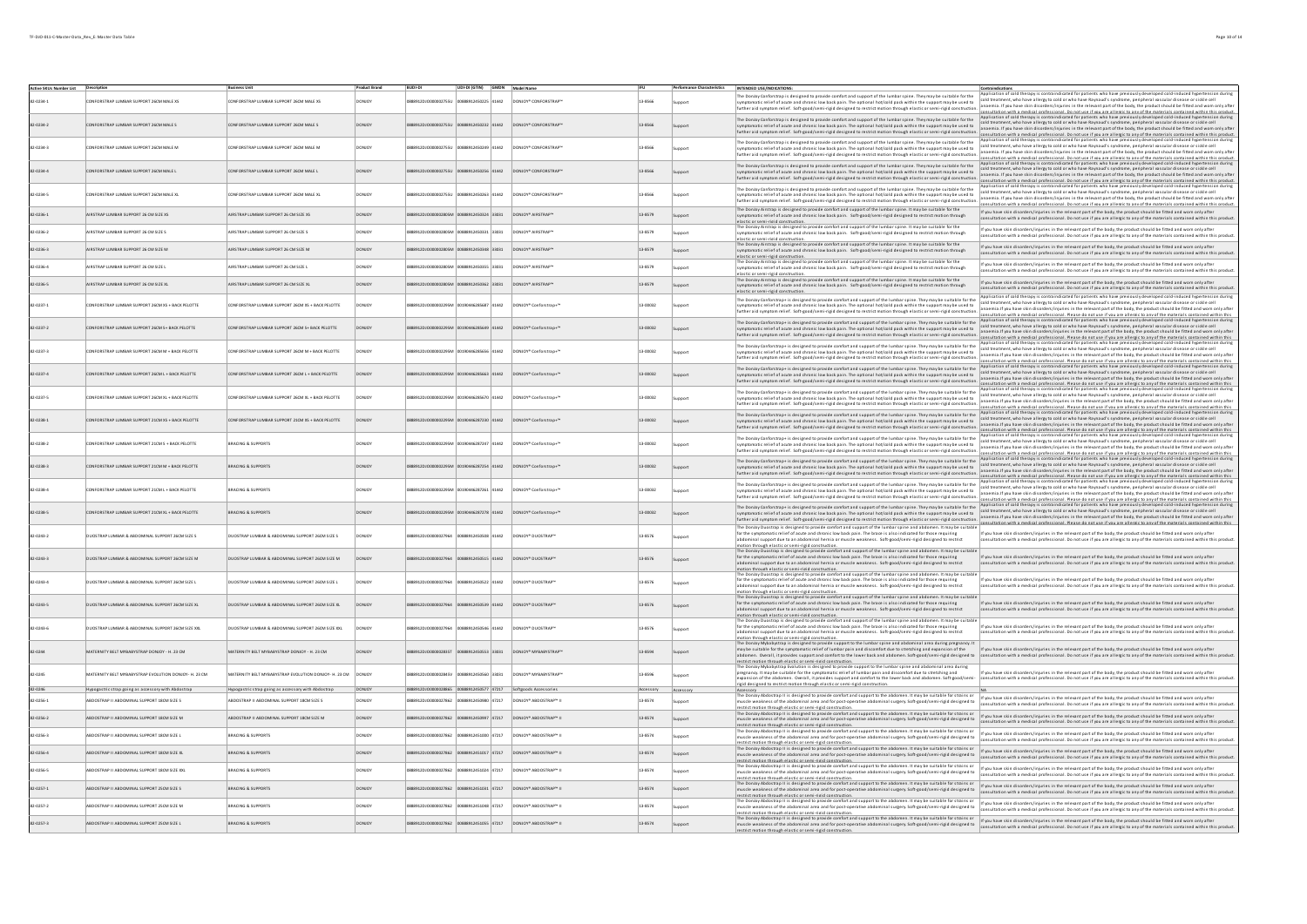| Active SKUs Number List |                                                            |                                                              | <b>Product Brand</b> |                                          | UDI-DI (GTIN) GMDN Model Name |                |                                                                 |          | <b>Performance Characteristics</b> | INTENDED USE/INDICATIONS                                                                                                                                                                                                                                                                                                                                                                                                                                    |                                                                                                                                                                                                                                                                                                                                                                                                                                                                                                                                                                                                                         |
|-------------------------|------------------------------------------------------------|--------------------------------------------------------------|----------------------|------------------------------------------|-------------------------------|----------------|-----------------------------------------------------------------|----------|------------------------------------|-------------------------------------------------------------------------------------------------------------------------------------------------------------------------------------------------------------------------------------------------------------------------------------------------------------------------------------------------------------------------------------------------------------------------------------------------------------|-------------------------------------------------------------------------------------------------------------------------------------------------------------------------------------------------------------------------------------------------------------------------------------------------------------------------------------------------------------------------------------------------------------------------------------------------------------------------------------------------------------------------------------------------------------------------------------------------------------------------|
|                         |                                                            |                                                              |                      |                                          |                               |                |                                                                 |          |                                    | The Donloy Conforstrap is designed to provide comfort and support of the lumbar spine. They may be suitable for the                                                                                                                                                                                                                                                                                                                                         | Application of cold therapy is contraindicated for patients who have previously developed cold-induced hypertension durin                                                                                                                                                                                                                                                                                                                                                                                                                                                                                               |
| 82-0234-1               | CONFORSTRAP LUMBAR SUPPORT 26CM MALE XS                    | CONFORSTRAP LUMBAR SUPPORT 26CM MALE XS                      | DONJOY               | 88912DJO000002755U 00888912450225 41442  |                               |                | DONJOY* CONFORSTRAP"                                            | 13-8566  |                                    | symptomatic relief of acute and chronic low back pain. The optional hot/cold pack within the support may be used to<br>urther aid symptom relief. Soft-good/semi-rigid designed to restrict motion through elastic or semi-rigid construction.                                                                                                                                                                                                              | cold treatment, who have allergy to cold or who have Raynaud's syndrome, peripheral vascular disease or sickle cell<br>anaemia. If you have skin disorders/injuries in the relevant part of the body, the product should be fitted and worn only after<br>onsultation with a medical professional. Do not use if you are allergic to any of the materials contained within this product.                                                                                                                                                                                                                                |
| 82.0234.2               | ONFORSTRAP I UMRAR SUPPORT 26CM MALE S                     | CONFORSTRAP I UMRAR SUPPORT 26CM MALE S                      | DONICY               |                                          | 14442912450232 41442          |                | DONIOY* CONFORSTRAP®                                            | 13.8566  |                                    | The Donloy Conforstrap is designed to provide comfort and support of the lumbar spine. They may be suitable for the<br>atic relief of acute and chronic low back pain. The optional hot/cold pack within the support may be used to<br>further aid symptom relief. Soft-good/semi-rigid designed to restrict motion through elastic or semi-rigid construction                                                                                              | Application of cold therapy is contraindicated for patients who have previously developed cold-induced hypertension during<br>cold treatment, who have allergy to cold or who have Raynaud's syndrome, peripheral vascular disease or sickle cell<br>- and treatment, who have allergy to cold or who have Raynaud's syndrome, peripheral vascular disease or s<br>onsultation with a medical professional. Do not use if you are allergic to any of the materials contained within this product.                                                                                                                       |
| 82-0234-3               | <b>INFORSTRAP I UMRAR SUPPORT 26CM MALE M</b>              | <b>DINFORSTRAP LUMBAR SUPPORT 26CM MALE M</b>                | <b>DONJOY</b>        | 200120100000077551                       | 58912450249 41442             |                | DONJOY* CONFORSTRAP*                                            | 13.8566  |                                    | The Donioy Conforstrap is designed to provide comfort and support of the lumbar spine. They may be suitable for the<br>symptomatic relief of acute and chronic low back pain. The optional hot/cold pack within the support may be used to<br>further aid symptom relief. Soft-good/semi-rigid designed to restrict motion through elastic or semi-rigid construction.                                                                                      | cation of cold therapy is contraindicated for patients who have previously developed cold-induced hypertension during<br>.<br>cold treatment, who have allergy to cold or who have Raynaud's syndrome, peripheral vascular disease or sickle cell<br>anaemia. If you have skin disorders/injuries in the relevant part of the body, the product should be fitted and worn only after                                                                                                                                                                                                                                    |
| 2.0234.4                | ONFORSTRAP LUMBAR SUPPORT 26CM MALE L                      | DNFORSTRAP LUMBAR SUPPORT 26CM MALE L                        |                      |                                          |                               |                | ONJOY <sup>*</sup> CONFORSTRAP                                  | 13-8566  |                                    | The Donloy Conforstrap is designed to provide comfort and support of the lumbar spine. They may be suitable for the<br>symptomatic relief of acute and chronic low back pain. The optional hot/cold pack within the support may be used to<br>urther aid symptom relief. Soft-good/semi-rigid designed to restrict motion through elastic or semi-rigid cons                                                                                                | consultation with a medical orofessional. Do not use if you are allergic to any of the materials contained within this product.<br>Application of cold therapy is contraindicated for patients who have previously developed cold<br>anaemia. If you have skin disorders/injuries in the relevant part of the body, the product should be fitted and worn only after<br>anaemia. In you nave sure used was required and the server was the server we would be materials contained within this product.<br>Consultation with a medical professional. Do not use if you are allergic to any of the material               |
| 82-0234-5               | ONFORSTRAP LUMBAR SUPPORT 26CM MALE XL                     | CONFORSTRAP LUMBAR SUPPORT 26CM MALE XL                      | <b>DONJOY</b>        | 88912DJ0000002755U                       | 00888912450263 41442          |                | DONJOY* CONFORSTRAP"                                            | 13-8566  | unnort                             | The Donloy Conforstrap is designed to provide comfort and support of the lumbar spine. They may be suitable for the<br>symptomatic relief of acute and chronic low back pain. The optional hot/cold pack within the support may be used to<br>urther aid symptom relief. Soft-good/semi-rigid designed to restrict motion through elastic or semi-rigid constructi                                                                                          | cold treatment, who have allergy to cold or who have Raynaud's syndrome, peripheral vascular disease or sickle cell<br>anaemia. If you have skin disorders/injuries in the relevant part of the body, the product should be fitted and worn only after<br>itation with a medical nenfeccional. Do not use if you are allergic to any of the materials contained within this nenduct                                                                                                                                                                                                                                     |
| 82-0236-1               | AIRSTRAP LUMBAR SUPPORT 26 CM SIZE XS                      | AIRSTRAP LUMBAR SUPPORT 26 CM SIZE XS                        | <b>DONICY</b>        | 888912DJO000002805M 00888912450324 33031 |                               |                | DONJOY* AIRSTRAP™                                               | 13-8579  |                                    | The Donloy Airstrap is designed to provide comfort and support of the lumbar spine. It may be suitable for the<br>symptomatic relief of acute and chronic low back pain. Soft-good/semi-rigid designed to restrict motion through<br>elastic or semi-rigid construction.                                                                                                                                                                                    | If you have skin disorders/injuries in the relevant part of the body, the product should be fitted and worn only after<br>n with a medical professional. Do not use if you are allergic to any of the materials contained within this produc                                                                                                                                                                                                                                                                                                                                                                            |
| 82-0236-2               | AIRSTRAP LUMBAR SUPPORT 26 CM SIZES                        | AIRSTRAP LUMBAR SUPPORT 26 CM SIZE S                         | <b>DONJOY</b>        | 88912DJO000002805M 00888912450331 33031  |                               |                | DONJOY* AIRSTRAP™                                               | 13-8579  | Support                            | The Donloy Airstrap is designed to provide comfort and support of the lumbar spine. It may be suitable for the<br>wmptomatic relief of acute and chronic low back pain. Soft-good/semi-rigid designed to restrict motion through<br>elastic or semi-rigid construction.                                                                                                                                                                                     | If you have skin disorders/injuries in the relevant part of the body, the product should be fitted and worn only after<br>ultation with a medical professional. Do not use if you are allergic to any of the materials contained within this product.                                                                                                                                                                                                                                                                                                                                                                   |
| 82-0236-3               | AIRSTRAP LUMBAR SUPPORT 26 CM SIZE M                       | AIRSTRAP LUMBAR SUPPORT 26 CM SIZE M                         | <b>DONJOY</b>        | 88912DJO000002805M 00888912450348 33031  |                               |                | DONJOY* AIRSTRAP™                                               | 13-8579  | Support                            | The Donloy Airstrap is designed to provide comfort and support of the lumbar spine. It may be suitable for the<br>mptomatic relief of acute and chronic low back pain. Soft-good/semi-rigid designed to restrict motion through<br>elastic or semi-rigid construction.                                                                                                                                                                                      | If you have skin disorders/injuries in the relevant part of the body, the product should be fitted and worn only after<br>tation with a medical professional. Do not use if you are allergic to any of the materials contained within this product.                                                                                                                                                                                                                                                                                                                                                                     |
| 82-0236-4               | ALRSTRAP LUMBAR SUPPORT 26 CM SIZE L                       | AIRSTRAP LUMBAR SUPPORT 26 CM SIZE L                         | <b>DONJOY</b>        | 88912DJO000002805M 00888912450355 33031  |                               |                | DONJOY* AIRSTRAP*                                               | 13-8579  | Support                            | The Donloy Airstrap is designed to provide comfort and support of the lumbar spine. It may be suitable for the<br>symptomatic relief of acute and chronic low back pain. Soft-good/semi-rigid designed to restrict motion through<br>elastic or semi-rigid construction.                                                                                                                                                                                    | If you have skin disorders/injuries in the relevant part of the body, the product should be fitted and worn only after<br>ultation with a medical professional. Do not use if you are allergic to any of the materials contained within this product.                                                                                                                                                                                                                                                                                                                                                                   |
| 82-0236-5               | AIRSTRAP LUMBAR SUPPORT 26 CM SIZE XL                      | AIRSTRAP LUMBAR SUPPORT 26 CM SIZE XL                        | <b>DONIOY</b>        | 888912DJO000002805M 00888912450362 33031 |                               |                | DONJOY* AIRSTRAP*                                               | 13-8579  | Sunnort                            | The Donloy Airstrap is designed to provide comfort and support of the lumbar spine. It may be suitable for the<br>mptomatic relief of acute and chronic low back pain. Soft-good/semi-rigid designed to restrict motion through<br>elastic or semi-rigid construction.                                                                                                                                                                                      | If you have skin disorders/injuries in the relevant part of the body, the product should be fitted and worn only after<br>tation with a medical professional. Do not use if you are allergic to any of the materials contained within this produc                                                                                                                                                                                                                                                                                                                                                                       |
| 82-0237-1               | CONFORSTRAP LUMBAR SUPPORT 26CM XS + BACK PELOTTE          | CONFORSTRAP LUMBAR SUPPORT 26CM XS + BACK PELOTTE            | <b>DONICY</b>        | 58912D10000002295M 00190446285687 41442  |                               |                | DONJOY® Conforstran+™                                           | 13-00032 | <b>Sunnort</b>                     | The Donloy Conforstrap+ is designed to provide comfort and support of the lumbar spine. They may be suitable for the<br>mptomatic relief of acute and chronic low back pain. The optional hot/cold pack within the support may be used to<br>urther aid symptom relief. Soft-good/semi-rigid designed to restrict motion through elastic or semi-rigid construction                                                                                         | ication of cold therapy is contraindicated for patients who have previously developed cold-induced hypertension during<br>cold treatment, who have allergy to cold or who have Raynaud's syndrome, peripheral vascular disease or sickle cell<br>anaemia.If you have skin disorders/injuries in the relevant part of the body, the product should be fitted and worn only afte<br>onsultation with a medical professional. Please do not use if you are allergic to any of the materials contained within this                                                                                                          |
| 82-0237-2               | ONFORSTRAP I UMRAR SUPPORT 26CM S+ RACK PELOTTE            | CONFORSTRAP I UMRAR SUPPORT 26CM S+ RACK PELOTTE             | <b>DONICY</b>        |                                          | 1445285649 41442              |                | DONJOY® Conforstran+™                                           | 13-00032 |                                    | The Donloy Conforstrap+ is designed to provide comfort and support of the lumbar spine. They may be suitable for the<br>tic relief of acute and chronic low back pain. The optional hot/cold pack within the support may be used to<br>further aid symptom relief. Soft-good/semi-rigid designed to restrict motion through elastic or semi-rigid construction.                                                                                             | Application of cold therapy is contraindicated for patients who have previously developed cold-induced hypertension durin<br>cold treatment, who have allergy to cold or who have Raynaud's syndrome, peripheral vascular disease or sickle cell<br>- anaemia.If you have skin disorders/injuries in the relevant part of the body, the product should be fitt<br>iltation with a medical nepfeccional. Please do not use if you are allergic to any of the materials contained within the                                                                                                                              |
| 2-0237-3                | NFORSTRAP LUMBAR SUPPORT 26CM M + BACK PELOTTE             | INFORSTRAP LUMBAR SUPPORT 26CM M + BACK PELOTTE              |                      |                                          | 0446285656 41442              |                | DNJOY* Confors tra o-                                           | 13-00032 |                                    | The Donloy Conforstrap+ is designed to provide comfort and support of the lumbar spine. They may be suitable for the<br>symptomatic relief of acute and chronic low back pain. The optional hot/cold pack within the support may be used to<br>further aid symptom relief. Soft-good/semi-rigid designed to restrict motion through elastic or semi-rigid construction.                                                                                     | lication of cold therapy is contraindicated for patients who have previously developed cold-induced hypertension duri<br>cold treatment, who have allergy to cold or who have Raynaud's syndrome, peripheral vascular disease or sickle cell<br>anaemia.If you have skin disorders/injuries in the relevant part of the body, the product should be fitted and worn only afte                                                                                                                                                                                                                                           |
| 2-0237-4                | ONFORSTRAP LUMBAR SUPPORT 26CM L + BACK PELOTTE            | ONFORSTRAP LUMBAR SUPPORT 26CM L + BACK PELOTTE              | DONJOY               |                                          |                               |                | ONJOY* Conforstrap+                                             | 13-00032 |                                    | The Donloy Conforstrap+ is designed to provide comfort and support of the lumbar spine. They may be suitable for the<br>symptomatic relief of acute and chronic low back pain. The optional hot/cold pack within the support may be used to<br>urther aid symptom relief. Soft-good/semi-rigid designed to restrict motion through elastic or semi-rigid construction.                                                                                      | nsultation with a medical professional. Please do not use if you are allergic to any of the materials contained within thi<br>plication of cold therapy is contraindicated for patients who have previously developed cold-induce<br>cold treatment, who have allergy to cold or who have Raynaud's syndrome, peripheral vascular disease or sickle cell<br>anaemia if you have skin disorders/injuries in the relevant nart of the hody the nroduct should be fitted and worn only afte<br>nsultation with a medical professional. Please do not use if you are allergic to any of the materials contained within this |
| 82-0237-5               | ONFORSTRAP LUMBAR SUPPORT 26CM XL + BACK PELOTTE           | CONFORSTRAP LUMBAR SUPPORT 26CM XL + BACK PELOTTE            | <b>DONJOY</b>        |                                          | 00190446285670 41442          |                | DONJOY* Confors tra p+"                                         | 13-00032 |                                    | The Donloy Conforstrap+ is designed to provide comfort and support of the lumbar spine. They may be suitable for the<br>symptomatic relief of a cute and chronic low back pain. The optional hot/cold pack within the support may be used to<br>urther aid symptom relief. Soft-good/semi-rigid designed to restrict motion through elastic or semi-rigid construction.                                                                                     | Application of cold therapy is contraindicated for patients who have previously developed cold-induced hypertension during<br>cold treatment, who have allergy to cold or who have Raynaud's syndrome, peripheral vascular disease or sickle cell<br>anaemia.If you have skin disorders/injuries in the relevant part of the body, the product should be fitted and worn only afte<br>ensultation with a medical professional. Please do not use if you are allergic to any of the materials contained within this                                                                                                      |
| 82-0238-1               | CONFORSTRAP LUMBAR SUPPORT 21CM XS + BACK PELOTTE          | CONFORSTRAP LUMBAR SUPPORT 21CM XS + BACK PELOTTE            | DONICY               | 8912DJO000002295M 00190446287230 41442   |                               |                | DONJOY* Confors trap+™                                          | 13-00032 |                                    | The Donloy Conforstrap+ is designed to provide comfort and support of the lumbar spine. They may be suitable for the<br>atic relief of acute and chronic low back pain. The optional hot/cold pack within the support may be used to<br>further aid symptom relief. Soft-good/semi-rigid designed to restrict motion through elastic or semi-rigid construction                                                                                             | Application of cold therapy is contraindicated for patients who have previously developed cold-induced hypertension during<br>cold treatment, who have allergy to cold or who have Raynaud's syndrome, peripheral vascular disease or sickle cell<br>anaemia.If you have skin disorders/injuries in the relevant part of the body, the product should be fitted<br>onsultation with a medical professional. Please do not use if you are allergic to any of the materials contained within this                                                                                                                         |
| $2 - 0238 - 2$          | NFORSTRAP LUMBAR SUPPORT 21CM S + BACK PELOTTE             | BRACING & SUPPORTS                                           |                      |                                          |                               |                | DNJOY* Conforstrap+"                                            | 13-00032 |                                    | The Donloy Conforstrap+ is designed to provide comfort and support of the lumbar spine. They may be suitable for the<br>symptomatic relief of acute and chronic low back pain. The optional hot/cold pack within the support may be used to<br>further aid symptom relief. Soft-good/semi-rigid designed to restrict motion through elastic or semi-rigid construction                                                                                      | Application of cold therapy is contraindicated for patients who have previously developed cold-induced hypertension duri<br>cold treatment, who have allergy to cold or who have Raynaud's syndrome, peripheral vascular disease or sickle cell<br>anaemia.If you have skin disorders/injuries in the relevant part of the body, the product should be fitted and worn only afte                                                                                                                                                                                                                                        |
| $2.0238 - 3$            | ORSTRAP LUMBAR SUPPORT 21CM M + BACK PELOTTE               | ACING & SUPPORTS                                             |                      |                                          |                               | 5287254 41442  | DNJOY* Confors tra p-                                           | 13-00032 |                                    | The Donloy Conforstrap+ is designed to provide comfort and support of the lumbar spine. They may be suitable for the<br>symptomatic relief of acute and chronic low back pain. The optional hot/cold pack within the support may be used to<br>further aid symptom relief. Soft-good/semi-rigid designed to restrict motion through elastic or semi-rigid construction.                                                                                     | consultation with a medical professional. Please do not use if you are allergic to any of the materials contained within this<br>Application of cold therapy is contraindicated for patients who have previously developed cold-i<br>anaemia. If you have skin disorders/injuries in the relevant part of the body, the product should be fitted and worn only after                                                                                                                                                                                                                                                    |
| 82-0238-4               | ONFORSTRAP LUMBAR SUPPORT 21CM L + BACK PELOTTE            | BRACING & SUPPORTS                                           | <b>DONJOY</b>        | 88912DJO000002295M 00190446287261 41442  |                               |                | DONJOY* Confors tra p+"                                         | 13-00032 | Gunnort                            | The Donloy Conforstrap+ is designed to provide comfort and support of the lumbar spine. They may be suitable for the<br>symptomatic relief of acute and chronic low back pain. The optional hot/cold pack within the support may be used to<br>further aid symptom relief. Soft-good/semi-rigid designed to restrict motion through elastic or semi-rigid construction.                                                                                     | anaemia.in you nave skill disolveray against a was exercise processes to move the work and the materials contained within this.<br>consultation with a medical professional. Please do not use if you are allergic to any of the<br>cold treatment, who have allergy to cold or who have Raynaud's syndrome, peripheral vascular disease or sickle cell<br>anaemia.If you have skin disorders/injuries in the relevant part of the body, the product should be fitted and worn only afte<br>Itation with a medical ornfeccional. Please do not use if you are allergic to any of the materials contained within this    |
| 82-0238-5               | CONFORSTRAP LUMBAR SUPPORT 21CM XL + BACK PELOTTE          | <b>BRACING &amp; SUPPORTS</b>                                | DONICY               |                                          | 190446287278 41442            |                | DONJOY* Confors trap+™                                          | 13-00032 |                                    | The Donloy Conforstrap+ is designed to provide comfort and support of the Jumbar spine. They may be suitable for the<br>incomend communications in a determined by the state of the substitution of the state of the support may be used to<br>which and is relief of a cute and chronic low back pain. The optional hot/cold pack within the support may                                                                                                   | Application of cold therapy is contraindicated for patients who have previously developed cold-induced hypertension during<br>cold treatment, who have allergy to cold or who have Raynaud's syndrome, peripheral vascular disease or sickle cell<br>anaemia.If you have skin disorders/injuries in the relevant part of the body, the product should be fitted<br>juries in the relevant part of the body, the product should be fitted and worn only afte<br>consultation with a medical professional. Please do not use if you are allergic to any of the materials contained within this                            |
| 82-0243-2               | UJOSTRAP LUMBAR & ABDOMINAL SUPPORT 26CM SIZE S            | DUOSTRAP LUMBAR & ABDOMINAL SUPPORT 26CM SIZE S              | <b>DONJOY</b>        | 88912D10000027964                        | 00888912450508 41442          |                | DONJOY* DUOSTRAP™                                               | 13-8576  |                                    | The Donloy Duostrap is designed to provide comfort and support of the lumbar spine and abdomen. It may be suitable<br>for the symptomatic relief of acute and chronic low back pain. The brace is also indicated for those requiring<br>abdominal support due to an abdominal hernia or muscle weakness. Soft-good/semi-rigid designed to restrict                                                                                                          | If you have skin disorders/injuries in the relevant part of the body, the product should be fitted and worn only after<br>sultation with a medical professional. Do not use if you are allergic to any of the materials contained within this product.                                                                                                                                                                                                                                                                                                                                                                  |
| $2.0243 - 3$            | JOSTRAP LUMBAR & ABDOMINAL SUPPORT 26CM SIZE M             | UOSTRAP LUMBAR & ABDOMINAL SUPPORT 26CM SIZE M               |                      |                                          |                               | 12450515 41442 | DNJOY* DUOSTRAP™                                                | 13-8576  |                                    | motion through elastic or semi-rigid construction.<br>w Duostrap is designed to provide comfort and support of the lumbar spine and abdomen. It may be suitable<br>for the symptomatic relief of acute and chronic low back pain. The brace is also indicated for those requiring<br>abdominal support due to an abdominal hernia or muscle weakness. Soft-good/semi-rigid designed to restrict                                                             | If you have skin disorders/injuries in the relevant part of the body, the product should be fitted and worn only aft<br>consultation with a medical professional. Do not use if you are allergic to any of the materials contained within this product.                                                                                                                                                                                                                                                                                                                                                                 |
| 82-0243-4               | <b>DUOSTRAP LUMBAR &amp; ABDOMINAL SUPPORT 26CM SIZE L</b> | DUOSTRAP LUMBAR & ABDOMINAL SUPPORT 26CM SIZE L              | <b>DONJOY</b>        |                                          | 8912450522 41442              |                | ONJOY* DUOSTRAP                                                 | 13-8576  |                                    | motion through elastic or semi-rigid construction.<br>The Dondoy Duostrap is designed to provide comfort and support of the lumbar spine and abdomen. It may be suitable<br>for the symptomatic relief of acute and chronic low back<br>abdominal support due to an abdominal hernia or muscle weakness. Soft-good/semi-rigid designed to restrict                                                                                                          | If you have skin disorders/injuries in the relevant part of the body, the product should be fitted and worn only after<br>onsultation with a medical professional. Do not use if you are allergic to any of the materials contained within this product.                                                                                                                                                                                                                                                                                                                                                                |
| 82-0243-5               | UJOSTRAP LUMBAR & ABDOMINAL SUPPORT 26CM SIZE XL           | DUOSTRAP LUMBAR & ABDOMINAL SUPPORT 26CM SIZE XL             | <b>DONJOY</b>        |                                          | 0888912450539 41442           |                | DONJOY* DUOSTRAP*                                               | 13-8576  |                                    | .<br>motion through elastic or semi-rigid construction.<br>The DonJoy Duostrap is designed to provide comfort and support of the lumbar spine and abdomen. It may be suitabl<br>for the symptomatic relief of acute and chronic low back pain. The brace is also indicated for those requiring<br>al support due to an abdominal hernia or muscle weakness. Soft-good/semi-rigid designed to restrict<br>notion through elastic or semi-rigid construction. | If you have skin disorders/injuries in the relevant part of the body, the product should be fitted and worn only after<br>Itation with a medical professional. Do not use if you are allergic to any of the materials contained within this produc                                                                                                                                                                                                                                                                                                                                                                      |
| 82-0243-6               | JUOSTRAP LUMBAR & ABDOMINAL SUPPORT 26CM SIZE XXL          | DUOSTRAP LUMBAR & ABDOMINAL SUPPORT 26CM SIZE XXL            | <b>DONJOY</b>        | 88912D100000027964                       | 888912450546 41442            |                | DONJOY* DUOSTRAP™                                               | 13-8576  |                                    | The Donloy Duostrap is designed to provide comfort and support of the lumbar spine and abdomen. It may be suitable<br>for the symptomatic relief of acute and chronic low back pain. The brace is also indicated for those requiring<br>abdominal support due to an abdominal hernia or muscle weakness. Soft-good/semi-rigid designed to restrict<br>motion through elastic or semi-rigid construction.                                                    | If you have skin disorders/injuries in the relevant part of the body, the product should be fitted and worn only after<br>onsultation with a medical professional. Do not use if you are allergic to any of the materials contained within this product.                                                                                                                                                                                                                                                                                                                                                                |
|                         | ATERNITY BELT MYBABYSTRAP DONJOY - H. 23 CM                | MATERNITY BELT MYBABYSTRAP DONJOY - H. 23 CM                 |                      | 00000028257                              | 15055 52202451288             |                | DONIOY* MYRARYSTRAP*                                            | 13.8594  |                                    | insults uncode the state of the distinction production.<br>The Douloy Myhabystrap is designed to provide support to the lumbar spine and abdominal area during pregnancy.<br>It apple suitable for the symptomatic relief of lumbar<br>estrict motion through elastic or semi-rigid con-                                                                                                                                                                    | If you have skin disorders/injuries in the relevant part of the body, the product should be fitted and worn only afte<br>consultation with a medical professional. Do not use if you are allergic to any of the materials contained within this product.                                                                                                                                                                                                                                                                                                                                                                |
| 82-0245                 | TERNITY BELT MYBABYSTRAP EVOLUTION DONJOY- H. 23 CM        | MATERNITY BELT MYBABYSTRAP EVOLUTION DONJOY- H. 23 CM DONJOY |                      |                                          | 888912450560 33031            |                | ONJOY <sup>*</sup> MYBABYSTRAF                                  | 13-8596  | upport                             | incommunity in a product of the state of the state of the state of the state of the lumbar spine and abdominal area during<br>The Donloy Mybabystrap Evolution is designed to provide support to the lumbar spine and abdominal a<br>expansion of the abdomen. Overall, it provides support and comfort to the lower back and abdomen. Soft-good/semi-<br>eid designed to restrict motion through elastic or semi-rigid construction.                       | f you have skin disorders/injuries in the relevant part of the body, the product should be fitted and worn only after<br>consultation with a medical professional. Do not use if you are allergic to any of the materials contained within this product.                                                                                                                                                                                                                                                                                                                                                                |
| 82-0246                 | Hypogastric strap going as accessory with Abdostrap        | Hypogastric strap going as accessory with Abdostrap          | <b>DONIOY</b>        |                                          |                               |                | 00888912450577 47217 Softgoods Accessories                      | cessory  | Accessory                          | The Donloy Abdostrap II is designed to provide comfort and support to the abdomen. It may be suitable for strains or                                                                                                                                                                                                                                                                                                                                        |                                                                                                                                                                                                                                                                                                                                                                                                                                                                                                                                                                                                                         |
| 82-0256-1               | BDOSTRAP II ABDOMINAL SUPPORT 18CM SIZE S                  | ABDOSTRAP II ABDOMINAL SUPPORT 18CM SIZE S                   | <b>DONJOY</b>        | 88912DJ00000027862                       | 00888912450980 47217          |                | DONJOY <sup>*</sup> ABDOSTRAP™ II                               | 13-8574  |                                    | scle weakness of the abdom<br>strict motion through elactic or cemi-rigid construction<br>The Donloy Abdostrap II is designed to provide comfort and support to the abdomen. It may be suitable for strains or                                                                                                                                                                                                                                              | inal area and for post-operative abdominal surgery. Soft-good/semi-rigid designed to relief up than e skin disorders/injuries in the melevant part of the body, the product should be fitted and wom only after<br>Internal diad                                                                                                                                                                                                                                                                                                                                                                                        |
| 82-0256-2               | ABDOSTRAP II ABDOMINAL SUPPORT 18CM SIZE M                 | ABDOSTRAP II ABDOMINAL SUPPORT 18CM SIZE M                   | <b>DONIOY</b>        |                                          |                               |                | 888912DJ00000027862 00888912450997 47217 DONJOY® ABDOSTRAP™ II  | 13-8574  | Support                            | scle weakness of the abdominal area and for post-operative abdominal surgery. Soft-good/semi-rigid designed to<br>restrict motion through elastic or semi-rigid construction.<br>The Donloy Abdostrap II is designed to provide comfort and support to the abdomen. It may be suitable for strains or                                                                                                                                                       | If you have skin disorders/injuries in the relevant part of the body, the product should be fitted and worn only after<br>nsultation with a medical professional. Do not use if you are allergic to any of the materials contained within this product.                                                                                                                                                                                                                                                                                                                                                                 |
| 82-0256-3               | BDOSTRAP II ABDOMINAL SUPPORT 18CM SIZE L                  | <b>BRACING &amp; SUPPORTS</b>                                | <b>DONICY</b>        | 88912DJO0000027862 00888912451000 47217  |                               |                | DONJOY* ABDOSTRAP™ II                                           | 13-8574  | <b>Sunnort</b>                     | uscle weakness of the abdominal area and for post-operative abdominal surgery. Soft-good/semi-rigid designed to<br>restrict motion through elastic or semi-rigid construction.                                                                                                                                                                                                                                                                              | If you have skin disorders/injuries in the relevant part of the body, the product should be fitted and worn only after<br>Itation with a medical professional. Do not use if you are allergic to any of the materials contai                                                                                                                                                                                                                                                                                                                                                                                            |
| 82-0256-4               | ABDOSTRAP II ABDOMINAL SUPPORT 18CM SIZE XL                | <b>BRACING &amp; SUPPORTS</b>                                | DONJOY               |                                          |                               |                | 888912DJ00000027862 00888912451017 47217 DONJOY® ABDOSTRAP™ II  | 13-8574  | Support                            | The Donloy Abdostrap II is designed to provide comfort and support to the abdomen. It may be suitable for strains or<br>scle weakness of the abdominal area and for post-operative abdominal surgery. Soft-good/semi-rigid designed to<br>restrict motion through elastic or semi-rigid construction.                                                                                                                                                       | If you have skin disorders/injuries in the relevant part of the body, the product should be fitted and worn only after<br>Itation with a medical professional. Do not use if you are allergic to any of the materials contained within this product.                                                                                                                                                                                                                                                                                                                                                                    |
| 2-0256-5                | BDOSTRAP II ABDOMINAL SUPPORT 18CM SIZE XXL                | <b>BRACING &amp; SUPPORTS</b>                                | <b>DONICY</b>        | 88912DJO0000027862 00888912451024 47217  |                               |                | DONJOY* ABDOSTRAP™ II                                           | 13-8574  | Support                            | The Donloy Abdostrap II is designed to provide comfort and support to the abdomen. It may be suitable for strains or<br>cle weakness of the abdom<br>.<br>Inal area and for post-operative abdominal surgery. Soft-good/semi-rigid designed to<br>restrict motion through elastic or semi-rigid construction                                                                                                                                                | If you have skin disorders/injuries in the relevant part of the body, the product should be fitted and worn only after<br>ultation with a medical professional. Do not use if you are allergic to any of the materials contained within this product.                                                                                                                                                                                                                                                                                                                                                                   |
| 82-0257-1               | ABDOSTRAP II ABDOMINAL SUPPORT 25CM SIZE S                 | <b>BRACING &amp; SUPPORTS</b>                                | <b>DONJOY</b>        |                                          |                               |                | 888912DJO0000027862 00888912451031 47217 DONJOY* ABDOSTRAP™ II  | 13-8574  | Support                            | The Donloy Abdostrap II is designed to provide comfort and support to the abdomen. It may be suitable for strains or<br>muscle weakness of the abdominal area and for post-operative abdominal surgery. Soft-good/semi-rigid desi<br>restrict motion through elastic or semi-rigid construction.                                                                                                                                                            | If you have skin disorders/injuries in the relevant part of the body, the product should be fitted and worn only after<br>litation with a medical professional. Do not use if you are allergic to any of the materials contained within this product.                                                                                                                                                                                                                                                                                                                                                                   |
| 82-0257-2               | ABDOSTRAP II ABDOMINAL SUPPORT 25CM SIZE M                 | <b>BRACING &amp; SUPPORTS</b>                                | <b>DONJOY</b>        | 888912DJO0000027862 00888912451048 47217 |                               |                | DONJOY* ABDOSTRAP™ II                                           | 13-8574  | support                            | The Donjoy Abdostrap II is designed to provide comfort and support to the abdomen. It may be suitable for strains or<br>restrict motion through elastic or semi-rigid construction.                                                                                                                                                                                                                                                                         | exclude the account of the state of the post-of the substitution of a substitution of the state of the state of the state of the base in the state of the base of the base of the base of the base of the base of the base of<br>ithin this nroduct                                                                                                                                                                                                                                                                                                                                                                     |
| 82-0257-3               | ABDOSTRAP II ABDOMINAL SUPPORT 25CM SIZE L                 | <b>BRACING &amp; SUPPORTS</b>                                | <b>DONJOY</b>        |                                          |                               |                | 888912DJ00000027862 00888912451055 47217 DONJOY* ABDOSTRAP** II | 13-8574  |                                    | The Donloy Abdostap II is designed to provide comfort and support to the abdomen. It may be suitable for strains or<br>muscle weakness of the abdominal area and for post-operative abdominal surgery. Soft-good/semi-rigid desig                                                                                                                                                                                                                           | tation with a medical pro<br>ssional. Do not use if you are allergic to any of t                                                                                                                                                                                                                                                                                                                                                                                                                                                                                                                                        |

restrict motion through elastic or semi-rigid construction.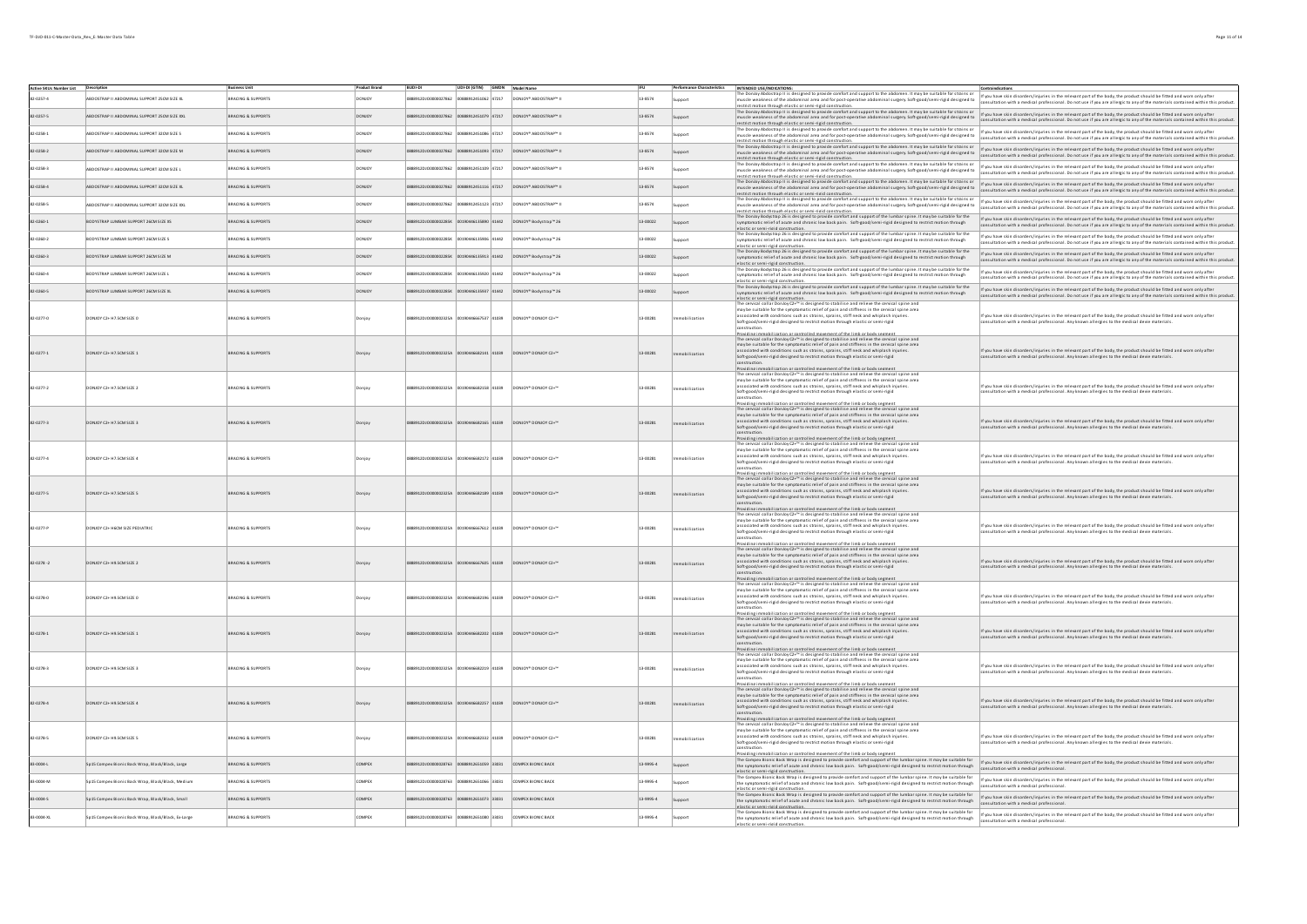| Active SKUs Number List Description |                                                     | <b>Business Unit</b>          | <b>Product Brand</b> | <b>BUDI-DI</b>                            | UDI-DI (GTIN) GMDN Model Name |                                                              |           |            | Performance Characteristics   INTENDED USE/INDICATIONS:                                                                                                                                                                                                                                                                                                                                                                                                                                                                                                                                                                                  | Contraindications                                                                                                                                                                                                                                         |
|-------------------------------------|-----------------------------------------------------|-------------------------------|----------------------|-------------------------------------------|-------------------------------|--------------------------------------------------------------|-----------|------------|------------------------------------------------------------------------------------------------------------------------------------------------------------------------------------------------------------------------------------------------------------------------------------------------------------------------------------------------------------------------------------------------------------------------------------------------------------------------------------------------------------------------------------------------------------------------------------------------------------------------------------------|-----------------------------------------------------------------------------------------------------------------------------------------------------------------------------------------------------------------------------------------------------------|
| 82-0257-4                           | BDOSTRAP II ABDOMINAL SUPPORT 25CM SIZE XL          | <b>BRACING &amp; SUPPORT!</b> |                      | 888912DJ00000027862 00888912451062 47217  |                               | DONJOY* ABDOSTRAP™ II                                        | 13-8574   | upport     | estrict motion through elastic or semi-rigid construction                                                                                                                                                                                                                                                                                                                                                                                                                                                                                                                                                                                | i <mark>nTENGO UA/muutuma.</mark><br>The Doxicy Adostrap iis designed to provide comfort and support to the abomen. It may be suitable for stains or<br>investing the substantial area and for post-operative abdominal surgery. Soft-operation           |
| 82-0257-5                           | ABDOSTRAP II ABDOMINAL SUPPORT 25CM SIZE XXL        | BRACING & SUPPORTS            | DONJOY               | 8912DJO0000027862 00888912451079 47217    |                               | DONJOY* ABDOSTRAP™ II                                        | 13-8574   | support    | restrict motion through elastic or semi-rigid construction.<br>The Donloy Abdostrap II is designed to provide comfort and support to the abdomen. It may be suitable for strains or                                                                                                                                                                                                                                                                                                                                                                                                                                                      | restrict model model and the construction.<br>The Doubly Adopting its designed to provide controllers and community of the substitution of the published in the model published in the model of the model of the published with a                         |
| 82-0258-1                           | BDOSTRAP II ABDOMINAL SUPPORT 32CM SIZE S           | BRACING & SUPPORT!            |                      | 8912DJ00000027862                         | 0888912451086 47217           | DONJOY* ABDOSTRAP™ I                                         | 13-8574   | upport     | muscle weakness of the abdominal area and for post-operative abdominal surgery. Soft-good/semi-rigid designed to<br>restrict motion through elastic or semi-rigid construction.                                                                                                                                                                                                                                                                                                                                                                                                                                                          | If you have skin disorders/injuries in the relevant part of the body, the product should be fitted and worn only after<br>consultation with a medical professional. Do not use if you are allergic to any of the materials contained within this product. |
| 82-0258-2                           | ABDOSTRAP II ABDOMINAL SUPPORT 32CM SIZE M          | BRACING & SUPPORTS            | <b>DONIOY</b>        | 0888912DJO0000027862 00888912451093 47217 |                               | DONJOY <sup>*</sup> ABDOSTRAP <sup>N</sup> II                | 13.8574   | Support    | The Donloy Abdostrap II is designed to provide comfort and support to the abdomen. It may be suitable for strains or<br>muscle weakness of the abdominal area and for post-operative abdominal surgery. Soft-good/semi-rigid designed to<br>restrict motion through elastic or semi-rigid construction.<br>The Donloy Abdostrap II is designed to provide comfort and support to the abdomen. It may be suitable for strains o                                                                                                                                                                                                           | If you have skin disorders/injuries in the relevant part of the body, the product should be fitted and worn only after<br>consultation with a medical professional. Do not use if you are allergic to any of the materials contained within this product. |
| 82-0258-3                           | ABDOSTRAP II ABDOMINAL SUPPORT 32CM SIZE L          | BRACING & SUPPORTS            | DONJOY               | 88912DJ00000027862                        | 00888912451109 47217          | DONJOY* ABDOSTRAP™ II                                        | 13-8574   | upport     | muscle weakness of the abomination area account the support of the distance of the suitable tor strains or if you have skindisorder.Anjunes in the relevant part of the body, the product should be fitted and wom only after<br>                                                                                                                                                                                                                                                                                                                                                                                                        | consultation with a medical professional. Do not use if you are allergic to any of the materials contained within this product.                                                                                                                           |
| 82-0258-4                           | ABDOSTRAP II ABDOMINAL SUPPORT 32CM SIZE XL         | <b>BRACING &amp; SUPPORTS</b> | <b>DONJOY</b>        | 08889120100000022862 00888912451116 42217 |                               | DONJOY <sup>*</sup> ABDOSTRAP <sup>**</sup> II               | 13.8574   | Support    | .<br>In the motion through elastic or semi-rigid construction.<br>In Donloy Abdostrap II is designed to provide comfort and support to the abdomen. It may be suitable for strains<br>muscle weakness of the abdominal area and for post-operative abdominal surgery. Soft-good/semi-rigid designed to<br>restrict motion through elastic or semi-rigid construction.<br>The Donloy Abdostrap II is designed to provide comfort and support to the abdomen. It may be suitable for strains o                                                                                                                                             | If you have skin disorders/injuries in the relevant part of the body, the product should be fitted and worn only after<br>onsultation with a medical professional. Do not use if you are allergic to any of the materials contained within this product.  |
| 82-0258-5                           | BDOSTRAP II ABDOMINAL SUPPORT 32CM SIZE XXL         | RACING & SUPPORTS             |                      | 912DJ00000027862                          | 0888912451123 47217           | DONJOY* ABDOSTRAP™ II                                        | 13-8574   | upport     | muscle weakness of the abdominal area and for post-operative abdominal surgery. Soft-good/semi-rigid designed to                                                                                                                                                                                                                                                                                                                                                                                                                                                                                                                         | f you have skin disorders/injuries in the relevant part of the body, the product should be fitted and worn only afte<br>consultation with a medical professional. Do not use if you are allergic to any of the materials contained within this product.   |
| 82-0260-1                           | BODYSTRAP LUMBAR SUPPORT 26CM SIZE XS               | BRACING & SUPPORT!            |                      |                                           | 90446135890 41442             | DONJOY <sup>*</sup> Bodystrap™ 26                            | 13-00022  | Support    | restrict motion through elastic or semi-rigid construction.<br>The Donloy Bodystrap 26 is designed to provide comfort and support of the lumbar spine. It may be suitable for the<br>symptomatic relief of acute and chronic low back pain. Soft-good/semi-rigid designed to restrict motion through                                                                                                                                                                                                                                                                                                                                     | If you have skin disorders/injuries in the relevant part of the body, the product should be fitted and worn only after<br>isultation with a medical professional. Do not use if you are allergic to any of the materials contained within this product.   |
| 82-0260-2                           | BODYSTRAP LUMBAR SUPPORT 26CM SIZE S                | BRACING & SUPPORT!            | DONJOY               | 88912DJO000002285K                        | 00190446135906 41442          | DONJOY <sup>*</sup> Bodystrap™ 26                            | 13-00022  | upport     | elastic or semi-rigid construction.<br>The Donloy Bodystrap 26 is designed to provide comfort and support of the lumbar spine. It may be suitable for the<br>symptomatic relief of acute and chronic low back pain. Soft-good/semi-rigid designed to restrict motion through                                                                                                                                                                                                                                                                                                                                                             | If you have skin disorders/injuries in the relevant part of the body, the product should be fitted and worn only after<br>ultation with a medical professional. Do not use if you are allergic to any of the materials contained within this product.     |
| 82-0260-3                           | BODYSTRAP LUMBAR SUPPORT 26CM SIZE M                | BRACING & SUPPORTS            |                      | 8912DJ0000002285K                         | 0190446135913 41442           | DONJOY <sup>*</sup> Bodystrap™ 26                            | 13-00022  | Support    | elastic or semi-ristid construction.<br>The Donloy Bodystrap 26 is designed to provide comfort and support of the lumbar spine. It may be suitable for the<br>symptomatic relief of acute and chronic low back pain. Soft-good/semi-rigid designed to restrict motion through<br>elastic or semi-risid construction.<br>The Donloy Bodystrap 26 is designed to provide comfort and support of the lumbar spine. It may be suitable for the                                                                                                                                                                                               | If you have skin disorders/injuries in the relevant part of the body, the product should be fitted and worn only after<br>ultation with a medical professional. Do not use if you are allergic to any of the materials contained within this product.     |
| 82-0260-4                           | <b>ODYSTRAP LUMBAR SUPPORT 26CM SIZE L</b>          | BRACING & SUPPORT!            |                      | 8912DJ0000002285K                         | 0190446135920 41442           | DONJOY <sup>*</sup> Bodystrap™ 26                            | 13-00022  | pport      | symptomatic relief of acute and chronic low back pain. Soft-good/semi-rigid designed to restrict motion through                                                                                                                                                                                                                                                                                                                                                                                                                                                                                                                          | If you have skin disorders/injuries in the relevant part of the body, the product should be fitted and worn only afte<br>sultation with a medical professional. Do not use if you are allergic to any of the materials contained within this product.     |
| 82-0260-5                           | BODYSTRAP LUMBAR SUPPORT 26CM SIZE XL               | BRACING & SUPPORTS            |                      | 88912DJO000002285K                        | 00190446135937 41442          | DONJOY <sup>*</sup> Bodystrap™ 26                            | 13-00022  | Support    | elastic or semi-rield construction.<br>The Donloy Bodystrap 26 is designed to provide comfort and support of the lumbar spine. It may be suitable for the<br>symptomatic relief of acute and chronic low back pain. Soft-good/semi-rigid designed to restrict motion through                                                                                                                                                                                                                                                                                                                                                             | If you have skin disorders/injuries in the relevant part of the body, the product should be fitted and worn only after<br>consultation with a medical professional. Do not use if you are allergic to any of the materials contained within this product. |
| 82-0277-0                           | DONJOY C2+ H7.5CM SIZE 0                            | <b>BRACING &amp; SUPPORTS</b> |                      | 88912DJ0000002325A                        | 00190446667537 41039          | DONJOY* DONJOY C2+™                                          | 13-00281  | ilization  | elastic or semi-rigid construction.<br>The cervical collar Donby (ZV="1s designed to stabilise and relieve the cervical spine and<br>may be suitable for the symptomatic relief of pain and stiffness in the cervical spine area<br>may<br>associated with conditions such as strains, sprains, stiff neck and whiplash injuries.<br>Soft-good/semi-rigid designed to restrict motion through elastic or semi-rigid<br>construction.                                                                                                                                                                                                     | If you have skin disorders/injuries in the relevant part of the body, the product should be fitted and worn only after<br>nsultation with a medical professional. Any known allergies to the medical devie materials.                                     |
| 82-0277-1                           | DONJOY C2+ H7.5CM SIZE 1                            | <b>BRACING &amp; SUPPORTS</b> |                      |                                           | 0446682141 41039              | DONJOY* DONJOY C2+™                                          | 13-00281  | ization    | Providing immobilization or controlled movement of the limb or body segment<br>The cervical collar Donoy (Z+" lis designed to stabilise and relieve the cervical spine and<br>may be suitable for the symptomatic relief of pain and<br>associated with conditions such as strains, sprains, stiff neck and whiplash injuries.<br>Soft-good/semi-rigid designed to restrict motion through elastic or semi-rigid<br>construction.                                                                                                                                                                                                        | If you have skin disorders/injuries in the relevant part of the body, the product should be fitted and worn only after<br>Itation with a medical professional. Any known allergies to the medical devie materials.                                        |
| 82-0277-2                           | DONJOY C2+ H7.5CM SIZE 2                            | <b>BRACING &amp; SUPPORTS</b> |                      | 88912DJ0000002325A                        | 00190446682158 41039          | DONJOY* DONJOY C2+"                                          | 13-00281  | hilization | constructions.<br>Providing immobilization or controlled movement of the limb or body segment.<br>The cervical collar Donloy C2+™ is designed to stabilise and relieve the cervical spine and<br>may be suitable for the symptomatic re<br>associated with conditions such as strains, sprains, stiff neck and whiplash injuries<br>Soft-good/semi-rigid designed to restrict motion through elastic or semi-rigid<br>construction.                                                                                                                                                                                                      | If you have skin disorders/injuries in the relevant part of the body, the product should be fitted and worn only after<br>ltation with a medical professional. Any known allergies to the medical devie materials.                                        |
| 82-0277-3                           | DONJOY C2+ H7.5CM SIZE 3                            | <b>BRACING &amp; SUPPORTS</b> |                      |                                           | 46682165 41039                | DONJOY* DONJOY C2+™                                          | 13-00281  |            | Providing immobilization or controlled movement of the limb or body segment<br>The cervical collar Donby (Z+="is designed to stabilise and relieve the cervical spine and<br>may be suitable for the symptomatic relief of pain and<br>associated with conditions such as strains, sprains, stiff neck and whiplash injuries.<br>Soft-good/semi-rigid designed to restrict motion through elastic or semi-rigid<br>construction.                                                                                                                                                                                                         | If you have skin disorders/injuries in the relevant part of the body, the product should be fitted and worn only after<br>onsultation with a medical professional. Any known allergies to the medical devie materials.                                    |
| 82-0277-4                           | DONJOY C2+ H7.5CM SIZE 4                            | BRACING & SUPPORTS            |                      | 88912DJ0000002325A                        | 00190446682172 41039          | DONJOY® DONJOY C2+"                                          | 13-00281  | ilization  | Providing immobilization or controlled movement of the limb or body segment<br>The cervical collar DonJoy C2+" is designed to stabilise and relieve the cervical spine and<br>may be suitable for the symptomatic relief of pain and<br>associated with conditions such as strains, sprains, stiff neck and whiplash injuries.<br>Soft-good/semi-rigid designed to restrict motion through elastic or semi-rigid<br>construction.<br>Providing immobilization or controlled movement of the limb or body seg                                                                                                                             | If you have skin disorders/injuries in the relevant part of the body, the product should be fitted and worn only after<br>sultation with a medical professional. Any known allergies to the medical devie materials.                                      |
| 82-0277-5                           | DONJOY C2+ H7.5CM SIZE 5                            | <b>BRACING &amp; SUPPORTS</b> |                      |                                           | 0446682189 41039              | DONJOY* DONJOY C2+™                                          | 13-00281  | lization   | The cervical collar Donloy C2+ <sup>m</sup> is designed to stabilise and relieve the cervical spine and<br>may be suitable for the symptomatic relief of pain and stiffness in the cervical spine area<br>associated with conditions such as strains, sprains, stiff neck and whiplash injuries.<br>Soft-good/semi-rigid designed to restrict motion through elastic or semi-rigid<br>construction.<br>Providing immobilization o<br>miled movement of the lim                                                                                                                                                                           | If you have skin disorders/injuries in the relevant part of the body, the product should be fitted and worn only after<br>nsultation with a medical professional. Any known allergies to the medical devie materials.                                     |
| 82-0277-P                           | DONJOY C2+ H6CM SIZE PEDIATRIC                      | <b>BRACING &amp; SUPPORTS</b> |                      | 00000023254                               | 00190446667612 41039          | DONJOY* DONJOY C2+"                                          | 13-00281  | ilization  | The cervical collar Dondoy C2+ <sup>36</sup> is designed to stabilise and relieve the cervical spine and<br>may be suitable for the symptomatic relief of pain and stiffness in the cervical spine and<br>may be suitable for the symptomatic<br>associated with conditions such as strains, sprains, stiff neck and whiplash injuries<br>Soft-good/semi-rigid designed to restrict motion through elastic or semi-rigid<br>construction.                                                                                                                                                                                                | If you have skin disorders/injuries in the relevant part of the body, the product should be fitted and worn only after<br>ultation with a medical professional. Any known allergies to the medical devie materials                                        |
| $82-0278-2$                         | DONJOY C2+ H9.5CM SIZE 2                            | <b>BRACING &amp; SUPPORTS</b> |                      |                                           | 41039-0414                    | DONJOY* DONJOY C2+™                                          | 13-00281  | lization   | Providing immobilization or controlled movement of the limb or body segment<br>The cervical collar Donby (Z+="is designed to stabilise and relieve the cervical spine and<br>may be suitable for the symptomatic relief of pain and<br>associated with conditions such as strains, sprains, stiff neck and whiplash injuries.<br>Soft-good/semi-rigid designed to restrict motion through elastic or semi-rigid<br>construction.                                                                                                                                                                                                         | If you have skin disorders/injuries in the relevant part of the body, the product should be fitted and worn only after<br>consultation with a medical professional. Any known allergies to the medical devie materials.                                   |
| 82-0278-0                           | DONJOY C2+ H9.5CM SIZE 0                            | BRACING & SUPPORTS            |                      | 888912DJO000002325A 00190446682196 41039  |                               | DONJOY* DONJOY C2+"                                          | 13-00281  |            | Providing immobilization or controlled movement of the limb or body segment.<br>The cervical collar Donby (Zx="is designed to stabilise and relieve the cervical spine and<br>may be suitable for the symptomatic relief of pain and<br>associated with conditions such as strains, sprains, stiff neck and whiplash injuries.<br>Soft-good/semi-rigid designed to restrict motion through elastic or semi-rigid<br>construction.                                                                                                                                                                                                        | If you have skin disorders/injuries in the relevant part of the body, the product should be fitted and worn only after<br>.<br>insultation with a medical professional. Any known allergies to the medical devie materials.                               |
| 82-0278-1                           | DONJOY C2+ H9.5CM SIZE 1                            | BRACING & SUPPORTS            |                      | 000023254                                 | 00190446682202 41039          | DONJOY* DONJOY C2+™                                          | 13-00281  | ization    | Providing immobilization or controlled movement of the limb or body segment<br>The cervical collar Donby (Zz="Is designed to stabilise and relieve the cervical spine and<br>may be suitable for the symptomatic relief of pain and<br>associated with conditions such as strains, sprains, stiff neck and whiplash injuries.<br>Soft-good/semi-rigid designed to restrict motion through elastic or semi-rigid<br>construction.                                                                                                                                                                                                         | If you have skin disorders finituries in the relevant part of the hody the product should be fitted and worn only after<br>sultation with a medical professional. Any known allergies to the medical devie materials.                                     |
| 82-0278-3                           | DONJOY C2+ H9.5CM SIZE 3                            | <b>BRACING &amp; SUPPORTS</b> |                      | 0J0000002325A                             | 00190446682219 41039          | DONJOY* DONJOY C2+"                                          | 13-00281  | bilization | Providing immobilization or controlled movement of the limb or body segment<br>The cervical collar DonJoy C2+" is designed to stabilise and relieve the cervical spine and<br>may be suitable for the symptomatic relief of pain and<br>associated with conditions such as strains, sprains, stiff neck and whiplash injuries.<br>Soft-good/semi-rigid designed to restrict motion through elastic or semi-rigid<br>construction.                                                                                                                                                                                                        | If you have skin disorders/injuries in the relevant part of the body, the product should be fitted and worn only after<br>sultation with a medical professional. Any known allergies to the medical devie materials.                                      |
| 82-0278-4                           | DONJOY C2+ H9.5CM SIZE 4                            | <b>BRACING &amp; SUPPORTS</b> |                      |                                           | 446682257 41039               | DONJOY* DONJOY C2+™                                          | 13-00281  | ization    | Proxiding immobilization or controlled movement of the limb or body segment<br>The cervical collar Donloy C2+" is designed to stabilise and relieve the cervical spine and<br>may be suitable for the symptomatic relief of pain and<br>associated with conditions such as strains, sprains, stiff neck and whiplash injuries.<br>Soft-good/semi-rigid designed to restrict motion through elastic or semi-rigid<br>construction.                                                                                                                                                                                                        | If you have skin disorders/injuries in the relevant part of the body, the product should be fitted and worn only after<br>sultation with a medical professional. Any known allergies to the medical devie materials.                                      |
| 82-0278-5                           | DONJOY C2+ H9.5CM SIZE 5                            | <b>BRACING &amp; SUPPORTS</b> |                      | 0888912DJO000002325A 00190446682332 41039 |                               | DONJOY* DONJOY C2+™                                          | 13-00281  | bilization | constructions.<br>Providing immobilization or controlled movement of the limb or body segment.<br>The cervical collar Donloy C2+™ is designed to stabilise and relieve the cervical spine and<br>may be suitable for the symptomatic re<br>associated with conditions such as strains, sprains, stiff neck and whiplash injuries<br>Soft-good/semi-rigid designed to restrict motion through elastic or semi-rigid<br>construction.<br>Providing immobilization or controlled movement of the limb or body segment<br>The Compex Bionic Back Wrap is designed to provide comfort and support of the lumbar spine. It may be suitable for | If you have skin disorders/injuries in the relevant part of the body, the product should be fitted and worn only after<br>onsultation with a medical professional. Any known allergies to the medical devie materials.                                    |
| 83-0004-L                           | Sp15 Compex Bionic Back Wrap, Black/Black, Large    | BRACING & SUPPORTS            | <b>COMPEX</b>        | 88912DJO0000028763                        | 00888912651059 33031          | COMPEX BIONIC BACK                                           | 13-9995-4 | Support    | the symptomatic relief of acute and chronic low back pain. Soft-good/semi-rigid designed to restrict motion through<br>elastic or semi-rigid constru                                                                                                                                                                                                                                                                                                                                                                                                                                                                                     | If you have skin disorders/injuries in the relevant part of the body, the product should be fitted and worn only after<br>consultation with a medical professional                                                                                        |
| 83-0004-M                           | Sp15 Compex Bionic Back Wrap, Black/Black, Medium   | BRACING & SUPPORTS            | <b>COMPEX</b>        | 88912DJO0000028763 00888912651066 33031   |                               | COMPEX BIONIC BACK                                           | 13-9995-4 | upport     | The Compex Bionic Back Wrap is designed to provide comfort and support of the lumbar spine. It may be suitable for<br>the symptomatic relief of acute and chronic low back pain. Soft-good/semi-rigid designed to restrict motion through                                                                                                                                                                                                                                                                                                                                                                                                | If you have skin disorders/injuries in the relevant part of the body, the product should be fitted and worn only after<br>consultation with a medical professional.                                                                                       |
| 83-0004-5                           | Sp15 Compex Bionic Back Wrap, Black/Black, Small    | <b>BRACING &amp; SUPPORTS</b> | <b>COMPEX</b>        | 888912DJO0000028763 00888912651073 33031  |                               | COMPEX BIONIC BACK                                           | 13-9995-4 | Support    | elastic or semi-risid construction.<br>The Compas Blank East Wrap is designed to provide comfort and support of the lumbar spine. It may be suitable for www.www.www.www.washingtons in the relevant part of the body, the produc<br>the symptomatic relief of acute and chronic low back pain. Soft-good/semi-rigid designed to restrict motion through                                                                                                                                                                                                                                                                                 | consultation with a medical professional                                                                                                                                                                                                                  |
| 83-0004-XL                          | Sp15 Compex Bionic Back Wrap, Black/Black, Ex-Large | BRACING & SUPPORTS            | <b>COMPEX</b>        |                                           |                               | 0888912DJO0000028763 00888912651080 33031 COMPEX BIONIC BACK | 13-9995-4 | Support    | elastic or semi-ristid construction.<br>The Compex Bionic Back Wrap is designed to provide comfort and support of the lumbar spine. It may be suitable for<br>the sympanum control in the sympator of the sympator of the lumbarspine. It may be suitable for if you have skindisorders/injuines in the relevant part of the body, the product should be fitted and wom only after<br>---------                                                                                                                                                                                                                                          |                                                                                                                                                                                                                                                           |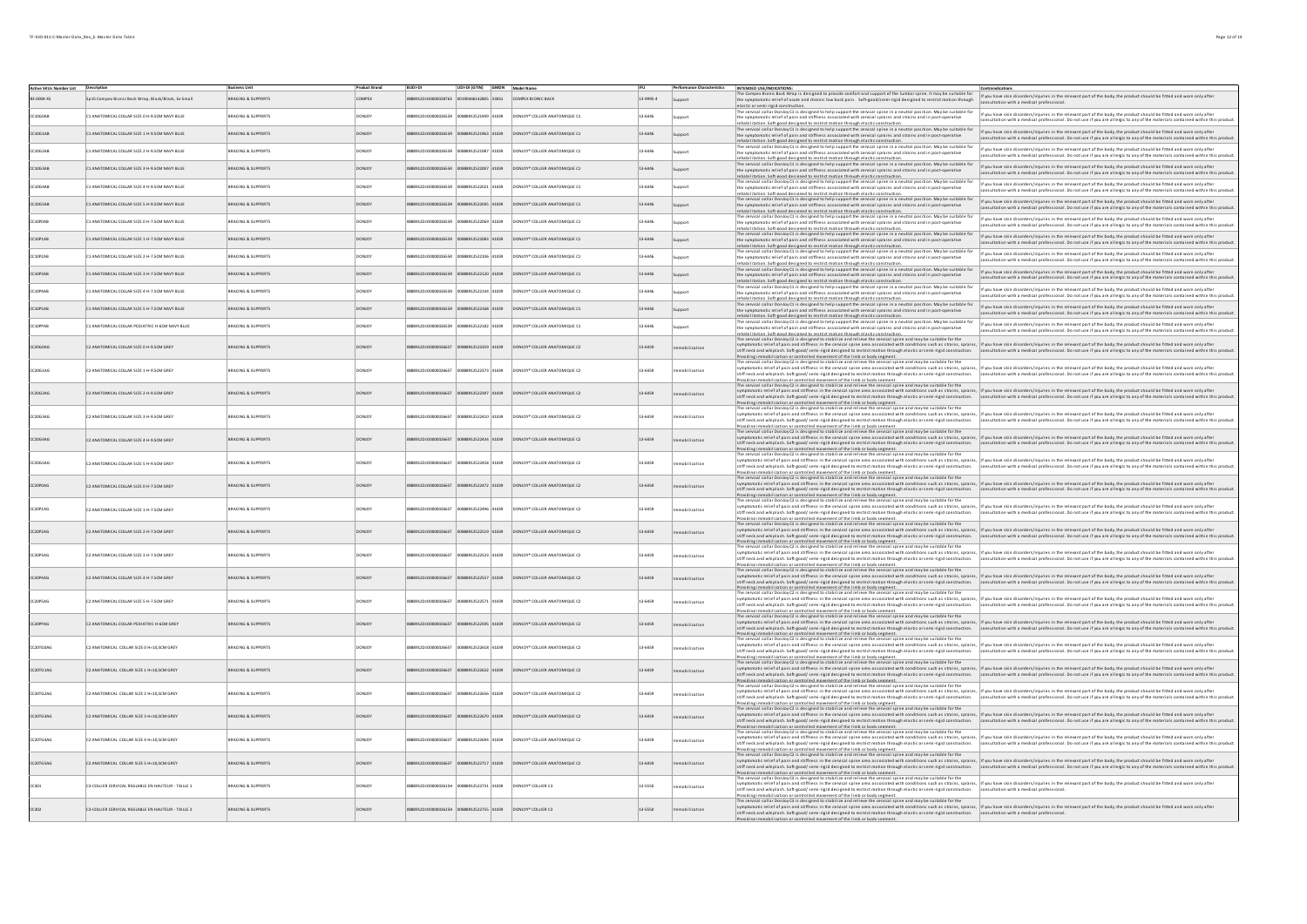| Active SKUs Number List Description<br>2X-Announ |                                                    | <b>Business Unit</b>          | <b>Product Brand</b><br><b>TIMPEY</b> | BUDI-DI<br>20100000028763 | UDI-DI (GTIN) GMDN Model Name<br>12005142805 33031 | COMPEX BIONIC BACK                        | 13-9995-4   | Performance Characteristics INTENDED USE/INDICATIONS: | he Compex Bionic Back Wrap is designed to provide comfort and support of the lumbar spine. It may be suitable for                                                                                                                                                                                                                                                                                                                                                                                                                                                                                      | Contraindications<br>If you have skin disorders/injuries in the relevant part of the body, the product should be fitted and worn only after                                                                                                            |
|--------------------------------------------------|----------------------------------------------------|-------------------------------|---------------------------------------|---------------------------|----------------------------------------------------|-------------------------------------------|-------------|-------------------------------------------------------|--------------------------------------------------------------------------------------------------------------------------------------------------------------------------------------------------------------------------------------------------------------------------------------------------------------------------------------------------------------------------------------------------------------------------------------------------------------------------------------------------------------------------------------------------------------------------------------------------------|--------------------------------------------------------------------------------------------------------------------------------------------------------------------------------------------------------------------------------------------------------|
|                                                  | p15 Compex Bionic Back Wrap, Black/Black, Ex-Small | <b>BRACING &amp; SUPPORTS</b> |                                       |                           |                                                    |                                           |             |                                                       | the symptomatic relief of acute and chronic low back pain. Soft-good/semi-rigid designed to restrict motion through<br>elastic or semi-rigid constructi<br>by C1 is designed to help support the cervical spine in a neutral position. May be suitable for<br>e cervical collar Do                                                                                                                                                                                                                                                                                                                     | ultation with a medical professiona                                                                                                                                                                                                                    |
| LOGOAB                                           | C1 ANATOMICAL COLLAR SIZE 0 H-9.5CM NAVY BLUE      | <b>BRACING &amp; SUPPORTS</b> | DONJOY                                |                           | 88912521949 41039                                  | DONJOY* COLLER ANATOMIQUE C1              | 13-6446     |                                                       | the symptomatic relief of pain and stiffness associated with cervical sprains and strains and in post-operative<br>rehabilitation. Soft-eood designed to restrict motion through elastic construction.<br>The cervical collar Donloy C1 is designed to help support the cervical spine in a neutral position. May be suitable for                                                                                                                                                                                                                                                                      | If you have skin disorders/injuries in the relevant part of the body, the product should be fitted and worn only after<br>Itation with a medical professional. Do not use if you are allergic to any of the materials contained within this produc     |
| 10G1AB                                           | C1 ANATOMICAL COLLAR SIZE 1 H-9.5CM NAVY BLUE      | <b>BRACING &amp; SUPPORTS</b> | DONJOY                                |                           | 888912521963 41039                                 | DONJOY* COLLER ANATOMIQUE C1              | 13-6446     | Support                                               | the symptomatic relief of pain and stiffness associated with cervical sprains and strains and in post-operative                                                                                                                                                                                                                                                                                                                                                                                                                                                                                        | If you have skin disorders/injuries in the relevant part of the body, the product should be fitted and worn only after<br>sultation with a medical professional. Do not use if you are allergic to any of the materials contained within this product  |
| 05248                                            | C1 ANATOMICAL COLLAR SIZE 2 H-9.5CM NAVY BLUE      | <b>BRACING &amp; SUPPORTS</b> | DONJOY                                | 0120100000025550          | 888912521987 41039                                 | DONJOY* COLLIER ANATOMIQUE C1             | 13-6446     |                                                       | rehabilitation. Soft-seod designed to restrict motion through elastic construction.<br>The cervical collar Denoty Cli s designed to help support the cervical spine in a neutral position. May be suitable for<br>the symptomatic re                                                                                                                                                                                                                                                                                                                                                                   | If you have skin disorders/injuries in the relevant part of the body, the product should be fitted and worn only after<br>nsultation with a medical professional. Do not use if you are allergic to any of the materials contained within this product |
| 10G3AB                                           | C1 ANATOMICAL COLLAR SIZE 3 H-9.5CM NAVY BLUE      | <b>BRACING &amp; SUPPORTS</b> | <b>ONICY</b>                          | 99120100000026559         | 4103912522007 41039                                | DONJOY* COLLER ANATOMIQUE C1              | 13-6446     | Support                                               | rehabilitation. Soft eood designed to restrict motion through elastic construction.<br>The cervical collar Donloy Cl is designed to help support the cervical spine in a neutral position. May be suitable for<br>the symptomatic re                                                                                                                                                                                                                                                                                                                                                                   | If you have skin disorders/injuries in the relevant part of the body, the product should be fitted and worn only after<br>ultation with a medical professional. Do not use if you are allergic to any of the materials contained within this product   |
| 10G4AB                                           | C1 ANATOMICAL COLLAR SIZE 4 H-9.5CM NAVY BLUE      | <b>BRACING &amp; SUPPORTS</b> | DONJOY                                |                           | 888912522021 41039                                 | DONJOY* COLLER ANATOMIQUE C1              | 13-6446     |                                                       | shahilitation Soft-enod designed to restrict motion through elastic<br>Fine cervical collar Donloy C1 is designed to help support the cervical spine in a neutral position. May be suitable for<br>The cervical collar Donloy C1 is designed to help support the cervical spine in a neutral position. M                                                                                                                                                                                                                                                                                               | If you have skin disorders/injuries in the relevant part of the body, the product should be fitted and worn only after<br>iltation with a medical professional. Do not use if you are allergic to any of the materials contained within this product   |
|                                                  | C1 ANATOMICAL COLLAR SIZE 5 H-9.5CM NAVY BLUE      | BRACING & SUPPORTS            |                                       |                           | 88912522045 41039                                  | DONJOY* COLLER ANATOMIQUE C1              | 13-6446     | Support                                               | rehabilitation. Soft-eood designed to restrict motion through elastic construction.<br>The cervical collar Donloy C1 is designed to help support the cervical spine in a neutral position. May be suitable for<br>the symptomatic relief of pain and stiffness associated with cervical sprains and strains and in post-operative                                                                                                                                                                                                                                                                      | If you have skin disorders/injuries in the relevant part of the body, the product should be fitted and worn only after                                                                                                                                 |
|                                                  |                                                    |                               |                                       |                           |                                                    |                                           |             |                                                       | enhabilitation. Soft-eood designed to restrict motion through elastic construction.<br>The cervical collar Donloy CI is designed to help support the cervical spine in a neutral position. May be suitable for                                                                                                                                                                                                                                                                                                                                                                                         | ultation with a medical professional. Do not use if you are allergic to any of the materials contained within this product<br>If you have skin disorders/injuries in the relevant part of the body, the product should be fitted and worn only afte    |
|                                                  | 1 ANATOMICAL COLLAR SIZE 0 H-7.5CM NAVY BLUE       | RACING & SUPPORTS             |                                       |                           | 88912522069 41039                                  | DONJOY <sup>*</sup> COLLIER ANATOMIQUE C1 | $13 - 6446$ |                                                       | the symptomatic relief of pain and stiffness associated with cervical sprains and strains and in post-operative<br>rehabilitation. Soft-eood designed to restrict motion through elastic construction.<br>The cervical collar Donloy C1 is designed to help support the cervical spine in a neutral position. May be suitable for                                                                                                                                                                                                                                                                      | sultation with a medical professional. Do not use if you are allergic to any of the materials contained within this product<br>If you have skin disorders/injuries in the relevant part of the body, the product should be fitted and worn only after  |
| 10P1AE                                           | 1 ANATOMICAL COLLAR SIZE 1 H-7.5CM NAVY BLUE       | RACING & SUPPORTS             |                                       |                           | 912522083 41039                                    | DONJOY* COLLER ANATOMIQUE C1              | 13-6446     | Support                                               | the symptomatic relief of pain and stiffness associated with cervical sprains and strains and in post-operative<br>rehabilitation. Soft-eood designed to restrict motion through elastic construction.<br>The cervical collar Donloy C1 is designed to help support the cervical spine in a neutral position. May be suitable for                                                                                                                                                                                                                                                                      | ultation with a medical professional. Do not use if you are allergic to any of the materials contained within this product                                                                                                                             |
| 10P2AE                                           | C1 ANATOMICAL COLLAR SIZE 2 H-7.5CM NAVY BLUE      | <b>BRACING &amp; SUPPORTS</b> | DONJOY                                |                           | 88912522106 41039                                  | DONJOY* COLLER ANATOMIQUE CL              | 13-6446     |                                                       | the symptomatic relief of pain and stiffness associated with cervical sprains and strains and in post-operative<br>rehabilitation. Soft-eood designed to restrict motion through elastic construction.<br>The cervical collar Donloy C1 is designed to help support the cervical spine in a neutral position. May be suitable for                                                                                                                                                                                                                                                                      | If you have skin disorders/injuries in the relevant part of the body, the product should be fitted and worn only after<br>ultation with a medical professional. Do not use if you are allergic to any of the materials contained within this product   |
| 10P3AE                                           | 1 ANATOMICAL COLLAR SIZE 3 H-7.5CM NAVY BLUE       | <b>BRACING &amp; SUPPORTS</b> |                                       |                           | 88912522120 41039                                  | DONJOY* COLLER ANATOMIQUE C1              | 13-6446     | Support                                               | the symptomatic relief of pain and stiffness associated with cervical sprains and strains and in post-operative<br>rehabilitation. Soft-eood designed to restrict motion through elastic construction.<br>The cervical collar Donloy C1 is designed to help support the cervical spine in a neutral position. May be suitable for                                                                                                                                                                                                                                                                      | If you have skin disorders/injuries in the relevant part of the body, the product should be fitted and worn only after<br>sultation with a medical professional. Do not use if you are allergic to any of the materials contained within this product  |
| LOP4AE                                           | 1 ANATOMICAL COLLAR SIZE 4 H-7.5CM NAVY BLUE       | RACING & SUPPORTS             | ONIC                                  |                           | 88912522144 41039                                  | DONJOY <sup>*</sup> COLLIER ANATOMIQUE C1 | 13-6446     | upport                                                | the symptomatic relief of pain and stiffness associated with cervical sprains and strains and in post-operative                                                                                                                                                                                                                                                                                                                                                                                                                                                                                        | If you have skin disorders/injuries in the relevant part of the body, the product should be fitted and worn only afte<br>insultation with a medical professional. Do not use if you are allergic to any of the materials contained within this product |
| 10PSAB                                           | C1 ANATOMICAL COLLAR SIZE 5 H-7.5CM NAVY BLUE      | <b>BRACING &amp; SUPPORTS</b> | CONCY                                 |                           | 88912522168 41039                                  | DONJOY* COLLER ANATOMIQUE C1              | 13-6446     | Support                                               | rehabilitation. Soft-eood designed to restrict motion through elastic construction.<br>The cervical collar Donloy C1 is designed to help support the cervical spine in a neutral position. May be suitable for<br>the symptomatic relief of pain and stiffness associated with cervical sprains and strains and in post-operative                                                                                                                                                                                                                                                                      | If you have skin disorders/injuries in the relevant part of the body, the product should be fitted and worn only after<br>sultation with a medical professional. Do not use if you are allergic to any of the materials contained within this product  |
|                                                  | C1 ANATOMICAL COLLAR PEDIATRIC H-6CM NAVY BLUE     | <b>BRACING &amp; SUPPORTS</b> | ONIOY                                 |                           | 88912522182 41039                                  | DONJOY <sup>*</sup> COLLIER ANATOMIQUE C1 | 13-6446     | upport                                                | rehabilitation. Soft-eood designed to restrict motion through elastic construction.<br>The cervical collar Donloy C1 is designed to help support the cervical spine in a neutral position. May be suitable for<br>the symptomatic relief of pain and stiffness associated with cervical sprains and strains and in post-operative                                                                                                                                                                                                                                                                      | If you have skin disorders/injuries in the relevant part of the body, the product should be fitted and worn only after<br>ultation with a medical professional. Do not use if you are allergic to any of the materials contained within this produc    |
|                                                  | C2 ANATOMICAL COLLAR SIZE 0 H-9.5CM GREY           | <b>BRACING &amp; SUPPORTS</b> | <b>DONJOY</b>                         |                           | 8912522359 41039                                   | DONJOY* COLLIER ANATOMIQUE C2             | 13-6459     |                                                       | rehabilizion. Softenod deciened to restrict motion theorie is are construction.<br>The cervical construction of the steaming of the the cervical construction of the construction of the steaming with a medial professional cons                                                                                                                                                                                                                                                                                                                                                                      |                                                                                                                                                                                                                                                        |
|                                                  |                                                    |                               |                                       |                           |                                                    |                                           |             | mobilization                                          |                                                                                                                                                                                                                                                                                                                                                                                                                                                                                                                                                                                                        | stiff ned and whipsin. Soft good/semi-rigid designed to restict motion through elastic or semi-rigid construction. consultation with a medical professional. Do not use if you are alleget to any of the materials contained w                         |
| 20G1AG                                           | C2 ANATOMICAL COLLAR SIZE 1 H-9.5CM GREY           | <b>BRACING &amp; SUPPORTS</b> | DONJOY                                | 8912DJ0000002665T         | 88912522373 41039                                  | DONJOY* COLLIER ANATOMIQUE C2             | 13-6459     | obilization                                           | symptomatic relief of pain and stiffness in the cervical spine area associated with conditions such as strains, sprains, lif you have skin disorders/injuries in the relevant part of the body, the product should be fitted a<br>stiff neck and whiplash. Soft-good/ semi-rigid designed to restrict motion through elastic or semi-rigid construction.                                                                                                                                                                                                                                               | consultation with a medical professional. Do not use if you are allergic to any of the materials contained within this product                                                                                                                         |
| 20G2AG                                           | C2 ANATOMICAL COLLAR SIZE 2 H-9.5CM GREY           | <b>BRACING &amp; SUPPORTS</b> | <b>ONIOY</b>                          | 8912DJ00000026651         | 888912522397 41039                                 | DONJOY* COLLIER ANATOMIQUE C2             | 13-6459     |                                                       | Providing immobilization or controlled movement of the limb or body segment.<br>The cervical collar Donloy C2 is designed to stabilize and relieve the cervical spine and may be suitable for the<br>symptomatic relief of pain and stiffness in the cenical spine area associated with conditions such as strains, ppains, if you have skin disorders/injuries in the relevant part of the body, the poduct should be fitted and w                                                                                                                                                                    |                                                                                                                                                                                                                                                        |
|                                                  |                                                    |                               |                                       |                           |                                                    |                                           |             |                                                       | . Providing immobilization or controlled movement of the limb or body comment.<br>The cervical confirm of the cervical content of the the real cervical case of may be suitable for the<br>symplematic entief of pain and stiffness                                                                                                                                                                                                                                                                                                                                                                    | consultation with a medical professional. Do not use if you are allergic to any of the materials contained within this product                                                                                                                         |
|                                                  | 2 ANATOMICAL COLLAR SIZE 3 H-9.5CM GREY            | BRACING & SUPPORTS            |                                       |                           |                                                    | NJOY* COLLIER ANATOMIQUE C2               | $3 - 6459$  | bilization                                            |                                                                                                                                                                                                                                                                                                                                                                                                                                                                                                                                                                                                        | stiff neck and whiplash. Soft-good/semi-rigid designed to restrict motion through elastic or semi-rigid construction. consultation with a medical professional. Do not use if you are allergic to any of the materials contain                         |
|                                                  | C2 ANATOMICAL COLLAR SIZE 4 H-9.5CM GREY           | ACING & SUPPORTS              |                                       |                           |                                                    |                                           | 13-6459     | nobilization                                          | Providing immobilization or controlled movement of the limb or body segment.<br>The cervical collar Donloy C2 is designed to stabilize and relieve the cervical spine and may be suitable for the<br>symptomatic relief of pain and stiffness in the cervical spine area associated with conditions such as strains, sprains, lif you have skin disorders/injuries in the relevant part of the body, the product should be fitted a                                                                                                                                                                    |                                                                                                                                                                                                                                                        |
|                                                  |                                                    |                               |                                       |                           |                                                    |                                           |             |                                                       |                                                                                                                                                                                                                                                                                                                                                                                                                                                                                                                                                                                                        | stiff ned and whipsin. Soft good/semi-rigid designed to restrict modion through elastic or semi-rigid construction. Consultation with a medical professional. Do not use if you are alleger to any of the materials contained                          |
| 20G5AG                                           | C2 ANATOMICAL COLLAR SIZE 5 H-9.5CM GREY           | <b>BRACING &amp; SUPPORTS</b> | DONJOY                                |                           | 888912522458 41039                                 | DONJOY* COLLIER ANATOMIQUE C2             | 13-6459     | mobilization                                          | symptomatic relief of pain and stiffness in the cervical spine area associated with conditions such as strains, sprains, If you have skin disorders/injuries in the relevant part of the body, the product should be fitted an                                                                                                                                                                                                                                                                                                                                                                         | stiff neck and whiplash. Soft-good/semi-rigid designed to restrict motion through elastic or semi-rigid construction. consultation with a medical professional. Do not use if you are allergic to any of the materials contain                         |
| OPOAG                                            | C2 ANATOMICAL COLLAR SIZE O H-7.5CM GREY           | <b>BRACING &amp; SUPPORTS</b> | DONICY                                |                           | 8912522472 41039                                   | DONJOY* COLLIER ANATOMIQUE C2             | 13-6459     |                                                       | Providing immobilization or controlled movement of the limb or body segment.<br>The cervical collar Donloy C2 is designed to stabilize and relieve the cervical spine and may be suitable for the                                                                                                                                                                                                                                                                                                                                                                                                      | symptomatic relief of pain and stiffness in the central spine area associated with conditions such as strains, sprints, if you have skin disorders/injuries in the elevant part of the body, the product should be fitted and                          |
|                                                  |                                                    |                               |                                       |                           |                                                    |                                           |             |                                                       | alled movement of the limb or hody ceamen<br>Providing imm<br>The cervical collar Donloy C2 is designed to stabilize and relieve the cervical spine and may be suitable for the                                                                                                                                                                                                                                                                                                                                                                                                                        |                                                                                                                                                                                                                                                        |
| 20P1AG                                           | C2 ANATOMICAL COLLAR SIZE 1 H-7.5CM GREY           | BRACING & SUPPORTS            | ONIOY                                 |                           | 88912522496 41039                                  | ONJOY* COLLER ANATOMIQUE C2               | 13-6459     | mobilization                                          | symptomatic relief of pain and stiffness in the cervical spine area associated with conditions such as strains, sprains, if you have skin disorders/injuries in the relevant part of the body, the product should be fitted an                                                                                                                                                                                                                                                                                                                                                                         | stiff neck and whiplash. Soft-good/semi-rigid designed to restrict motion through elastic or semi-rigid construction. consultation with a medical professional. Do not use if you are allergic to any of the materials contain                         |
| COP2AC                                           | 2 ANATOMICAL COLLAR SIZE 2 H-7.5CM GREY            | RACING & SUPPORTS             |                                       |                           |                                                    | NJOY <sup>*</sup> COLLIER ANATOMIQUE C2   | 13-6459     | mobilization                                          | Providing immobilization or controlled movement of the limb or body seament.<br>The cervical calibration of the strate and relieve the cervical spin of may be suitable for the<br>symptomatic miled relief and an extend is pine ar                                                                                                                                                                                                                                                                                                                                                                   | stiff neck and whiplash. Soft-good/semi-rigid designed to restrict motion through elastic or semi-rigid construction. consultation with a medical professional. Do not use if you are allergic to any of the materials contain                         |
|                                                  |                                                    |                               |                                       |                           |                                                    |                                           |             |                                                       | Providing immobilization or controlled movement of the limb or body segment.<br>The cervical collar Donloy C2 is designed to stabilize and relieve the cervical spine and may be suitable for the<br>symptomatic relief of pain and stiffness in the cervical spine area associated with conditions such as strains, sprains, If you have skin disorders/injuries in the relevant part of the body, the product should be fitted an                                                                                                                                                                    |                                                                                                                                                                                                                                                        |
| C20P3AG                                          | C2 ANATOMICAL COLLAR SIZE 3 H-7.5CM GREY           | <b>BRACING &amp; SUPPORTS</b> | DONJOY                                | 88912DJ0000002665T        | 88912522533 41039                                  | DONJOY* COLLIER ANATOMIQUE C2             | 13-6459     | mobilization                                          | Providing immobilization or controlled movement of the limb or body segment.                                                                                                                                                                                                                                                                                                                                                                                                                                                                                                                           | stiff neck and whiplash. Soft-good/semi-rigid designed to restrict motion through elastic or semi-rigid construction. consultation with a medical professional. Do not use if you are allergic to any of the materials contain                         |
| C20P4AG                                          | C2 ANATOMICAL COLLAR SIZE 4 H-7.5CM GREY           | <b>BRACING &amp; SUPPORTS</b> | <b>ONICY</b>                          | 912DJ00000026651          | 0888912522557 41039                                | DONJOY* COLLIER ANATOMIQUE C2             | 13-6459     |                                                       | The cervical collar Donloy C2 is designed to stabilize and relieve the cervical spine and may be suitable for the                                                                                                                                                                                                                                                                                                                                                                                                                                                                                      | symptomatic relief of pain and stiffness in the central spine area associated with conditions such as strains, sprains, if you have skin disorders/injuries in the relevant part of the body, the product should be fitted and                         |
| <b>20PSAG</b>                                    | C2 ANATOMICAL COLLAR SIZE S.H. 7 SOM GREY          | <b>BRACING &amp; SUPPORTS</b> | DONIOV                                | 912010000002657           | 88912522571 41039                                  | DONIOY* COLLER ANATOMIQUE C2              | 13.6459     |                                                       | Providing immobilization or controlled movement of the limb or body segment.<br>The cervical collar Donloy C2 is designed to stabilize and relieve the cervical spine and may be suitable for the<br>symptomatic relief of pain and stiffness in the cervical spine area associated with conditions such as strains, sprains, if you have skin disorders/injuries in the relevant part of the body, the product should be fitted an                                                                                                                                                                    |                                                                                                                                                                                                                                                        |
|                                                  |                                                    |                               |                                       |                           |                                                    |                                           |             | bilization                                            | stiff neck and whiplash. Soft-good/semi-rigid designed to restrict motion through elastic or semi-rigid construction.                                                                                                                                                                                                                                                                                                                                                                                                                                                                                  | consultation with a medical professional. Do not use if you are allergic to any of the materials contained within this produc                                                                                                                          |
|                                                  | 2 ANATOMICAL COLLAR PEDIATRIC H-6CM GREY           | RACING & SUPPORTS             |                                       |                           |                                                    | NJOY <sup>*</sup> COLLIER ANATOMIQUE C2   | 13-6459     | nobilization                                          | Providing immobilization or controlled movement of the limb or body ceremnes.<br>The cervical care discussions and the state and entered the state of the state of the state of the state of the<br>cymplematic miled of state and s                                                                                                                                                                                                                                                                                                                                                                   |                                                                                                                                                                                                                                                        |
| C20TG0AG                                         | C2 ANATOMICAL COLLAR SIZE 0 H=10.5CM GREY          | <b>BRACING &amp; SUPPORTS</b> | DONJOY                                |                           | 888912522618 41039                                 | DONJOY* COLLIER ANATOMIQUE C2             | 13-6459     | mobilization                                          | symptomatic relief of pain and stiffness in the cervical spine area associated with conditions such as strains, sprains, iff you have skin disorders/injuries in the relevant part of the body, the product should be fitted a                                                                                                                                                                                                                                                                                                                                                                         | stiffned and whiplash. Soft good/semi-rigid designed to restrict motion though elastic or semi-rigid construction. "consultation with a medical professional. Do not use if you are allegic to any of the materials contained                          |
|                                                  |                                                    |                               |                                       |                           |                                                    |                                           |             |                                                       | rolled movement of the limb or body ceament<br>muidine imm<br>The cervical collar Donloy C2 is designed to stabilize and relieve the cervical spine and may be suitable for the                                                                                                                                                                                                                                                                                                                                                                                                                        | stiff neck and whiplash. Soft-good/semi-rigid designed to restrict motion through elastic or semi-rigid construction. consultation with a medical professional. Do not use if you are allergic to any of the materials contain                         |
| <b>TG14G</b>                                     | C2 ANATOMICAL COLLAR SIZE 1 H=10.5CM GREY          | <b>BRACING &amp; SUPPORTS</b> | DONJOY                                |                           | 88912522632 41039                                  | DONJOY* COLLIER ANATOMIQUE C2             | 13-6459     |                                                       | symptomatic relief of pain and stiffness in the central spine area associated with conditions such as strains, spains, iff you have skin disorders/holines in the relevant part of the body, the product should be fitted and                                                                                                                                                                                                                                                                                                                                                                          | consultation with a medical professional. Do not use if you are allergic to any of the materials contained within this product                                                                                                                         |
| <b>POTG</b> 24G                                  | C2 ANATOMICAL COLLAR SIZE 2 Ha10 SOM GREY          | <b>BRACING &amp; SUPPORTS</b> | <b>ONIOY</b>                          | 9912010000002657          | <b>PFOLA 32355251PRRR</b>                          | DONIOY* COLLER ANATOMIQUE C2              | 13.6459     | nobilization                                          | Providing immobilization or controlled movement of the limb or body segment.<br>The cervical collar Donloy C2 is designed to stabilize and relieve the cervical spine and may be suitable for the<br>ymptomatic relief of pain and stiffness in the cervical spine area associated with conditions such as strains, sprains, lif you have skin disorders/injuries in the relevant part of the body, the product should be fitted an                                                                                                                                                                    |                                                                                                                                                                                                                                                        |
|                                                  |                                                    |                               |                                       |                           |                                                    |                                           |             |                                                       | stiff neck and whiplash. Soft-good/semi-rigid designed to restrict motion through elastic or semi-rigid construction.<br>.<br>Providinal immobilization or controlled movement of the limb or bookseement.<br>The cervical confidence of the cervice and with cervical spin on environment of the cervice of the cervice of the cervice of the cervice of the                                                                                                                                                                                                                                          | consultation with a medical professional. Do not use if you are allergic to any of the materials contained within this product                                                                                                                         |
|                                                  | 2 ANATOMICAL COLLAR SIZE 3 H=10,5CM GREY           | BRACING & SUPPORTS            |                                       |                           |                                                    | DONJOY <sup>*</sup> COLLIER ANATOMIQUE C2 | 13-6459     | obilization                                           |                                                                                                                                                                                                                                                                                                                                                                                                                                                                                                                                                                                                        | stiff neck and whiplash. Soft-good/semi-rigid designed to restrict motion through elastic or semi-rigid construction. consultation with a medical professional. Do not use if you are allergic to any of the materials contain                         |
| C20TG4AG                                         | C2 ANATOMICAL COLLAR SIZE 4 H=10.5CM GREY          | <b>BRACING &amp; SUPPORTS</b> | DONJOY                                | 88912DJ0000002665T        | 88912522694 41039                                  | DONJOY* COLLIER ANATOMIQUE C2             | 13-6459     | mobilization                                          | Providing immobilization or controlled movement of the limb or body segment.<br>The cervical collar Donloy C2 is designed to stabilize and relieve the cervical spine and may be suitable for the<br>symptomatic relief of pain and stiffness in the cervical spine area associated with conditions such as strains, sprains, If you have skin disorders/injuries in the relevant part of the body, the product should be fitted an                                                                                                                                                                    |                                                                                                                                                                                                                                                        |
|                                                  |                                                    |                               |                                       |                           |                                                    |                                           |             |                                                       |                                                                                                                                                                                                                                                                                                                                                                                                                                                                                                                                                                                                        | stiffed and whipsin. Softward judesigned to restict motion through elastic or sening documents. consultation with a medical professional. Do not use if you are allegate bany of the materials contained within this product.<br>                      |
| 20TGSAG                                          | C2 ANATOMICAL COLLAR SIZE 5 H=10,5CM GREY          | <b>BRACING &amp; SUPPORTS</b> | <b>ONIOY</b>                          | 912DJ0000002665T          | 888912522717 41039                                 | DONJOY* COLLIER ANATOMIQUE C2             | 13-6459     |                                                       |                                                                                                                                                                                                                                                                                                                                                                                                                                                                                                                                                                                                        | symptomatic relief of pain and stiffness in the central spine area associated with conditions such as strains, sprains, if you have skin disorders/injuries in the relevant part of the body, the product should be fitted and                         |
|                                                  | CS COLLER CERVICAL REGLARIE EN HALITEUR - TAILLE 1 | <b>BRACING &amp; SUPPORTS</b> | DONIOV                                | 0012010000002456          | 88912522731 41039                                  | FOR HIPP <sup>+</sup> COLLER C3           | 13.5550     |                                                       | Providing immobilization or controlled movement of the limb or body segment.<br>The cervical collar Donloy C3 is designed to stabilize and relieve the cervical spine and may be suitable for the<br>ymptomatic relief of pain and stiffness in the cervical spine area associated with conditions such as strains, sprains, lif you have skin disorders/injuries in the relevant part of the body, the product should be fitted an<br>stiff neck and whiplash. Soft-good/semi-rigid designed to restrict motion through elastic or semi-rigid construction. consultation with a medical professional. |                                                                                                                                                                                                                                                        |
|                                                  |                                                    |                               |                                       |                           |                                                    |                                           |             |                                                       | .<br>Providinal immobilization or controlled movement of the Limb or body a body areas modern provided to the movement of the controlled in the movement of the movement of the provided by the product should be fitted and wome                                                                                                                                                                                                                                                                                                                                                                      |                                                                                                                                                                                                                                                        |
|                                                  | 3-COLLIER CERVICAL REGLABLE EN HAUTEUR - TAILLE 2  | RACING & SUPPORTS             |                                       |                           | 00888912522755 41039                               |                                           | 13-5550     | bilization                                            | stiff neck and whiplash. Soft-good/semi-rigid designed to restrict motion through elastic or semi-rigid construction.                                                                                                                                                                                                                                                                                                                                                                                                                                                                                  | consultation with a medical professional                                                                                                                                                                                                               |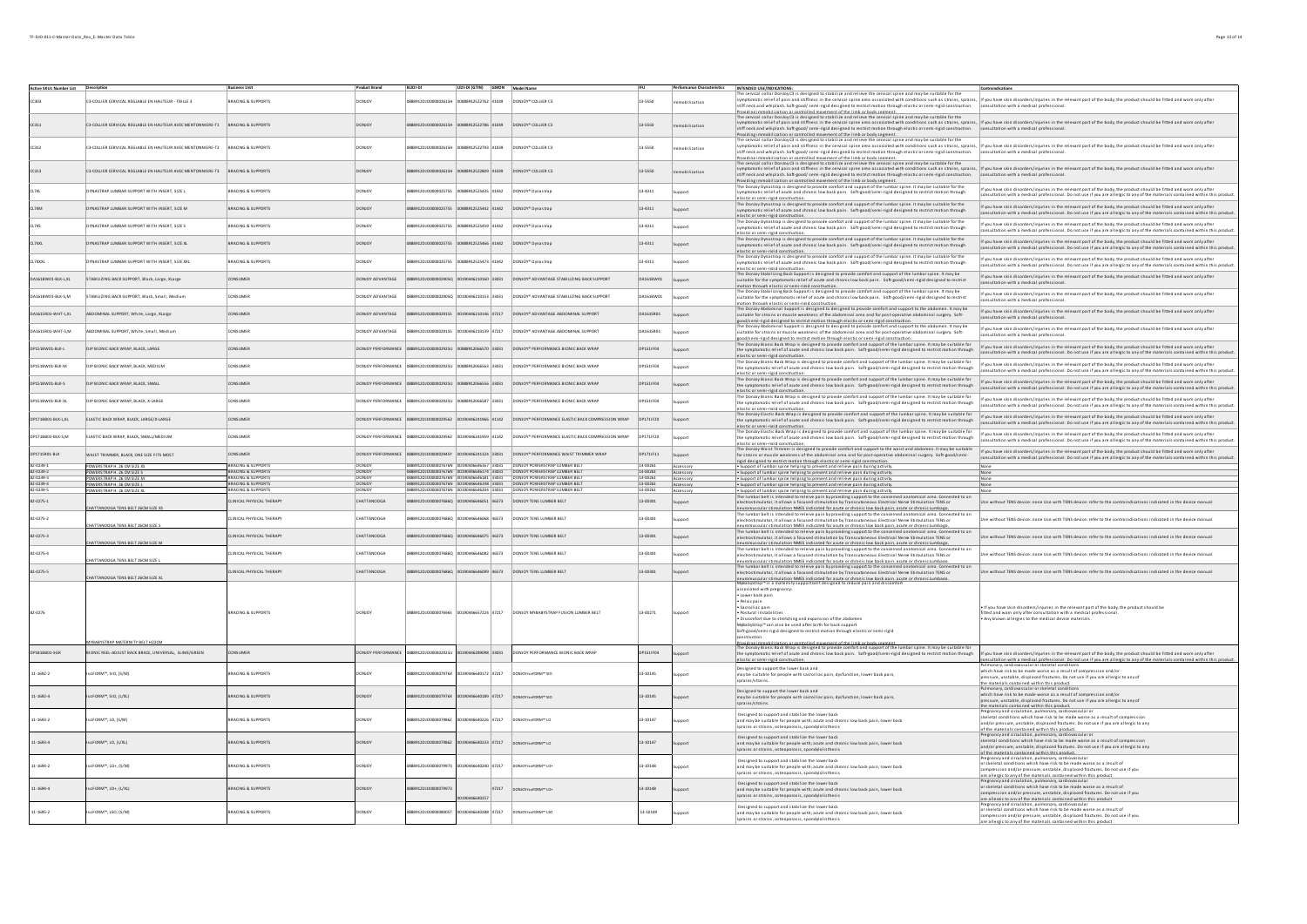| Active SKUs Number List Description |                                                                               |                                                   |                    |                                                                                  | UDI-DI (GTIN) GMDN Model Name |             |                                                                                                     |                  |                        | INTENDED USE/INDICATIONS:                                                                                                                                                                                                                                                                                                                                                                                                                                                                                                                                    | Contraindications                                                                                                                                                                                                                                                                                            |
|-------------------------------------|-------------------------------------------------------------------------------|---------------------------------------------------|--------------------|----------------------------------------------------------------------------------|-------------------------------|-------------|-----------------------------------------------------------------------------------------------------|------------------|------------------------|--------------------------------------------------------------------------------------------------------------------------------------------------------------------------------------------------------------------------------------------------------------------------------------------------------------------------------------------------------------------------------------------------------------------------------------------------------------------------------------------------------------------------------------------------------------|--------------------------------------------------------------------------------------------------------------------------------------------------------------------------------------------------------------------------------------------------------------------------------------------------------------|
| rana                                | C3-COLLIER CERVICAL REGLABLE EN HAUTEUR - TAILLE 3                            | BRACING & SUPPORTS                                | DONIOV             | 8912D10000002615F                                                                | 0888912522762 41039           |             | DONJOY* COLLER C3                                                                                   | 13-5550          |                        | The cervical collar Donloy C3 is designed to stabilize and relieve the cervical spine and may be suitable for the<br>ymptomatic relief of pain and stiffness in the cervical spine area associated with conditions such as strains, sprains,<br>neck and whiplash. Soft-good/semi-rigid designed to restrict motion through elastic or semi-rigid construction.                                                                                                                                                                                              | If you have skin disorders/injuries in the relevant part of the body, the product should be fitted and worn only after<br>sultation with a medical professional                                                                                                                                              |
| CC311                               | C3-COLLIER CERVICAL REGLABLE EN HAUTEUR AVEC MENTONNIERE-T1                   | <b>BRACING &amp; SUPPORTS</b>                     |                    |                                                                                  |                               |             | MJOY* COLLIER C3                                                                                    | 13-5550          | bilization             | Providing immobilization or controlled movement of the limb or body segment.<br>rive consideration of States in the constant in the mean of the consideration of the subble for the<br>The consideration of the state of the consideration of the state of the consideration such as strains, prains,<br>symptomatic<br>stiff neck and whiplash. Soft-good/semi-rigid designed to restrict motion through elastic or semi-rigid construction.                                                                                                                | consultation with a medical professional                                                                                                                                                                                                                                                                     |
| cc312                               | 3-COLLIER CERVICAL REGLABLE EN HAUTEUR AVEC MENTONNIERE-T2 BRACING & SUPPORTS |                                                   | DONJOY             | 9120100000026154                                                                 | 88912522793 41039             |             | DONJOY* COLLIER C3                                                                                  | 13-5550          | nobilization           | Providing immobilization or controlled movement of the limb or body segment.<br>The cervical collar Donloy C3 is designed to stabilize and relieve the cervical spine and may be suitable for the<br>ymptomatic relief of pain and stiffness in the cervical spine area associated with conditions such as strains, sprains, lif you have skin disorders/injuries in the relevant part of the body, the product should be fitted an<br>stiff neck and whiplash, Soft-good/semi-rigid designed to restrict motion through elastic or semi-rigid construction. | consultation with a medical professional.                                                                                                                                                                                                                                                                    |
| CC313                               | C3-COLLIER CERVICAL REGLABLE EN HAUTEUR AVEC MENTONNIERE-T3                   | <b>BRACING &amp; SUPPORTS</b>                     | <b>ONIOY</b>       |                                                                                  |                               |             | DONJOY* COLLIER C3                                                                                  | 13-5550          | mobilization           | provide to many interest of the many terms in the second section of the second constructions of the second construction interest interest interest into the second interest in the first of the second interest in the second<br>stiff neck and whiplash. Soft-good/semi-rigid designed to restrict motion through elastic or semi-rigid construction.<br>Providing immobilization or controlled movement of the limb or body segment.<br>The Donloy Dynastrap is designed to provide comfort and support of the lumbar spine. It may be suitable for the    | consultation with a medical professional                                                                                                                                                                                                                                                                     |
|                                     | YNASTRAP LUMBAR SUPPORT WITH INSERT, SIZE L                                   | BRACING & SUPPORTS                                | DONJOY             | 8912DJ0000002575S                                                                | 0888912525435 41442           |             | DONJOY* Dynastrap                                                                                   | 13-4311          | monni                  | symptomatic relief of acute and chronic low back pain. Soft-good/semi-rigid designed to restrict motion through<br>elastic or semi-rigid construction.                                                                                                                                                                                                                                                                                                                                                                                                       | If you have skin disorders/injuries in the relevant part of the body, the product should be fitted and worn only after<br>ultation with a medical professional. Do not use if you are allergic to any of the materials contained within this produc                                                          |
| CL74M                               | <b>OYNASTRAP LUMBAR SUPPORT WITH INSERT, SIZE M</b>                           | <b>BRACING &amp; SUPPORTS</b>                     | DONJOY             | 8912DJO000002575S 00888912525442 41442                                           |                               |             | DONJOY* Dynastrap                                                                                   | 13-4311          | Support                | The Donloy Dynastrap is designed to provide comfort and support of the lumbar spine. It may be suitable for the<br>symptomatic relief of acute and chronic low back pain. Soft-good/semi-rigid designed to restrict motion through<br>elastic or semi-rigid construction                                                                                                                                                                                                                                                                                     | If you have skin disorders/injuries in the relevant part of the body, the product should be fitted and worn only after<br>ultation with a medical professional. Do not use if you are allergic to any of the materials contained within this product                                                         |
| CL745                               | YNASTRAP LUMBAR SUPPORT WITH INSERT, SIZE S                                   | BRACING & SUPPORTS                                | DONJOY             | 8912DJ0000002575S                                                                | 00888912525459 41442          |             | DONJOY* Dynastrap                                                                                   | 13-4311          | upport                 | The Donloy Dynastrap is designed to provide comfort and support of the lumbar spine. It may be suitable for the<br>symptomatic relief of acute and chronic low back pain. Soft-good/semi-rigid designed to restrict motion through<br>elastic or semi-rigid constru                                                                                                                                                                                                                                                                                          | If you have skin disorders/injuries in the relevant part of the body, the product should be fitted and worn only after<br>ultation with a medical professional. Do not use if you are allergic to any of the materials contained within this product                                                         |
| CL74XL                              | .<br>NASTRAP LUMBAR SUPPORT WITH INSERT, SIZE XL                              | BRACING & SUPPORT!                                | DONJOY             |                                                                                  | 888912525466 41442            |             | DONJOY* Dynastrap                                                                                   | 13-4311          | Support                | The Donloy Dynastrap is designed to provide comfort and support of the lumbar spine. It may be suitable for the<br>symptomatic relief of acute and chronic low back pain. Soft-good/semi-rigid designed to restrict motion through<br>lastic or semi-rigid construction.                                                                                                                                                                                                                                                                                     | If you have skin disorders/injuries in the relevant part of the body, the product should be fitted and worn only after<br>nsultation with a medical professional. Do not use if you are allergic to any of the materials contained within this product                                                       |
|                                     | NASTRAP LUMBAR SUPPORT WITH INSERT, SIZE XX                                   | RACING & SUPPORT                                  |                    |                                                                                  | 88912525473 41442             |             | DONJOY* Dynastrap                                                                                   | 13-4311          | unnort                 | The Donloy Dynastrap is designed to provide comfort and support of the lumbar spine. It may be suitable for the<br>symptomatic relief of acute and chronic low back pain. Soft-good/semi-rigid designed to restrict motion through<br>lastic or semi-rigid constructi                                                                                                                                                                                                                                                                                        | If you have skin disorders/injuries in the relevant part of the body, the product should be fitted and worn only after<br>onsultation with a medical professional. Do not use if you are allergic to any of the materials contained within this product                                                      |
| 0A161BW01-BLK-L,XL                  | <b>STABILIZING BACK SUPPORT, Black, Large, XLarge</b>                         | CONSUMER                                          | ONIOY ADVANTAGE    |                                                                                  | 90446210160 33031             |             | DONJOY* ADVANTAGE STABILIZING BACK SUPPORT                                                          | 0A161BW01        | Support                | e Donloy Stabilizing Back Support is designed to provide comfort and support of the lumbar spine. It may be<br>suitable for the symptomatic relief of acute and chronic low back pain. Soft-good/semi-rigid designed to restrict<br>motion through elastic or semi-rigid construction.<br>The Donloy Stabilizing Back Support is designed to provide comfort and support of the lumbar spine. It may be                                                                                                                                                      | If you have skin disorders/injuries in the relevant part of the body, the product should be fitted and worn only after<br>ultation with a medical professional                                                                                                                                               |
| A161BW01-BLK-S,M                    | <b>STABILIZING BACK SUPPORT, Black, Small, Mediur</b>                         | ONSUMER                                           | DONJOY ADVANTAGE   | 912DJO000002905Q 00190446210153 33031                                            |                               |             | DONJOY* ADVANTAGE STABILIZING BACK SUPPORT                                                          | 0A161BW01        | uppor                  | suitable for the symptomatic relief of acute and chronic low back pain. Soft-good/semi-rigid designed to restrict                                                                                                                                                                                                                                                                                                                                                                                                                                            | If you have skin disorders/injuries in the relevant part of the body, the product should be fitted and worn only after<br>ultation with a medical professional                                                                                                                                               |
| 1615R01-WHT-L.XL                    | <b>ABDOMINAL SUPPORT, White, Large, XLarge</b>                                | CONSUMER                                          | ONJOY ADVANTAGE    |                                                                                  | 90446210146 47217             |             | DONJOY <sup>*</sup> ADVANTAGE ABDOMINAL SUPPORT                                                     | DA1615R01        | Support                | suitable for strains or muscle weakness of the abdominal area and for post-operative abdominal surgery. Soft-<br>ood/semi-ristid designed to restrict motion through elastic or semi-ristid construction.<br>hod/semi-ristid designed to restrict motion through elastic or semi-ristid construction.<br>he Donloy Abdominal Support is designed to d                                                                                                                                                                                                        | If you have skin disorders/injuries in the relevant part of the body, the product should be fitted and worn only after<br>sultation with a medical professional.                                                                                                                                             |
| 1615R01-WHT-S,M                     | BDOMINAL SUPPORT, White, Small, Medium                                        | ONSUMER                                           | NJOY ADVANTAGE     |                                                                                  | 90446210139 47217             |             | DONJOY <sup>*</sup> ADVANTAGE ABDOMINAL SUPPORT                                                     | 0A161SR01        |                        | suitable for strains or muscle weakness of the abdominal area and for post-operative abdominal surgery. Soft-<br>sood/semi-ristid designed to restrict motion through elastic or semi-ristid construction.<br>The Donloy Bionic Back Wrap is designed to provide comfort and support of the lumbar spine. It may be suitable fo                                                                                                                                                                                                                              | If you have skin disorders/injuries in the relevant part of the body, the product should be fitted and worn only after<br>onsultation with a medical professional.                                                                                                                                           |
| DP151BW01-BLK-L                     | DJP BIONIC BACK WRAP, BLACK, LARGE                                            | DNSUMER                                           | NJOY PERFORMANCE   |                                                                                  | 8912066570 33031              |             | DONJOY* PERFORMANCE BIONIC BACK WRAP                                                                | P1511F04         |                        | the symptomatic relief of acute and chronic low back pain. Soft-good/semi-rigid designed to restrict motion through<br>elastic or semi-rigid construction                                                                                                                                                                                                                                                                                                                                                                                                    | If you have skin disorders/injuries in the relevant part of the body, the product should be fitted and worn only after<br>sultation with a medical professional. Do not use if you are allergic to any of the materials contained within this produc                                                         |
| P151BW01-BLK-M                      | DJP BIONIC BACK WRAP, BLACK, MEDIUM                                           | ONSUMER                                           | ONJOY PERFORMANCE  | 912DJ0000002925U                                                                 | 3388912066563 33031           |             | DONJOY* PERFORMANCE BIONIC BACK WRAP                                                                | P151 F04         |                        | ie Donloy Bionic Back Wrap is designed to provide comfort and support of the lumbar spine. It may be suitable fo<br>the symptomatic relief of acute and chronic low back pain. Soft-good/semi-rigid designed to restrict motion through<br>elastic or semi-rigid construction                                                                                                                                                                                                                                                                                | If you have skin disorders/injuries in the relevant part of the body, the product should be fitted and worn only after<br>ultation with a medical professional. Do not use if you are allergic to any of the materials contained within this produc                                                          |
| P151BW01-BLK-S                      | DJP BIONIC BACK WRAP, BLACK, SMALL                                            | CONSUMER                                          | DONICY PERFORMANCE |                                                                                  |                               |             | DONIOY* PERFORMANCE BIONIC RACK WRAP                                                                | DP151JF04        |                        | he Donloy Bionic Back Wrap is designed to provide comfort and support of the lumbar spine. It may be suitable fi<br>the symptomatic relief of acute and chronic low back pain. Soft-good/semi-rigid designed to restrict motion through<br>elastic or semi-rigid construction.                                                                                                                                                                                                                                                                               | If you have skin disorders/injuries in the relevant part of the body, the product should be fitted and worn only after<br>ultation with a medical professional. Do not use if you are allergic to any of the materials contained within this product                                                         |
| 021518W01-8LK-XL                    | DIP RIONIC RACK WRAP RIACK X-LARGE                                            | CONSUMER                                          | DONICY PERFORMANCE | 12065 1206100000001 12060001000000000                                            |                               |             | DONIOY* PERFORMANCE BIONIC RACK WRAP                                                                | <b>DP151LFO4</b> |                        | e Donloy Bionic Back Wrap is designed to provide comfort and support of the lumbar spine. It may be suitable fi<br>the symptomatic relief of acute and chronic low back pain. Soft-good/semi-rigid designed to restrict motion through<br>elastic or semi-rigid construction.                                                                                                                                                                                                                                                                                | If you have skin disorders/injuries in the relevant part of the body, the product should be fitted and worn only after<br>sultation with a medical professional. Do not use if you are allergic to any of the materials contained within this product                                                        |
| DP1718B01-BLK-L.XL                  | ELASTIC BACK WRAP, BLACK, LARGE/X-LARGE                                       | CONSUMER                                          | DONJOY PERFORMANCE | 0888912DJO0000029562 00190446241966 41142                                        |                               |             | DONJOY* PERFORMANCE ELASTIC BACK COMPRESSION WRAP                                                   | DP171 F20        |                        | .<br>The Donloy Elastic Back Wrap is designed to provide comfort and support of the lumbar spine. It may be suitable for<br>the symptomatic relief of acute and chronic low back pain. Soft-good/semi-rigid designed to restrict motion through<br>elastic or semi-rigid construction.                                                                                                                                                                                                                                                                       | If you have skin disorders/injuries in the relevant part of the body, the product should be fitted and worn only after<br>ensultation with a medical professional. Do not use if you are allergic to any of the materials contained within this product                                                      |
| DP1718B01-BLK-S.M                   | ELASTIC BACK WRAP, BLACK, SMALL/MEDIUM                                        | CONSUMER                                          | DONJOY PERFORMANCE |                                                                                  |                               |             | 0888912DJ00000029562 00190446241959 41142 DONJOY® PERFORMANCE ELASTIC BACK COMPRESSION WRAP         | DP171F20         |                        | .<br>The Donjoy Elastic Back Wrap is designed to provide comfort and support of the lumbar spine. It may be suitable fo<br>the symptomatic relief of acute and chronic low back pain. Soft-good/semi-rigid designed to restrict motion through<br>lastic or semi-rigid construction                                                                                                                                                                                                                                                                          | If you have skin disorders/injuries in the relevant nart of the hody the nroduct should be fitted and worn only after<br>isultation with a medical professional. Do not use if you are allergic to any of the materials contained within this product                                                        |
| DP171SR01-BLK                       | WAIST TRIMMER, BLACK, ONE SIZE FITS MOST                                      | <b>CONSUMER</b>                                   |                    |                                                                                  |                               |             | DONIOY PERFORMANCE 0888912DJ0000002945Y 00190446241324 33031 DONIOY* PERFORMANCE WAIST TRIMMER WRAP | DP171/F11        |                        | The Donloy Waist Trimmer is designed to provide comfort and support to the waist and abdomen. It may be suitable<br>for strains or muscle weakness of the abdominal area and for post-operative abdominal surgery. Soft-good/semi                                                                                                                                                                                                                                                                                                                            | If you have skin disorders/injuries in the relevant part of the body, the product should be fitted and worn only after                                                                                                                                                                                       |
| 82-0239-1                           | POWERSTRAP H. 26 CM SIZE XS                                                   | BRACING & SUPPORT                                 |                    | 10000007676                                                                      | 446646167 33031               |             | DONJOY POWERSTRAP LUMBER BEI                                                                        | 13-00261         | Accessory              | iaid decianad to restrict motion through elastic or semi-rigid construction                                                                                                                                                                                                                                                                                                                                                                                                                                                                                  | .<br>onsultation with a medical professional. Do not use if you are allergic to any of the materials contained within this product.                                                                                                                                                                          |
| 82.0239.2<br>82-0239-3              |                                                                               | <b>BRACING &amp; SUPPORTS</b><br>BRACING & SUPPOR | DONICY             | 1888912D10000007676N 00190446646174 33031<br>12DJ0000007676N 00190446646181 3303 |                               |             | DONIOY POWERSTRAP LUMBER BELT<br>DONJOY POWERSTRAP LUMBER BEL                                       | 13-00261         | Accessory              | . Support of lumbar spine helping to prevent and relieve pain during activity<br>. Support of lumbar spine helping to prevent and relieve pain during activity.                                                                                                                                                                                                                                                                                                                                                                                              |                                                                                                                                                                                                                                                                                                              |
| 82-0239-4<br>82-0239-5              | POWERSTRAP H. 26 CM SIZE M<br>OWERSTRAP H. 26 CM SIZE                         | BRACING & SUPPORTS                                | <b>DONJOY</b>      |                                                                                  |                               |             |                                                                                                     | 13-00261         | Accessory<br>iccessory | . Support of lumbar spine helping to prevent and relieve pain during activity<br>Support of lumbar spine helping to prevent and relieve pain during activity.                                                                                                                                                                                                                                                                                                                                                                                                | None                                                                                                                                                                                                                                                                                                         |
|                                     | <b>NERSTRAP H. 26 CM SIZE</b>                                                 |                                                   |                    |                                                                                  |                               |             |                                                                                                     |                  | Accessory              | . Support of lumbar spine helping to prevent and relieve pain during activity.                                                                                                                                                                                                                                                                                                                                                                                                                                                                               |                                                                                                                                                                                                                                                                                                              |
| 82-0275-1                           | HATTANOOGA TENS BELT 26CM SIZE X                                              | CLINICAL PHYSICAL THERAPY                         | CHATTANOOGA        |                                                                                  |                               |             |                                                                                                     | 13-00301         |                        | The lumbar belt is intended to releve pain by providing support to the concerned anatomical area. Connected to an<br>electrostimulator, it allows a focused stimulation by Transcutaneous Electrical Nerve Stimulation TENS or<br>neuromus cular stimulation NMES indicated for acute or chronic low back pain, acute or chronic Lumbago.                                                                                                                                                                                                                    | e without TENS device: none Use with TENS device: refer to the contraindications indicated in the device manua                                                                                                                                                                                               |
| 82-0275-2                           | ATTANOOGA TENS BELT 26CM SIZE !                                               | LINICAL PHYSICAL THERAPY                          | CHATTANOOGA        | 8912DJ0000007686Q 00190446646068 46573                                           |                               |             | DONJOY TENS LUMBER BELT                                                                             | 13-00301         |                        | The lumbar belt is intended to releve pain by providing support to the concerned anatomical area. Connected to an<br>electrostimulator, it allows a focused stimulation by Transcutaneous Electrical Nerve Stimulation TENS or<br>neuromus cular stimulation NMES indicated for acute or chronic low back pain, acute or chronic Lumbago.                                                                                                                                                                                                                    | se without TENS device: none lise with TENS device: refer to the contraindications indicated in the device manual                                                                                                                                                                                            |
| 82-0275-3                           | HATTANOOGA TENS BELT 26CM SIZE M                                              | LINICAL PHYSICAL THERAPY                          | CHATTANOOGA        |                                                                                  |                               |             | 888912DJO000007686Q 00190446646075 46573 DONJOY TENS LUMBER BELT                                    | 13-00301         |                        | The lumbar belt is intended to releive pain by providing support to the concerned anatomical area. Connected to an<br>me connect and the connect of the connect and the connect of the connect of the connect of the connect of the connect of the connect of the connect of the connect of the connect of the connect of the connect of the connect                                                                                                                                                                                                         | ise without TENS device: none Use with TENS device: refer to the contraindications indicated in the device manual                                                                                                                                                                                            |
| 82-0275-4                           | ATTANOOGA TENS BELT 26CM SIZE L                                               | LINICAL PHYSICAL THERAPY                          | CHATTANOOGA        | 88912DJO000007686Q 00190446646082 46573                                          |                               |             | DONJOY TENS LUMBER BELT                                                                             | 13-00301         |                        | The lumbar belt is intended to releive pain by providing support to the concerned anatomical area. Connected to an<br>electrostimulator, it allows a focused stimulation by Transcutaneous Electrical Nerve Stimulation TENS or<br>euromus cular stimulation NMES indicated for acute or chronic low back pain, acute or chronic Lumbaeo.                                                                                                                                                                                                                    | se without TENS device: none Use with TENS device: refer to the contraindications indicated in the device manual                                                                                                                                                                                             |
| 82-0275-5                           | ATTANOOGA TENS BELT 26CM SIZE >                                               | LINICAL PHYSICAL THERAPY                          | CHATTANOOGA        |                                                                                  |                               |             |                                                                                                     | 13-00301         | innort                 | The lumbar belt is intended to releive pain by providing support to the concerned anatomical area. Connected to an<br>electrostimulator, it allows a focused stimulation by Transcutaneous Electrical Nerve Stimulation TENS or<br>omuscular stimulation NMES indicated for acute or chronic low back pain, acute or chronic Lumbago.                                                                                                                                                                                                                        | ise without TENS device: none Use with TENS device: refer to the contraindications indicated in the device manual                                                                                                                                                                                            |
|                                     |                                                                               |                                                   |                    |                                                                                  |                               |             |                                                                                                     |                  |                        | MyBabyStrap™ is a maternity support belt designed to reduce pain and disco<br>associated with pregnancy:<br>Lower back pair                                                                                                                                                                                                                                                                                                                                                                                                                                  |                                                                                                                                                                                                                                                                                                              |
|                                     |                                                                               |                                                   |                    |                                                                                  |                               |             |                                                                                                     |                  |                        | · Pelvic pain<br>· Sacroiliac pain                                                                                                                                                                                                                                                                                                                                                                                                                                                                                                                           | . If you have skin disorders/injuries in the relevant part of the body, the product should be                                                                                                                                                                                                                |
| 82-0276                             |                                                                               | RRACING & SUPPORTS                                |                    | 20100000076965                                                                   | 00190446657224 47217          |             | DONIOY MYRARYSTRAP FUSION ILIMBER BELT                                                              | 13-00271         |                        | Postural instabilitie<br>. Discomfort due to stretching and expansion of the abdomen                                                                                                                                                                                                                                                                                                                                                                                                                                                                         | d and worn only after consultation with a medical professional<br>Any known allergies to the medical device materials.                                                                                                                                                                                       |
|                                     |                                                                               |                                                   |                    |                                                                                  |                               |             |                                                                                                     |                  |                        | MyBabyStrap™ can also be used after birth for back support                                                                                                                                                                                                                                                                                                                                                                                                                                                                                                   |                                                                                                                                                                                                                                                                                                              |
|                                     |                                                                               |                                                   |                    |                                                                                  |                               |             |                                                                                                     |                  |                        | Soft-good/semi-rigid designed to restrict motion through elastic or semi-rigid<br>istruction.                                                                                                                                                                                                                                                                                                                                                                                                                                                                |                                                                                                                                                                                                                                                                                                              |
|                                     | BABYSTRAP MATERNITY BELT H22CM                                                |                                                   |                    |                                                                                  |                               |             |                                                                                                     |                  |                        | politics ilidomabilization<br>controlled movement of the limb or bodys-                                                                                                                                                                                                                                                                                                                                                                                                                                                                                      |                                                                                                                                                                                                                                                                                                              |
| P181BB01-SGR                        | ONIC REEL-ADJUST BACK BRACE, UNIVERSAL, SLIME/GREEN                           | <b>NSUMER</b>                                     | UOY PERFORMANO     | 8912DJ0000002925                                                                 | 90446289098 33031             |             | ONJOY PERFORMANCE BIONIC BACK WRAP                                                                  | 1511 FO4         |                        | runance amenina come a comparator anno provide comfort and support of the lumbar spine. It may be suitable for<br>The Donloy Bionic Back Wrap is designed to provide comfort and support of the lumbar spine. It may be suitable<br>elastic or semi-rigid construction.                                                                                                                                                                                                                                                                                      | .<br>I you have skin disorders/injuries in the relevant part of the body, the product should be fitted and worn only after<br>posultation with a medical professional. Do not use if you are allergic to any of the materials contained within this product.                                                 |
| $1 - 1692 - 2$                      | FORM™, SIO, (S/M)                                                             | ACING & SUPPORT!                                  |                    | 000007976                                                                        |                               | 0172 47217  |                                                                                                     | $-10145$         |                        | Designed to support the lower back and<br>may be suitable for people with sacroiliac pain, dysfunction, lower back pain,<br>sprains/strains.                                                                                                                                                                                                                                                                                                                                                                                                                 | Pulmonary, cardiovascular or skeletal conditions<br>which have risk to be made worse as a result of compression and/o<br>pressure, unstable, displaced fractures. Do not use if you are allergic to any of<br>he materials contained within this product.<br>ulmonary, cardiovascular or skeletal conditions |
| $1 - 1692 - 4$                      | FORM™, SIO, (L/XL)                                                            | RACING & SUPPORT!                                 |                    |                                                                                  |                               | 39 47217    | DONJOY Is of ORM™ SIO                                                                               | $-10145$         |                        | Designed to support the lower back and<br>may be suitable for people with sacroiliac pain, dysfunction, lower back pain,<br>sprains/strains.                                                                                                                                                                                                                                                                                                                                                                                                                 | which have risk to be made worse as a result of compression and/or<br>pressure, unstable, displaced fractures. Do not use if you are allergic to any of<br>the materials contained within this product.                                                                                                      |
| 11-1693-2                           | FORM™, LO, (S/M)                                                              | RACING & SUPPORTS                                 |                    |                                                                                  |                               | 0226 47217  | DONTOXTO AFORMELLO                                                                                  | $-10147$         |                        | Designed to support and stabilize the lower back<br>and may be suitable for people with: acute and chronic low back pain. lower back<br>sprains or strains, osteoporosis, spondylolisthesis                                                                                                                                                                                                                                                                                                                                                                  | Pregnancy and circulation, pulmonary, cardiov<br>skeletal conditions which have risk to be made worse as a result of compression<br>nd/or pressure, unstable, displaced fractures. Do not use if you are allergic to any<br>of the materials contained within this product.                                  |
| $11-1693-4$                         | FORM™, LO. (L/XL)                                                             | BRACING & SUPPORTS                                |                    | 120100000079862                                                                  |                               | 40233 47217 | NICKIG FORMES IO                                                                                    | 3-10147          |                        | Designed to support and stabilize the lower back<br>and may be suitable for people with; acute and chronic low back pain, lower back<br>sprains or strains, osteoporosis, spondylolisthesis                                                                                                                                                                                                                                                                                                                                                                  | Pregnancy and circulation, pulmonary, cardiovascular o<br>skeletal conditions which have risk to be made worse as a result of compression<br>and/or pressure, unstable, displaced fractures. Do not use if you are allergic to any<br>the materials contained within this nendurt                            |
| 11-1694-2                           | FORM™, LO+, (S/M)                                                             | <b>RACING &amp; SUPPORTS</b>                      | <b>NICY</b>        | 12010000007997                                                                   | nassanzan 47217               |             | DONTOX LOFORNI <sup>N</sup> LO+                                                                     | 3.10148          |                        | Designed to support and stabilize the lower back<br>and may be suitable for people with; acute and chronic low back pain, lower back<br>sprains or strains, osteoporosis, spondylolisthesis                                                                                                                                                                                                                                                                                                                                                                  | Pregnancy and circulation, pulmonary, cardiovascula<br>or skeletal conditions which have risk to be made worse as a result of<br>ompression and/or pressure, unstable, displaced fractures. Do not use if you<br>are allergic to any of the materials contained within this product                          |
| 11-1694-4                           | FORM™, LO+, (L/XL)                                                            | <b>RACING &amp; SUPPORTS</b>                      |                    | 00000799                                                                         |                               | 47217       |                                                                                                     | 3.10148          |                        | Designed to support and stabilize the lower back<br>and may be suitable for people with; acute and chronic low back pain, lower back<br>sprains or strains, osteoporosis, spondylolisthesis                                                                                                                                                                                                                                                                                                                                                                  | novand circulation pulm<br>or skeletal conditions which have risk to be made worse as a result of<br>ompression and/or pressure, unstable, displaced fractures. Do not use if you<br>are allergic to any of the materials contained within this product                                                      |
| 11-1695-2                           | FORM™, LSO, (S/M)                                                             | RACING & SUPPORTS                                 |                    |                                                                                  |                               | 47217       | DONJOY IS OF ORM™ LSO                                                                               | 3-10149          |                        | Designed to support and stabilize the lower back<br>and may be suitable for people with; acute and chronic low back pain, lower back                                                                                                                                                                                                                                                                                                                                                                                                                         | Pregnancy and circulation, pulmonary, cardiovascular<br>or skeletal conditions which have risk to be made worse as a result of                                                                                                                                                                               |
|                                     |                                                                               |                                                   |                    |                                                                                  |                               |             |                                                                                                     |                  |                        | sorains or strains osteone<br>rosis, spondylolisthesis                                                                                                                                                                                                                                                                                                                                                                                                                                                                                                       | compression and/or pressure, unstable, displaced fractures. Do not use if you<br>are allergic to any of the materials contained within this product                                                                                                                                                          |